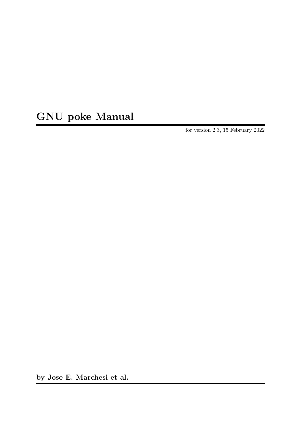# GNU poke Manual

for version 2.3, 15 February 2022

by Jose E. Marchesi et al.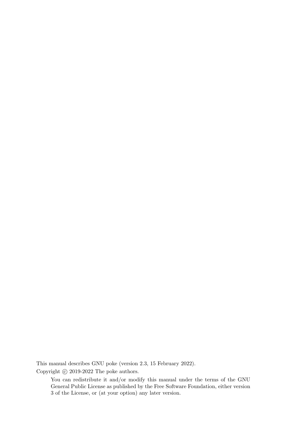This manual describes GNU poke (version 2.3, 15 February 2022).

Copyright  $\copyright$  2019-2022 The poke authors.

You can redistribute it and/or modify this manual under the terms of the GNU General Public License as published by the Free Software Foundation, either version 3 of the License, or (at your option) any later version.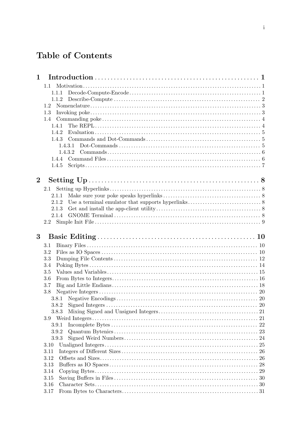# Table of Contents

| $\mathbf{1}$   |         |  |
|----------------|---------|--|
|                | 1.1     |  |
|                | 1.1.1   |  |
|                | 1.1.2   |  |
|                | 1.2     |  |
|                | 1.3     |  |
|                | 1.4     |  |
|                | 1.4.1   |  |
|                | 1.4.2   |  |
|                |         |  |
|                | 1.4.3.1 |  |
|                | 1.4.3.2 |  |
|                |         |  |
|                | 1.4.5   |  |
|                |         |  |
| $\overline{2}$ |         |  |
|                | 2.1     |  |
|                | 2.1.1   |  |
|                | 2.1.2   |  |
|                | 2.1.3   |  |
|                | 2.1.4   |  |
|                |         |  |
|                |         |  |
| 3              |         |  |
|                |         |  |
|                | 3.1     |  |
|                | 3.2     |  |
|                | 3.3     |  |
|                | 3.4     |  |
|                | 3.5     |  |
|                | 3.6     |  |
|                | 3.7     |  |
|                | 3.8     |  |
|                |         |  |
|                | 3.8.2   |  |
|                | 3.8.3   |  |
|                |         |  |
|                | 3.9.1   |  |
|                | 3.9.2   |  |
|                | 3.9.3   |  |
|                | 3.10    |  |
|                | 3.11    |  |
|                | 3.12    |  |
|                | 3.13    |  |
|                | 3.14    |  |
|                | 3.15    |  |
|                | 3.16    |  |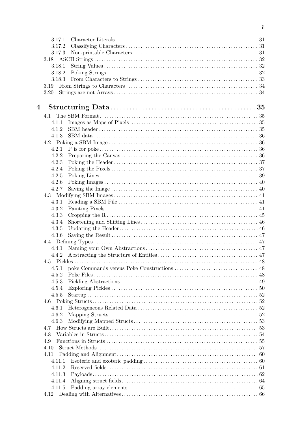|   | 3.17.1           |  |
|---|------------------|--|
|   | 3.17.2           |  |
|   | 3.17.3           |  |
|   | 3.18             |  |
|   | 3.18.1           |  |
|   | 3.18.2           |  |
|   | 3.18.3           |  |
|   | 3.19             |  |
|   | 3.20             |  |
|   |                  |  |
| 4 |                  |  |
|   | 4.1              |  |
|   | 4.1.1            |  |
|   | 4.1.2            |  |
|   | 4.1.3            |  |
|   |                  |  |
|   | 4.2.1            |  |
|   | 4.2.2            |  |
|   | 4.2.3            |  |
|   | 4.2.4            |  |
|   | 4.2.5            |  |
|   | 4.2.6            |  |
|   | 4.2.7            |  |
|   | 4.3.1            |  |
|   | 4.3.2            |  |
|   | 4.3.3            |  |
|   | 4.3.4            |  |
|   | 4.3.5            |  |
|   | 4.3.6            |  |
|   |                  |  |
|   | 4.4.1            |  |
|   | 4.4.2            |  |
|   |                  |  |
|   | 4.5.1            |  |
|   | 4.5.2            |  |
|   | 4.5.3            |  |
|   | 4.5.4            |  |
|   | 4.5.5            |  |
|   |                  |  |
|   | 4.6.1            |  |
|   | 4.6.2            |  |
|   | 4.6.3            |  |
|   | 4.7              |  |
|   | 4.8              |  |
|   | 4.9              |  |
|   | 4.10             |  |
|   | 4.11             |  |
|   | 4.11.1<br>4.11.2 |  |
|   | 4.11.3           |  |
|   | 4.11.4           |  |
|   | 4.11.5           |  |
|   |                  |  |
|   |                  |  |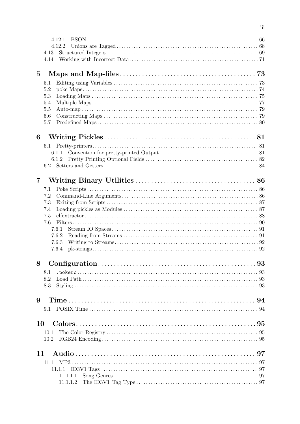| 4.12.1       |  |
|--------------|--|
| 4.12.2       |  |
| 4.13         |  |
| 4.14         |  |
| $\bf{5}$     |  |
|              |  |
| 5.1          |  |
| 5.2<br>5.3   |  |
| 5.4          |  |
| 5.5          |  |
| 5.6          |  |
| 5.7          |  |
|              |  |
| 6            |  |
| 6.1          |  |
| 6.1.1        |  |
| 6.1.2        |  |
|              |  |
| 7            |  |
| 7.1          |  |
| 7.2          |  |
| 7.3          |  |
| 7.4          |  |
| 7.5          |  |
| 7.6          |  |
| 7.6.1        |  |
| 7.6.2        |  |
| 7.6.3        |  |
| 7.6.4        |  |
| 8            |  |
| 8.1          |  |
| 8.2          |  |
| 8.3          |  |
|              |  |
| 9            |  |
| 9.1          |  |
| 10           |  |
|              |  |
| 10.1<br>10.2 |  |
|              |  |
| 11           |  |
| 11.1         |  |
|              |  |
|              |  |
| 11.1.1.2     |  |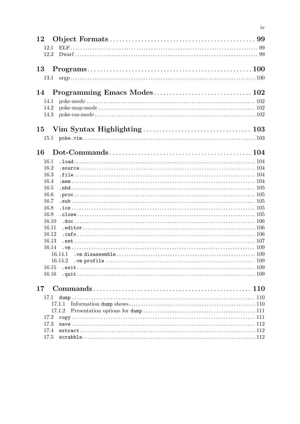| 12             |         |  |
|----------------|---------|--|
| 12.1           |         |  |
| 12.2           |         |  |
|                |         |  |
| 13             |         |  |
| 13.1           |         |  |
| 14             |         |  |
| 14.1           |         |  |
| 14.2           |         |  |
| 14.3           |         |  |
|                |         |  |
|                |         |  |
|                |         |  |
| 16             |         |  |
| 16.1           |         |  |
| 16.2           |         |  |
| 16.3           |         |  |
| 16.4           |         |  |
| 16.5           |         |  |
| 16.6           |         |  |
| 16.7           |         |  |
| 16.8           |         |  |
| 16.9           |         |  |
| 16.10          |         |  |
| 16.11<br>16.12 |         |  |
| 16.13          |         |  |
| 16.14          |         |  |
|                | 16.14.1 |  |
|                | 16.14.2 |  |
| 16.15          |         |  |
| 16.16          |         |  |
| $17\,$         |         |  |
|                |         |  |
| 17.1           |         |  |
|                |         |  |
|                | 17.1.2  |  |
| 17.2<br>17.3   |         |  |
| 17.4           |         |  |
| 17.5           |         |  |
|                |         |  |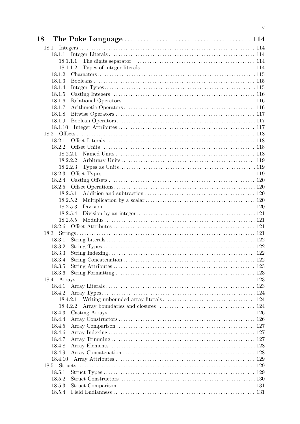| 18      |          |     |
|---------|----------|-----|
| 18.1    |          |     |
| 18.1.1  |          |     |
|         |          |     |
|         | 18.1.1.2 |     |
| 18.1.2  |          |     |
| 18.1.3  |          |     |
| 18.1.4  |          |     |
| 18.1.5  |          |     |
| 18.1.6  |          |     |
| 18.1.7  |          |     |
| 18.1.8  |          |     |
| 18.1.9  |          |     |
| 18.1.10 |          |     |
|         |          |     |
| 18.2.1  |          |     |
| 18.2.2  |          |     |
|         | 18.2.2.1 |     |
|         | 18.2.2.2 |     |
|         | 18.2.2.3 |     |
| 18.2.3  |          |     |
| 18.2.4  |          |     |
| 18.2.5  |          |     |
|         | 18.2.5.1 |     |
|         | 18.2.5.2 |     |
|         | 18.2.5.3 |     |
|         | 18.2.5.4 |     |
|         | 18.2.5.5 |     |
|         |          |     |
| 18.3    |          |     |
| 18.3.1  |          |     |
| 18.3.2  |          |     |
| 18.3.3  |          |     |
| 18.3.4  |          |     |
| 18.3.5  |          |     |
| 18.3.6  |          |     |
|         |          |     |
| 18.4.1  |          |     |
| 18.4.2  |          |     |
|         | 18.4.2.1 |     |
|         | 18.4.2.2 |     |
| 18.4.3  |          |     |
| 18.4.4  |          |     |
| 18.4.5  |          |     |
| 18.4.6  |          |     |
| 18.4.7  |          |     |
| 18.4.8  |          | 128 |
| 18.4.9  |          |     |
| 18.4.10 |          |     |
|         |          |     |
| 18.5.1  |          |     |
| 18.5.2  |          |     |
| 18.5.3  |          |     |
| 18.5.4  |          |     |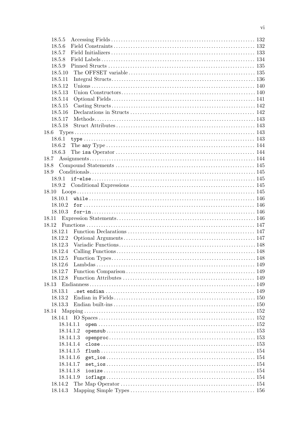| 18.5.5    |           |  |
|-----------|-----------|--|
| 18.5.6    |           |  |
| 18.5.7    |           |  |
| 18.5.8    |           |  |
| 18.5.9    |           |  |
| 18.5.10   |           |  |
| 18.5.11   |           |  |
| 18.5.12   |           |  |
| 18.5.13   |           |  |
| 18.5.14   |           |  |
| 18.5.15   |           |  |
| 18.5.16   |           |  |
| 18.5.17   |           |  |
| 18.5.18   |           |  |
|           |           |  |
|           |           |  |
|           |           |  |
| 18.6.2    |           |  |
| 18.6.3    |           |  |
|           |           |  |
| 18.8      |           |  |
| 18.9      |           |  |
|           |           |  |
|           |           |  |
|           |           |  |
|           |           |  |
|           |           |  |
| 18.10.3   |           |  |
| 18.11     |           |  |
| 18.12     |           |  |
| 18.12.1   |           |  |
| 18.12.2   |           |  |
| 18.12.3   |           |  |
| 18.12.4   |           |  |
| 18.12.5   |           |  |
| 18.12.6   |           |  |
| 18.12.7   |           |  |
| 18.12.8   |           |  |
| 18.13     |           |  |
| 18.13.1   |           |  |
| 18.13.2   |           |  |
| 18.13.3   |           |  |
| 18.14     |           |  |
|           |           |  |
| 18.14.1   |           |  |
|           | 18.14.1.1 |  |
|           | 18.14.1.2 |  |
|           | 18.14.1.3 |  |
| 18.14.1.4 |           |  |
| 18.14.1.5 |           |  |
|           | 18.14.1.6 |  |
|           | 18.14.1.7 |  |
| 18.14.1.8 |           |  |
|           | 18.14.1.9 |  |
| 18.14.2   |           |  |
| 18.14.3   |           |  |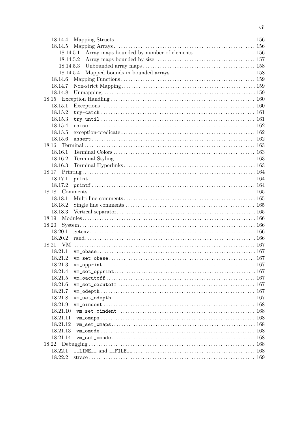| 18.14.4   |  |
|-----------|--|
| 18.14.5   |  |
| 18.14.5.1 |  |
|           |  |
| 18.14.5.3 |  |
| 18.14.5.4 |  |
| 18.14.6   |  |
| 18.14.7   |  |
| 18.14.8   |  |
|           |  |
| 18.15.1   |  |
| 18.15.2   |  |
| 18.15.3   |  |
| 18.15.4   |  |
| 18.15.5   |  |
| 18.15.6   |  |
| 18.16     |  |
| 18.16.1   |  |
| 18.16.2   |  |
| 18.16.3   |  |
|           |  |
| 18.17.1   |  |
| 18.17.2   |  |
|           |  |
| 18.18.1   |  |
| 18.18.2   |  |
| 18.18.3   |  |
| 18.19     |  |
| 18.20     |  |
| 18.20.1   |  |
| 18.20.2   |  |
|           |  |
| 18.21.1   |  |
| 18.21.2   |  |
| 18.21.3   |  |
| 18.21.4   |  |
| 18.21.5   |  |
| 18.21.6   |  |
| 18.21.7   |  |
| 18.21.8   |  |
| 18.21.9   |  |
| 18.21.10  |  |
| 18.21.11  |  |
| 18.21.12  |  |
| 18.21.13  |  |
| 18.21.14  |  |
| 18.22     |  |
| 18.22.1   |  |
|           |  |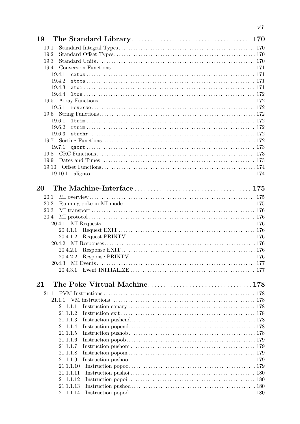| 19   |        |           |  |
|------|--------|-----------|--|
| 19.1 |        |           |  |
| 19.2 |        |           |  |
| 19.3 |        |           |  |
| 19.4 |        |           |  |
|      | 19.4.1 |           |  |
|      | 19.4.2 |           |  |
|      | 19.4.3 |           |  |
|      | 19.4.4 |           |  |
|      |        |           |  |
|      | 19.5.1 |           |  |
| 19.6 |        |           |  |
|      | 19.6.1 |           |  |
|      | 19.6.2 |           |  |
|      | 19.6.3 |           |  |
| 19.7 |        |           |  |
|      | 19.7.1 |           |  |
| 19.8 |        |           |  |
| 19.9 |        |           |  |
|      |        |           |  |
|      |        |           |  |
|      |        |           |  |
| 20   |        |           |  |
| 20.1 |        |           |  |
| 20.2 |        |           |  |
| 20.3 |        |           |  |
| 20.4 |        |           |  |
|      | 20.4.1 |           |  |
|      |        | 20.4.1.1  |  |
|      |        | 20.4.1.2  |  |
|      |        |           |  |
|      |        | 20.4.2.1  |  |
|      |        |           |  |
|      | 20.4.3 |           |  |
|      |        |           |  |
|      |        |           |  |
| 21   |        |           |  |
| 21.1 |        |           |  |
|      | 21.1.1 |           |  |
|      |        | 21.1.1.1  |  |
|      |        | 21.1.1.2  |  |
|      |        | 21.1.1.3  |  |
|      |        | 21.1.1.4  |  |
|      |        | 21.1.1.5  |  |
|      |        | 21.1.1.6  |  |
|      |        | 21.1.1.7  |  |
|      |        | 21.1.1.8  |  |
|      |        | 21.1.1.9  |  |
|      |        | 21.1.1.10 |  |
|      |        | 21.1.1.11 |  |
|      |        | 21.1.1.12 |  |
|      |        | 21.1.1.13 |  |
|      |        | 21.1.1.14 |  |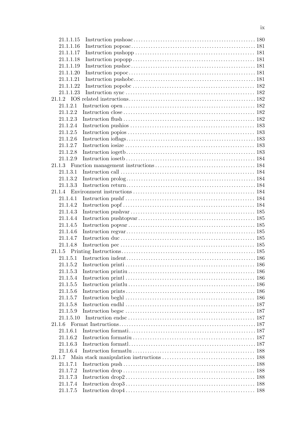| 21.1.1.15 |  |
|-----------|--|
| 21.1.1.16 |  |
| 21.1.1.17 |  |
| 21.1.1.18 |  |
| 21.1.1.19 |  |
| 21.1.1.20 |  |
| 21.1.1.21 |  |
| 21.1.1.22 |  |
| 21.1.1.23 |  |
|           |  |
| 21.1.2.1  |  |
| 21.1.2.2  |  |
| 21.1.2.3  |  |
| 21.1.2.4  |  |
| 21.1.2.5  |  |
| 21.1.2.6  |  |
| 21.1.2.7  |  |
| 21.1.2.8  |  |
| 21.1.2.9  |  |
|           |  |
| 21.1.3.1  |  |
| 21.1.3.2  |  |
| 21.1.3.3  |  |
|           |  |
| 21.1.4.1  |  |
| 21.1.4.2  |  |
| 21.1.4.3  |  |
| 21.1.4.4  |  |
| 21.1.4.5  |  |
| 21.1.4.6  |  |
| 21.1.4.7  |  |
| 21.1.4.8  |  |
|           |  |
|           |  |
| 21.1.5.2  |  |
| 21.1.5.3  |  |
| 21.1.5.4  |  |
| 21.1.5.5  |  |
| 21.1.5.6  |  |
| 21.1.5.7  |  |
| 21.1.5.8  |  |
| 21.1.5.9  |  |
| 21.1.5.10 |  |
|           |  |
| 21.1.6.1  |  |
| 21.1.6.2  |  |
| 21.1.6.3  |  |
| 21.1.6.4  |  |
|           |  |
| 21.1.7.1  |  |
| 21.1.7.2  |  |
| 21.1.7.3  |  |
| 21.1.7.4  |  |
| 21.1.7.5  |  |
|           |  |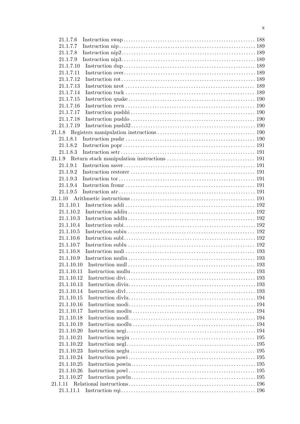| 21.1.7.6   |                                                                                                                                                                                                                                |     |
|------------|--------------------------------------------------------------------------------------------------------------------------------------------------------------------------------------------------------------------------------|-----|
| 21.1.7.7   |                                                                                                                                                                                                                                |     |
| 21.1.7.8   |                                                                                                                                                                                                                                |     |
| 21.1.7.9   |                                                                                                                                                                                                                                |     |
| 21.1.7.10  |                                                                                                                                                                                                                                |     |
| 21.1.7.11  |                                                                                                                                                                                                                                |     |
| 21.1.7.12  |                                                                                                                                                                                                                                |     |
| 21.1.7.13  |                                                                                                                                                                                                                                |     |
| 21.1.7.14  |                                                                                                                                                                                                                                |     |
| 21.1.7.15  |                                                                                                                                                                                                                                |     |
| 21.1.7.16  |                                                                                                                                                                                                                                |     |
| 21.1.7.17  |                                                                                                                                                                                                                                |     |
| 21.1.7.18  |                                                                                                                                                                                                                                |     |
| 21.1.7.19  |                                                                                                                                                                                                                                |     |
|            |                                                                                                                                                                                                                                |     |
|            |                                                                                                                                                                                                                                |     |
| 21.1.8.2   |                                                                                                                                                                                                                                |     |
| 21.1.8.3   | Instruction set resonance in the set of the set of the set of the set of the set of the set of the set of the set of the set of the set of the set of the set of the set of the set of the set of the set of the set of the se |     |
| 21.1.9     |                                                                                                                                                                                                                                |     |
| 21.1.9.1   |                                                                                                                                                                                                                                |     |
| 21.1.9.2   |                                                                                                                                                                                                                                |     |
| 21.1.9.3   |                                                                                                                                                                                                                                |     |
| 21.1.9.4   |                                                                                                                                                                                                                                |     |
| 21.1.9.5   |                                                                                                                                                                                                                                |     |
|            |                                                                                                                                                                                                                                |     |
| 21.1.10.1  |                                                                                                                                                                                                                                |     |
| 21.1.10.2  |                                                                                                                                                                                                                                |     |
| 21.1.10.3  |                                                                                                                                                                                                                                |     |
| 21.1.10.4  |                                                                                                                                                                                                                                |     |
| 21.1.10.5  |                                                                                                                                                                                                                                |     |
| 21.1.10.6  |                                                                                                                                                                                                                                |     |
| 21.1.10.7  |                                                                                                                                                                                                                                |     |
| 21.1.10.8  |                                                                                                                                                                                                                                |     |
| 21.1.10.9  |                                                                                                                                                                                                                                |     |
| 21.1.10.10 |                                                                                                                                                                                                                                | 193 |
| 21.1.10.11 |                                                                                                                                                                                                                                |     |
| 21.1.10.12 |                                                                                                                                                                                                                                |     |
| 21.1.10.13 |                                                                                                                                                                                                                                |     |
| 21.1.10.14 |                                                                                                                                                                                                                                |     |
| 21.1.10.15 |                                                                                                                                                                                                                                |     |
| 21.1.10.16 |                                                                                                                                                                                                                                |     |
| 21.1.10.17 |                                                                                                                                                                                                                                |     |
| 21.1.10.18 |                                                                                                                                                                                                                                |     |
| 21.1.10.19 |                                                                                                                                                                                                                                |     |
| 21.1.10.20 |                                                                                                                                                                                                                                |     |
| 21.1.10.21 |                                                                                                                                                                                                                                |     |
| 21.1.10.22 |                                                                                                                                                                                                                                |     |
| 21.1.10.23 |                                                                                                                                                                                                                                |     |
| 21.1.10.24 |                                                                                                                                                                                                                                | 195 |
| 21.1.10.25 |                                                                                                                                                                                                                                |     |
| 21.1.10.26 |                                                                                                                                                                                                                                |     |
| 21.1.10.27 |                                                                                                                                                                                                                                |     |
|            |                                                                                                                                                                                                                                |     |
| 21.1.11.1  |                                                                                                                                                                                                                                |     |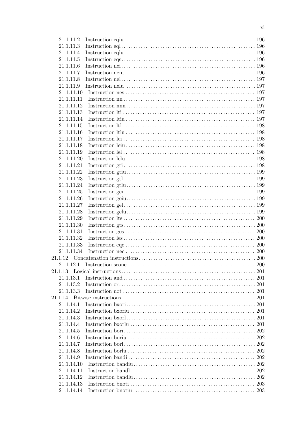| 21.1.11.2  |  |
|------------|--|
| 21.1.11.3  |  |
| 21.1.11.4  |  |
| 21.1.11.5  |  |
| 21.1.11.6  |  |
| 21.1.11.7  |  |
| 21.1.11.8  |  |
| 21.1.11.9  |  |
| 21.1.11.10 |  |
| 21.1.11.11 |  |
| 21.1.11.12 |  |
| 21.1.11.13 |  |
| 21.1.11.14 |  |
| 21.1.11.15 |  |
| 21.1.11.16 |  |
| 21.1.11.17 |  |
| 21.1.11.18 |  |
| 21.1.11.19 |  |
| 21.1.11.20 |  |
| 21.1.11.21 |  |
| 21.1.11.22 |  |
|            |  |
| 21.1.11.23 |  |
| 21.1.11.24 |  |
| 21.1.11.25 |  |
| 21.1.11.26 |  |
| 21.1.11.27 |  |
| 21.1.11.28 |  |
| 21.1.11.29 |  |
| 21.1.11.30 |  |
| 21.1.11.31 |  |
| 21.1.11.32 |  |
| 21.1.11.33 |  |
| 21.1.11.34 |  |
|            |  |
| 21.1.12.1  |  |
|            |  |
| 21.1.13.1  |  |
| 21.1.13.2  |  |
| 21.1.13.3  |  |
|            |  |
| 21.1.14.1  |  |
| 21.1.14.2  |  |
| 21.1.14.3  |  |
| 21.1.14.4  |  |
| 21.1.14.5  |  |
| 21.1.14.6  |  |
| 21.1.14.7  |  |
| 21.1.14.8  |  |
| 21.1.14.9  |  |
| 21.1.14.10 |  |
| 21.1.14.11 |  |
| 21.1.14.12 |  |
| 21.1.14.13 |  |
| 21.1.14.14 |  |
|            |  |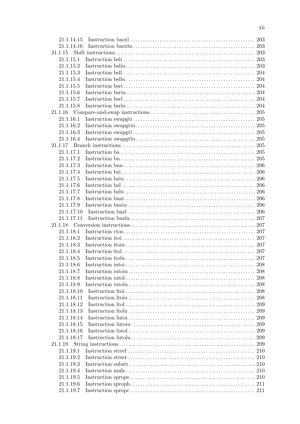| 21.1.14.15 |     |
|------------|-----|
| 21.1.14.16 |     |
| 21.1.15    |     |
| 21.1.15.1  |     |
| 21.1.15.2  |     |
| 21.1.15.3  |     |
| 21.1.15.4  |     |
| 21.1.15.5  |     |
| 21.1.15.6  |     |
| 21.1.15.7  |     |
| 21.1.15.8  |     |
| 21.1.16    |     |
| 21.1.16.1  |     |
| 21.1.16.2  |     |
| 21.1.16.3  |     |
| 21.1.16.4  |     |
| 21.1.17    |     |
|            |     |
| 21.1.17.1  |     |
| 21.1.17.2  |     |
| 21.1.17.3  |     |
| 21.1.17.4  |     |
| 21.1.17.5  |     |
| 21.1.17.6  |     |
| 21.1.17.7  |     |
| 21.1.17.8  |     |
| 21.1.17.9  |     |
| 21.1.17.10 |     |
| 21.1.17.11 |     |
|            |     |
| 21.1.18.1  |     |
| 21.1.18.2  |     |
| 21.1.18.3  |     |
| 21.1.18.4  |     |
| 21.1.18.5  |     |
| 21.1.18.6  | 208 |
| 21.1.18.7  |     |
| 21.1.18.8  | 208 |
| 21.1.18.9  |     |
| 21.1.18.10 | 208 |
| 21.1.18.11 | 208 |
| 21.1.18.12 |     |
| 21.1.18.13 | 209 |
| 21.1.18.14 | 209 |
| 21.1.18.15 |     |
| 21.1.18.16 | 209 |
| 21.1.18.17 | 209 |
|            |     |
| 21.1.19    | 209 |
| 21.1.19.1  | 210 |
| 21.1.19.2  | 210 |
| 21.1.19.3  |     |
| 21.1.19.4  |     |
| 21.1.19.5  |     |
| 21.1.19.6  |     |
| 21.1.19.7  |     |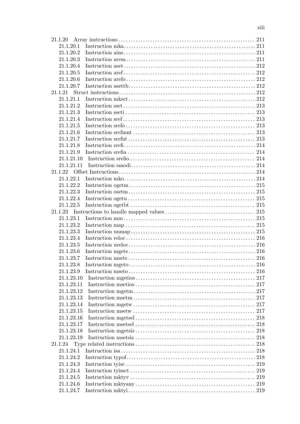| 21.1.20    |     |
|------------|-----|
| 21.1.20.1  |     |
| 21.1.20.2  |     |
| 21.1.20.3  |     |
| 21.1.20.4  |     |
| 21.1.20.5  |     |
| 21.1.20.6  |     |
| 21.1.20.7  |     |
| 21.1.21    |     |
| 21.1.21.1  |     |
| 21.1.21.2  |     |
| 21.1.21.3  |     |
| 21.1.21.4  |     |
| 21.1.21.5  |     |
| 21.1.21.6  |     |
| 21.1.21.7  |     |
| 21.1.21.8  |     |
| 21.1.21.9  |     |
| 21.1.21.10 |     |
| 21.1.21.11 |     |
| 21.1.22    |     |
| 21.1.22.1  |     |
| 21.1.22.2  |     |
| 21.1.22.3  |     |
| 21.1.22.4  |     |
| 21.1.22.5  |     |
| 21.1.23    |     |
| 21.1.23.1  |     |
| 21.1.23.2  |     |
| 21.1.23.3  |     |
| 21.1.23.4  |     |
| 21.1.23.5  |     |
| 21.1.23.6  |     |
| 21.1.23.7  |     |
| 21.1.23.8  |     |
| 21.1.23.9  |     |
| 21.1.23.10 |     |
| 21.1.23.11 |     |
| 21.1.23.12 |     |
| 21.1.23.13 |     |
| 21.1.23.14 |     |
| 21.1.23.15 |     |
| 21.1.23.16 |     |
| 21.1.23.17 | 218 |
| 21.1.23.18 | 218 |
| 21.1.23.19 | 218 |
|            |     |
| 21.1.24.1  |     |
| 21.1.24.2  |     |
| 21.1.24.3  |     |
| 21.1.24.4  | 219 |
| 21.1.24.5  | 219 |
| 21.1.24.6  |     |
| 21.1.24.7  |     |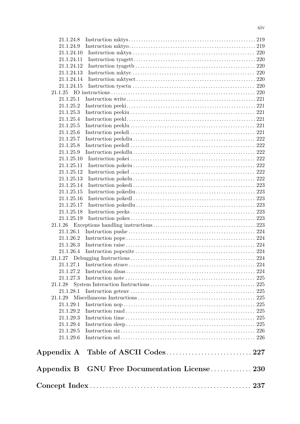| 21.1.24.8  |  |  |
|------------|--|--|
| 21.1.24.9  |  |  |
| 21.1.24.10 |  |  |
| 21.1.24.11 |  |  |
| 21.1.24.12 |  |  |
| 21.1.24.13 |  |  |
| 21.1.24.14 |  |  |
| 21.1.24.15 |  |  |
|            |  |  |
| 21.1.25.1  |  |  |
| 21.1.25.2  |  |  |
| 21.1.25.3  |  |  |
| 21.1.25.4  |  |  |
| 21.1.25.5  |  |  |
| 21.1.25.6  |  |  |
| 21.1.25.7  |  |  |
| 21.1.25.8  |  |  |
| 21.1.25.9  |  |  |
| 21.1.25.10 |  |  |
| 21.1.25.11 |  |  |
| 21.1.25.12 |  |  |
| 21.1.25.13 |  |  |
| 21.1.25.14 |  |  |
| 21.1.25.15 |  |  |
| 21.1.25.16 |  |  |
| 21.1.25.17 |  |  |
| 21.1.25.18 |  |  |
| 21.1.25.19 |  |  |
| 21.1.26    |  |  |
| 21.1.26.1  |  |  |
| 21.1.26.2  |  |  |
| 21.1.26.3  |  |  |
| 21.1.26.4  |  |  |
|            |  |  |
| 21.1.27.1  |  |  |
| 21.1.27.2  |  |  |
| 21.1.27.3  |  |  |
|            |  |  |
| 21.1.28.1  |  |  |
| 21.1.29    |  |  |
| 21.1.29.1  |  |  |
| 21.1.29.2  |  |  |
| 21.1.29.3  |  |  |
| 21.1.29.4  |  |  |
| 21.1.29.5  |  |  |
| 21.1.29.6  |  |  |
|            |  |  |
|            |  |  |
|            |  |  |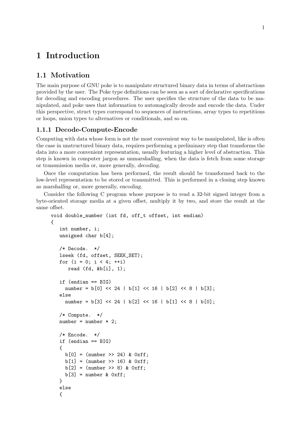## <span id="page-16-0"></span>1 Introduction

## 1.1 Motivation

The main purpose of GNU poke is to manipulate structured binary data in terms of abstractions provided by the user. The Poke type definitions can be seen as a sort of declarative specifications for decoding and encoding procedures. The user specifies the structure of the data to be manipulated, and poke uses that information to automagically decode and encode the data. Under this perspective, struct types correspond to sequences of instructions, array types to repetitions or loops, union types to alternatives or conditionals, and so on.

## 1.1.1 Decode-Compute-Encode

Computing with data whose form is not the most convenient way to be manipulated, like is often the case in unstructured binary data, requires performing a preliminary step that transforms the data into a more convenient representation, usually featuring a higher level of abstraction. This step is known in computer jargon as unmarshalling, when the data is fetch from some storage or transmission media or, more generally, decoding.

Once the computation has been performed, the result should be transformed back to the low-level representation to be stored or transmitted. This is performed in a closing step known as marshalling or, more generally, encoding.

Consider the following C program whose purpose is to read a 32-bit signed integer from a byte-oriented storage media at a given offset, multiply it by two, and store the result at the same offset.

```
void double_number (int fd, off_t offset, int endian)
{
   int number, i;
  unsigned char b[4];
   /* Decode. */
  lseek (fd, offset, SEEK_SET);
  for (i = 0; i < 4; ++i)read (fd, &b[i], 1);
   if (endian == BIG)
     number = b[0] << 24 | b[1] << 16 | b[2] << 8 | b[3];
   else
     number = b[3] << 24 | b[2] << 16 | b[1] << 8 | b[0];
   /* Compute. */
  number = number * 2;/* Encode. */if (endian == BIG)
   {
    b[0] = (number \gg 24) \& 0xff;b[1] = (number \gg 16) \& 0xff;b[2] = (number >> 8) & 0xff;
    b[3] = number & 0xff;
   }
   else
   {
```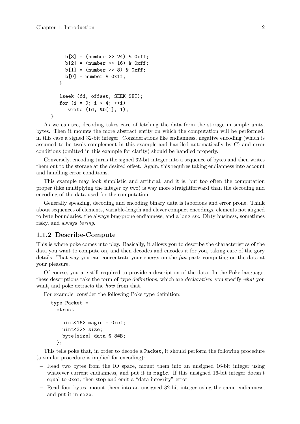}

```
b[3] = (number \gg 24) \& 0xff;b[2] = (number \gg 16) \& 0xff;b[1] = (number >> 8) & 0xff;
  b[0] = number & 0xf;
}
lseek (fd, offset, SEEK_SET);
for (i = 0; i < 4; ++i)write (fd, &b[i], 1);
```
As we can see, decoding takes care of fetching the data from the storage in simple units, bytes. Then it mounts the more abstract entity on which the computation will be performed, in this case a signed 32-bit integer. Considerations like endianness, negative encoding (which is assumed to be two's complement in this example and handled automatically by C) and error conditions (omitted in this example for clarity) should be handled properly.

Conversely, encoding turns the signed 32-bit integer into a sequence of bytes and then writes them out to the storage at the desired offset. Again, this requires taking endianness into account and handling error conditions.

This example may look simplistic and artificial, and it is, but too often the computation proper (like multiplying the integer by two) is way more straightforward than the decoding and encoding of the data used for the computation.

Generally speaking, decoding and encoding binary data is laborious and error prone. Think about sequences of elements, variable-length and clever compact encodings, elements not aligned to byte boundaries, the always bug-prone endianness, and a long etc. Dirty business, sometimes risky, and always boring.

#### 1.1.2 Describe-Compute

This is where poke comes into play. Basically, it allows you to describe the characteristics of the data you want to compute on, and then decodes and encodes it for you, taking care of the gory details. That way you can concentrate your energy on the fun part: computing on the data at your pleasure.

Of course, you are still required to provide a description of the data. In the Poke language, these descriptions take the form of type definitions, which are declarative: you specify what you want, and poke extracts the how from that.

For example, consider the following Poke type definition:

```
type Packet =
 struct
  {
    uint<16> magic = 0xef;
    uint<32> size;
    byte[size] data @ 8#B;
  };
```
This tells poke that, in order to decode a Packet, it should perform the following procedure (a similar procedure is implied for encoding):

- − Read two bytes from the IO space, mount them into an unsigned 16-bit integer using whatever current endianness, and put it in magic. If this unsigned 16-bit integer doesn't equal to 0xef, then stop and emit a "data integrity" error.
- − Read four bytes, mount them into an unsigned 32-bit integer using the same endianness, and put it in size.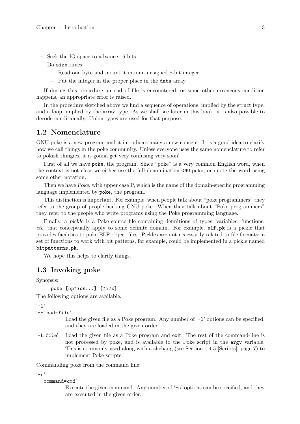- <span id="page-18-0"></span>− Seek the IO space to advance 16 bits.
- − Do size times:
	- − Read one byte and mount it into an unsigned 8-bit integer.
	- − Put the integer in the proper place in the data array.

If during this procedure an end of file is encountered, or some other erroneous condition happens, an appropriate error is raised.

In the procedure sketched above we find a sequence of operations, implied by the struct type, and a loop, implied by the array type. As we shall see later in this book, it is also possible to decode conditionally. Union types are used for that purpose.

#### 1.2 Nomenclature

GNU poke is a new program and it introduces many a new concept. It is a good idea to clarify how we call things in the poke community. Unless everyone uses the same nomenclature to refer to pokish thingies, it is gonna get very confusing very soon!

First of all we have poke, the program. Since "poke" is a very common English word, when the context is not clear we either use the full denomination GNU poke, or quote the word using some other notation.

Then we have Poke, with upper case P, which is the name of the domain-specific programming language implemented by poke, the program.

This distinction is important. For example, when people talk about "poke programmers" they refer to the group of people hacking GNU poke. When they talk about "Poke programmers" they refer to the people who write programs using the Poke programming language.

Finally, a pickle is a Poke source file containing definitions of types, variables, functions, etc, that conceptually apply to some definite domain. For example, elf.pk is a pickle that provides facilities to poke ELF object files. Pickles are not necessarily related to file formats: a set of functions to work with bit patterns, for example, could be implemented in a pickle named bitpatterns.pk.

We hope this helps to clarify things.

#### <span id="page-18-1"></span>1.3 Invoking poke

Synopsis:

```
poke [option...] [file]
```
The following options are available.

 $(-1)$ 

```
'--load=file'
```
Load the given file as a Poke program. Any number of  $-1$  options can be specified, and they are loaded in the given order.

'-L file' Load the given file as a Poke program and exit. The rest of the command-line is not processed by poke, and is available to the Poke script in the argv variable. This is commonly used along with a shebang (see [Section 1.4.5 \[Scripts\], page 7](#page-22-1)) to implement Poke scripts.

Commanding poke from the command line:

 $(-c)$ 

```
'--command=cmd'
```
Execute the given command. Any number of '-c' options can be specified, and they are executed in the given order.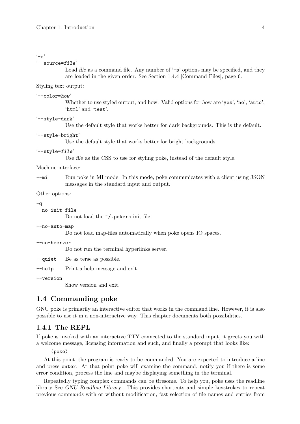#### <span id="page-19-0"></span> $\cdot$ -s'

'--source=file'

Load file as a command file. Any number of  $\sim$  s' options may be specified, and they are loaded in the given order. See [Section 1.4.4 \[Command Files\], page 6](#page-21-1).

Styling text output:

#### '--color=how'

Whether to use styled output, and how. Valid options for how are 'yes', 'no', 'auto', 'html' and 'test'.

#### '--style-dark'

Use the default style that works better for dark backgrounds. This is the default.

#### '--style-bright'

Use the default style that works better for bright backgrounds.

#### '--style=file'

Use *file* as the CSS to use for styling poke, instead of the default style.

#### Machine interface:

--mi Run poke in MI mode. In this mode, poke communicates with a client using JSON messages in the standard input and output.

Other options:

#### -q

--no-init-file

Do not load the  $\gamma$ .pokerc init file.

#### --no-auto-map

Do not load map-files automatically when poke opens IO spaces.

#### --no-hserver

Do not run the terminal hyperlinks server.

--quiet Be as terse as possible.

--help Print a help message and exit.

--version

Show version and exit.

## 1.4 Commanding poke

GNU poke is primarily an interactive editor that works in the command line. However, it is also possible to use it in a non-interactive way. This chapter documents both possibilities.

## 1.4.1 The REPL

If poke is invoked with an interactive TTY connected to the standard input, it greets you with a welcome message, licensing information and such, and finally a prompt that looks like:

(poke)

At this point, the program is ready to be commanded. You are expected to introduce a line and press enter. At that point poke will examine the command, notify you if there is some error condition, process the line and maybe displaying something in the terminal.

Repeatedly typing complex commands can be tiresome. To help you, poke uses the readline library See GNU Readline Library. This provides shortcuts and simple keystrokes to repeat previous commands with or without modification, fast selection of file names and entries from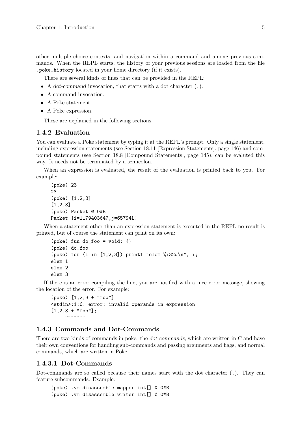<span id="page-20-0"></span>other multiple choice contexts, and navigation within a command and among previous commands. When the REPL starts, the history of your previous sessions are loaded from the file .poke\_history located in your home directory (if it exists).

There are several kinds of lines that can be provided in the REPL:

• A dot-command invocation, that starts with a dot character (.).

- A command invocation.
- A Poke statement.
- A Poke expression.

These are explained in the following sections.

#### 1.4.2 Evaluation

You can evaluate a Poke statement by typing it at the REPL's prompt. Only a single statement, including expression statements (see [Section 18.11 \[Expression Statements\], page 146](#page-161-1)) and compound statements (see [Section 18.8 \[Compound Statements\], page 145\)](#page-160-1), can be evaluted this way. It needs not be terminated by a semicolon.

When an expression is evaluated, the result of the evaluation is printed back to you. For example:

```
(poke) 23
23(poke) [1,2,3]
[1,2,3]
(poke) Packet @ 0#B
Packet \{i=1179403647, i=65794L\}
```
When a statement other than an expression statement is executed in the REPL no result is printed, but of course the statement can print on its own:

```
(poke) fun do_foo = void: {}
(poke) do_foo
(poke) for (i in [1,2,3]) printf "elem %i32d\n", i;
elem 1
elem 2
elem 3
```
If there is an error compiling the line, you are notified with a nice error message, showing the location of the error. For example:

```
(poke) [1,2,3 + "foo"]
<stdin>:1:6: error: invalid operands in expression
[1,2,3 + "foo"];
     ~~~~~~~~
```
## 1.4.3 Commands and Dot-Commands

There are two kinds of commands in poke: the dot-commands, which are written in C and have their own conventions for handling sub-commands and passing arguments and flags, and normal commands, which are written in Poke.

#### 1.4.3.1 Dot-Commands

Dot-commands are so called because their names start with the dot character (.). They can feature subcommands. Example:

```
(poke) .vm disassemble mapper int[] @ 0#B
(poke) .vm disassemble writer int[] @ 0#B
```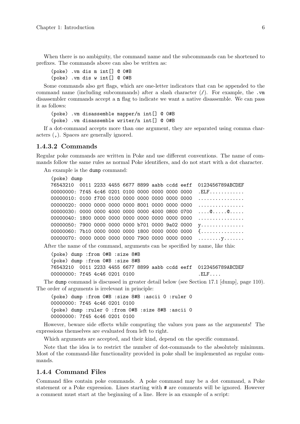<span id="page-21-0"></span>When there is no ambiguity, the command name and the subcommands can be shortened to prefixes. The commands above can also be written as:

(poke) .vm dis m int[] @ 0#B (poke) .vm dis w int[] @ 0#B

Some commands also get flags, which are one-letter indicators that can be appended to the command name (including subcommands) after a slash character  $($ ). For example, the .vm disassembler commands accept a n flag to indicate we want a native disassemble. We can pass it as follows:

(poke) .vm disassemble mapper/n int[] @ 0#B (poke) .vm disassemble writer/n int[] @ 0#B

If a dot-command accepts more than one argument, they are separated using comma characters (,). Spaces are generally ignored.

#### 1.4.3.2 Commands

Regular poke commands are written in Poke and use different conventions. The name of commands follow the same rules as normal Poke identifiers, and do not start with a dot character.

An example is the dump command:

(poke) dump

```
76543210 0011 2233 4455 6677 8899 aabb ccdd eeff 0123456789ABCDEF
00000000: 7f45 4c46 0201 0100 0000 0000 0000 0000 .ELF...........
00000010: 0100 f700 0100 0000 0000 0000 0000 0000 ................
00000020: 0000 0000 0000 0000 8001 0000 0000 0000 ................
00000030: 0000 0000 4000 0000 0000 4000 0800 0700 ....@.....@.....
00000040: 1800 0000 0000 0000 0000 0000 0000 0000 ................
00000050: 7900 0000 0000 0000 b701 0000 9a02 0000 y..............
00000060: 7b10 0000 0000 0000 1800 0000 0000 0000 {..............
00000070: 0000 0000 0000 0000 7900 0000 0000 0000 ........y.......
```
After the name of the command, arguments can be specified by name, like this:

```
(poke) dump :from 0#B :size 8#B
(poke) dump :from 0#B :size 8#B
76543210 0011 2233 4455 6677 8899 aabb ccdd eeff 0123456789ABCDEF
00000000: 7f45 4c46 0201 0100 .ELF....
```
The dump command is discussed in greater detail below (see [Section 17.1 \[dump\], page 110](#page-125-1)). The order of arguments is irrelevant in principle:

(poke) dump :from 0#B :size 8#B :ascii 0 :ruler 0 00000000: 7f45 4c46 0201 0100 (poke) dump :ruler 0 :from 0#B :size 8#B :ascii 0 00000000: 7f45 4c46 0201 0100

However, beware side effects while computing the values you pass as the arguments! The expressions themselves are evaluated from left to right.

Which arguments are accepted, and their kind, depend on the specific command.

Note that the idea is to restrict the number of dot-commands to the absolutely minimum. Most of the command-like functionality provided in poke shall be implemented as regular commands.

## <span id="page-21-1"></span>1.4.4 Command Files

Command files contain poke commands. A poke command may be a dot command, a Poke statement or a Poke expression. Lines starting with # are comments will be ignored. However a comment must start at the beginning of a line. Here is an example of a script: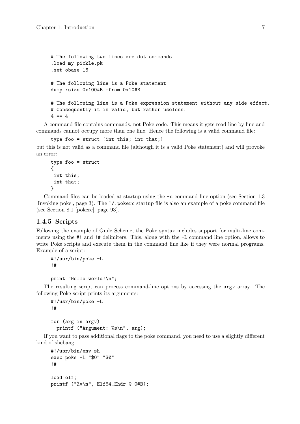```
# The following two lines are dot commands
.load my-pickle.pk
.set obase 16
# The following line is a Poke statement
dump :size 0x100#B :from 0x10#B
# The following line is a Poke expression statement without any side effect.
# Consequently it is valid, but rather useless.
4 = 4
```
A command file contains commands, not Poke code. This means it gets read line by line and commands cannot occupy more than one line. Hence the following is a valid command file:

```
type foo = struct {int this; int that;}
```
but this is not valid as a command file (although it is a valid Poke statement) and will provoke an error:

```
type foo = struct
{
int this;
 int that;
}
```
Command files can be loaded at startup using the -s command line option (see [Section 1.3](#page-18-1) [\[Invoking poke\], page 3\)](#page-18-1). The ~/.pokerc startup file is also an example of a poke command file (see [Section 8.1 \[pokerc\], page 93\)](#page-108-1).

#### <span id="page-22-1"></span>1.4.5 Scripts

Following the example of Guile Scheme, the Poke syntax includes support for multi-line comments using the #! and !# delimiters. This, along with the -L command line option, allows to write Poke scripts and execute them in the command line like if they were normal programs. Example of a script:

```
#!/usr/bin/poke -L
!#
```
print "Hello world!\n";

The resulting script can process command-line options by accessing the argv array. The following Poke script prints its arguments:

```
#!/usr/bin/poke -L
!#
for (arg in argv)
  printf ("Argument: %s\n", arg);
```
If you want to pass additional flags to the poke command, you need to use a slightly different kind of shebang:

```
#!/usr/bin/env sh
exec poke -L "$0" "$@"
!#
load elf;
printf ("%v\n", Elf64_Ehdr @ 0#B);
```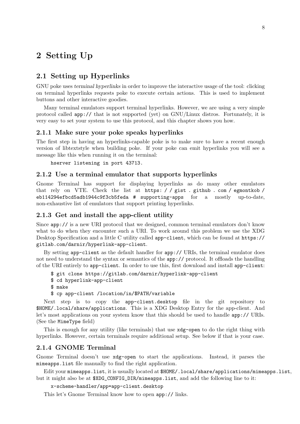# <span id="page-23-0"></span>2 Setting Up

## 2.1 Setting up Hyperlinks

GNU poke uses terminal hyperlinks in order to improve the interactive usage of the tool: clicking on terminal hyperlinks requests poke to execute certain actions. This is used to implement buttons and other interactive goodies.

Many terminal emulators support terminal hyperlinks. However, we are using a very simple protocol called app:// that is not supported (yet) on GNU/Linux distros. Fortunately, it is very easy to set your system to use this protocol, and this chapter shows you how.

## 2.1.1 Make sure your poke speaks hyperlinks

The first step in having an hyperlinks-capable poke is to make sure to have a recent enough version of libtextstyle when building poke. If your poke can emit hyperlinks you will see a message like this when running it on the terminal:

hserver listening in port 43713.

#### 2.1.2 Use a terminal emulator that supports hyperlinks

Gnome Terminal has support for displaying hyperlinks as do many other emulators that rely on VTE. Check the list at [https: / / gist . github . com / egmontkob /](https://gist.github.com/egmontkob/eb114294efbcd5adb1944c9f3cb5feda#supporting-apps) [eb114294efbcd5adb1944c9f3cb5feda # supporting-apps](https://gist.github.com/egmontkob/eb114294efbcd5adb1944c9f3cb5feda#supporting-apps) for a mostly up-to-date, non-exhaustive list of emulators that support printing hyperlinks.

#### 2.1.3 Get and install the app-client utility

Since app:// is a new URI protocol that we designed, common terminal emulators don't know what to do when they encounter such a URI. To work around this problem we use the XDG Desktop Specification and a little C utility called app-client, which can be found at [https://](https://gitlab.com/darnir/hyperlink-app-client) [gitlab.com/darnir/hyperlink-app-client](https://gitlab.com/darnir/hyperlink-app-client).

By setting app-client as the default handler for app:// URIs, the terminal emulator does not need to understand the syntax or semantics of the app:// protocol. It offloads the handling of the URI entirely to app-client. In order to use this, first download and install app-client:

```
$ git clone https://gitlab.com/darnir/hyperlink-app-client
```
\$ cd hyperlink-app-client

```
$ make
```
\$ cp app-client /location/in/\$PATH/variable

Next step is to copy the app-client.desktop file in the git repository to \$HOME/.local/share/applications. This is a XDG Desktop Entry for the app-client. And let's most applications on your system know that this should be used to handle app:// URIs. (See the MimeType field)

This is enough for any utility (like terminals) that use xdg-open to do the right thing with hyperlinks. However, certain terminals require additional setup. See below if that is your case.

#### 2.1.4 GNOME Terminal

Gnome Terminal doesn't use xdg-open to start the applications. Instead, it parses the mimeapps.list file manually to find the right application.

Edit your mimeapps.list, it is usually located at \$HOME/.local/share/applications/mimeapps.list, but it might also be at \$XDG\_CONFIG\_DIR/mimeapps.list, and add the following line to it:

```
x-scheme-handler/app=app-client.desktop
```
This let's Gnome Terminal know how to open app:// links.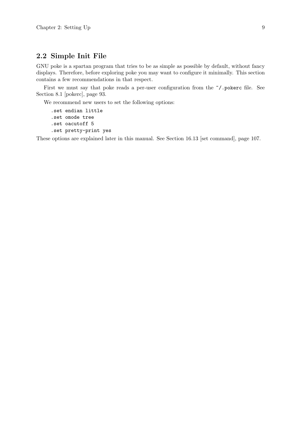## <span id="page-24-0"></span>2.2 Simple Init File

GNU poke is a spartan program that tries to be as simple as possible by default, without fancy displays. Therefore, before exploring poke you may want to configure it minimally. This section contains a few recommendations in that respect.

First we must say that poke reads a per-user configuration from the  $\tilde{\ }$ /.pokerc file. See [Section 8.1 \[pokerc\], page 93](#page-108-1).

We recommend new users to set the following options:

```
.set endian little
.set omode tree
.set oacutoff 5
.set pretty-print yes
```
These options are explained later in this manual. See [Section 16.13 \[set command\], page 107.](#page-122-1)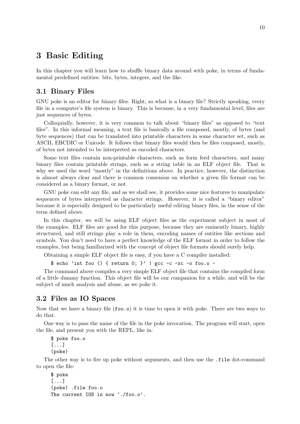## <span id="page-25-0"></span>3 Basic Editing

In this chapter you will learn how to shuffle binary data around with poke, in terms of fundamental predefined entities: bits, bytes, integers, and the like.

## 3.1 Binary Files

GNU poke is an editor for binary files. Right, so what is a binary file? Strictly speaking, every file in a computer's file system is binary. This is because, in a very fundamental level, files are just sequences of bytes.

Colloquially, however, it is very common to talk about "binary files" as opposed to "text files". In this informal meaning, a text file is basically a file composed, mostly, of bytes (and byte sequences) that can be translated into printable characters in some character set, such as ASCII, EBCDIC or Unicode. It follows that binary files would then be files composed, mostly, of bytes not intended to be interpreted as encoded characters.

Some text files contain non-printable characters, such as form feed characters, and many binary files contain printable strings, such as a string table in an ELF object file. That is why we used the word "mostly" in the definitions above. In practice, however, the distinction is almost always clear and there is common consensus on whether a given file format can be considered as a binary format, or not.

GNU poke can edit any file, and as we shall see, it provides some nice features to manipulate sequences of bytes interpreted as character strings. However, it is called a "binary editor" because it is especially designed to be particularly useful editing binary files, in the sense of the term defined above.

In this chapter, we will be using ELF object files as the experiment subject in most of the examples. ELF files are good for this purpose, because they are eminently binary, highly structured, and still strings play a role in them, encoding names of entities like sections and symbols. You don't need to have a perfect knowledge of the ELF format in order to follow the examples, but being familiarized with the concept of object file formats should surely help.

Obtaining a simple ELF object file is easy, if you have a C compiler installed:

\$ echo 'int foo () { return 0; }' | gcc -c -xc -o foo.o -

The command above compiles a very simple ELF object file that contains the compiled form of a little dummy function. This object file will be our companion for a while, and will be the subject of much analysis and abuse, as we poke it.

## 3.2 Files as IO Spaces

Now that we have a binary file (foo.o) it is time to open it with poke. There are two ways to do that.

One way is to pass the name of the file in the poke invocation. The program will start, open the file, and present you with the REPL, like in:

\$ poke foo.o [...] (poke)

The other way is to fire up poke without arguments, and then use the .file dot-command to open the file:

```
$ poke
[...]
(poke) .file foo.o
The current IOS is now './foo.o'.
```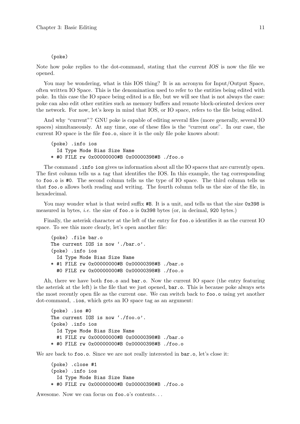#### (poke)

Note how poke replies to the dot-command, stating that the current IOS is now the file we opened.

You may be wondering, what is this IOS thing? It is an acronym for Input/Output Space, often written IO Space. This is the denomination used to refer to the entities being edited with poke. In this case the IO space being edited is a file, but we will see that is not always the case: poke can also edit other entities such as memory buffers and remote block-oriented devices over the network. For now, let's keep in mind that IOS, or IO space, refers to the file being edited.

And why "current"? GNU poke is capable of editing several files (more generally, several IO spaces) simultaneously. At any time, one of these files is the "current one". In our case, the current IO space is the file foo.o, since it is the only file poke knows about:

```
(poke) .info ios
  Id Type Mode Bias Size Name
* #0 FILE rw 0x00000000#B 0x00000398#B ./foo.o
```
The command .info ios gives us information about all the IO spaces that are currently open. The first column tells us a tag that identifies the IOS. In this example, the tag corresponding to foo.o is #0. The second column tells us the type of IO space. The third column tells us that foo.o allows both reading and writing. The fourth column tells us the size of the file, in hexadecimal.

You may wonder what is that weird suffix  $#B$ . It is a unit, and tells us that the size 0x398 is measured in bytes, i.e. the size of foo.o is 0x398 bytes (or, in decimal, 920 bytes.)

Finally, the asterisk character at the left of the entry for foo.o identifies it as the current IO space. To see this more clearly, let's open another file:

```
(poke) .file bar.o
The current IOS is now './bar.o'.
(poke) .info ios
  Id Type Mode Bias Size Name
* #1 FILE rw 0x00000000#B 0x00000398#B ./bar.o
  #0 FILE rw 0x00000000#B 0x00000398#B ./foo.o
```
Ah, there we have both foo.o and bar.o. Now the current IO space (the entry featuring the asterisk at the left) is the file that we just opened, bar.o. This is because poke always sets the most recently open file as the current one. We can switch back to foo.o using yet another dot-command, .ios, which gets an IO space tag as an argument:

```
(poke) .ios #0
The current IOS is now './foo.o'.
(poke) .info ios
  Id Type Mode Bias Size Name
  #1 FILE rw 0x00000000#B 0x00000398#B ./bar.o
* #0 FILE rw 0x00000000#B 0x00000398#B ./foo.o
```
We are back to foo.o. Since we are not really interested in  $bar.o$ , let's close it:

```
(poke) .close #1
(poke) .info ios
  Id Type Mode Bias Size Name
* #0 FILE rw 0x00000000#B 0x00000398#B ./foo.o
```
Awesome. Now we can focus on foo.o's contents. . .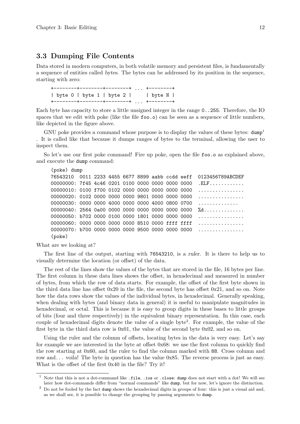## <span id="page-27-0"></span>3.3 Dumping File Contents

Data stored in modern computers, in both volatile memory and persistent files, is fundamentally a sequence of entities called bytes. The bytes can be addressed by its position in the sequence, starting with zero:

```
+--------+--------+--------+ ... +--------+
| byte 0 | byte 1 | byte 2 | | byte N |
+--------+--------+--------+ ... +--------+
```
Each byte has capacity to store a little unsigned integer in the range 0..255. Therefore, the IO spaces that we edit with poke (like the file foo.o) can be seen as a sequence of little numbers, like depicted in the figure above.

GNU poke provides a command whose purpose is to display the values of these bytes:  $dump<sup>1</sup>$ . It is called like that because it dumps ranges of bytes to the terminal, allowing the user to inspect them.

So let's use our first poke command! Fire up poke, open the file foo.o as explained above, and execute the dump command:

```
(poke) dump
76543210 0011 2233 4455 6677 8899 aabb ccdd eeff 0123456789ABCDEF
00000000: 7f45 4c46 0201 0100 0000 0000 0000 0000 .ELF............
00000010: 0100 f700 0102 0000 0000 0000 0000 0000 ................
00000020: 0102 0000 0000 0000 9801 0000 0000 0000 ................
00000030: 0000 0000 4000 0000 0000 4000 0800 0700 .............
00000040: 2564 0a00 0000 0000 0000 0000 0000 0000 %d..............
00000050: b702 0000 0100 0000 1801 0000 0000 0000 ................
00000060: 0000 0000 0000 0000 8510 0000 ffff ffff ...............
00000070: b700 0000 0000 0000 9500 0000 0000 0000 ................
(poke)
```
What are we looking at?

The first line of the output, starting with 76543210, is a ruler. It is there to help us to visually determine the location (or offset) of the data.

The rest of the lines show the values of the bytes that are stored in the file, 16 bytes per line. The first column in these data lines shows the offset, in hexadecimal and measured in number of bytes, from which the row of data starts. For example, the offset of the first byte shown in the third data line has offset 0x20 in the file, the second byte has offset 0x21, and so on. Note how the data rows show the values of the individual bytes, in hexadecimal. Generally speaking, when dealing with bytes (and binary data in general) it is useful to manipulate magnitudes in hexadecimal, or octal. This is because it is easy to group digits in these bases to little groups of bits (four and three respectively) in the equivalent binary representation. In this case, each couple of hexadecimal digits denote the value of a single byte<sup>2</sup> . For example, the value of the first byte in the third data row is 0x01, the value of the second byte 0x02, and so on.

Using the ruler and the column of offsets, locating bytes in the data is very easy. Let's say for example we are interested in the byte at offset  $0x68$ : we use the first column to quickly find the row starting at 0x60, and the ruler to find the column marked with 88. Cross column and row and. . . voila! The byte in question has the value 0x85. The reverse process is just as easy. What is the offset of the first 0x40 in the file? Try it!

<sup>1</sup> Note that this is not a dot-command like .file, .ios or .close: dump does not start with a dot! We will see later how dot-commands differ from "normal commands" like dump, but for now, let's ignore the distinction.

 $2$  Do not be fooled by the fact dump shows the hexadecimal digits in groups of four: this is just a visual aid and, as we shall see, it is possible to change the grouping by passing arguments to dump.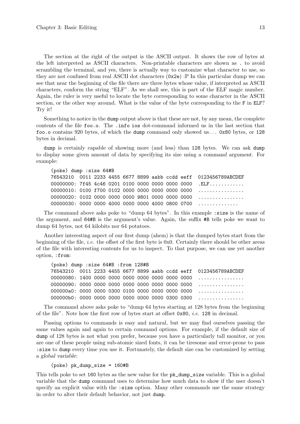The section at the right of the output is the ASCII output. It shows the row of bytes at the left interpreted as ASCII characters. Non-printable characters are shown as . to avoid scrambling the terminal, and yes, there is actually way to customize what character to use, so they are not confused from real ASCII dot characters (0x2e) :P In this particular dump we can see that near the beginning of the file there are three bytes whose value, if interpreted as ASCII characters, conform the string "ELF". As we shall see, this is part of the ELF magic number. Again, the ruler is very useful to locate the byte corresponding to some character in the ASCII section, or the other way around. What is the value of the byte corresponding to the F in ELF? Try it!

Something to notice in the dump output above is that these are not, by any mean, the complete contents of the file foo.o. The .info ios dot-command informed us in the last section that foo.o contains 920 bytes, of which the dump command only showed us. . . 0x80 bytes, or 128 bytes in decimal.

dump is certainly capable of showing more (and less) than 128 bytes. We can ask dump to display some given amount of data by specifying its size using a command argument. For example:

(poke) dump :size 64#B 76543210 0011 2233 4455 6677 8899 aabb ccdd eeff 0123456789ABCDEF 00000000: 7f45 4c46 0201 0100 0000 0000 0000 0000 .ELF............ 00000010: 0100 f700 0102 0000 0000 0000 0000 0000 ................ 00000020: 0102 0000 0000 0000 9801 0000 0000 0000 ................ 00000030: 0000 0000 4000 0000 0000 4000 0800 0700 ..............

The command above asks poke to "dump 64 bytes". In this example :size is the name of the argument, and 64#B is the argument's value. Again, the suffix #B tells poke we want to dump 64 bytes, not 64 kilobits nor 64 potatoes.

Another interesting aspect of our first dump (ahem) is that the dumped bytes start from the beginning of the file, i.e. the offset of the first byte is 0x0. Certainly there should be other areas of the file with interesting contents for us to inspect. To that purpose, we can use yet another option, :from:

```
(poke) dump :size 64#B :from 128#B
76543210 0011 2233 4455 6677 8899 aabb ccdd eeff 0123456789ABCDEF
00000080: 1400 0000 0000 0000 0000 0000 0000 0000 ................
00000090: 0000 0000 0000 0000 0000 0000 0000 0000 ................
000000a0: 0000 0000 0300 0100 0000 0000 0000 0000 ................
000000b0: 0000 0000 0000 0000 0000 0000 0300 0300 ................
```
The command above asks poke to "dump 64 bytes starting at 128 bytes from the beginning of the file". Note how the first row of bytes start at offset  $0x80$ , *i.e.* 128 in decimal.

Passing options to commands is easy and natural, but we may find ourselves passing the same values again and again to certain command options. For example, if the default size of dump of 128 bytes is not what you prefer, because you have a particularly tall monitor, or you are one of these people using sub-atomic sized fonts, it can be tiresome and error-prone to pass :size to dump every time you use it. Fortunately, the default size can be customized by setting a global variable:

(poke) pk\_dump\_size = 160#B

This tells poke to set 160 bytes as the new value for the pk\_dump\_size variable. This is a global variable that the dump command uses to determine how much data to show if the user doesn't specify an explicit value with the :size option. Many other commands use the same strategy in order to alter their default behavior, not just dump.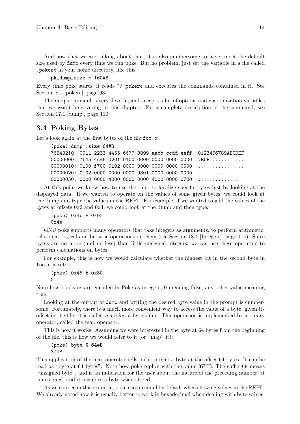<span id="page-29-0"></span>And now that we are talking about that, it is also cumbersome to have to set the default size used by dump every time we run poke. But no problem, just set the variable in a file called .pokerc in your home directory, like this:

pk\_dump\_size = 160#B

Every time poke starts, it reads  $\gamma$ , pokerc and executes the commands contained in it. See [Section 8.1 \[pokerc\], page 93](#page-108-1).

The dump command is very flexible, and accepts a lot of options and customization variables that we won't be covering in this chapter. For a complete description of the command, see [Section 17.1 \[dump\], page 110](#page-125-1).

## 3.4 Poking Bytes

Let's look again at the first bytes of the file foo.o:

```
(poke) dump :size 64#B
76543210 0011 2233 4455 6677 8899 aabb ccdd eeff 0123456789ABCDEF
00000000: 7f45 4c46 0201 0100 0000 0000 0000 0000 .ELF............
00000010: 0100 f700 0102 0000 0000 0000 0000 0000 ................
00000020: 0102 0000 0000 0000 9801 0000 0000 0000 ................
00000030: 0000 0000 4000 0000 0000 4000 0800 0700 .............
```
At this point we know how to use the ruler to localize specific bytes just by looking at the displayed data. If we wanted to operate on the values of some given bytes, we could look at the dump and type the values in the REPL. For example, if we wanted to add the values of the bytes at offsets 0x2 and 0x4, we could look at the dump and then type:

(poke) 0x4c + 0x02 0x4e

GNU poke supports many operators that take integers as arguments, to perform arithmetic, relational, logical and bit-wise operations on them (see [Section 18.1 \[Integers\], page 114\)](#page-129-1). Since bytes are no more (and no less) than little unsigned integers, we can use these operators to perform calculations on bytes.

For example, this is how we would calculate whether the highest bit in the second byte in foo.o is set:

(poke) 0x45 & 0x80 0

Note how booleans are encoded in Poke as integers, 0 meaning false, any other value meaning true.

Looking at the output of dump and writing the desired byte value in the prompt is cumbersome. Fortunately, there is a much more convenient way to access the value of a byte, given its offset in the file: it is called mapping a byte value. This operation is implemented by a binary operator, called the map operator.

This is how it works. Assuming we were interested in the byte at 64 bytes from the beginning of the file, this is how we would refer to it (or "map" it):

(poke) byte @ 64#B 37UB

This application of the map operator tells poke to map a byte at the offset 64 bytes. It can be read as "byte at 64 bytes". Note how poke replies with the value 37UB. The suffix UB means "unsigned byte", and is an indication for the user about the nature of the preceding number: it is unsigned, and it occupies a byte when stored.

As we can see in this example, poke uses decimal by default when showing values in the REPL. We already noted how it is usually better to work in hexadecimal when dealing with byte values.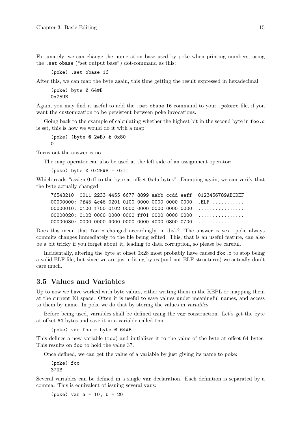<span id="page-30-0"></span>Fortunately, we can change the numeration base used by poke when printing numbers, using the .set obase ("set output base") dot-command as this:

(poke) .set obase 16

After this, we can map the byte again, this time getting the result expressed in hexadecimal:

(poke) byte @ 64#B 0x25UB

Again, you may find it useful to add the .set obase 16 command to your .pokerc file, if you want the customization to be persistent between poke invocations.

Going back to the example of calculating whether the highest bit in the second byte in foo.o is set, this is how we would do it with a map:

(poke) (byte @ 2#B) & 0x80 0

Turns out the answer is no.

The map operator can also be used at the left side of an assignment operator:

(poke) byte  $Q$  0x28#B = 0xff

Which reads "assign 0xff to the byte at offset 0x4a bytes". Dumping again, we can verify that the byte actually changed:

76543210 0011 2233 4455 6677 8899 aabb ccdd eeff 0123456789ABCDEF 00000000: 7f45 4c46 0201 0100 0000 0000 0000 0000 .ELF........... 00000010: 0100 f700 0102 0000 0000 0000 0000 0000 ................ 00000020: 0102 0000 0000 0000 ff01 0000 0000 0000 ................ 00000030: 0000 0000 4000 0000 0000 4000 0800 0700 .............

Does this mean that foo.o changed accordingly, in disk? The answer is yes. poke always commits changes immediately to the file being edited. This, that is an useful feature, can also be a bit tricky if you forget about it, leading to data corruption, so please be careful.

Incidentally, altering the byte at offset 0x28 most probably have caused foo.o to stop being a valid ELF file, but since we are just editing bytes (and not ELF structures) we actually don't care much.

## 3.5 Values and Variables

Up to now we have worked with byte values, either writing them in the REPL or mapping them at the current IO space. Often it is useful to save values under meaningful names, and access to them by name. In poke we do that by storing the values in variables.

Before being used, variables shall be defined using the var construction. Let's get the byte at offset 64 bytes and save it in a variable called foo:

```
(poke) var foo = byte @ 64#B
```
This defines a new variable (foo) and initializes it to the value of the byte at offset 64 bytes. This results on foo to hold the value 37.

Once defined, we can get the value of a variable by just giving its name to poke:

(poke) foo 37UB

Several variables can be defined in a single var declaration. Each definition is separated by a comma. This is equivalent of issuing several vars:

(poke) var a = 10, b = 20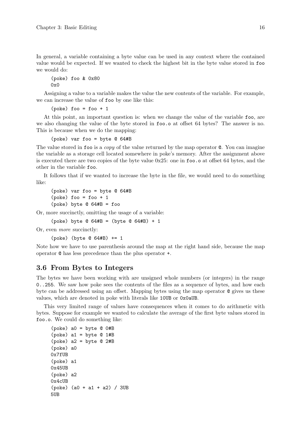<span id="page-31-0"></span>In general, a variable containing a byte value can be used in any context where the contained value would be expected. If we wanted to check the highest bit in the byte value stored in foo we would do:

(poke) foo & 0x80 0x0

Assigning a value to a variable makes the value the new contents of the variable. For example, we can increase the value of foo by one like this:

 $(poke)$  foo = foo + 1

At this point, an important question is: when we change the value of the variable foo, are we also changing the value of the byte stored in foo.o at offset 64 bytes? The answer is no. This is because when we do the mapping:

(poke) var foo = byte @ 64#B

The value stored in foo is a *copy* of the value returned by the map operator  $\mathcal{C}$ . You can imagine the variable as a storage cell located somewhere in poke's memory. After the assignment above is executed there are two copies of the byte value 0x25: one in foo.o at offset 64 bytes, and the other in the variable foo.

It follows that if we wanted to increase the byte in the file, we would need to do something like:

```
(poke) var foo = byte @ 64#B
(poke) foo = foo + 1
(poke) byte @ 64#B = foo
```
Or, more succinctly, omitting the usage of a variable:

(poke) byte  $@ 64#B = (byte @ 64#B) + 1$ 

Or, even more succinctly:

```
(poke) (byte @ 64#B) += 1
```
Note how we have to use parenthesis around the map at the right hand side, because the map operator @ has less precedence than the plus operator +.

#### 3.6 From Bytes to Integers

The bytes we have been working with are unsigned whole numbers (or integers) in the range 0..255. We saw how poke sees the contents of the files as a sequence of bytes, and how each byte can be addressed using an offset. Mapping bytes using the map operator @ gives us these values, which are denoted in poke with literals like 10UB or 0x0aUB.

This very limited range of values have consequences when it comes to do arithmetic with bytes. Suppose for example we wanted to calculate the average of the first byte values stored in foo.o. We could do something like:

```
(poke) a0 = byte @ 0#B
(poke) a1 = byte @ 1#B(poke) a2 = byte @ 2#B
(poke) a0
0x7fUB
(poke) a1
0x45UB
(poke) a2
0x4cUB
(poke) (a0 + a1 + a2) / 3UB
5UB
```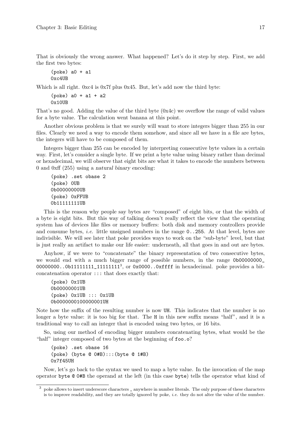That is obviously the wrong answer. What happened? Let's do it step by step. First, we add the first two bytes:

```
(poke) a0 + a10xc4UB
```
Which is all right. 0xc4 is 0x7f plus 0x45. But, let's add now the third byte:

```
(poke) a0 + a1 + a2
0x10UB
```
That's no good. Adding the value of the third byte (0x4c) we overflow the range of valid values for a byte value. The calculation went banana at this point.

Another obvious problem is that we surely will want to store integers bigger than 255 in our files. Clearly we need a way to encode them somehow, and since all we have in a file are bytes, the integers will have to be composed of them.

Integers bigger than 255 can be encoded by interpreting consecutive byte values in a certain way. First, let's consider a single byte. If we print a byte value using binary rather than decimal or hexadecimal, we will observe that eight bits are what it takes to encode the numbers between 0 and 0xff (255) using a natural binary encoding:

```
(poke) .set obase 2
(poke) 0UB
0b00000000UB
(poke) 0xFFUB
0b11111111UB
```
This is the reason why people say bytes are "composed" of eight bits, or that the width of a byte is eight bits. But this way of talking doesn't really reflect the view that the operating system has of devices like files or memory buffers: both disk and memory controllers provide and consume bytes, *i.e.* little unsigned numbers in the range 0..255. At that level, bytes are indivisible. We will see later that poke provides ways to work on the "sub-byte" level, but that is just really an artifact to make our life easier: underneath, all that goes in and out are bytes.

Anyhow, if we were to "concatenate" the binary representation of two consecutive bytes, we would end with a much bigger range of possible numbers, in the range 0b00000000 00000000..0b111111111111111111<sup>3</sup>, or 0x0000..0xffff in hexadecimal. poke provides a bitconcatenation operator ::: that does exactly that:

(poke) 0x1UB 0b00000001UB (poke) 0x1UB ::: 0x1UB 0b0000000100000001UH

Note how the suffix of the resulting number is now UH. This indicates that the number is no longer a byte value: it is too big for that. The H in this new suffix means "half", and it is a traditional way to call an integer that is encoded using two bytes, or 16 bits.

So, using our method of encoding bigger numbers concatenating bytes, what would be the "half" integer composed of two bytes at the beginning of  $foo.o?$ 

```
(poke) .set obase 16
(poke) (byte @ 0#B):::(byte @ 1#B)
0x7f45UH
```
Now, let's go back to the syntax we used to map a byte value. In the invocation of the map operator byte @ 0#B the operand at the left (in this case byte) tells the operator what kind of

<sup>&</sup>lt;sup>3</sup> poke allows to insert underscore characters \_ anywhere in number literals. The only purpose of these characters is to improve readability, and they are totally ignored by poke, *i.e.* they do not alter the value of the number.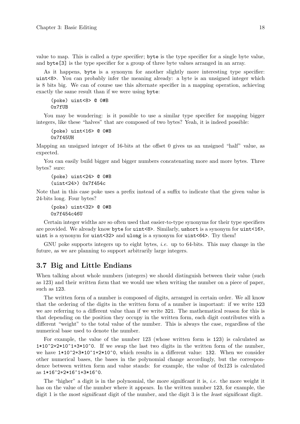<span id="page-33-0"></span>value to map. This is called a type specifier; byte is the type specifier for a single byte value, and byte[3] is the type specifier for a group of three byte values arranged in an array.

As it happens, byte is a synonym for another slightly more interesting type specifier: uint<8>. You can probably infer the meaning already: a byte is an unsigned integer which is 8 bits big. We can of course use this alternate specifier in a mapping operation, achieving exactly the same result than if we were using byte:

```
(poke) uint<8> @ 0#B
0x7fUB
```
You may be wondering: is it possible to use a similar type specifier for mapping bigger integers, like these "halves" that are composed of two bytes? Yeah, it is indeed possible:

```
(poke) uint<16> @ 0#B
0x7f45UH
```
Mapping an unsigned integer of 16-bits at the offset 0 gives us an unsigned "half" value, as expected.

You can easily build bigger and bigger numbers concatenating more and more bytes. Three bytes? sure:

```
(poke) uint<24> @ 0#B
(uint<24>) 0x7f454c
```
Note that in this case poke uses a prefix instead of a suffix to indicate that the given value is 24-bits long. Four bytes?

(poke) uint<32> @ 0#B 0x7f454c46U

Certain integer widths are so often used that easier-to-type synonyms for their type specifiers are provided. We already know byte for uint<8>. Similarly, ushort is a synonym for uint<16>, uint is a synonym for uint<32> and ulong is a synonym for uint<64>. Try them!

GNU poke supports integers up to eight bytes, i.e. up to 64-bits. This may change in the future, as we are planning to support arbitrarily large integers.

## 3.7 Big and Little Endians

When talking about whole numbers (integers) we should distinguish between their value (such as 123) and their written form that we would use when writing the number on a piece of paper, such as 123.

The written form of a number is composed of digits, arranged in certain order. We all know that the ordering of the digits in the written form of a number is important: if we write 123 we are referring to a different value than if we write 321. The mathematical reason for this is that depending on the position they occupy in the written form, each digit contributes with a different "weight" to the total value of the number. This is always the case, regardless of the numerical base used to denote the number.

For example, the value of the number 123 (whose written form is 123) is calculated as  $1*10^2+2*10^1+3*10^0$ . If we swap the last two digits in the written form of the number, we have  $1*10^2+3*10^1+2*10^0$ , which results in a different value: 132. When we consider other numerical bases, the bases in the polynomial change accordingly, but the correspondence between written form and value stands: for example, the value of 0x123 is calculated as 1\*16^2+2\*16^1+3\*16^0.

The "higher" a digit is in the polynomial, the more significant it is, *i.e.* the more weight it has on the value of the number where it appears. In the written number 123, for example, the digit 1 is the most significant digit of the number, and the digit 3 is the least significant digit.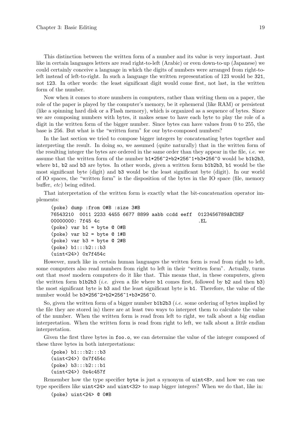This distinction between the written form of a number and its value is very important. Just like in certain languages letters are read right-to-left (Arabic) or even down-to-up (Japanese) we could certainly conceive a language in which the digits of numbers were arranged from right-toleft instead of left-to-right. In such a language the written representation of 123 would be 321, not 123. In other words: the least significant digit would come first, not last, in the written form of the number.

Now when it comes to store numbers in computers, rather than writing them on a paper, the role of the paper is played by the computer's memory, be it ephemeral (like RAM) or persistent (like a spinning hard disk or a Flash memory), which is organized as a sequence of bytes. Since we are composing numbers with bytes, it makes sense to have each byte to play the role of a digit in the written form of the bigger number. Since bytes can have values from 0 to 255, the base is 256. But what is the "written form" for our byte-composed numbers?

In the last section we tried to compose bigger integers by concatenating bytes together and interpreting the result. In doing so, we assumed (quite naturally) that in the written form of the resulting integer the bytes are ordered in the same order than they appear in the file, *i.e.* we assume that the written form of the number b1\*256^2+b2\*256^1+b3\*256^0 would be b1b2b3, where **b1**, **b2** and **b3** are bytes. In other words, given a written form **b1b2b3**, **b1** would be the most significant byte (digit) and b3 would be the least significant byte (digit). In our world of IO spaces, the "written form" is the disposition of the bytes in the IO space (file, memory buffer, etc) being edited.

That interpretation of the written form is exactly what the bit-concatenation operator implements:

```
(poke) dump :from 0#B :size 3#B
76543210 0011 2233 4455 6677 8899 aabb ccdd eeff 0123456789ABCDEF
00000000: 7f45 4c ...
(poke) var b1 = byte @ 0#B
(poke) var b2 = byte @ 1#B
(poke) var b3 = byte @ 2#B
(poke) b1:::b2:::b3
(uint<24>) 0x7f454c
```
However, much like in certain human languages the written form is read from right to left, some computers also read numbers from right to left in their "written form". Actually, turns out that most modern computers do it like that. This means that, in these computers, given the written form  $b1b2b3$  (*i.e.* given a file where  $b1$  comes first, followed by  $b2$  and then  $b3$ ) the most significant byte is b3 and the least significant byte is b1. Therefore, the value of the number would be b3\*256^2+b2\*256^1+b3\*256^0.

So, given the written form of a bigger number  $b1b2b3$  (*i.e.* some ordering of bytes implied by the file they are stored in) there are at least two ways to interpret them to calculate the value of the number. When the written form is read from left to right, we talk about a big endian interpretation. When the written form is read from right to left, we talk about a *little endian* interpretation.

Given the first three bytes in foo.o, we can determine the value of the integer composed of these three bytes in both interpretations:

```
(poke) b1:::b2:::b3
(uint<24>) 0x7f454c
(poke) b3:::b2:::b1
(uint<24>) 0x4c457f
```
Remember how the type specifier byte is just a synonym of uint<8>, and how we can use type specifiers like uint<24> and uint<32> to map bigger integers? When we do that, like in:

(poke) uint<24> @ 0#B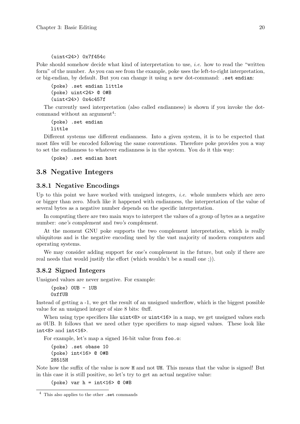#### <span id="page-35-0"></span>(uint<24>) 0x7f454c

Poke should somehow decide what kind of interpretation to use, *i.e.* how to read the "written" form" of the number. As you can see from the example, poke uses the left-to-right interpretation, or big-endian, by default. But you can change it using a new dot-command: .set endian:

(poke) .set endian little (poke) uint<24> @ 0#B (uint<24>) 0x4c457f

The currently used interpretation (also called endianness) is shown if you invoke the dotcommand without an argument<sup>4</sup>:

(poke) .set endian little

Different systems use different endianness. Into a given system, it is to be expected that most files will be encoded following the same conventions. Therefore poke provides you a way to set the endianness to whatever endianness is in the system. You do it this way:

(poke) .set endian host

## 3.8 Negative Integers

#### 3.8.1 Negative Encodings

Up to this point we have worked with unsigned integers, *i.e.* whole numbers which are zero or bigger than zero. Much like it happened with endianness, the interpretation of the value of several bytes as a negative number depends on the specific interpretation.

In computing there are two main ways to interpret the values of a group of bytes as a negative number: one's complement and two's complement.

At the moment GNU poke supports the two complement interpretation, which is really ubiquitous and is the negative encoding used by the vast majority of modern computers and operating systems.

We may consider adding support for one's complement in the future, but only if there are real needs that would justify the effort (which wouldn't be a small one ;)).

## 3.8.2 Signed Integers

Unsigned values are never negative. For example:

```
(poke) 0UB - 1UB
0xffUB
```
Instead of getting a -1, we get the result of an unsigned underflow, which is the biggest possible value for an unsigned integer of size 8 bits: 0xff.

When using type specifiers like  $uint \< 8$  or  $uint \< 16$  in a map, we get unsigned values such as 0UB. It follows that we need other type specifiers to map signed values. These look like int<8> and int<16>.

For example, let's map a signed 16-bit value from foo.o:

```
(poke) .set obase 10
(poke) int<16> @ 0#B
28515H
```
Note how the suffix of the value is now H and not UH. This means that the value is signed! But in this case it is still positive, so let's try to get an actual negative value:

(poke) var  $h = int < 16$   $\geq$  0  $0$ #B

<sup>4</sup> This also applies to the other .set commands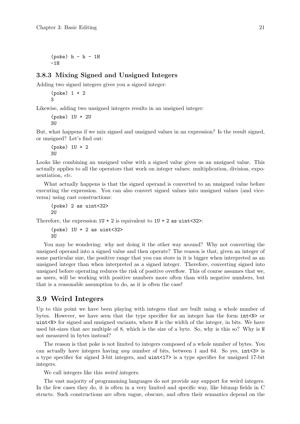$(poke)$   $h - h - 1H$  $-1H$ 

## 3.8.3 Mixing Signed and Unsigned Integers

Adding two signed integers gives you a signed integer:

```
(poke) 1 + 2
3
```
Likewise, adding two unsigned integers results in an unsigned integer:

```
(poke) 1U + 2U
311
```
But, what happens if we mix signed and unsigned values in an expression? Is the result signed, or unsigned? Let's find out:

(poke) 1U + 2 3U

Looks like combining an unsigned value with a signed value gives us an unsigned value. This actually applies to all the operators that work on integer values: multiplication, division, exponentiation, etc.

What actually happens is that the signed operand is converted to an unsigned value before executing the expression. You can also convert signed values into unsigned values (and viceversa) using cast constructions:

(poke) 2 as uint<32> 2U

Therefore, the expression  $1U + 2$  is equivalent to  $1U + 2$  as uint<32>:

 $(poke)$  1U + 2 as uint<32> 3U

You may be wondering: why not doing it the other way around? Why not converting the unsigned operand into a signed value and then operate? The reason is that, given an integer of some particular size, the positive range that you can store in it is bigger when interpreted as an unsigned integer than when interpreted as a signed integer. Therefore, converting signed into unsigned before operating reduces the risk of positive overflow. This of course assumes that we, as users, will be working with positive numbers more often than with negative numbers, but that is a reasonable assumption to do, as it is often the case!

## 3.9 Weird Integers

Up to this point we have been playing with integers that are built using a whole number of bytes. However, we have seen that the type specifier for an integer has the form int<N> or uint<N> for signed and unsigned variants, where N is the width of the integer, in bits. We have used bit-sizes that are multiple of 8, which is the size of a byte. So, why is this so? Why is N not measured in bytes instead?

The reason is that poke is not limited to integers composed of a whole number of bytes. You can actually have integers having *any* number of bits, between 1 and 64. So yes,  $int < 3$  is a type specifier for signed 3-bit integers, and uint<17> is a type specifier for unsigned 17-bit integers.

We call integers like this weird integers.

The vast majority of programming languages do not provide any support for weird integers. In the few cases they do, it is often in a very limited and specific way, like bitmap fields in C structs. Such constructions are often vague, obscure, and often their semantics depend on the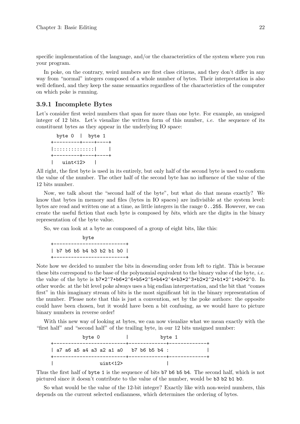specific implementation of the language, and/or the characteristics of the system where you run your program.

In poke, on the contrary, weird numbers are first class citizens, and they don't differ in any way from "normal" integers composed of a whole number of bytes. Their interpretation is also well defined, and they keep the same semantics regardless of the characteristics of the computer on which poke is running.

#### 3.9.1 Incomplete Bytes

Let's consider first weird numbers that span for more than one byte. For example, an unsigned integer of 12 bits. Let's visualize the written form of this number, *i.e.* the sequence of its constituent bytes as they appear in the underlying IO space:

```
byte 0 | byte 1
+---------+----+----+
|::::::::::::::| |
+---------+----+----+
| uint<12> |
```
All right, the first byte is used in its entirely, but only half of the second byte is used to conform the value of the number. The other half of the second byte has no influence of the value of the 12 bits number.

Now, we talk about the "second half of the byte", but what do that means exactly? We know that bytes in memory and files (bytes in IO spaces) are indivisible at the system level: bytes are read and written one at a time, as little integers in the range 0..255. However, we can create the useful fiction that each byte is composed by bits, which are the digits in the binary representation of the byte value.

So, we can look at a byte as composed of a group of eight bits, like this:

byte +-------------------------+ | b7 b6 b5 b4 b3 b2 b1 b0 | +-------------------------+

Note how we decided to number the bits in descending order from left to right. This is because these bits correspond to the base of the polynomial equivalent to the binary value of the byte, *i.e.* the value of the byte is b7\*2^7+b6\*2^6+b5\*2^5+b4\*2^4+b3\*2^3+b2\*2^2+b1\*2^1+b0\*2^0. In other words: at the bit level poke always uses a big endian interpretation, and the bit that "comes first" in this imaginary stream of bits is the most significant bit in the binary representation of the number. Please note that this is just a convention, set by the poke authors: the opposite could have been chosen, but it would have been a bit confusing, as we would have to picture binary numbers in reverse order!

With this new way of looking at bytes, we can now visualize what we mean exactly with the "first half" and "second half" of the trailing byte, in our 12 bits unsigned number:



Thus the first half of byte 1 is the sequence of bits b7 b6 b5 b4. The second half, which is not pictured since it doesn't contribute to the value of the number, would be b3 b2 b1 b0.

So what would be the value of the 12-bit integer? Exactly like with non-weird numbers, this depends on the current selected endianness, which determines the ordering of bytes.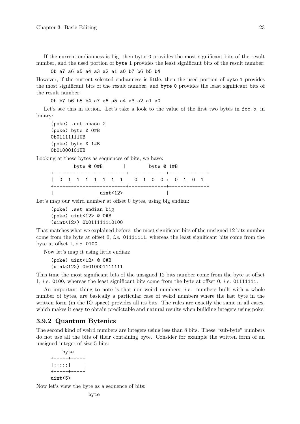If the current endianness is big, then byte 0 provides the most significant bits of the result number, and the used portion of byte 1 provides the least significant bits of the result number:

#### 0b a7 a6 a5 a4 a3 a2 a1 a0 b7 b6 b5 b4

However, if the current selected endianness is little, then the used portion of byte 1 provides the most significant bits of the result number, and byte 0 provides the least significant bits of the result number:

0b b7 b6 b5 b4 a7 a6 a5 a4 a3 a2 a1 a0

Let's see this in action. Let's take a look to the value of the first two bytes in foo.o, in binary:

(poke) .set obase 2 (poke) byte @ 0#B 0b01111111UB (poke) byte @ 1#B 0b01000101UB

Looking at these bytes as sequences of bits, we have:

|  | byte @ 0#B |  |         | byte @ 1#B                          |  |  |  |  |  |  |  |  |  |  |
|--|------------|--|---------|-------------------------------------|--|--|--|--|--|--|--|--|--|--|
|  |            |  |         | 1 0 1 1 1 1 1 1 1 0 1 0 0 : 0 1 0 1 |  |  |  |  |  |  |  |  |  |  |
|  |            |  | uint<12 |                                     |  |  |  |  |  |  |  |  |  |  |

Let's map our weird number at offset 0 bytes, using big endian:

```
(poke) .set endian big
(poke) uint<12> @ 0#B
(uint<12>) 0b011111110100
```
That matches what we explained before: the most significant bits of the unsigned 12 bits number come from the byte at offset  $0, i.e.$  01111111, whereas the least significant bits come from the byte at offset 1, *i.e.* 0100.

Now let's map it using little endian:

```
(poke) uint<12> @ 0#B
(uint<12>) 0b010001111111
```
This time the most significant bits of the unsigned 12 bits number come from the byte at offset 1, *i.e.* 0100, whereas the least significant bits come from the byte at offset 0, *i.e.* 011111111.

An important thing to note is that non-weird numbers, *i.e.* numbers built with a whole number of bytes, are basically a particular case of weird numbers where the last byte in the written form (in the IO space) provides all its bits. The rules are exactly the same in all cases, which makes it easy to obtain predictable and natural results when building integers using poke.

#### 3.9.2 Quantum Bytenics

The second kind of weird numbers are integers using less than 8 bits. These "sub-byte" numbers do not use all the bits of their containing byte. Consider for example the written form of an unsigned integer of size 5 bits:

```
byte
+-----+----+
|::::::| \qquad |+-----+----+
uint<5>
```
Now let's view the byte as a sequence of bits: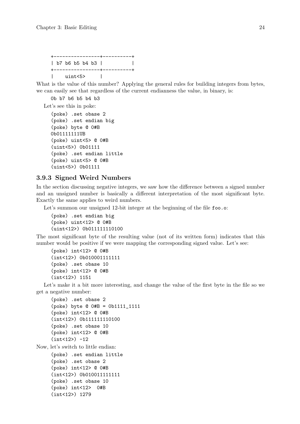```
+----------------+----------+
| b7 b6 b5 b4 b3 | |
+----------------+----------+
| uint<5> |
```
What is the value of this number? Applying the general rules for building integers from bytes, we can easily see that regardless of the current endianness the value, in binary, is:

0b b7 b6 b5 b4 b3

Let's see this in poke:

```
(poke) .set obase 2
(poke) .set endian big
(poke) byte @ 0#B
0b01111111UB
(poke) uint<5> @ 0#B
(uint<5>) 0b01111
(poke) .set endian little
(poke) uint<5> @ 0#B
(uint<5>) 0b01111
```
#### 3.9.3 Signed Weird Numbers

In the section discussing negative integers, we saw how the difference between a signed number and an unsigned number is basically a different interpretation of the most significant byte. Exactly the same applies to weird numbers.

Let's summon our unsigned 12-bit integer at the beginning of the file foo.o:

```
(poke) .set endian big
(poke) uint<12> @ 0#B
(uint<12>) 0b011111110100
```
The most significant byte of the resulting value (not of its written form) indicates that this number would be positive if we were mapping the corresponding signed value. Let's see:

```
(poke) int<12> @ 0#B
(int<12>) 0b010001111111
(poke) .set obase 10
(poke) int<12> @ 0#B
(int<12>) 1151
```
Let's make it a bit more interesting, and change the value of the first byte in the file so we get a negative number:

```
(poke) .set obase 2
(poke) byte @ 0#B = 0b1111_1111
(poke) int<12> @ 0#B
(int<12>) 0b111111110100
(poke) .set obase 10
(poke) int<12> @ 0#B
(int < 12) -12
```
Now, let's switch to little endian:

```
(poke) .set endian little
(poke) .set obase 2
(poke) int<12> @ 0#B
(int<12>) 0b010011111111
(poke) .set obase 10
(poke) int<12> 0#B
(int<12>) 1279
```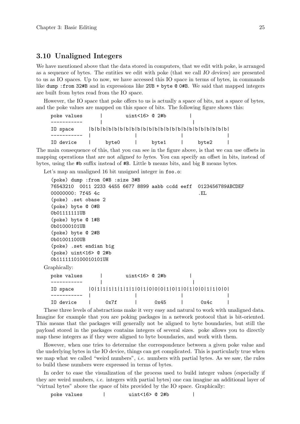## 3.10 Unaligned Integers

We have mentioned above that the data stored in computers, that we edit with poke, is arranged as a sequence of bytes. The entities we edit with poke (that we call IO devices) are presented to us as IO spaces. Up to now, we have accessed this IO space in terms of bytes, in commands like dump :from 32#B and in expressions like 2UB + byte @ 0#B. We said that mapped integers are built from bytes read from the IO space.

However, the IO space that poke offers to us is actually a space of bits, not a space of bytes, and the poke values are mapped on this space of bits. The following figure shows this:

| poke values |       | uint<16> $@2#b$ |       |       |  |
|-------------|-------|-----------------|-------|-------|--|
|             |       |                 |       |       |  |
| IO space    |       |                 |       |       |  |
|             |       |                 |       |       |  |
| IO device   | byte0 |                 | byte1 | byte2 |  |

The main consequence of this, that you can see in the figure above, is that we can use offsets in mapping operations that are not aligned to bytes. You can specify an offset in bits, instead of bytes, using the #b suffix instead of #B. Little b means bits, and big B means bytes.

Let's map an unaligned 16 bit unsigned integer in foo.o:

| (poke) dump :from 0#B :size 3#B                                             |      |                 |      |      |  |
|-----------------------------------------------------------------------------|------|-----------------|------|------|--|
| 76543210 0011  2233  4455  6677  8899  aabb  ccdd  eeff    0123456789ABCDEF |      |                 |      |      |  |
| 00000000: 7f45 4c                                                           |      |                 |      | . EL |  |
| (poke) .set obase 2                                                         |      |                 |      |      |  |
| (poke) byte @ 0#B                                                           |      |                 |      |      |  |
| 0b01111111UB                                                                |      |                 |      |      |  |
| (poke) byte @ 1#B                                                           |      |                 |      |      |  |
| 0b01000101UB                                                                |      |                 |      |      |  |
| (poke) byte @ 2#B                                                           |      |                 |      |      |  |
| 0b01001100UB                                                                |      |                 |      |      |  |
| (poke) .set endian big                                                      |      |                 |      |      |  |
| $(poke)$ uint<16> $@$ 2#b                                                   |      |                 |      |      |  |
| 0b1111110100010101UH                                                        |      |                 |      |      |  |
| Graphically:                                                                |      |                 |      |      |  |
| poke values                                                                 |      | uint<16> $@2#b$ |      |      |  |
|                                                                             |      |                 |      |      |  |
| IO space                                                                    |      |                 |      |      |  |
|                                                                             |      |                 |      |      |  |
| IO device                                                                   | 0x7f |                 | 0x45 | 0x4c |  |

These three levels of abstractions make it very easy and natural to work with unaligned data. Imagine for example that you are poking packages in a network protocol that is bit-oriented. This means that the packages will generally not be aligned to byte boundaries, but still the payload stored in the packages contains integers of several sizes. poke allows you to directly map these integers as if they were aligned to byte boundaries, and work with them.

However, when one tries to determine the correspondence between a given poke value and the underlying bytes in the IO device, things can get complicated. This is particularly true when we map what we called "weird numbers", i.e. numbers with partial bytes. As we saw, the rules to build these numbers were expressed in terms of bytes.

In order to ease the visualization of the process used to build integer values (especially if they are weird numbers, i.e. integers with partial bytes) one can imagine an additional layer of "virtual bytes" above the space of bits provided by the IO space. Graphically:

poke values  $\vert$  uint<16> @ 2#b  $\vert$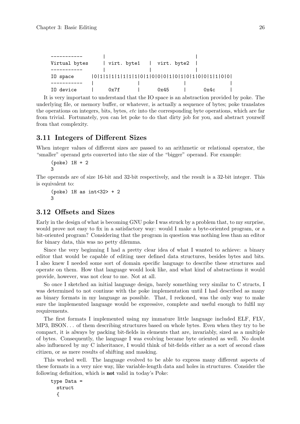| Virtual bytes |      | virt. byte1   virt. byte2 |      |      |  |
|---------------|------|---------------------------|------|------|--|
|               |      |                           |      |      |  |
| IO space      |      |                           |      |      |  |
|               |      |                           |      |      |  |
| IO device     | 0x7f |                           | 0x45 | 0x4c |  |

It is very important to understand that the IO space is an abstraction provided by poke. The underlying file, or memory buffer, or whatever, is actually a sequence of bytes; poke translates the operations on integers, bits, bytes, etc into the corresponding byte operations, which are far from trivial. Fortunately, you can let poke to do that dirty job for you, and abstract yourself from that complexity.

## 3.11 Integers of Different Sizes

When integer values of different sizes are passed to an arithmetic or relational operator, the "smaller" operand gets converted into the size of the "bigger" operand. For example:

```
(poke) 1H + 2
3
```
The operands are of size 16-bit and 32-bit respectively, and the result is a 32-bit integer. This is equivalent to:

```
(poke) 1H as int < 32 + 2
3
```
# 3.12 Offsets and Sizes

Early in the design of what is becoming GNU poke I was struck by a problem that, to my surprise, would prove not easy to fix in a satisfactory way: would I make a byte-oriented program, or a bit-oriented program? Considering that the program in question was nothing less than an editor for binary data, this was no petty dilemma.

Since the very beginning I had a pretty clear idea of what I wanted to achieve: a binary editor that would be capable of editing user defined data structures, besides bytes and bits. I also knew I needed some sort of domain specific language to describe these structures and operate on them. How that language would look like, and what kind of abstractions it would provide, however, was not clear to me. Not at all.

So once I sketched an initial language design, barely something very similar to C structs, I was determined to not continue with the poke implementation until I had described as many as binary formats in my language as possible. That, I reckoned, was the only way to make sure the implemented language would be expressive, complete and useful enough to fulfil my requirements.

The first formats I implemented using my immature little language included ELF, FLV, MP3, BSON. . . of them describing structures based on whole bytes. Even when they try to be compact, it is always by packing bit-fields in elements that are, invariably, sized as a multiple of bytes. Consequently, the language I was evolving became byte oriented as well. No doubt also influenced by my C inheritance, I would think of bit-fields either as a sort of second class citizen, or as mere results of shifting and masking.

This worked well. The language evolved to be able to express many different aspects of these formats in a very nice way, like variable-length data and holes in structures. Consider the following definition, which is not valid in today's Poke:

```
type Data =
  struct
  {
```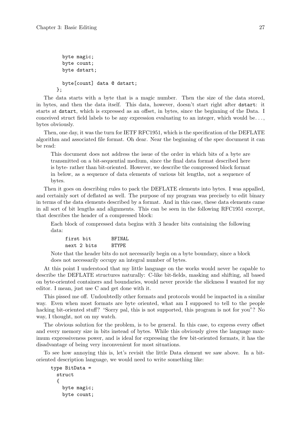```
byte magic;
  byte count;
  byte dstart;
  byte[count] data @ dstart;
};
```
The data starts with a byte that is a magic number. Then the size of the data stored, in bytes, and then the data itself. This data, however, doesn't start right after dstart: it starts at dstart, which is expressed as an offset, in bytes, since the beginning of the Data. I conceived struct field labels to be any expression evaluating to an integer, which would be. . ., bytes obviously.

Then, one day, it was the turn for IETF RFC1951, which is the specification of the DEFLATE algorithm and associated file format. Oh dear. Near the beginning of the spec document it can be read:

This document does not address the issue of the order in which bits of a byte are transmitted on a bit-sequential medium, since the final data format described here is byte- rather than bit-oriented. However, we describe the compressed block format in below, as a sequence of data elements of various bit lengths, not a sequence of bytes.

Then it goes on describing rules to pack the DEFLATE elements into bytes. I was appalled, and certainly sort of deflated as well. The purpose of my program was precisely to edit binary in terms of the data elements described by a format. And in this case, these data elements came in all sort of bit lengths and alignments. This can be seen in the following RFC1951 excerpt, that describes the header of a compressed block:

Each block of compressed data begins with 3 header bits containing the following data:

| first bit   | BFTNAL |
|-------------|--------|
| next 2 bits | RTYPE. |

Note that the header bits do not necessarily begin on a byte boundary, since a block does not necessarily occupy an integral number of bytes.

At this point I understood that my little language on the works would never be capable to describe the DEFLATE structures naturally: C-like bit-fields, masking and shifting, all based on byte-oriented containers and boundaries, would never provide the slickness I wanted for my editor. I mean, just use C and get done with it.

This pissed me off. Undoubtedly other formats and protocols would be impacted in a similar way. Even when most formats are byte oriented, what am I supposed to tell to the people hacking bit-oriented stuff? "Sorry pal, this is not supported, this program is not for you"? No way, I thought, not on my watch.

The obvious solution for the problem, is to be general. In this case, to express every offset and every memory size in bits instead of bytes. While this obviously gives the language maximum expressiveness power, and is ideal for expressing the few bit-oriented formats, it has the disadvantage of being very inconvenient for most situations.

To see how annoying this is, let's revisit the little Data element we saw above. In a bitoriented description language, we would need to write something like:

```
type BitData =
 struct
  {
    byte magic;
    byte count;
```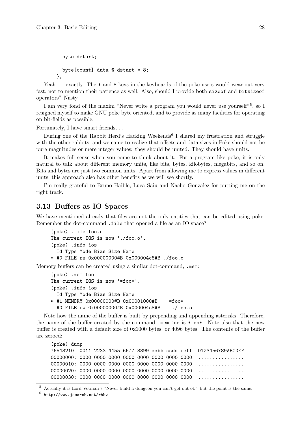```
byte dstart;
  byte[count] data @ dstart * 8;
};
```
Yeah... exactly. The  $*$  and 8 keys in the keyboards of the poke users would wear out very fast, not to mention their patience as well. Also, should I provide both sizeof and bitsizeof operators? Nasty.

I am very fond of the maxim "Never write a program you would never use yourself"<sup>5</sup>, so I resigned myself to make GNU poke byte oriented, and to provide as many facilities for operating on bit-fields as possible.

Fortunately, I have smart friends. . .

During one of the Rabbit Herd's Hacking Weekends<sup>6</sup> I shared my frustration and struggle with the other rabbits, and we came to realize that offsets and data sizes in Poke should not be pure magnitudes or mere integer values: they should be united. They should have units.

It makes full sense when you come to think about it. For a program like poke, it is only natural to talk about different memory units, like bits, bytes, kilobytes, megabits, and so on. Bits and bytes are just two common units. Apart from allowing me to express values in different units, this approach also has other benefits as we will see shortly.

I'm really grateful to Bruno Haible, Luca Saiu and Nacho Gonzalez for putting me on the right track.

## 3.13 Buffers as IO Spaces

We have mentioned already that files are not the only entities that can be edited using poke. Remember the dot-command .file that opened a file as an IO space?

```
(poke) .file foo.o
The current IOS is now './foo.o'.
(poke) .info ios
  Id Type Mode Bias Size Name
* #0 FILE rw 0x00000000#B 0x000004c8#B ./foo.o
```
Memory buffers can be created using a similar dot-command, .mem:

```
(poke) .mem foo
The current IOS is now '*foo*'.
(poke) .info ios
 Id Type Mode Bias Size Name
* #1 MEMORY 0x00000000#B 0x00001000#B *foo*
 #0 FILE rw 0x00000000#B 0x000004c8#B ./foo.o
```
Note how the name of the buffer is built by prepending and appending asterisks. Therefore, the name of the buffer created by the command .mem foo is \*foo\*. Note also that the new buffer is created with a default size of 0x1000 bytes, or 4096 bytes. The contents of the buffer are zeroed:

```
(poke) dump
76543210 0011 2233 4455 6677 8899 aabb ccdd eeff 0123456789ABCDEF
00000000: 0000 0000 0000 0000 0000 0000 0000 0000 ................
00000010: 0000 0000 0000 0000 0000 0000 0000 0000 ................
00000020: 0000 0000 0000 0000 0000 0000 0000 0000 ................
00000030: 0000 0000 0000 0000 0000 0000 0000 0000 ................
```
<sup>5</sup> Actually it is Lord Vetinari's "Never build a dungeon you can't get out of." but the point is the same.

 $^6$  <http://www.jemarch.net/rhhw>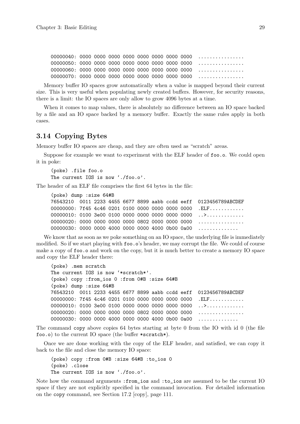00000040: 0000 0000 0000 0000 0000 0000 0000 0000 ................ 00000050: 0000 0000 0000 0000 0000 0000 0000 0000 ................ 00000060: 0000 0000 0000 0000 0000 0000 0000 0000 ................ 00000070: 0000 0000 0000 0000 0000 0000 0000 0000 ................

Memory buffer IO spaces grow automatically when a value is mapped beyond their current size. This is very useful when populating newly created buffers. However, for security reasons, there is a limit: the IO spaces are only allow to grow 4096 bytes at a time.

When it comes to map values, there is absolutely no difference between an IO space backed by a file and an IO space backed by a memory buffer. Exactly the same rules apply in both cases.

## 3.14 Copying Bytes

Memory buffer IO spaces are cheap, and they are often used as "scratch" areas.

Suppose for example we want to experiment with the ELF header of foo.o. We could open it in poke:

(poke) .file foo.o The current IOS is now './foo.o'.

The header of an ELF file comprises the first 64 bytes in the file:

```
(poke) dump :size 64#B
76543210 0011 2233 4455 6677 8899 aabb ccdd eeff 0123456789ABCDEF
00000000: 7f45 4c46 0201 0100 0000 0000 0000 0000 .ELF............
00000010: 0100 3e00 0100 0000 0000 0000 0000 0000 ..>.............
00000020: 0000 0000 0000 0000 0802 0000 0000 0000 ................
00000030: 0000 0000 4000 0000 0000 4000 0b00 0a00 .............
```
We know that as soon as we poke something on an IO space, the underlying file is immediately modified. So if we start playing with foo.o's header, we may corrupt the file. We could of course make a copy of foo.o and work on the copy, but it is much better to create a memory IO space and copy the ELF header there:

```
(poke) .mem scratch
The current IOS is now '*scratch*'.
(poke) copy :from_ios 0 :from 0#B :size 64#B
(poke) dump :size 64#B
76543210 0011 2233 4455 6677 8899 aabb ccdd eeff 0123456789ABCDEF
00000000: 7f45 4c46 0201 0100 0000 0000 0000 0000 .ELF...........
00000010: 0100 3e00 0100 0000 0000 0000 0000 0000 ..>.............
00000020: 0000 0000 0000 0000 0802 0000 0000 0000 ................
00000030: 0000 0000 4000 0000 0000 4000 0b00 0a00 .............
```
The command copy above copies 64 bytes starting at byte 0 from the IO with id 0 (the file foo.o) to the current IO space (the buffer \*scratch\*).

Once we are done working with the copy of the ELF header, and satisfied, we can copy it back to the file and close the memory IO space:

```
(poke) copy :from 0#B :size 64#B :to_ios 0
(poke) .close
The current IOS is now './foo.o'.
```
Note how the command arguments :from\_ios and :to\_ios are assumed to be the current IO space if they are not explicitly specified in the command invocation. For detailed information on the copy command, see [Section 17.2 \[copy\], page 111](#page-126-0).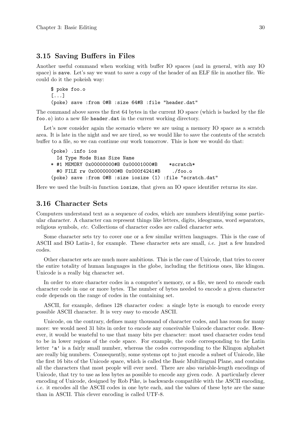## 3.15 Saving Buffers in Files

Another useful command when working with buffer IO spaces (and in general, with any IO space) is save. Let's say we want to save a copy of the header of an ELF file in another file. We could do it the pokeish way:

```
$ poke foo.o
[...]
(poke) save :from 0#B :size 64#B :file "header.dat"
```
The command above saves the first 64 bytes in the current IO space (which is backed by the file foo.o) into a new file header.dat in the current working directory.

Let's now consider again the scenario where we are using a memory IO space as a scratch area. It is late in the night and we are tired, so we would like to save the contents of the scratch buffer to a file, so we can continue our work tomorrow. This is how we would do that:

```
(poke) .info ios
 Id Type Mode Bias Size Name
* #1 MEMORY 0x00000000#B 0x00001000#B *scratch*
 #0 FILE rw 0x00000000#B 0x000f4241#B ./foo.o
(poke) save :from 0#B :size iosize (1) :file "scratch.dat"
```
Here we used the built-in function iosize, that given an IO space identifier returns its size.

## 3.16 Character Sets

Computers understand text as a sequence of codes, which are numbers identifying some particular character. A character can represent things like letters, digits, ideograms, word separators, religious symbols, etc. Collections of character codes are called character sets.

Some character sets try to cover one or a few similar written languages. This is the case of ASCII and ISO Latin-1, for example. These character sets are small, i.e. just a few hundred codes.

Other character sets are much more ambitious. This is the case of Unicode, that tries to cover the entire totality of human languages in the globe, including the fictitious ones, like klingon. Unicode is a really big character set.

In order to store character codes in a computer's memory, or a file, we need to encode each character code in one or more bytes. The number of bytes needed to encode a given character code depends on the range of codes in the containing set.

ASCII, for example, defines 128 character codes: a single byte is enough to encode every possible ASCII character. It is very easy to encode ASCII.

Unicode, on the contrary, defines many thousand of character codes, and has room for many more: we would need 31 bits in order to encode any conceivable Unicode character code. However, it would be wasteful to use that many bits per character: most used character codes tend to be in lower regions of the code space. For example, the code corresponding to the Latin letter 'a' is a fairly small number, whereas the codes corresponding to the Klingon alphabet are really big numbers. Consequently, some systems opt to just encode a subset of Unicode, like the first 16 bits of the Unicode space, which is called the Basic Multilingual Plane, and contains all the characters that most people will ever need. There are also variable-length encodings of Unicode, that try to use as less bytes as possible to encode any given code. A particularly clever encoding of Unicode, designed by Rob Pike, is backwards compatible with the ASCII encoding, i.e. it encodes all the ASCII codes in one byte each, and the values of these byte are the same than in ASCII. This clever encoding is called UTF-8.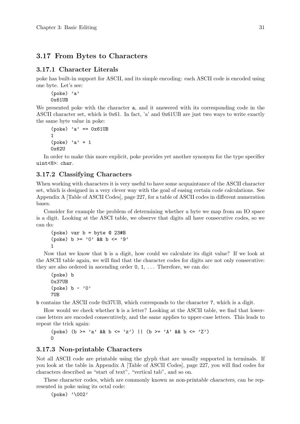# 3.17 From Bytes to Characters

## 3.17.1 Character Literals

poke has built-in support for ASCII, and its simple encoding: each ASCII code is encoded using one byte. Let's see:

(poke) 'a' 0x61UB

We presented poke with the character a, and it answered with its corresponding code in the ASCII character set, which is 0x61. In fact, 'a' and 0x61UB are just two ways to write exactly the same byte value in poke:

```
(poke) 'a' == 0x61UB
1
(poke) 'a' + 1
0x62U
```
In order to make this more explicit, poke provides yet another synonym for the type specifier uint<8>: char.

# 3.17.2 Classifying Characters

When working with characters it is very useful to have some acquaintance of the ASCII character set, which is designed in a very clever way with the goal of easing certain code calculations. See [Appendix A \[Table of ASCII Codes\], page 227,](#page-242-0) for a table of ASCII codes in different numeration bases.

Consider for example the problem of determining whether a byte we map from an IO space is a digit. Looking at the ASCI table, we observe that digits all have consecutive codes, so we can do:

```
(poke) var b = byte @ 23#B
(poke) b >= '0' && b <= '9'1
```
Now that we know that b is a digit, how could we calculate its digit value? If we look at the ASCII table again, we will find that the character codes for digits are not only consecutive: they are also ordered in ascending order  $0, 1, \ldots$  Therefore, we can do:

```
(poke) b
0x37UB
(poke) b - '0'7UB
```
b contains the ASCII code 0x37UB, which corresponds to the character 7, which is a digit.

How would we check whether b is a letter? Looking at the ASCII table, we find that lowercase letters are encoded consecutively, and the same applies to upper-case letters. This leads to repeat the trick again:

```
(poke) (b >= 'a' && b <= 'z') || (b >= 'A' && b <= 'Z')
0
```
## 3.17.3 Non-printable Characters

Not all ASCII code are printable using the glyph that are usually supported in terminals. If you look at the table in [Appendix A \[Table of ASCII Codes\], page 227](#page-242-0), you will find codes for characters described as "start of text", "vertical tab", and so on.

These character codes, which are commonly known as non-printable characters, can be represented in poke using its octal code:

(poke) '\002'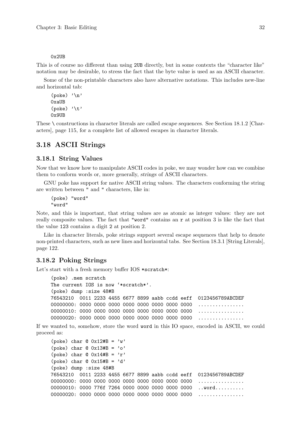#### 0x2UB

This is of course no different than using 2UB directly, but in some contexts the "character like" notation may be desirable, to stress the fact that the byte value is used as an ASCII character.

Some of the non-printable characters also have alternative notations. This includes new-line and horizontal tab:

```
(poke) '\n'
0xaUB
(poke) '\t'
0x9UB
```
These \ constructions in character literals are called escape sequences. See [Section 18.1.2 \[Char](#page-130-0)[acters\], page 115,](#page-130-0) for a complete list of allowed escapes in character literals.

# 3.18 ASCII Strings

#### 3.18.1 String Values

Now that we know how to manipulate ASCII codes in poke, we may wonder how can we combine them to conform words or, more generally, strings of ASCII characters.

GNU poke has support for native ASCII string values. The characters conforming the string are written between " and " characters, like in:

```
(poke) "word"
"word"
```
Note, and this is important, that string values are as atomic as integer values: they are not really composite values. The fact that "word" contains an r at position 3 is like the fact that the value 123 contains a digit 2 at position 2.

Like in character literals, poke strings support several escape sequences that help to denote non-printed characters, such as new lines and horizontal tabs. See [Section 18.3.1 \[String Literals\],](#page-137-0) [page 122.](#page-137-0)

### 3.18.2 Poking Strings

Let's start with a fresh memory buffer IOS \*scratch\*:

```
(poke) .mem scratch
The current IOS is now '*scratch*'.
(poke) dump :size 48#B
76543210 0011 2233 4455 6677 8899 aabb ccdd eeff 0123456789ABCDEF
00000000: 0000 0000 0000 0000 0000 0000 0000 0000 ................
00000010: 0000 0000 0000 0000 0000 0000 0000 0000 ................
00000020: 0000 0000 0000 0000 0000 0000 0000 0000 ................
```
If we wanted to, somehow, store the word word in this IO space, encoded in ASCII, we could proceed as:

```
(poke) char @ 0x12#B = 'w'
(poke) char @ 0x13#B = 'o'
(poke) char @ 0x14#B = 'r'
(poke) char @ 0x15#B = 'd'
(poke) dump :size 48#B
76543210 0011 2233 4455 6677 8899 aabb ccdd eeff 0123456789ABCDEF
00000000: 0000 0000 0000 0000 0000 0000 0000 0000 ................
00000010: 0000 776f 7264 0000 0000 0000 0000 0000 ..word.........
00000020: 0000 0000 0000 0000 0000 0000 0000 0000 ................
```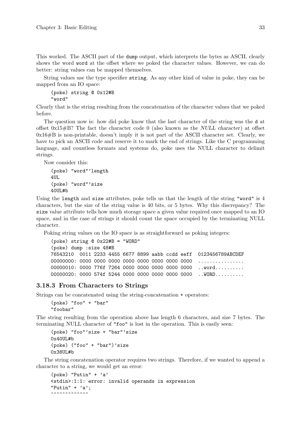This worked. The ASCII part of the dump output, which interprets the bytes as ASCII, clearly shows the word word at the offset where we poked the character values. However, we can do better: string values can be mapped themselves.

String values use the type specifier string. As any other kind of value in poke, they can be mapped from an IO space:

```
(poke) string @ 0x12#B
"word"
```
Clearly that is the string resulting from the concatenation of the character values that we poked before.

The question now is: how did poke know that the last character of the string was the d at offset 0x15#B? The fact the character code 0 (also known as the NULL character) at offset  $0x16\#B$  is non-printable, doesn't imply it is not part of the ASCII character set. Clearly, we have to pick an ASCII code and reserve it to mark the end of strings. Like the C programming language, and countless formats and systems do, poke uses the NULL character to delimit strings.

Now consider this:

```
(poke) "word"'length
4UL.
(poke) "word"'size
40UL#b
```
Using the length and size attributes, poke tells us that the length of the string "word" is 4 characters, but the size of the string value is 40 bits, or 5 bytes. Why this discrepancy? The size value attribute tells how much storage space a given value required once mapped to an IO space, and in the case of strings it should count the space occupied by the terminating NULL character.

Poking string values on the IO space is as straightforward as poking integers:

```
(poke) string @ 0x22#B = "WORD"
(poke) dump :size 48#B
76543210 0011 2233 4455 6677 8899 aabb ccdd eeff 0123456789ABCDEF
00000000: 0000 0000 0000 0000 0000 0000 0000 0000 ................
00000010: 0000 776f 7264 0000 0000 0000 0000 0000 ..word.........
00000020: 0000 574f 5244 0000 0000 0000 0000 0000 ..WORD.........
```
## 3.18.3 From Characters to Strings

Strings can be concatenated using the string-concatenation + operators:

```
(poke) "foo" + "bar"
"foobar"
```
The string resulting from the operation above has length 6 characters, and size 7 bytes. The terminating NULL character of "foo" is lost in the operation. This is easily seen:

```
(poke) "foo"'size + "bar"'size
0x40UL#b
(poke) ("foo" + "bar")'size
0x38UL#b
```
The string concatenation operator requires two strings. Therefore, if we wanted to append a character to a string, we would get an error:

```
(poke) "Putin" + a'<stdin>:1:1: error: invalid operands in expression
"Putin" + 'a;
~~~~~~~~~~~~~
```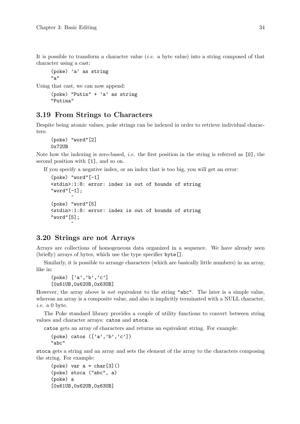It is possible to transform a character value (i.e. a byte value) into a string composed of that character using a cast:

(poke) 'a' as string "a"

Using that cast, we can now append:

```
(poke) "Putin" + 'a' as string
"Putina"
```
## 3.19 From Strings to Characters

Despite being atomic values, poke strings can be indexed in order to retrieve individual characters:

```
(poke) "word"[2]
0x72UB
```
Note how the indexing is zero-based, i.e. the first position in the string is referred as [0], the second position with [1], and so on.

If you specify a negative index, or an index that is too big, you will get an error:

```
(poke) "word"[-1]<stdin>:1:8: error: index is out of bounds of string
"word"[-1];
       \hat{ }(poke) "word"[5]
<stdin>:1:8: error: index is out of bounds of string
"word"[5];
       \hat{ }
```
## 3.20 Strings are not Arrays

Arrays are collections of homogeneous data organized in a sequence. We have already seen (briefly) arrays of bytes, which use the type specifier byte[].

Similarly, it is possible to arrange characters (which are basically little numbers) in an array, like in:

(poke) ['a','b','c'] [0x61UB,0x62UB,0x63UB]

However, the array above is not equivalent to the string "abc". The later is a simple value, whereas an array is a composite value, and also is implicitly terminated with a NULL character, i.e. a 0 byte.

The Poke standard library provides a couple of utility functions to convert between string values and character arrays: catos and stoca.

catos gets an array of characters and returns an equivalent string. For example:

```
(poke) catos ([a', 'b', 'c'])"abc"
```
stoca gets a string and an array and sets the element of the array to the characters composing the string. For example:

```
(poke) var a = char[3]()(poke) stoca ("abc", a)
(poke) a
[0x61UB,0x62UB,0x63UB]
```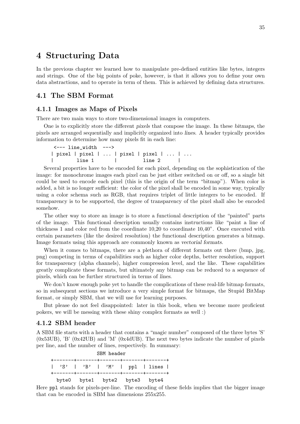# 4 Structuring Data

In the previous chapter we learned how to manipulate pre-defined entities like bytes, integers and strings. One of the big points of poke, however, is that it allows you to define your own data abstractions, and to operate in term of them. This is achieved by defining data structures.

## 4.1 The SBM Format

#### 4.1.1 Images as Maps of Pixels

There are two main ways to store two-dimensional images in computers.

One is to explicitly store the different pixels that compose the image. In these bitmaps, the pixels are arranged sequentially and implicitly organized into lines. A header typically provides information to determine how many pixels fit in each line:

```
<--- line_width --->
| pixel | pixel | ... | pixel | pixel | ... | ...
       | line 1 | line 2 |
```
Several properties have to be encoded for each pixel, depending on the sophistication of the image: for monochrome images each pixel can be just either switched on or off, so a single bit could be used to encode each pixel (this is the origin of the term "bitmap"). When color is added, a bit is no longer sufficient: the color of the pixel shall be encoded in some way, typically using a color schema such as RGB, that requires triplet of little integers to be encoded. If transparency is to be supported, the degree of transparency of the pixel shall also be encoded somehow.

The other way to store an image is to store a functional description of the "painted" parts of the image. This functional description usually contains instructions like "paint a line of thickness 1 and color red from the coordinate 10,20 to coordinate 10,40". Once executed with certain parameters (like the desired resolution) the functional description generates a bitmap. Image formats using this approach are commonly known as vectorial formats.

When it comes to bitmaps, there are a plethora of different formats out there (bmp, jpg, png) competing in terms of capabilities such as higher color depths, better resolution, support for transparency (alpha channels), higher compression level, and the like. These capabilities greatly complicate these formats, but ultimately any bitmap can be reduced to a sequence of pixels, which can be further structured in terms of lines.

We don't know enough poke yet to handle the complications of these real-life bitmap formats, so in subsequent sections we introduce a very simple format for bitmaps, the Stupid BitMap format, or simply SBM, that we will use for learning purposes.

But please do not feel disappointed: later in this book, when we become more proficient pokers, we will be messing with these shiny complex formats as well :)

### 4.1.2 SBM header

A SBM file starts with a header that contains a "magic number" composed of the three bytes 'S' (0x53UB), 'B' (0x42UB) and 'M' (0x4dUB). The next two bytes indicate the number of pixels per line, and the number of lines, respectively. In summary:

| SBM header |  |  |  |  |  |                               |  |                                            |  |  |  |
|------------|--|--|--|--|--|-------------------------------|--|--------------------------------------------|--|--|--|
|            |  |  |  |  |  |                               |  | +-------+-------+--------+-------+----+--- |  |  |  |
|            |  |  |  |  |  |                               |  | 'S'   'B'   'M'   ppl   lines              |  |  |  |
|            |  |  |  |  |  | byte0 byte1 byte2 byte3 byte4 |  |                                            |  |  |  |

Here ppl stands for pixels-per-line. The encoding of these fields implies that the bigger image that can be encoded in SBM has dimensions 255x255.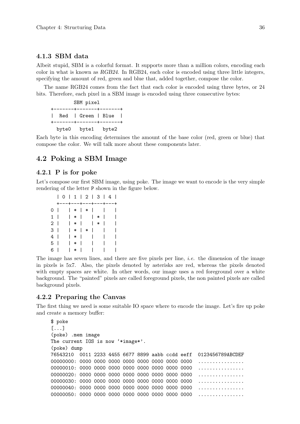#### 4.1.3 SBM data

Albeit stupid, SBM is a colorful format. It supports more than a million colors, encoding each color in what is known as RGB24. In RGB24, each color is encoded using three little integers, specifying the amount of red, green and blue that, added together, compose the color.

The name RGB24 comes from the fact that each color is encoded using three bytes, or 24 bits. Therefore, each pixel in a SBM image is encoded using three consecutive bytes:

SBM pixel +-------+-------+-------+ | Red | Green | Blue | +-------+-------+-------+ byte0 byte1 byte2

Each byte in this encoding determines the amount of the base color (red, green or blue) that compose the color. We will talk more about these components later.

## 4.2 Poking a SBM Image

#### 4.2.1 P is for poke

Let's compose our first SBM image, using poke. The image we want to encode is the very simple rendering of the letter P shown in the figure below.

|                | 0   1   2   3   4       |         |        |              |        |   |  |
|----------------|-------------------------|---------|--------|--------------|--------|---|--|
|                | +---+---+---+---+---+   |         |        |              |        |   |  |
| 0 I            | $\vert * \vert * \vert$ |         |        |              |        |   |  |
|                | $1   *   *$             |         |        |              |        | ı |  |
| 2 <sub>1</sub> |                         |         | $ * $  |              | $\ast$ | ı |  |
| 3 I            |                         | $  *  $ | $\ast$ | $\mathbf{L}$ |        |   |  |
| 4 I            |                         | *       |        | L            |        |   |  |
| 5 I            |                         | l *     |        |              |        |   |  |
| 6 I            |                         | $\ast$  |        |              |        |   |  |

The image has seven lines, and there are five pixels per line, *i.e.* the dimension of the image in pixels is 5x7. Also, the pixels denoted by asterisks are red, whereas the pixels denoted with empty spaces are white. In other words, our image uses a red foreground over a white background. The "painted" pixels are called foreground pixels, the non painted pixels are called background pixels.

### 4.2.2 Preparing the Canvas

The first thing we need is some suitable IO space where to encode the image. Let's fire up poke and create a memory buffer:

```
$ poke
[...]
(poke) .mem image
The current IOS is now '*image*'.
(poke) dump
76543210 0011 2233 4455 6677 8899 aabb ccdd eeff 0123456789ABCDEF
00000000: 0000 0000 0000 0000 0000 0000 0000 0000 ................
00000010: 0000 0000 0000 0000 0000 0000 0000 0000 ................
00000020: 0000 0000 0000 0000 0000 0000 0000 0000 ................
00000030: 0000 0000 0000 0000 0000 0000 0000 0000 ................
00000040: 0000 0000 0000 0000 0000 0000 0000 0000 ................
00000050: 0000 0000 0000 0000 0000 0000 0000 0000 ................
```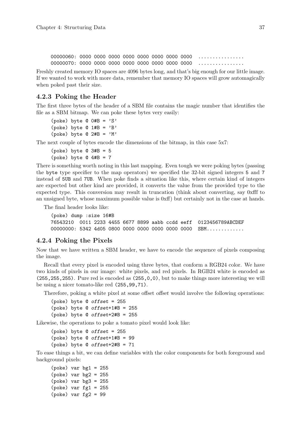00000060: 0000 0000 0000 0000 0000 0000 0000 0000 ................ 00000070: 0000 0000 0000 0000 0000 0000 0000 0000 ................

Freshly created memory IO spaces are 4096 bytes long, and that's big enough for our little image. If we wanted to work with more data, remember that memory IO spaces will grow automagically when poked past their size.

#### 4.2.3 Poking the Header

The first three bytes of the header of a SBM file contains the magic number that identifies the file as a SBM bitmap. We can poke these bytes very easily:

```
(poke) byte @ 0#B = 'S'(poke) byte @ 1#B = 'B'(poke) byte Q 2#B = 'M'
```
The next couple of bytes encode the dimensions of the bitmap, in this case 5x7:

```
(poke) byte @3#B = 5(poke) byte @ 4#B = 7
```
There is something worth noting in this last mapping. Even tough we were poking bytes (passing the byte type specifier to the map operators) we specified the 32-bit signed integers 5 and 7 instead of 5UB and 7UB. When poke finds a situation like this, where certain kind of integers are expected but other kind are provided, it converts the value from the provided type to the expected type. This conversion may result in truncation (think about converting, say 0xfff to an unsigned byte, whose maximum possible value is 0xff) but certainly not in the case at hands.

The final header looks like:

(poke) dump :size 16#B 76543210 0011 2233 4455 6677 8899 aabb ccdd eeff 0123456789ABCDEF 00000000: 5342 4d05 0800 0000 0000 0000 0000 0000 SBM............

#### 4.2.4 Poking the Pixels

Now that we have written a SBM header, we have to encode the sequence of pixels composing the image.

Recall that every pixel is encoded using three bytes, that conform a RGB24 color. We have two kinds of pixels in our image: white pixels, and red pixels. In RGB24 white is encoded as (255,255,255). Pure red is encoded as (255,0,0), but to make things more interesting we will be using a nicer tomato-like red (255,99,71).

Therefore, poking a white pixel at some offset offset would involve the following operations:

```
(poke) byte \theta offset = 255
(poke) byte @ offset+1#B = 255
(poke) byte @ offset+2#B = 255
```
Likewise, the operations to poke a tomato pixel would look like:

(poke) byte @ offset = 255 (poke) byte @ offset+1#B = 99 (poke) byte @ offset+2#B = 71

To ease things a bit, we can define variables with the color components for both foreground and background pixels:

(poke) var bg1 = 255 (poke) var bg2 = 255  $(poke)$  var  $bg3 = 255$ (poke) var fg1 = 255 (poke) var fg2 = 99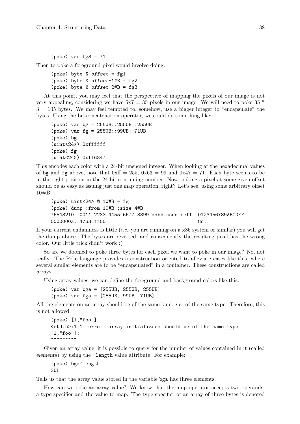(poke) var  $fg3 = 71$ 

Then to poke a foreground pixel would involve doing:

```
(poke) byte @ offset = fg1
(poke) byte Q offset+1#B = fg2
(poke) byte @ offset+2#B = fg3
```
At this point, you may feel that the perspective of mapping the pixels of our image is not very appealing, considering we have  $5x7 = 35$  pixels in our image. We will need to poke  $35 *$  $3 = 105$  bytes. We may feel tempted to, somehow, use a bigger integer to "encapsulate" the bytes. Using the bit-concatenation operator, we could do something like:

```
(poke) var bg = 255UB::255UB::255UB
(poke) var fg = 255UB::99UB::71UB
(poke) bg
(uint<24>) 0xffffff
(poke) fg
(uint<24>) 0xff6347
```
This encodes each color with a 24-bit unsigned integer. When looking at the hexadecimal values of bg and fg above, note that  $0xff = 255$ ,  $0x63 = 99$  and  $0x47 = 71$ . Each byte seems to be in the right position in the 24-bit containing number. Now, poking a pixel at some given offset should be as easy as issuing just one map operation, right? Let's see, using some arbitrary offset 10#B:

```
(poke) uint<24> @ 10#B = fg(poke) dump :from 10#B :size 4#B
76543210 0011 2233 4455 6677 8899 aabb ccdd eeff 0123456789ABCDEF
0000000a: 4763 ff00 Gc..
```
If your current endianness is little *(i.e.* you are running on a  $x86$  system or similar) you will get the dump above. The bytes are reversed, and consequently the resulting pixel has the wrong color. Our little trick didn't work :(

So are we doomed to poke three bytes for each pixel we want to poke in our image? No, not really. The Poke language provides a construction oriented to alleviate cases like this, where several similar elements are to be "encapsulated" in a container. These constructions are called arrays.

Using array values, we can define the foreground and background colors like this:

(poke) var bga = [255UB, 255UB, 255UB] (poke) var fga = [255UB, 99UB, 71UB]

All the elements on an array should be of the same kind, *i.e.* of the same type. Therefore, this is not allowed:

```
(poke) [1,"foo"]
<stdin>:1:1: error: array initializers should be of the same type
[1,"foo"];
- .<br>^~~~~~~~~
```
Given an array value, it is possible to query for the number of values contained in it (called elements) by using the 'length value attribute. For example:

(poke) bga'length 3UL

Tells us that the array value stored in the variable bga has three elements.

How can we poke an array value? We know that the map operator accepts two operands: a type specifier and the value to map. The type specifier of an array of three bytes is denoted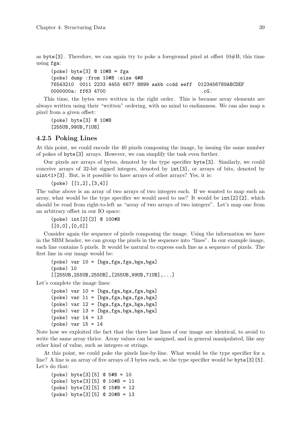as byte<sup>[3]</sup>. Therefore, we can again try to poke a foreground pixel at offset  $10\#B$ , this time using fga:

(poke) byte[3] @ 10#B = fga (poke) dump :from 10#B :size 4#B 76543210 0011 2233 4455 6677 8899 aabb ccdd eeff 0123456789ABCDEF 0000000a: ff63 4700 .cG.

This time, the bytes were written in the right order. This is because array elements are always written using their "written" ordering, with no mind to endianness. We can also map a pixel from a given offset:

(poke) byte[3] @ 10#B [255UB,99UB,71UB]

#### 4.2.5 Poking Lines

At this point, we could encode the 40 pixels composing the image, by issuing the same number of pokes of byte[3] arrays. However, we can simplify the task even further.

Our pixels are arrays of bytes, denoted by the type specifier byte[3]. Similarly, we could conceive arrays of 32-bit signed integers, denoted by int[3], or arrays of bits, denoted by uint<1>[3]. But, is it possible to have arrays of other arrays? Yes, it is:

(poke) [[1,2],[3,4]]

The value above is an array of two arrays of two integers each. If we wanted to map such an array, what would be the type specifier we would need to use? It would be int[2][2], which should be read from right-to-left as "array of two arrays of two integers". Let's map one from an arbitrary offset in our IO space:

(poke) int[2][2] @ 100#B [[0,0],[0,0]]

Consider again the sequence of pixels composing the image. Using the information we have in the SBM header, we can group the pixels in the sequence into "lines". In our example image, each line contains 5 pixels. It would be natural to express each line as a sequence of pixels. The first line in our image would be:

```
(poke) var 10 = [bga, fga, fga, bga](poke) l0
[[255UB,255UB,255UB],[255UB,99UB,71UB],...]
```
Let's complete the image lines:

```
(poke) var l0 = [bga,fga,bga,fga,bga]
(poke) var l1 = [bga,fga,bga,fga,bga]
(poke) var l2 = [bga,fga,fga,bga,bga]
(poke) var l3 = [bga,fga,bga,bga,bga]
(poke) var l4 = l3
(poke) var 15 = 14
```
Note how we exploited the fact that the three last lines of our image are identical, to avoid to write the same array thrice. Array values can be assigned, and in general manipulated, like any other kind of value, such as integers or strings.

At this point, we could poke the pixels line-by-line. What would be the type specifier for a line? A line is an array of five arrays of 3 bytes each, so the type specifier would be byte[3][5]. Let's do that:

(poke) byte[3][5] @ 5#B = l0 (poke) byte[3][5] @ 10#B = l1 (poke) byte[3][5] @ 15#B = l2 (poke) byte[3][5] @ 20#B = l3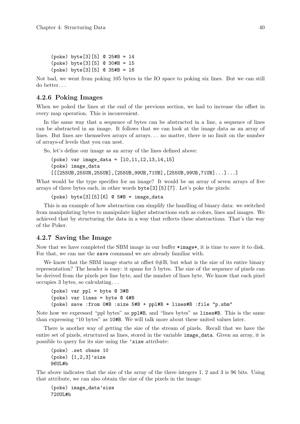```
(poke) byte[3][5] @ 25#B = l4
(poke) byte[3][5] @ 30#B = l5
(poke) byte[3][5] @ 35#B = l6
```
Not bad, we went from poking 105 bytes in the IO space to poking six lines. But we can still do better. . .

## 4.2.6 Poking Images

When we poked the lines at the end of the previous section, we had to increase the offset in every map operation. This is inconvenient.

In the same way that a sequence of bytes can be abstracted in a line, a sequence of lines can be abstracted in an image. It follows that we can look at the image data as an array of lines. But lines are themselves arrays of arrays. . . no matter, there is no limit on the number of arrays-of levels that you can nest.

So, let's define our image as an array of the lines defined above:

```
(poke) var image_data = [l0,l1,l2,l3,l4,l5]
(poke) image_data
[[[255UB, 255UB, 255UB], [255UB, 99UB, 71UB], [255UB, 99UB, 71UB], . . .].
```
What would be the type specifier for an image? It would be an array of seven arrays of five arrays of three bytes each, in other words byte[3][5][7]. Let's poke the pixels:

 $(poke) byte[3][5][6] @ 5#B = image_data$ 

This is an example of how abstraction can simplify the handling of binary data: we switched from manipulating bytes to manipulate higher abstractions such as colors, lines and images. We achieved that by structuring the data in a way that reflects these abstractions. That's the way of the Poker.

## 4.2.7 Saving the Image

Now that we have completed the SBM image in our buffer \*image\*, it is time to save it to disk. For that, we can use the save command we are already familiar with.

We know that the SBM image starts at offset  $0#B$ , but what is the size of its entire binary representation? The header is easy: it spans for 5 bytes. The size of the sequence of pixels can be derived from the pixels per line byte, and the number of lines byte. We know that each pixel occupies 3 bytes, so calculating. . .

```
(poke) var ppl = byte @ 3#B
(poke) var lines = byte @ 4#B
(poke) save :from 0#B :size 5#B + ppl#B * lines#B :file "p.sbm"
```
Note how we expressed "ppl bytes" as ppl#B, and "lines bytes" as lines#B. This is the same than expressing "10 bytes" as 10#B. We will talk more about these united values later.

There is another way of getting the size of the stream of pixels. Recall that we have the entire set of pixels, structured as lines, stored in the variable image\_data. Given an array, it is possible to query for its size using the 'size attribute:

```
(poke) .set obase 10
(poke) [1,2,3]'size
96UL#b
```
The above indicates that the size of the array of the three integers 1, 2 and 3 is 96 bits. Using that attribute, we can also obtain the size of the pixels in the image:

(poke) image\_data'size 720UL#b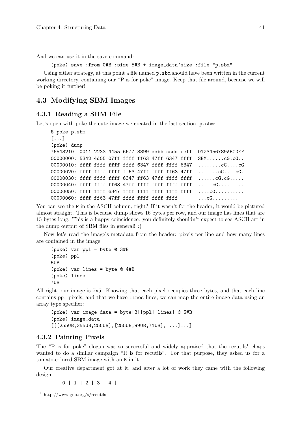And we can use it in the save command:

(poke) save :from 0#B :size 5#B + image\_data'size :file "p.sbm"

Using either strategy, at this point a file named  $p \cdot s$  is should have been written in the current working directory, containing our "P is for poke" image. Keep that file around, because we will be poking it further!

## 4.3 Modifying SBM Images

#### 4.3.1 Reading a SBM File

Let's open with poke the cute image we created in the last section,  $p.s$ bm:

```
$ poke p.sbm
[...]
(poke) dump
76543210 0011 2233 4455 6677 8899 aabb ccdd eeff 0123456789ABCDEF
00000000: 5342 4d05 07ff ffff ff63 47ff 6347 ffff SBM......cG.cG..
00000010: ffff ffff ffff ffff 6347 ffff ffff 6347 ........cG....cG
00000020: ffff ffff ffff ff63 47ff ffff ff63 47ff .......cG....cG.
00000030: ffff ffff ffff 6347 ff63 47ff ffff ffff ......cG.cG.....
00000040: ffff ffff ff63 47ff ffff ffff ffff ffff .....cG.........
00000050: ffff ffff 6347 ffff ffff ffff ffff ffff ....cG..........
00000060: ffff ff63 47ff ffff ffff ffff ffff \dots
```
You can see the P in the ASCII column, right? If it wasn't for the header, it would be pictured almost straight. This is because dump shows 16 bytes per row, and our image has lines that are 15 bytes long. This is a happy coincidence: you definitely shouldn't expect to see ASCII art in the dump output of SBM files in general! :)

Now let's read the image's metadata from the header: pixels per line and how many lines are contained in the image:

```
(poke) var ppl = byte @ 3#B
(poke) ppl
5UB
(poke) var lines = byte @ 4#B
(poke) lines
7UB
```
All right, our image is 7x5. Knowing that each pixel occupies three bytes, and that each line contains ppl pixels, and that we have lines lines, we can map the entire image data using an array type specifier:

```
(poke) var image_data = byte[3][ppl][lines] @ 5#B
(poke) image_data
[[[255UB, 255UB, 255UB], [255UB, 99UB, 71UB], . . .].
```
#### 4.3.2 Painting Pixels

The "P is for poke" slogan was so successful and widely appraised that the recutils<sup>1</sup> chaps wanted to do a similar campaign "R is for recutils". For that purpose, they asked us for a tomato-colored SBM image with an R in it.

Our creative department got at it, and after a lot of work they came with the following design:

| 0 | 1 | 2 | 3 | 4 |

<sup>1</sup> http://www.gnu.org/s/recutils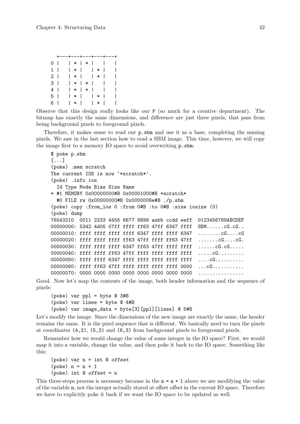|                |  |         |                 |                 | +---+---+---+---+---+ |
|----------------|--|---------|-----------------|-----------------|-----------------------|
| 0 I            |  | l * l   |                 | $*$             |                       |
| 1 I            |  |         |                 | $  *  $ $  *  $ | I                     |
| 2 <sub>1</sub> |  |         |                 | $  *  $ $  *  $ | ı                     |
| 3 I            |  | $  *  $ |                 | $*$             |                       |
| 4 I            |  | *       |                 | $*$             |                       |
| 5 I            |  |         |                 | *           *   |                       |
| 6 I            |  |         | $\vert * \vert$ | l * l           |                       |

Observe that this design really looks like our P (so much for a creative department). The bitmap has exactly the same dimensions, and difference are just three pixels, that pass from being background pixels to foreground pixels.

Therefore, it makes sense to read our p.sbm and use it as a base, completing the missing pixels. We saw in the last section how to read a SBM image. This time, however, we will copy the image first to a memory IO space to avoid overwriting p.sbm:

```
$ poke p.sbm
[...]
(poke) .mem scratch
The current IOS is now '*scratch*'.
(poke) .info ios
 Id Type Mode Bias Size Name
* #1 MEMORY 0x00000000#B 0x00001000#B *scratch*
 #0 FILE rw 0x00000000#B 0x0000006e#B ./p.sbm
(poke) copy :from_ios 0 :from 0#B :to 0#B :size iosize (0)
(poke) dump
76543210 0011 2233 4455 6677 8899 aabb ccdd eeff 0123456789ABCDEF
00000000: 5342 4d05 07ff ffff ff63 47ff 6347 ffff SBM......cG.cG..
00000010: ffff ffff ffff ffff 6347 ffff ffff 6347 ........cG....cG
00000020: ffff ffff ffff ff63 47ff ffff ff63 47ff .......cG....cG.
00000030: ffff ffff ffff 6347 ff63 47ff ffff ffff ......cG.cG.....
00000040: ffff ffff ff63 47ff ffff ffff ffff ffff ......CG.........
00000050: ffff ffff 6347 ffff ffff ffff ffff ffff ....cG..........
00000060: ffff ff63 47ff ffff ffff ffff ffff 0000 ...cG...........
00000070: 0000 0000 0000 0000 0000 0000 0000 0000 ................
```
Good. Now let's map the contents of the image, both header information and the sequence of pixels:

```
(poke) var ppl = byte @ 3#B
(poke) var lines = byte @ 4#B
(poke) var image_data = byte[3][ppl][lines] @ 5#B
```
Let's modify the image. Since the dimensions of the new image are exactly the same, the header remains the same. It is the pixel sequence that is different. We basically need to turn the pixels at coordinates (4,2), (5,3) and (6,3) from background pixels to foreground pixels.

Remember how we would change the value of some integer in the IO space? First, we would map it into a variable, change the value, and then poke it back to the IO space. Something like this:

```
(poke) var n = int @ offset(poke) n = n + 1(poke) int @ offset = n
```
This three-steps process is necessary because in the  $n = n + 1$  above we are modifying the value of the variable n, not the integer actually stored at offset offset in the current IO space. Therefore we have to explicitly poke it back if we want the IO space to be updated as well.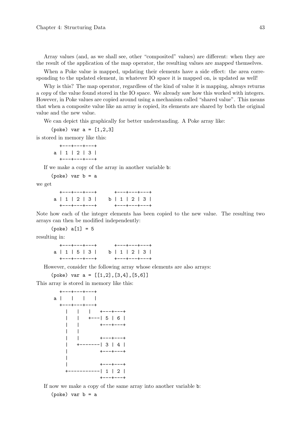Array values (and, as we shall see, other "composited" values) are different: when they are the result of the application of the map operator, the resulting values are mapped themselves.

When a Poke value is mapped, updating their elements have a side effect: the area corresponding to the updated element, in whatever IO space it is mapped on, is updated as well!

Why is this? The map operator, regardless of the kind of value it is mapping, always returns a copy of the value found stored in the IO space. We already saw how this worked with integers. However, in Poke values are copied around using a mechanism called "shared value". This means that when a composite value like an array is copied, its elements are shared by both the original value and the new value.

We can depict this graphically for better understanding. A Poke array like:

(poke) var  $a = [1, 2, 3]$ 

is stored in memory like this:

+---+---+---+ a | 1 | 2 | 3 | +---+---+---+

If we make a copy of the array in another variable b:

(poke) var b = a

we get

|  |  |  | $+ - - - + - - - + - - - +$ |  |  |  |  | $+ - - - + - - - + - - - +$ |  |
|--|--|--|-----------------------------|--|--|--|--|-----------------------------|--|
|  |  |  | a   1   2   3               |  |  |  |  | b   1   2   3               |  |
|  |  |  | $+ - - - + - - - + - - - +$ |  |  |  |  | $+ - - - + - - - + - - - +$ |  |

Note how each of the integer elements has been copied to the new value. The resulting two arrays can then be modified independently:

 $(poke) a[1] = 5$ 

resulting in:

|  |  |  | $+ - - - + - - - + - - - +$ |  |  |  | $+ - - - + - - - + - - - +$ |  |  |
|--|--|--|-----------------------------|--|--|--|-----------------------------|--|--|
|  |  |  | a   1   5   3               |  |  |  | b   1   2   3               |  |  |
|  |  |  | $+ - - - + - - - + - - - +$ |  |  |  | $+ - - - + - - - + - - - +$ |  |  |

However, consider the following array whose elements are also arrays:

 $(poke) var a = [[1,2], [3,4], [5,6]]$ 

This array is stored in memory like this:



If now we make a copy of the same array into another variable b: (poke) var b = a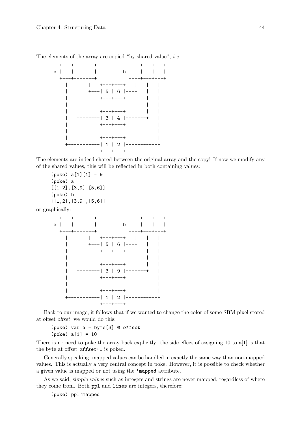

The elements of the array are copied "by shared value", *i.e.* 

The elements are indeed shared between the original array and the copy! If now we modify any of the shared values, this will be reflected in both containing values:

```
(poke) a[1][1] = 9(poke) a
[[1,2],[3,9],[5,6]]
(poke) b
[[1,2],[3,9],[5,6]]
```
or graphically:



Back to our image, it follows that if we wanted to change the color of some SBM pixel stored at offset offset, we would do this:

(poke) var a = byte[3] @ offset  $(poke) a[1] = 10$ 

There is no need to poke the array back explicitly: the side effect of assigning 10 to a[1] is that the byte at offset offset +1 is poked.

Generally speaking, mapped values can be handled in exactly the same way than non-mapped values. This is actually a very central concept in poke. However, it is possible to check whether a given value is mapped or not using the 'mapped attribute.

As we said, simple values such as integers and strings are never mapped, regardless of where they come from. Both ppl and lines are integers, therefore:

(poke) ppl'mapped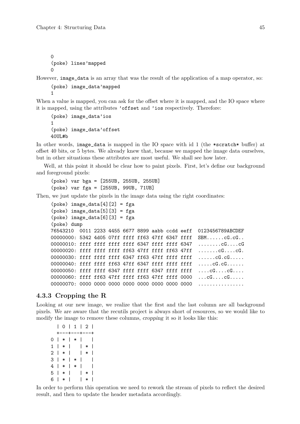0 (poke) lines'mapped  $\Omega$ 

However, image\_data is an array that was the result of the application of a map operator, so:

(poke) image\_data'mapped 1

When a value is mapped, you can ask for the offset where it is mapped, and the IO space where it is mapped, using the attributes 'offset and 'ios respectively. Therefore:

```
(poke) image_data'ios
1
(poke) image_data'offset
40III#h
```
In other words, image\_data is mapped in the IO space with id 1 (the \*scratch\* buffer) at offset 40 bits, or 5 bytes. We already knew that, because we mapped the image data ourselves, but in other situations these attributes are most useful. We shall see how later.

Well, at this point it should be clear how to paint pixels. First, let's define our background and foreground pixels:

(poke) var bga = [255UB, 255UB, 255UB] (poke) var fga = [255UB, 99UB, 71UB]

Then, we just update the pixels in the image data using the right coordinates:

```
(poke) image_data[4][2] = fga(poke) image_data[5][3] = fga(poke) image_data[6][3] = fga(poke) dump
76543210 0011 2233 4455 6677 8899 aabb ccdd eeff 0123456789ABCDEF
00000000: 5342 4d05 07ff ffff ff63 47ff 6347 ffff SBM......cG.cG..
00000010: ffff ffff ffff ffff 6347 ffff ffff 6347 ........cG....cG
00000020: ffff ffff ffff ff63 47ff ffff ff63 47ff .......cG....cG.
00000030: ffff ffff ffff 6347 ff63 47ff ffff ffff ......cG.cG.....
00000040: ffff ffff ff63 47ff 6347 ffff ffff ffff .....cG.cG......
00000050: ffff ffff 6347 ffff ffff 6347 ffff ffff ....cG....cG....
00000060: ffff ff63 47ff ffff ff63 47ff ffff 0000 ...cG....cG.....
00000070: 0000 0000 0000 0000 0000 0000 0000 0000 ................
```
#### 4.3.3 Cropping the R

Looking at our new image, we realize that the first and the last column are all background pixels. We are aware that the recutils project is always short of resources, so we would like to modify the image to remove these columns, cropping it so it looks like this:

| 0 | 1 | 2 | +---+---+---+  $0 | * | * |$  $1 * | * | * |$  $2 \mid * \mid + \mid$  $3 \mid * \mid * \mid$  $4$  | \* | \* | |  $5 \mid * \mid \quad | * \mid$ 6 | \* | | \* |

In order to perform this operation we need to rework the stream of pixels to reflect the desired result, and then to update the header metadata accordingly.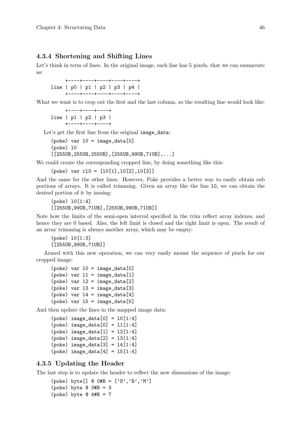#### 4.3.4 Shortening and Shifting Lines

Let's think in term of lines. In the original image, each line has 5 pixels, that we can enumerate as:

+----+----+----+----+----+ line | p0 | p1 | p2 | p3 | p4 | +----+----+----+----+----+

What we want is to crop out the first and the last column, so the resulting line would look like:

+----+----+----+ line | p1 | p2 | p3 | +----+----+----+

Let's get the first line from the original image\_data:

 $(poke) var 10 = image_data[0]$ (poke) l0 [[255UB,255UB,255UB],[255UB,99UB,71UB],...]

We could create the corresponding cropped line, by doing something like this:

(poke) var cl0 = [l0[1],l0[2],l0[3]]

And the same for the other lines. However, Poke provides a better way to easily obtain sub portions of arrays. It is called trimming. Given an array like the line l0, we can obtain the desired portion of it by issuing:

(poke) l0[1:4] [[255UB,99UB,71UB],[255UB,99UB,71UB]]

Note how the limits of the semi-open interval specified in the trim reflect array indexes, and hence they are 0 based. Also, the left limit is closed and the right limit is open. The result of an array trimming is always another array, which may be empty:

(poke) l0[1:3] [[255UB,99UB,71UB]]

Armed with this new operation, we can very easily mount the sequence of pixels for our cropped image:

```
(poke) var 10 = image_data[0](poke) var 11 = image_data[1](poke) var l2 = image_data[2]
(poke) var l3 = image_data[3]
(poke) var 14 = image_data[4](poke) var 15 = image_data[5]
```
And then update the lines in the mapped image data:

```
(poke) image_data[0] = 10[1:4](poke) image_data[0] = 11[1:4](poke) image_data[1] = 12[1:4](poke) image_data[2] = 13[1:4](poke) image_data[3] = 14[1:4](poke) image_data[4] = 15[1:4]
```
## 4.3.5 Updating the Header

The last step is to update the header to reflect the new dimensions of the image:

(poke) byte[] @ 0#B = ['S','B','M'] (poke) byte  $@3#B = 3$ (poke) byte  $@ 4#B = 7$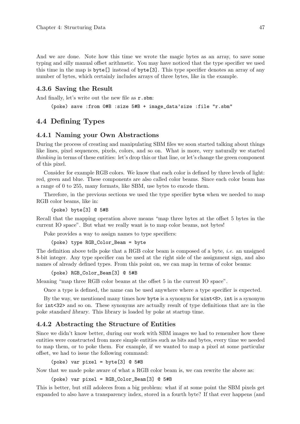And we are done. Note how this time we wrote the magic bytes as an array, to save some typing and silly manual offset arithmetic. You may have noticed that the type specifier we used this time in the map is byte[] instead of byte[3]. This type specifier denotes an array of any number of bytes, which certainly includes arrays of three bytes, like in the example.

#### 4.3.6 Saving the Result

And finally, let's write out the new file as r.sbm:

(poke) save :from 0#B :size 5#B + image\_data'size :file "r.sbm"

## 4.4 Defining Types

## 4.4.1 Naming your Own Abstractions

During the process of creating and manipulating SBM files we soon started talking about things like lines, pixel sequences, pixels, colors, and so on. What is more, very naturally we started thinking in terms of these entities: let's drop this or that line, or let's change the green component of this pixel.

Consider for example RGB colors. We know that each color is defined by three levels of light: red, green and blue. These components are also called color beams. Since each color beam has a range of 0 to 255, many formats, like SBM, use bytes to encode them.

Therefore, in the previous sections we used the type specifier byte when we needed to map RGB color beams, like in:

(poke) byte[3] @ 5#B

Recall that the mapping operation above means "map three bytes at the offset 5 bytes in the current IO space". But what we really want is to map color beams, not bytes!

Poke provides a way to assign names to type specifiers:

```
(poke) type RGB_Color_Beam = byte
```
The definition above tells poke that a RGB color beam is composed of a byte, *i.e.* an unsigned 8-bit integer. Any type specifier can be used at the right side of the assignment sign, and also names of already defined types. From this point on, we can map in terms of color beams:

```
(poke) RGB_Color_Beam[3] @ 5#B
```
Meaning "map three RGB color beams at the offset 5 in the current IO space".

Once a type is defined, the name can be used anywhere where a type specifier is expected.

By the way, we mentioned many times how byte is a synonym for  $uint \ll 8$ , int is a synonym for int<32> and so on. These synonyms are actually result of type definitions that are in the poke standard library. This library is loaded by poke at startup time.

#### 4.4.2 Abstracting the Structure of Entities

Since we didn't know better, during our work with SBM images we had to remember how these entities were constructed from more simple entities such as bits and bytes, every time we needed to map them, or to poke them. For example, if we wanted to map a pixel at some particular offset, we had to issue the following command:

(poke) var pixel = byte $[3]$  @ 5#B

Now that we made poke aware of what a RGB color beam is, we can rewrite the above as:

(poke) var pixel = RGB\_Color\_Beam[3] @ 5#B

This is better, but still adoleces from a big problem: what if at some point the SBM pixels get expanded to also have a transparency index, stored in a fourth byte? If that ever happens (and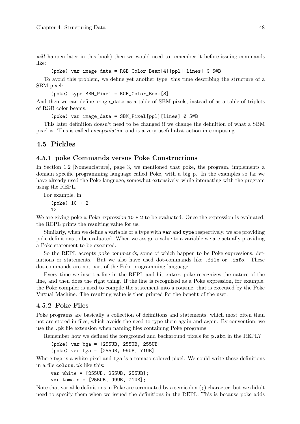will happen later in this book) then we would need to remember it before issuing commands like:

#### (poke) var image\_data = RGB\_Color\_Beam[4][ppl][lines] @ 5#B

To avoid this problem, we define yet another type, this time describing the structure of a SBM pixel:

(poke) type SBM\_Pixel = RGB\_Color\_Beam[3]

And then we can define image\_data as a table of SBM pixels, instead of as a table of triplets of RGB color beams:

```
(poke) var image_data = SBM_Pixel[ppl][lines] @ 5#B
```
This later definition doesn't need to be changed if we change the definition of what a SBM pixel is. This is called encapsulation and is a very useful abstraction in computing.

## 4.5 Pickles

#### 4.5.1 poke Commands versus Poke Constructions

In [Section 1.2 \[Nomenclature\], page 3,](#page-18-0) we mentioned that poke, the program, implements a domain specific programming language called Poke, with a big p. In the examples so far we have already used the Poke language, somewhat extensively, while interacting with the program using the REPL.

For example, in:

(poke) 10 + 2 12

We are giving poke a Poke expression  $10 + 2$  to be evaluated. Once the expression is evaluated, the REPL prints the resulting value for us.

Similarly, when we define a variable or a type with var and type respectively, we are providing poke definitions to be evaluated. When we assign a value to a variable we are actually providing a Poke statement to be executed.

So the REPL accepts poke commands, some of which happen to be Poke expressions, definitions or statements. But we also have used dot-commands like .file or .info. These dot-commands are not part of the Poke programming language.

Every time we insert a line in the REPL and hit enter, poke recognizes the nature of the line, and then does the right thing. If the line is recognized as a Poke expression, for example, the Poke compiler is used to compile the statement into a routine, that is executed by the Poke Virtual Machine. The resulting value is then printed for the benefit of the user.

#### 4.5.2 Poke Files

Poke programs are basically a collection of definitions and statements, which most often than not are stored in files, which avoids the need to type them again and again. By convention, we use the .pk file extension when naming files containing Poke programs.

Remember how we defined the foreground and background pixels for p.sbm in the REPL?

(poke) var bga = [255UB, 255UB, 255UB] (poke) var fga = [255UB, 99UB, 71UB]

Where bga is a white pixel and fga is a tomato colored pixel. We could write these definitions in a file colors.pk like this:

```
var white = [255UB, 255UB, 255UB];
var tomato = [255UB, 99UB, 71UB];
```
Note that variable definitions in Poke are terminated by a semicolon (;) character, but we didn't need to specify them when we issued the definitions in the REPL. This is because poke adds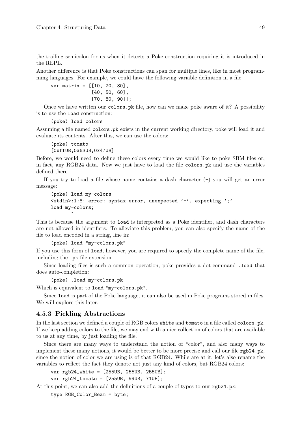the trailing semicolon for us when it detects a Poke construction requiring it is introduced in the REPL.

Another difference is that Poke constructions can span for multiple lines, like in most programming languages. For example, we could have the following variable definition in a file:

var matrix =  $[10, 20, 30]$ , [40, 50, 60], [70, 80, 90]];

Once we have written our colors.pk file, how can we make poke aware of it? A possibility is to use the load construction:

```
(poke) load colors
```
Assuming a file named colors.pk exists in the current working directory, poke will load it and evaluate its contents. After this, we can use the colors:

(poke) tomato [0xffUB,0x63UB,0x47UB]

Before, we would need to define these colors every time we would like to poke SBM files or, in fact, any RGB24 data. Now we just have to load the file colors.pk and use the variables defined there.

If you try to load a file whose name contains a dash character (-) you will get an error message:

```
(poke) load my-colors
<stdin>:1:8: error: syntax error, unexpected '-', expecting ';'
load my-colors;
       \hat{ }
```
This is because the argument to load is interpreted as a Poke identifier, and dash characters are not allowed in identifiers. To alleviate this problem, you can also specify the name of the file to load encoded in a string, line in:

(poke) load "my-colors.pk"

If you use this form of load, however, you are required to specify the complete name of the file, including the .pk file extension.

Since loading files is such a common operation, poke provides a dot-command .load that does auto-completion:

(poke) .load my-colors.pk

Which is equivalent to load "my-colors.pk".

Since load is part of the Poke language, it can also be used in Poke programs stored in files. We will explore this later.

### 4.5.3 Pickling Abstractions

In the last section we defined a couple of RGB colors white and tomato in a file called colors.pk. If we keep adding colors to the file, we may end with a nice collection of colors that are available to us at any time, by just loading the file.

Since there are many ways to understand the notion of "color", and also many ways to implement these many notions, it would be better to be more precise and call our file rgb24.pk, since the notion of color we are using is of that RGB24. While are at it, let's also rename the variables to reflect the fact they denote not just any kind of colors, but RGB24 colors:

var rgb24\_white = [255UB, 255UB, 255UB]; var rgb24\_tomato = [255UB, 99UB, 71UB];

At this point, we can also add the definitions of a couple of types to our rgb24.pk:

type RGB\_Color\_Beam = byte;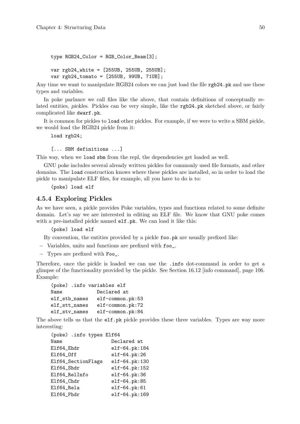```
type RGB24_Color = RGB_Color_Beam[3];
var rgb24_white = [255UB, 255UB, 255UB];
var rgb24_tomato = [255UB, 99UB, 71UB];
```
Any time we want to manipulate RGB24 colors we can just load the file rgb24.pk and use these types and variables.

In poke parlance we call files like the above, that contain definitions of conceptually related entities, pickles. Pickles can be very simple, like the rgb24.pk sketched above, or fairly complicated like dwarf.pk.

It is common for pickles to load other pickles. For example, if we were to write a SBM pickle, we would load the RGB24 pickle from it:

```
load rgb24;
```
[... SBM definitions ...]

This way, when we load sbm from the repl, the dependencies get loaded as well.

GNU poke includes several already written pickles for commonly used file formats, and other domains. The load construction knows where these pickles are installed, so in order to load the pickle to manipulate ELF files, for example, all you have to do is to:

(poke) load elf

#### 4.5.4 Exploring Pickles

As we have seen, a pickle provides Poke variables, types and functions related to some definite domain. Let's say we are interested in editing an ELF file. We know that GNU poke comes with a pre-installed pickle named elf.pk. We can load it like this:

(poke) load elf

By convention, the entities provided by a pickle foo.pk are usually prefixed like:

- − Variables, units and functions are prefixed with foo\_.
- − Types are prefixed with Foo\_.

Therefore, once the pickle is loaded we can use the .info dot-command in order to get a glimpse of the functionality provided by the pickle. See [Section 16.12 \[info command\], page 106.](#page-121-0) Example:

```
(poke) .info variables elf
Name Declared at
elf_stb_names elf-common.pk:53
elf_stt_names elf-common.pk:72
elf_stv_names elf-common.pk:84
```
The above tells us that the elf.pk pickle provides these three variables. Types are way more interesting:

| (poke) .info types Elf64 |                |
|--------------------------|----------------|
| Name                     | Declared at    |
| Elf64_Ehdr               | elf-64.pk:184  |
| Elf64 Off                | $elf-64.pk:26$ |
| Elf64_SectionFlags       | elf-64.pk:130  |
| Elf64 Shdr               | elf-64.pk:152  |
| Elf64_RelInfo            | elf-64.pk:36   |
| Elf64 Chdr               | elf-64.pk:85   |
| Elf64_Rela               | $elf-64.pk:61$ |
| Elf64_Phdr               | elf-64.pk:169  |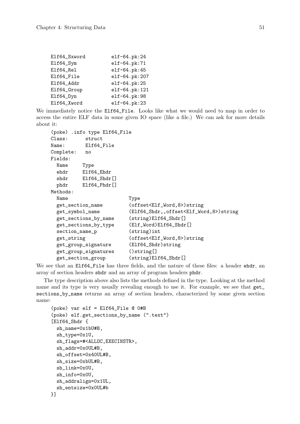| elf-64.pk:24  |
|---------------|
| elf-64.pk:71  |
| elf-64.pk:45  |
| elf-64.pk:207 |
| elf-64.pk:25  |
| elf-64.pk:121 |
| elf-64.pk:98  |
| elf-64.pk:23  |
|               |

We immediately notice the Elf64\_File. Looks like what we would need to map in order to access the entire ELF data in some given IO space (like a file.) We can ask for more details about it:

```
(poke) .info type Elf64_File
Class: struct
Name: Elf64_File
Complete: no
Fields:
 Name Type
 ehdr Elf64_Ehdr
 shdr Elf64_Shdr[]
 phdr Elf64_Phdr[]
Methods:
 Name Type
 get_section_name (offset<Elf_Word,8>)string
 get_symbol_name (Elf64_Shdr,,offset<Elf_Word,8>)string
 get_sections_by_name (string)Elf64_Shdr[]
 get_sections_by_type (Elf_Word)Elf64_Shdr[]
 section_name_p (string)int
 get_string (offset<Elf_Word,8>)string
 get_group_signature (Elf64_Shdr)string
 get_group_signatures ()string[]
 get_section_group (string)Elf64_Shdr[]
```
We see that an Elf64\_File has three fields, and the nature of these files: a header ehdr, an array of section headers shdr and an array of program headers phdr.

The type description above also lists the methods defined in the type. Looking at the method name and its type is very usually revealing enough to use it. For example, we see that get\_ sections\_by\_name returns an array of section headers, characterized by some given section name:

```
(poke) var elf = Elf64_File @ 0#B
(poke) elf.get_sections_by_name (".text")
[Elf64_Shdr {
 sh_name=0x1bU#B,
 sh_type=0x1U,
 sh_flags=#<ALLOC,EXECINSTR>,
 sh_addr=0x0UL#B,
 sh_offset=0x40UL#B,
 sh_size=0xbUL#B,
 sh_link=0x0U,
 sh_info=0x0U,
 sh_addralign=0x1UL,
 sh_entsize=0x0UL#b
```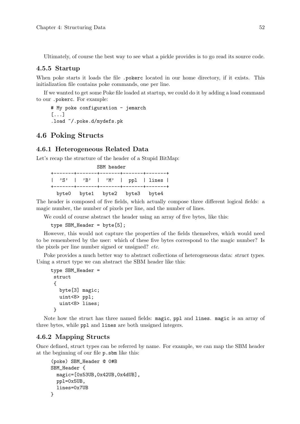Ultimately, of course the best way to see what a pickle provides is to go read its source code.

#### 4.5.5 Startup

When poke starts it loads the file .pokerc located in our home directory, if it exists. This initialization file contains poke commands, one per line.

If we wanted to get some Poke file loaded at startup, we could do it by adding a load command to our .pokerc. For example:

# My poke configuration - jemarch [...] .load ~/.poke.d/mydefs.pk

## 4.6 Poking Structs

#### 4.6.1 Heterogeneous Related Data

Let's recap the structure of the header of a Stupid BitMap:

|                               | SBM header                    |  |  |  |  |  |  |  |  |  |  |
|-------------------------------|-------------------------------|--|--|--|--|--|--|--|--|--|--|
|                               | 'S'   'B'   'M'   ppl   lines |  |  |  |  |  |  |  |  |  |  |
| byte0 byte1 byte2 byte3 byte4 |                               |  |  |  |  |  |  |  |  |  |  |

The header is composed of five fields, which actually compose three different logical fields: a magic number, the number of pixels per line, and the number of lines.

We could of course abstract the header using an array of five bytes, like this:

type SBM\_Header = byte[5];

However, this would not capture the properties of the fields themselves, which would need to be remembered by the user: which of these five bytes correspond to the magic number? Is the pixels per line number signed or unsigned? etc.

Poke provides a much better way to abstract collections of heterogeneous data: struct types. Using a struct type we can abstract the SBM header like this:

```
type SBM_Header =
struct
 {
   byte[3] magic;
   uint<8> ppl;
   uint<8> lines;
}
```
Note how the struct has three named fields: magic, ppl and lines. magic is an array of three bytes, while ppl and lines are both unsigned integers.

#### 4.6.2 Mapping Structs

Once defined, struct types can be referred by name. For example, we can map the SBM header at the beginning of our file p.sbm like this:

```
(poke) SBM_Header @ 0#B
SBM_Header {
 magic=[0x53UB,0x42UB,0x4dUB],
 ppl=0x5UB,
 lines=0x7UB
}
```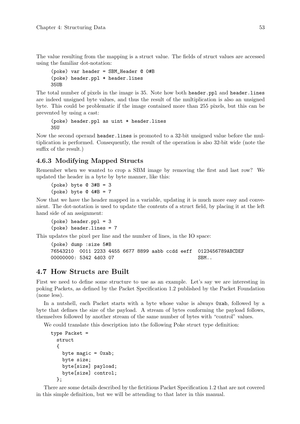The value resulting from the mapping is a struct value. The fields of struct values are accessed using the familiar dot-notation:

```
(poke) var header = SBM_Header @ 0#B
(poke) header.ppl * header.lines
35UB
```
The total number of pixels in the image is 35. Note how both header.ppl and header.lines are indeed unsigned byte values, and thus the result of the multiplication is also an unsigned byte. This could be problematic if the image contained more than 255 pixels, but this can be prevented by using a cast:

```
(poke) header.ppl as uint * header.lines
35U
```
Now the second operand header.lines is promoted to a 32-bit unsigned value before the multiplication is performed. Consequently, the result of the operation is also 32-bit wide (note the suffix of the result.)

## 4.6.3 Modifying Mapped Structs

Remember when we wanted to crop a SBM image by removing the first and last row? We updated the header in a byte by byte manner, like this:

(poke) byte  $@3#B = 3$ (poke) byte  $@ 4#B = 7$ 

Now that we have the header mapped in a variable, updating it is much more easy and convenient. The dot-notation is used to update the contents of a struct field, by placing it at the left hand side of an assignment:

(poke) header.ppl = 3 (poke) header.lines = 7

This updates the pixel per line and the number of lines, in the IO space:

```
(poke) dump :size 5#B
76543210 0011 2233 4455 6677 8899 aabb ccdd eeff 0123456789ABCDEF
00000000: 5342 4d03 07 SBM..
```
## 4.7 How Structs are Built

First we need to define some structure to use as an example. Let's say we are interesting in poking Packets, as defined by the Packet Specification 1.2 published by the Packet Foundation (none less).

In a nutshell, each Packet starts with a byte whose value is always 0xab, followed by a byte that defines the size of the payload. A stream of bytes conforming the payload follows, themselves followed by another stream of the same number of bytes with "control" values.

We could translate this description into the following Poke struct type definition:

```
type Packet =
 struct
  {
    byte magic = 0xab;
    byte size;
    byte[size] payload;
    byte[size] control;
  };
```
There are some details described by the fictitious Packet Specification 1.2 that are not covered in this simple definition, but we will be attending to that later in this manual.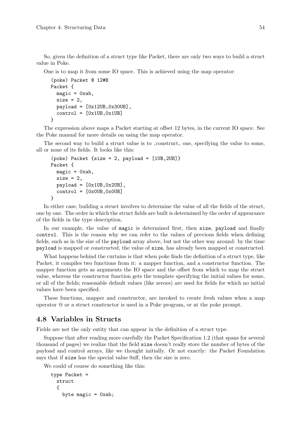So, given the definition of a struct type like Packet, there are only two ways to build a struct value in Poke.

One is to map it from some IO space. This is achieved using the map operator:

```
(poke) Packet @ 12#B
Packet {
  magic = 0xab,
  size = 2,
  payload = [0x12UB, 0x30UB],control = [0x1UB, 0x1UB]}
```
The expression above maps a Packet starting at offset 12 bytes, in the current IO space. See the Poke manual for more details on using the map operator.

The second way to build a struct value is to \_construct\_ one, specifying the value to some, all or none of its fields. It looks like this:

```
(poke) Packet \{size = 2, payload = [1UB, 2UB]\}Packet {
  magic = 0xab,
  size = 2,
  payload = [0x1UB, 0x2UB],
  control = [0x0UB, 0x0UB]}
```
In either case, building a struct involves to determine the value of all the fields of the struct, one by one. The order in which the struct fields are built is determined by the order of appearance of the fields in the type description.

In our example, the value of magic is determined first, then size, payload and finally control. This is the reason why we can refer to the values of previous fields when defining fields, such as in the size of the payload array above, but not the other way around: by the time payload is mapped or constructed, the value of size, has already been mapped or constructed.

What happens behind the curtains is that when poke finds the definition of a struct type, like Packet, it compiles two functions from it: a mapper function, and a constructor function. The mapper function gets as arguments the IO space and the offset from which to map the struct value, whereas the constructor function gets the template specifying the initial values for some, or all of the fields; reasonable default values (like zeroes) are used for fields for which no initial values have been specified.

These functions, mapper and constructor, are invoked to create fresh values when a map operator @ or a struct constructor is used in a Poke program, or at the poke prompt.

## 4.8 Variables in Structs

Fields are not the only entity that can appear in the definition of a struct type.

Suppose that after reading more carefully the Packet Specification 1.2 (that spans for several thousand of pages) we realize that the field size doesn't really store the number of bytes of the payload and control arrays, like we thought initially. Or not exactly: the Packet Foundation says that if size has the special value 0xff, then the size is zero.

We could of course do something like this:

```
type Packet =
 struct
  {
    byte magic = 0xab;
```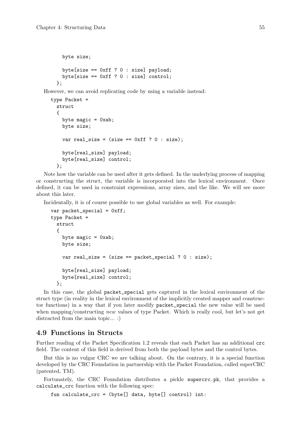```
byte size;
  byte[size == 0xff ? 0 : size] payload;
  byte[size == 0xff ? 0 : size] control;
};
```
However, we can avoid replicating code by using a variable instead:

```
type Packet =
 struct
  {
    byte magic = 0xab;
    byte size;
    var real_size = (size == 0xff ? 0 : size);byte[real_size] payload;
    byte[real_size] control;
  };
```
Note how the variable can be used after it gets defined. In the underlying process of mapping or constructing the struct, the variable is incorporated into the lexical environment. Once defined, it can be used in constraint expressions, array sizes, and the like. We will see more about this later.

Incidentally, it is of course possible to use global variables as well. For example:

```
var packet_special = 0xff;
type Packet =
 struct
  {
    byte magic = 0xab;
    byte size;
    var real_size = (size == packet_special ? 0 : size);
    byte[real_size] payload;
    byte[real_size] control;
 };
```
In this case, the global packet\_special gets captured in the lexical environment of the struct type (in reality in the lexical environment of the implicitly created mapper and constructor functions) in a way that if you later modify packet\_special the new value will be used when mapping/constructing new values of type Packet. Which is really cool, but let's not get distracted from the main topic... :

## 4.9 Functions in Structs

Further reading of the Packet Specification 1.2 reveals that each Packet has an additional crc field. The content of this field is derived from both the payload bytes and the control bytes.

But this is no vulgar CRC we are talking about. On the contrary, it is a special function developed by the CRC Foundation in partnership with the Packet Foundation, called superCRC (patented, TM).

Fortunately, the CRC Foundation distributes a pickle supercrc.pk, that provides a calculate\_crc function with the following spec:

fun calculate\_crc = (byte[] data, byte[] control) int: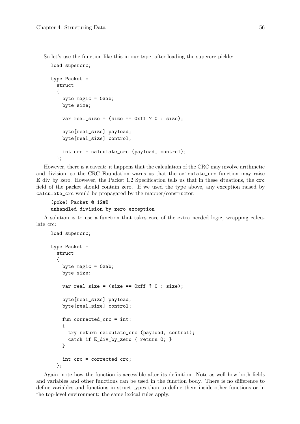load supercrc;

So let's use the function like this in our type, after loading the supercrc pickle:

```
type Packet =
 struct
  {
   byte magic = 0xab;
    byte size;
    var real_size = (size == 0xff ? 0 : size);byte[real_size] payload;
    byte[real_size] control;
    int crc = calculate_crc (payload, control);
 };
```
However, there is a caveat: it happens that the calculation of the CRC may involve arithmetic and division, so the CRC Foundation warns us that the calculate\_crc function may raise E div by zero. However, the Packet 1.2 Specification tells us that in these situations, the crc field of the packet should contain zero. If we used the type above, any exception raised by calculate\_crc would be propagated by the mapper/constructor:

```
(poke) Packet @ 12#B
unhandled division by zero exception
```
A solution is to use a function that takes care of the extra needed logic, wrapping calculate\_crc:

```
load supercrc;
type Packet =
  struct
  {
    byte magic = 0xab;
    byte size;
    var real_size = (size == 0xff ? 0 : size);byte[real_size] payload;
    byte[real_size] control;
    fun corrected_crc = int:
    {
      try return calculate_crc (payload, control);
      catch if E_div_by_zero { return 0; }
    }
    int crc = corrected_crc;
  };
```
Again, note how the function is accessible after its definition. Note as well how both fields and variables and other functions can be used in the function body. There is no difference to define variables and functions in struct types than to define them inside other functions or in the top-level environment: the same lexical rules apply.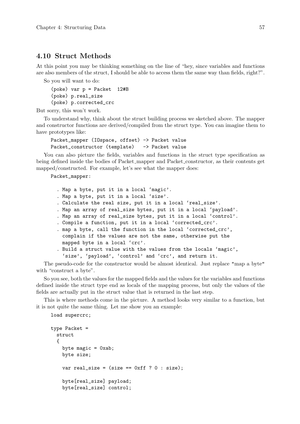### 4.10 Struct Methods

At this point you may be thinking something on the line of "hey, since variables and functions are also members of the struct, I should be able to access them the same way than fields, right?".

So you will want to do:

```
(poke) var p = Packet 12#B
(poke) p.real_size
(poke) p.corrected_crc
```
But sorry, this won't work.

To understand why, think about the struct building process we sketched above. The mapper and constructor functions are derived/compiled from the struct type. You can imagine them to have prototypes like:

```
Packet_mapper (IOspace, offset) -> Packet value
Packet_constructor (template) -> Packet value
```
You can also picture the fields, variables and functions in the struct type specification as being defined inside the bodies of Packet mapper and Packet constructor, as their contents get mapped/constructed. For example, let's see what the mapper does:

Packet\_mapper:

. Map a byte, put it in a local 'magic'. . Map a byte, put it in a local 'size'. . Calculate the real size, put it in a local 'real\_size'. . Map an array of real\_size bytes, put it in a local 'payload'. . Map an array of real\_size bytes, put it in a local 'control'. . Compile a function, put it in a local 'corrected\_crc'. . map a byte, call the function in the local 'corrected\_crc', complain if the values are not the same, otherwise put the mapped byte in a local 'crc'. . Build a struct value with the values from the locals 'magic', 'size', 'payload', 'control' and 'crc', and return it.

The pseudo-code for the constructor would be almost identical. Just replace "map a byte" with "construct a byte".

So you see, both the values for the mapped fields and the values for the variables and functions defined inside the struct type end as locals of the mapping process, but only the values of the fields are actually put in the struct value that is returned in the last step.

This is where methods come in the picture. A method looks very similar to a function, but it is not quite the same thing. Let me show you an example:

load supercrc;

```
type Packet =
 struct
  {
    byte magic = 0xab;
    byte size;
    var real_size = (size == 0xff ? 0 : size);byte[real_size] payload;
    byte[real_size] control;
```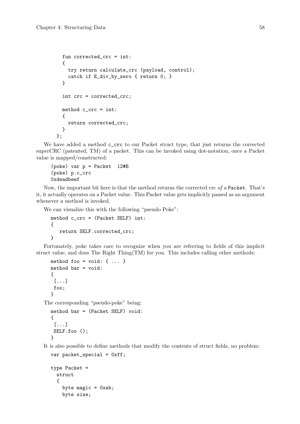```
fun corrected_crc = int:
  {
    try return calculate_crc (payload, control);
    catch if E_div_by_zero { return 0; }
  }
  int crc = corrected_crc;
  method c_crc = int:
  {
    return corrected_crc;
  }
};
```
We have added a method  $c\_crc$  to our Packet struct type, that just returns the corrected superCRC (patented, TM) of a packet. This can be invoked using dot-notation, once a Packet value is mapped/constructed:

```
(poke) var p = Packet 12#B
(poke) p.c_crc
0xdeadbeef
```
Now, the important bit here is that the method returns the corrected crc of a Packet. That's it, it actually operates on a Packet value. This Packet value gets implicitly passed as an argument whenever a method is invoked.

We can visualize this with the following "pseudo Poke":

```
method c_crc = (Packet SELF) int:
{
   return SELF.corrected_crc;
}
```
Fortunately, poke takes care to recognize when you are referring to fields of this implicit struct value, and does The Right Thing(TM) for you. This includes calling other methods:

```
method foo = void: \{ \ldots \}method bar = void:
{
 [...]
 foo;
}
```
The corresponding "pseudo-poke" being:

```
method bar = (Packet SELF) void:
{
 [...]
SELF.foo ();
}
```
It is also possible to define methods that modify the contents of struct fields, no problem:

```
var packet_special = 0xff;
```

```
type Packet =
  struct
  \mathcal{L}byte magic = 0xab;
    byte size;
```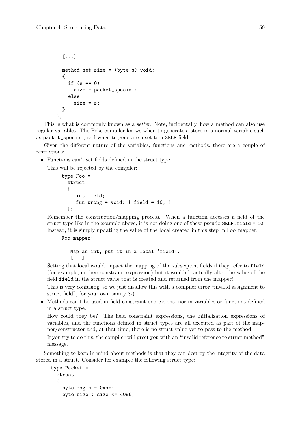```
[...]
  method set_size = (byte s) void:
  {
    if (s == 0)size = packet_special;
    else
      size = s:
  }
};
```
This is what is commonly known as a setter. Note, incidentally, how a method can also use regular variables. The Poke compiler knows when to generate a store in a normal variable such as packet\_special, and when to generate a set to a SELF field.

Given the different nature of the variables, functions and methods, there are a couple of restrictions:

• Functions can't set fields defined in the struct type.

This will be rejected by the compiler:

```
type Foo =
  struct
  {
     int field;
     fun wrong = void: { field = 10; }
  };
```
Remember the construction/mapping process. When a function accesses a field of the struct type like in the example above, it is not doing one of these pseudo SELF.field = 10. Instead, it is simply updating the value of the local created in this step in Foo mapper:

Foo\_mapper:

. Map an int, put it in a local 'field'. . [...]

Setting that local would impact the mapping of the subsequent fields if they refer to field (for example, in their constraint expression) but it wouldn't actually alter the value of the field field in the struct value that is created and returned from the mapper!

This is very confusing, so we just disallow this with a compiler error "invalid assignment to struct field", for your own sanity 8-)

• Methods can't be used in field constraint expressions, nor in variables or functions defined in a struct type.

How could they be? The field constraint expressions, the initialization expressions of variables, and the functions defined in struct types are all executed as part of the mapper/constructor and, at that time, there is no struct value yet to pass to the method.

If you try to do this, the compiler will greet you with an "invalid reference to struct method" message.

Something to keep in mind about methods is that they can destroy the integrity of the data stored in a struct. Consider for example the following struct type:

```
type Packet =
 struct
  {
    byte magic = 0xab;
    byte size : size \leq 4096;
```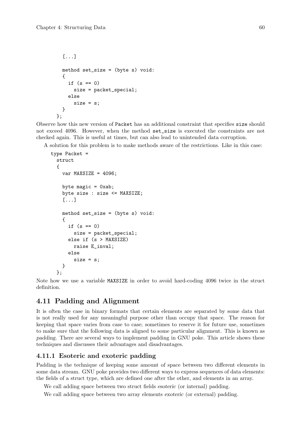```
[...]
  method set_size = (byte s) void:
  {
    if (s == 0)size = packet_special;
    else
      size = s:
  }
};
```
Observe how this new version of Packet has an additional constraint that specifies size should not exceed 4096. However, when the method set\_size is executed the constraints are not checked again. This is useful at times, but can also lead to unintended data corruption.

A solution for this problem is to make methods aware of the restrictions. Like in this case:

```
type Packet =
 struct
  {
    var MAXSIZE = 4096;byte magic = 0xab;
    byte size : size <= MAXSIZE;
    [...]
    method set_size = (byte s) void:
    {
      if (s == 0)size = packet_special;
      else if (s > MAXSIZE)
        raise E_inval;
      else
        size = s;}
  };
```
Note how we use a variable MAXSIZE in order to avoid hard-coding 4096 twice in the struct definition.

## 4.11 Padding and Alignment

It is often the case in binary formats that certain elements are separated by some data that is not really used for any meaningful purpose other than occupy that space. The reason for keeping that space varies from case to case; sometimes to reserve it for future use, sometimes to make sure that the following data is aligned to some particular alignment. This is known as padding. There are several ways to implement padding in GNU poke. This article shows these techniques and discusses their advantages and disadvantages.

### 4.11.1 Esoteric and exoteric padding

Padding is the technique of keeping some amount of space between two different elements in some data stream. GNU poke provides two different ways to express sequences of data elements: the fields of a struct type, which are defined one after the other, and elements in an array.

We call adding space between two struct fields esoteric (or internal) padding.

We call adding space between two array elements exoteric (or external) padding.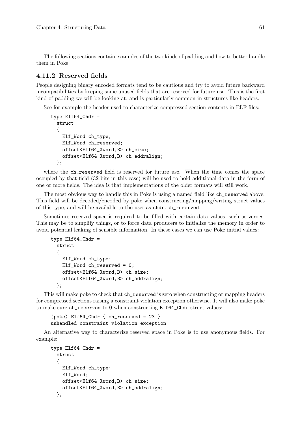The following sections contain examples of the two kinds of padding and how to better handle them in Poke.

### 4.11.2 Reserved fields

People designing binary encoded formats tend to be cautious and try to avoid future backward incompatibilities by keeping some unused fields that are reserved for future use. This is the first kind of padding we will be looking at, and is particularly common in structures like headers.

See for example the header used to characterize compressed section contents in ELF files:

```
type Elf64_Chdr =
 struct
  {
   Elf_Word ch_type;
    Elf_Word ch_reserved;
    offset<Elf64_Xword,B> ch_size;
    offset<Elf64_Xword,B> ch_addralign;
 };
```
where the ch\_reserved field is reserved for future use. When the time comes the space occupied by that field (32 bits in this case) will be used to hold additional data in the form of one or more fields. The idea is that implementations of the older formats will still work.

The most obvious way to handle this in Poke is using a named field like  $ch$ <sub>reserved</sub> above. This field will be decoded/encoded by poke when constructing/mapping/writing struct values of this type, and will be available to the user as chdr.ch\_reserved.

Sometimes reserved space is required to be filled with certain data values, such as zeroes. This may be to simplify things, or to force data producers to initialize the memory in order to avoid potential leaking of sensible information. In these cases we can use Poke initial values:

```
type E1f64_Chdr =struct
 {
   Elf_Word ch_type;
   Elf_Word ch_reserved = 0;
   offset<Elf64_Xword,B> ch_size;
   offset<Elf64_Xword,B> ch_addralign;
 };
```
This will make poke to check that ch\_reserved is zero when constructing or mapping headers for compressed sections raising a constraint violation exception otherwise. It will also make poke to make sure ch\_reserved to 0 when constructing Elf64\_Chdr struct values:

```
(poke) Elf64_Chdr { ch_reserved = 23 }
unhandled constraint violation exception
```
An alternative way to characterize reserved space in Poke is to use anonymous fields. For example:

```
type Elf64_Chdr =
 struct
  {
   Elf_Word ch_type;
    Elf_Word;
    offset<Elf64_Xword,B> ch_size;
    offset<Elf64_Xword,B> ch_addralign;
 };
```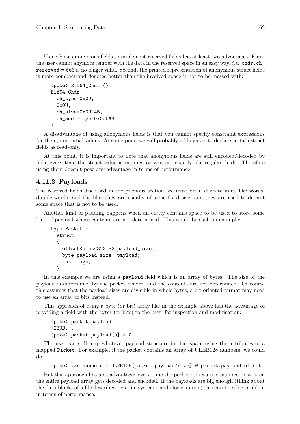Using Poke anonymous fields to implement reserved fields has at least two advantages. First, the user cannot anymore temper with the data in the reserved space in an easy way, *i.e.* chdr.ch\_ reserved = 666 is no longer valid. Second, the printed representation of anonymous struct fields is more compact and denotes better than the involved space is not to be messed with:

```
(poke) Elf64_Chdr {}
Elf64_Chdr {
  ch_type=0x0U,
  0x0U,
  ch_size=0x0UL#B,
  ch_addralign=0x0UL#B
}
```
A disadvantage of using anonymous fields is that you cannot specify constraint expressions for them, nor initial values. At some point we will probably add syntax to declare certain struct fields as read-only.

At this point, it is important to note that anonymous fields are still encoded/decoded by poke every time the struct value is mapped or written, exactly like regular fields. Therefore using them doesn't pose any advantage in terms of performance.

### 4.11.3 Payloads

The reserved fields discussed in the previous section are most often discrete units like words, double-words, and the like, they are usually of some fixed size, and they are used to delimit some space that is not to be used.

Another kind of padding happens when an entity contains space to be used to store some kind of payload whose contents are not determined. This would be such an example:

```
type Packet =
 struct
  {
    offset<uint<32>,B> payload_size;
    byte[payload_size] payload;
    int flags;
  };
```
In this example we are using a payload field which is an array of bytes. The size of the payload is determined by the packet header, and the contents are not determined. Of course this assumes that the payload sizes are divisible in whole bytes; a bit-oriented format may need to use an array of bits instead.

This approach of using a byte (or bit) array like in the example above has the advantage of providing a field with the bytes (or bits) to the user, for inspection and modification:

```
(poke) packet.payload
[23UB, ...]
(poke) packet.payload[0] = 0
```
The user can still map whatever payload structure in that space using the attributes of a mapped Packet. For example, if the packet contains an array of ULEB128 numbers, we could do:

(poke) var numbers = ULEB128[packet.payload'size] @ packet.payload'offset

But this approach has a disadvantage: every time the packet structure is mapped or written the entire payload array gets decoded and encoded. If the payloads are big enough (think about the data blocks of a file described by a file system i-node for example) this can be a big problem in terms of performance.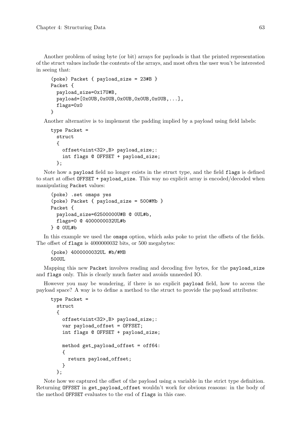Another problem of using byte (or bit) arrays for payloads is that the printed representation of the struct values include the contents of the arrays, and most often the user won't be interested in seeing that:

```
(poke) Packet { payload_size = 23#B }
Packet {
  payload_size=0x17U#B,
  payload=[0x0UB,0x0UB,0x0UB,0x0UB,0x0UB,...],
  flags=0x0
}
```
Another alternative is to implement the padding implied by a payload using field labels:

```
type Packet =
 struct
  {
    offset<uint<32>,B> payload_size;:
    int flags @ OFFSET + payload_size;
  };
```
Note how a payload field no longer exists in the struct type, and the field flags is defined to start at offset OFFSET + payload\_size. This way no explicit array is encoded/decoded when manipulating Packet values:

```
(poke) .set omaps yes
(poke) Packet { payload_size = 500#Mb }
Packet {
  payload_size=62500000U#B @ 0UL#b,
  flags=0 @ 4000000032UL#b
} @ 0UL#b
```
In this example we used the omaps option, which asks poke to print the offsets of the fields. The offset of flags is 4000000032 bits, or 500 megabytes:

```
(poke) 4000000032UL #b/#MB
500UL
```
Mapping this new Packet involves reading and decoding five bytes, for the payload\_size and flags only. This is clearly much faster and avoids unneeded IO.

However you may be wondering, if there is no explicit payload field, how to access the payload space? A way is to define a method to the struct to provide the payload attributes:

```
type Packet =
  struct
  {
    offset<uint<32>,B> payload_size;:
    var payload_offset = OFFSET;
    int flags @ OFFSET + payload_size;
    method get_payload_offset = off64:
    {
      return payload_offset;
    }
  };
```
Note how we captured the offset of the payload using a variable in the strict type definition. Returning OFFSET in get\_payload\_offset wouldn't work for obvious reasons: in the body of the method OFFSET evaluates to the end of flags in this case.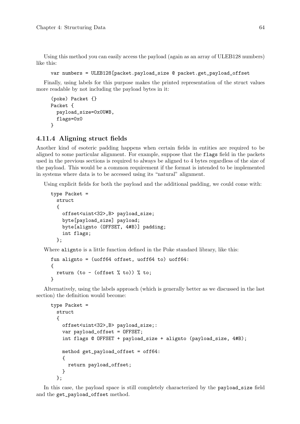Using this method you can easily access the payload (again as an array of ULEB128 numbers) like this:

```
var numbers = ULEB128[packet.payload_size @ packet.get_payload_offset
```
Finally, using labels for this purpose makes the printed representation of the struct values more readable by not including the payload bytes in it:

```
(poke) Packet {}
Packet {
  payload_size=0x0U#B,
  flags=0x0
}
```
### 4.11.4 Aligning struct fields

Another kind of esoteric padding happens when certain fields in entities are required to be aligned to some particular alignment. For example, suppose that the flags field in the packets used in the previous sections is required to always be aligned to 4 bytes regardless of the size of the payload. This would be a common requirement if the format is intended to be implemented in systems where data is to be accessed using its "natural" alignment.

Using explicit fields for both the payload and the additional padding, we could come with:

```
type Packet =
 struct
  {
    offset<uint<32>,B> payload_size;
    byte[payload_size] payload;
    byte[alignto (OFFSET, 4#B)] padding;
    int flags;
 };
```
Where alignto is a little function defined in the Poke standard library, like this:

```
fun alignto = (uoff64 offset, uoff64 to) uoff64:
{
 return (to - (offset % to)) % to;
}
```
Alternatively, using the labels approach (which is generally better as we discussed in the last section) the definition would become:

```
type Packet =
  struct
  {
    offset<uint<32>,B> payload_size;:
    var payload_offset = OFFSET;
    int flags @ OFFSET + payload_size + alignto (payload_size, 4#B);
    method get_payload_offset = off64:
    {
      return payload_offset;
    }
  };
```
In this case, the payload space is still completely characterized by the payload\_size field and the get\_payload\_offset method.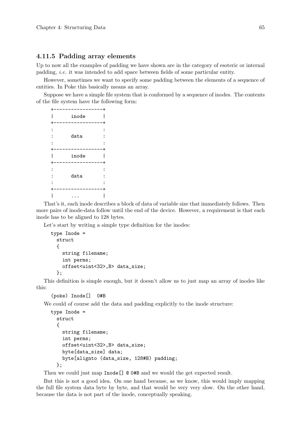### 4.11.5 Padding array elements

Up to now all the examples of padding we have shown are in the category of esoteric or internal padding, i.e. it was intended to add space between fields of some particular entity.

However, sometimes we want to specify some padding between the elements of a sequence of entities. In Poke this basically means an array.

Suppose we have a simple file system that is conformed by a sequence of inodes. The contents of the file system have the following form:

|                | inode |  |
|----------------|-------|--|
| $\ddot{\cdot}$ | data  |  |
|                | inode |  |
|                | data  |  |
|                |       |  |

That's it, each inode describes a block of data of variable size that immediately follows. Then more pairs of inode-data follow until the end of the device. However, a requirement is that each inode has to be aligned to 128 bytes.

Let's start by writing a simple type definition for the inodes:

```
type Inode =
 struct
  {
    string filename;
    int perms;
    offset<uint<32>,B> data_size;
  };
```
This definition is simple enough, but it doesn't allow us to just map an array of inodes like this:

```
(poke) Inode[] 0#B
```
We could of course add the data and padding explicitly to the inode structure:

```
type Inode =
 struct
 {
   string filename;
   int perms;
   offset<uint<32>,B> data_size;
   byte[data_size] data;
   byte[alignto (data_size, 128#B) padding;
 };
```
Then we could just map Inode []  $\circ$  0#B and we would the get expected result.

But this is not a good idea. On one hand because, as we know, this would imply mapping the full file system data byte by byte, and that would be very very slow. On the other hand, because the data is not part of the inode, conceptually speaking.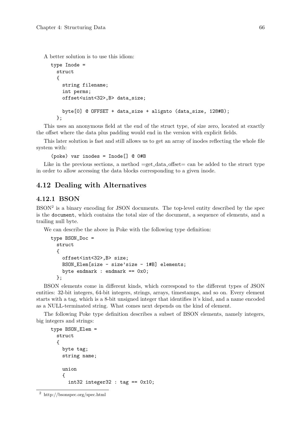A better solution is to use this idiom:

```
type Inode =
 struct
  {
    string filename;
    int perms;
    offset<uint<32>,B> data_size;
    byte[0] @ OFFSET + data_size + alignto (data_size, 128#B);
 };
```
This uses an anonymous field at the end of the struct type, of size zero, located at exactly the offset where the data plus padding would end in the version with explicit fields.

This later solution is fast and still allows us to get an array of inodes reflecting the whole file system with:

(poke) var inodes = Inode[] @ 0#B

Like in the previous sections, a method  $=$ get<sub>-data</sub> offset= can be added to the struct type in order to allow accessing the data blocks corresponding to a given inode.

### 4.12 Dealing with Alternatives

### 4.12.1 BSON

BSON<sup>2</sup> is a binary encoding for JSON documents. The top-level entity described by the spec is the document, which contains the total size of the document, a sequence of elements, and a trailing null byte.

We can describe the above in Poke with the following type definition:

```
type BSON_Doc =
 struct
  {
    offset<int<32>,B> size;
    BSON_Elem[size - size'size - 1#B] elements;
    byte endmark : endmark == 0x0;
  };
```
BSON elements come in different kinds, which correspond to the different types of JSON entities: 32-bit integers, 64-bit integers, strings, arrays, timestamps, and so on. Every element starts with a tag, which is a 8-bit unsigned integer that identifies it's kind, and a name encoded as a NULL-terminated string. What comes next depends on the kind of element.

The following Poke type definition describes a subset of BSON elements, namely integers, big integers and strings:

```
type BSON Elem =
 struct
  {
    byte tag;
    string name;
    union
    {
      int32 integer 32 : tag = 0x10;
```
 $^2\,$ http://bsonspec.org/spec.html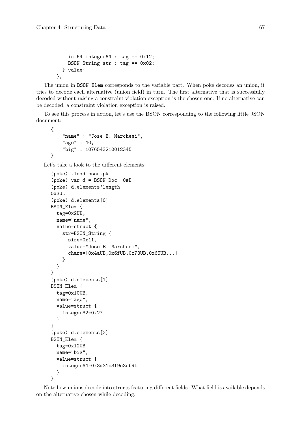};

```
int64 integer64 : tag == 0x12;
 BSON_String str : tag == 0x02;
} value;
```
The union in BSON\_Elem corresponds to the variable part. When poke decodes an union, it tries to decode each alternative (union field) in turn. The first alternative that is successfully decoded without raising a constraint violation exception is the chosen one. If no alternative can be decoded, a constraint violation exception is raised.

To see this process in action, let's use the BSON corresponding to the following little JSON document:

```
{
       "name" : "Jose E. Marchesi",
       "age" : 40,
       "big" : 1076543210012345
  }
Let's take a look to the different elements:
  (poke) .load bson.pk
  (poke) var d = BSON_Doc 0#B
  (poke) d.elements'length
  0x3UL
  (poke) d.elements[0]
  BSON_Elem {
    tag=0x2UB,
    name="name",
    value=struct {
      str=BSON_String {
         size=0x11,
        value="Jose E. Marchesi",
         chars=[0x4aUB,0x6fUB,0x73UB,0x65UB...]
      }
    }
  }
  (poke) d.elements[1]
  BSON_Elem {
    tag=0x10UB,
    name="age",
    value=struct {
       integer32=0x27
    }
  }
  (poke) d.elements[2]
  BSON_Elem {
    tag=0x12UB,
    name="big",
    value=struct {
       integer64=0x3d31c3f9e3eb9L
    }
  }
```
Note how unions decode into structs featuring different fields. What field is available depends on the alternative chosen while decoding.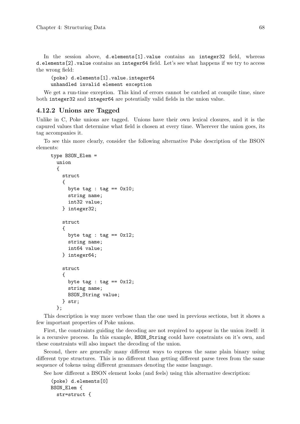In the session above, d.elements[1].value contains an integer32 field, whereas d.elements[2].value contains an integer64 field. Let's see what happens if we try to access the wrong field:

(poke) d.elements[1].value.integer64 unhandled invalid element exception

We get a run-time exception. This kind of errors cannot be catched at compile time, since both integer32 and integer64 are potentially valid fields in the union value.

### 4.12.2 Unions are Tagged

Unlike in C, Poke unions are tagged. Unions have their own lexical closures, and it is the capured values that determine what field is chosen at every time. Wherever the union goes, its tag accompanies it.

To see this more clearly, consider the following alternative Poke description of the BSON elements:

```
type BSON_Elem =
  union
  {
    struct
    {
      byte tag : tag == 0x10;
      string name;
      int32 value;
    } integer32;
    struct
    {
      byte tag : tag == 0x12;
      string name;
      int64 value;
    } integer64;
    struct
    {
      byte tag : tag == 0x12;
      string name;
      BSON_String value;
    } str;
  };
```
This description is way more verbose than the one used in previous sections, but it shows a few important properties of Poke unions.

First, the constraints guiding the decoding are not required to appear in the union itself: it is a recursive process. In this example, BSON\_String could have constraints on it's own, and these constraints will also impact the decoding of the union.

Second, there are generally many different ways to express the same plain binary using different type structures. This is no different than getting different parse trees from the same sequence of tokens using different grammars denoting the same language.

See how different a BSON element looks (and feels) using this alternative description:

```
(poke) d.elements[0]
BSON_Elem {
  str=struct {
```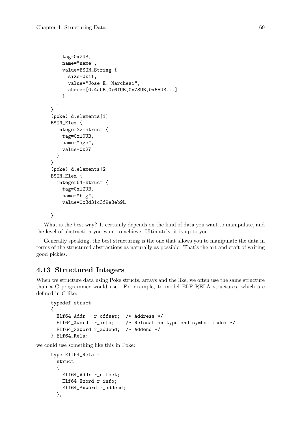```
tag=0x2UB,
    name="name",
    value=BSON_String {
      size=0x11,
      value="Jose E. Marchesi",
      chars=[0x4aUB,0x6fUB,0x73UB,0x65UB...]
    }
  }
}
(poke) d.elements[1]
BSON_Elem {
  integer32=struct {
    tag=0x10UB,
    name="age",
    value=0x27
  }
}
(poke) d.elements[2]
BSON Elem {
  integer64=struct {
    tag=0x12UB,
    name="big",
    value=0x3d31c3f9e3eb9L
  }
}
```
What is the best way? It certainly depends on the kind of data you want to manipulate, and the level of abstraction you want to achieve. Ultimately, it is up to you.

Generally speaking, the best structuring is the one that allows you to manipulate the data in terms of the structured abstractions as naturally as possible. That's the art and craft of writing good pickles.

# 4.13 Structured Integers

When we structure data using Poke structs, arrays and the like, we often use the same structure than a C programmer would use. For example, to model ELF RELA structures, which are defined in C like:

```
typedef struct
{
 Elf64_Addr r_offset; /* Address */
 Elf64_Xword r_info; /* Relocation type and symbol index */
 Elf64_Sxword r_addend; /* Addend */
} Elf64_Rela;
```
we could use something like this in Poke:

```
type Elf64_Rela =
 struct
  {
    Elf64_Addr r_offset;
    Elf64_Xword r_info;
   Elf64_Sxword r_addend;
 };
```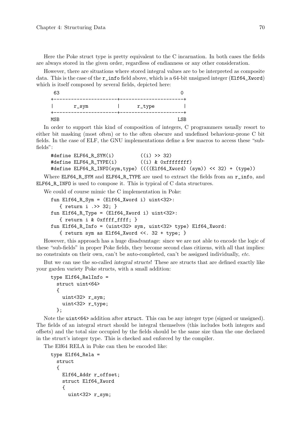Here the Poke struct type is pretty equivalent to the C incarnation. In both cases the fields are always stored in the given order, regardless of endianness or any other consideration.

However, there are situations where stored integral values are to be interpreted as composite data. This is the case of the  $r\_info$  field above, which is a 64-bit unsigned integer (Elf64\_Xword) which is itself composed by several fields, depicted here:

| 63  |          |        |     |
|-----|----------|--------|-----|
|     | $r$ _sym | r_type |     |
| MSB |          |        | LSB |

In order to support this kind of composition of integers, C programmers usually resort to either bit masking (most often) or to the often obscure and undefined behaviour-prone C bit fields. In the case of ELF, the GNU implementations define a few macros to access these "subfields":

```
#define ELF64_R_SYM(i) ((i) >> 32)
#define ELF64_R_TYPE(i) ((i) & 0xffffffff)
#define ELF64_R_INFO(sym,type) ((((Elf64_Xword) (sym)) << 32) + (type))
```
Where ELF64\_R\_SYM and ELF64\_R\_TYPE are used to extract the fields from an r\_info, and ELF64\_R\_INFO is used to compose it. This is typical of C data structures.

We could of course mimic the C implementation in Poke:

```
fun Elf64_R_Sym = (Elf64_Xword i) uint<32>:
   { return i .>> 32; }
fun Elf64_R_Type = (ELf64_Xword i) uint<32>:
   { return i & 0xffff_ffff; }
fun Elf64_R_Info = (uint<32> sym, uint<32> type) Elf64_Xword:
   { return sym as Elf64_Xword <<. 32 + type; }
```
However, this approach has a huge disadvantage: since we are not able to encode the logic of these "sub-fields" in proper Poke fields, they become second class citizens, with all that implies: no constraints on their own, can't be auto-completed, can't be assigned individually, etc.

But we can use the so-called integral structs! These are structs that are defined exactly like your garden variety Poke structs, with a small addition:

```
type Elf64_RelInfo =
 struct uint<64>
  {
    uint<32> r_sym;
    uint<32> r_type;
 };
```
Note the uint<64> addition after struct. This can be any integer type (signed or unsigned). The fields of an integral struct should be integral themselves (this includes both integers and offsets) and the total size occupied by the fields should be the same size than the one declared in the struct's integer type. This is checked and enforced by the compiler.

The Elf64 RELA in Poke can then be encoded like:

```
type Elf64_Rela =
 struct
  {
    Elf64_Addr r_offset;
    struct Elf64_Xword
    {
      uint<32> r_sym;
```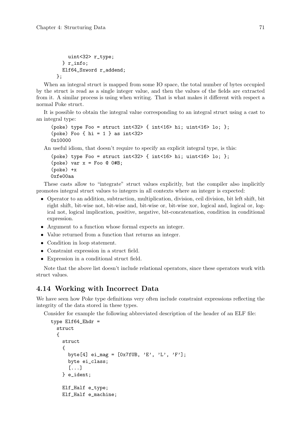```
uint<32> r_type;
  } r_info;
 Elf64_Sxword r_addend;
};
```
When an integral struct is mapped from some IO space, the total number of bytes occupied by the struct is read as a single integer value, and then the values of the fields are extracted from it. A similar process is using when writing. That is what makes it different with respect a normal Poke struct.

It is possible to obtain the integral value corresponding to an integral struct using a cast to an integral type:

```
(poke) type Foo = struct int<32> { int<16> hi; uint<16> lo; };
(poke) Foo \{ hi = 1 \} as int < 320x10000
```
An useful idiom, that doesn't require to specify an explicit integral type, is this:

```
(poke) type Foo = struct int<32> { int<16> hi; uint<16> lo; };
(poke) var x = Foo @ 0#B;
(poke) +x
0xfe00aa
```
These casts allow to "integrate" struct values explicitly, but the compiler also implicitly promotes integral struct values to integers in all contexts where an integer is expected:

- Operator to an addition, subtraction, multiplication, division, ceil division, bit left shift, bit right shift, bit-wise not, bit-wise and, bit-wise or, bit-wise xor, logical and, logical or, logical not, logical implication, positive, negative, bit-concatenation, condition in conditional expression.
- Argument to a function whose formal expects an integer.
- Value returned from a function that returns an integer.
- Condition in loop statement.
- Constraint expression in a struct field.
- Expression in a conditional struct field.

Note that the above list doesn't include relational operators, since these operators work with struct values.

## 4.14 Working with Incorrect Data

We have seen how Poke type definitions very often include constraint expressions reflecting the integrity of the data stored in these types.

Consider for example the following abbreviated description of the header of an ELF file:

```
type Elf64_Ehdr =
 struct
  {
    struct
    {
      byte[4] ei_mag = [0x7fUB, 'E', 'L', 'F'];
      byte ei_class;
      [...]
    } e_ident;
    Elf_Half e_type;
    Elf_Half e_machine;
```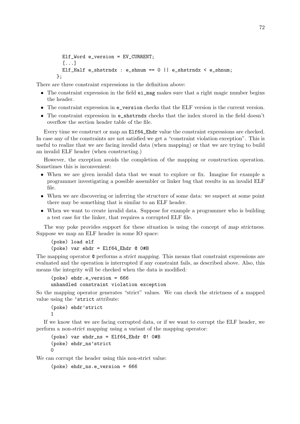```
Elf_Word e_version = EV_CURRENT;
  [...]
  Elf_Half e_shstrndx : e_shnum == 0 || e_shstrndx < e_shnum;
};
```
There are three constraint expressions in the definition above:

- The constraint expression in the field ei\_mag makes sure that a right magic number begins the header.
- The constraint expression in e\_version checks that the ELF version is the current version.
- The constraint expression in e\_shstrndx checks that the index stored in the field doesn't overflow the section header table of the file.

Every time we construct or map an Elf64\_Ehdr value the constraint expressions are checked. In case any of the constraints are not satisfied we get a "constraint violation exception". This is useful to realize that we are facing invalid data (when mapping) or that we are trying to build an invalid ELF header (when constructing.)

However, the exception avoids the completion of the mapping or construction operation. Sometimes this is inconvenient:

- When we are given invalid data that we want to explore or fix. Imagine for example a programmer investigating a possible assembler or linker bug that results in an invalid ELF file.
- When we are discovering or inferring the structure of some data: we suspect at some point there may be something that is similar to an ELF header.
- When we want to create invalid data. Suppose for example a programmer who is building a test case for the linker, that requires a corrupted ELF file.

The way poke provides support for these situation is using the concept of map strictness. Suppose we map an ELF header in some IO space:

```
(poke) load elf
(poke) var ehdr = Elf64_Ehdr @ 0#B
```
The mapping operator @ performs a strict mapping. This means that constraint expressions are evaluated and the operation is interrupted if any constraint fails, as described above. Also, this means the integrity will be checked when the data is modified:

```
(poke) ehdr.e_version = 666
unhandled constraint violation exception
```
So the mapping operator generates "strict" values. We can check the strictness of a mapped value using the 'strict attribute:

```
(poke) ehdr'strict
1
```
If we know that we are facing corrupted data, or if we want to corrupt the ELF header, we perform a non-strict mapping using a variant of the mapping operator:

```
(poke) var ehdr_ns = Elf64_Ehdr @! 0#B
(poke) ehdr_ns'strict
0
```
We can corrupt the header using this non-strict value:

```
(poke) ehdr_ns.e_version = 666
```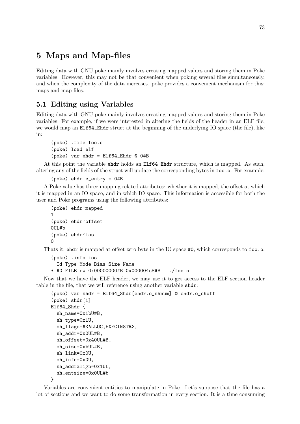# 5 Maps and Map-files

Editing data with GNU poke mainly involves creating mapped values and storing them in Poke variables. However, this may not be that convenient when poking several files simultaneously, and when the complexity of the data increases. poke provides a convenient mechanism for this: maps and map files.

# 5.1 Editing using Variables

Editing data with GNU poke mainly involves creating mapped values and storing them in Poke variables. For example, if we were interested in altering the fields of the header in an ELF file, we would map an Elf64\_Ehdr struct at the beginning of the underlying IO space (the file), like in:

```
(poke) .file foo.o
(poke) load elf
(poke) var ehdr = Elf64_Ehdr @ 0#B
```
At this point the variable ehdr holds an Elf64\_Ehdr structure, which is mapped. As such, altering any of the fields of the struct will update the corresponding bytes in foo.o. For example:

```
(poke) ehdr.e_entry = 0#B
```
A Poke value has three mapping related attributes: whether it is mapped, the offset at which it is mapped in an IO space, and in which IO space. This information is accessible for both the user and Poke programs using the following attributes:

```
(poke) ehdr'mapped
1
(poke) ehdr'offset
0UL#b
(poke) ehdr'ios
\Omega
```
Thats it, ehdr is mapped at offset zero byte in the IO space #0, which corresponds to foo.o:

```
(poke) .info ios
 Id Type Mode Bias Size Name
* #0 FILE rw 0x00000000#B 0x000004c8#B ./foo.o
```
Now that we have the ELF header, we may use it to get access to the ELF section header table in the file, that we will reference using another variable shdr:

```
(poke) var shdr = Elf64_Shdr[ehdr.e_shnum] @ ehdr.e_shoff
(poke) shdr[1]
Elf64_Shdr {
  sh_name=0x1bU#B,
  sh_type=0x1U,
  sh_flags=#<ALLOC,EXECINSTR>,
  sh_addr=0x0UL#B,
  sh_offset=0x40UL#B,
  sh_size=0xbUL#B,
  sh_link=0x0U,
  sh_info=0x0U,
  sh_addralign=0x1UL,
  sh_entsize=0x0UL#b
```

```
}
```
Variables are convenient entities to manipulate in Poke. Let's suppose that the file has a lot of sections and we want to do some transformation in every section. It is a time consuming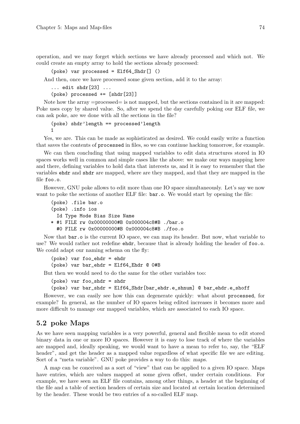operation, and we may forget which sections we have already processed and which not. We could create an empty array to hold the sections already processed:

```
(poke) var processed = Elf64_Shdr[] ()
```
And then, once we have processed some given section, add it to the array:

```
... edit shdr[23] ...
```
(poke) processed += [shdr[23]]

Note how the array =processed= is not mapped, but the sections contained in it are mapped: Poke uses copy by shared value. So, after we spend the day carefully poking our ELF file, we can ask poke, are we done with all the sections in the file?

```
(poke) shdr'length == processed'length
1
```
Yes, we are. This can be made as sophisticated as desired. We could easily write a function that saves the contents of processed in files, so we can continue hacking tomorrow, for example.

We can then concluding that using mapped variables to edit data structures stored in IO spaces works well in common and simple cases like the above: we make our ways mapping here and there, defining variables to hold data that interests us, and it is easy to remember that the variables ehdr and shdr are mapped, where are they mapped, and that they are mapped in the file foo.o.

However, GNU poke allows to edit more than one IO space simultaneously. Let's say we now want to poke the sections of another ELF file:  $bar.o.$  We would start by opening the file:

```
(poke) .file bar.o
(poke) .info ios
  Id Type Mode Bias Size Name
* #1 FILE rw 0x00000000#B 0x000004c8#B ./bar.o
 #0 FILE rw 0x00000000#B 0x000004c8#B ./foo.o
```
Now that bar.o is the current IO space, we can map its header. But now, what variable to use? We would rather not redefine ehdr, because that is already holding the header of foo.o. We could adapt our naming schema on the fly:

```
(poke) var foo_ehdr = ehdr
(poke) var bar_ehdr = Elf64_Ehdr @ 0#B
```
But then we would need to do the same for the other variables too:

```
(poke) var foo_shdr = shdr
```

```
(poke) var bar_shdr = Elf64_Shdr[bar_ehdr.e_shnum] @ bar_ehdr.e_shoff
```
However, we can easily see how this can degenerate quickly: what about processed, for example? In general, as the number of IO spaces being edited increases it becomes more and more difficult to manage our mapped variables, which are associated to each IO space.

## 5.2 poke Maps

As we have seen mapping variables is a very powerful, general and flexible mean to edit stored binary data in one or more IO spaces. However it is easy to lose track of where the variables are mapped and, ideally speaking, we would want to have a mean to refer to, say, the "ELF header", and get the header as a mapped value regardless of what specific file we are editing. Sort of a "meta variable". GNU poke provides a way to do this: maps.

A map can be conceived as a sort of "view" that can be applied to a given IO space. Maps have entries, which are values mapped at some given offset, under certain conditions. For example, we have seen an ELF file contains, among other things, a header at the beginning of the file and a table of section headers of certain size and located at certain location determined by the header. These would be two entries of a so-called ELF map.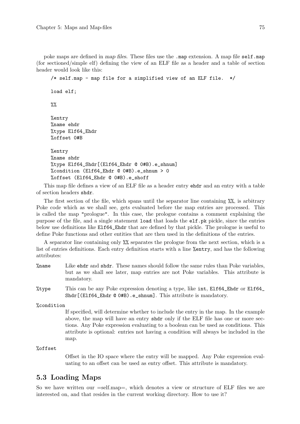poke maps are defined in map files. These files use the .map extension. A map file self.map (for sectioned/simple elf) defining the view of an ELF file as a header and a table of section header would look like this:

/\* self.map - map file for a simplified view of an ELF file. \*/ load elf;  $\frac{9}{2}$ %entry %name ehdr %type Elf64\_Ehdr %offset 0#B %entry %name shdr %type Elf64\_Shdr[(Elf64\_Ehdr @ 0#B).e\_shnum] % condition (Elf64 Ehdr @ 0#B).e\_shnum > 0 %offset (Elf64\_Ehdr @ 0#B).e\_shoff

This map file defines a view of an ELF file as a header entry ehdr and an entry with a table of section headers shdr.

The first section of the file, which spans until the separator line containing %%, is arbitrary Poke code which as we shall see, gets evaluated before the map entries are processed. This is called the map "prologue". In this case, the prologue contains a comment explaining the purpose of the file, and a single statement load that loads the elf.pk pickle, since the entries below use definitions like Elf64\_Ehdr that are defined by that pickle. The prologue is useful to define Poke functions and other entities that are then used in the definitions of the entries.

A separator line containing only %% separates the prologue from the next section, which is a list of entries definitions. Each entry definition starts with a line %entry, and has the following attributes:

- %name Like ehdr and shdr. These names should follow the same rules than Poke variables, but as we shall see later, map entries are not Poke variables. This attribute is mandatory.
- %type This can be any Poke expression denoting a type, like int, Elf64\_Ehdr or Elf64\_ Shdr[(Elf64\_Ehdr @ 0#B).e\_shnum]. This attribute is mandatory.

%condition

If specified, will determine whether to include the entry in the map. In the example above, the map will have an entry shdr only if the ELF file has one or more sections. Any Poke expression evaluating to a boolean can be used as conditions. This attribute is optional: entries not having a condition will always be included in the map.

### %offset

Offset in the IO space where the entry will be mapped. Any Poke expression evaluating to an offset can be used as entry offset. This attribute is mandatory.

### 5.3 Loading Maps

So we have written our =self.map=, which denotes a view or structure of ELF files we are interested on, and that resides in the current working directory. How to use it?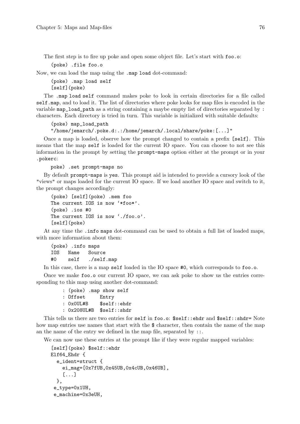The first step is to fire up poke and open some object file. Let's start with foo.o:

(poke) .file foo.o

Now, we can load the map using the .map load dot-command:

(poke) .map load self [self](poke)

The .map load self command makes poke to look in certain directories for a file called self.map, and to load it. The list of directories where poke looks for map files is encoded in the variable map\_load\_path as a string containing a maybe empty list of directories separated by : characters. Each directory is tried in turn. This variable is initialized with suitable defaults:

```
(poke) map_load_path
"/home/jemarch/.poke.d:.:/home/jemarch/.local/share/poke:[...]"
```
Once a map is loaded, observe how the prompt changed to contain a prefix [self]. This means that the map self is loaded for the current IO space. You can choose to not see this information in the prompt by setting the prompt-maps option either at the prompt or in your .pokerc:

poke) .set prompt-maps no

By default prompt-maps is yes. This prompt aid is intended to provide a cursory look of the "views" or maps loaded for the current IO space. If we load another IO space and switch to it, the prompt changes accordingly:

```
(poke) [self](poke) .mem foo
The current IOS is now '*foo*'.
(poke) .ios #0
The current IOS is now './foo.o'.
[self](poke)
```
At any time the .info maps dot-command can be used to obtain a full list of loaded maps, with more information about them:

(poke) .info maps IOS Name Source #0 self ./self.map

In this case, there is a map self loaded in the IO space #0, which corresponds to foo.o.

Once we make foo.o our current IO space, we can ask poke to show us the entries corresponding to this map using another dot-command:

> : (poke) .map show self : Offset Entry : 0x0UL#B \$self::ehdr : 0x208UL#B \$self::shdr

This tells us there are two entries for self in foo.o: \$self::ehdr and \$self::shdr= Note how map entries use names that start with the \$ character, then contain the name of the map an the name of the entry we defined in the map file, separated by  $\ldots$ 

We can now use these entries at the prompt like if they were regular mapped variables:

```
[self](poke) $self::ehdr
Elf64_Ehdr {
  e_ident=struct {
    ei_mag=[0x7fUB,0x45UB,0x4cUB,0x46UB],
    [...]
  },
 e_type=0x1UH,
 e_machine=0x3eUH,
```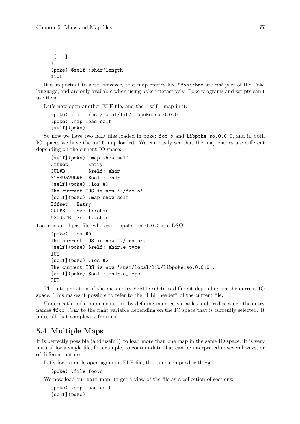[...] } (poke) \$self::shdr'length 11UL

It is important to note, however, that map entries like \$foo::bar are not part of the Poke language, and are only available when using poke interactively. Poke programs and scripts can't use them.

Let's now open another ELF file, and the =self= map in it:

```
(poke) .file /usr/local/lib/libpoke.so.0.0.0
(poke) .map load self
[self](poke)
```
So now we have two ELF files loaded in poke: foo.o and libpoke.so.0.0.0, and in both IO spaces we have the self map loaded. We can easily see that the map entries are different depending on the current IO space:

```
[self](poke) .map show self
Offset Entry
0UL#B $self::ehdr
3158952UL#B $self::shdr
[self](poke) .ios #0
The current IOS is now './foo.o'.
[self](poke) .map show self
Offset Entry
0UL#B $self::ehdr
520UL#B $self::shdr
```
foo.o is an object file, whereas libpoke.so.0.0.0 is a DSO:

```
(poke) .ios #0
The current IOS is now './foo.o'.
[self](poke) $self::ehdr.e_type
1UH
[self](poke) .ios #2
The current IOS is now '/usr/local/lib/libpoke.so.0.0.0'.
[self](poke) $self::ehdr.e_type
3UH
```
The interpretation of the map entry  $sself::ehdr$  is different depending on the current IO space. This makes it possible to refer to the "ELF header" of the current file.

Underneath, poke implements this by defining mapped variables and "redirecting" the entry names \$foo::bar to the right variable depending on the IO space that is currently selected. It hides all that complexity from us.

## 5.4 Multiple Maps

It is perfectly possible (and useful!) to load more than one map in the same IO space. It is very natural for a single file, for example, to contain data that can be interpreted in several ways, or of different nature.

Let's for example open again an ELF file, this time compiled with  $-g$ :

```
(poke) .file foo.o
```
We now load our self map, to get a view of the file as a collection of sections:

```
(poke) .map load self
[self](poke)
```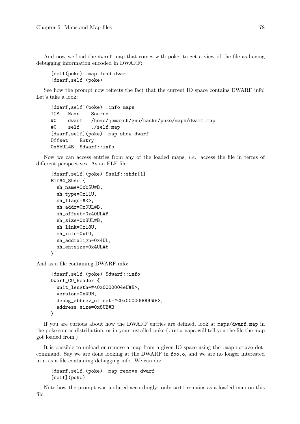And now we load the dwarf map that comes with poke, to get a view of the file as having debugging information encoded in DWARF:

[self(poke) .map load dwarf [dwarf,self](poke)

See how the prompt now reflects the fact that the current IO space contains DWARF info! Let's take a look:

```
[dwarf,self](poke) .info maps
IOS Name Source
#0 dwarf /home/jemarch/gnu/hacks/poke/maps/dwarf.map
#0 self ./self.map
[dwarf,self](poke) .map show dwarf
Offset Entry
0x5bUL#B $dwarf::info
```
Now we can access entries from any of the loaded maps, *i.e.* access the file in terms of different perspectives. As an ELF file:

```
[dwarf,self](poke) $self::shdr[1]
Elf64_Shdr {
  sh_name=0xb5U#B,
  sh_type=0x11U,
  sh_flags=#<>,
  sh_addr=0x0UL#B,
  sh_offset=0x40UL#B,
  sh_size=0x8UL#B,
  sh_link=0x18U,
  sh_info=0xfU,
  sh_addralign=0x4UL,
  sh_entsize=0x4UL#b
}
```
And as a file containing DWARF info:

```
[dwarf,self](poke) $dwarf::info
Dwarf_CU_Header {
  unit_length=#<0x0000004eU#B>,
  version=0x4UH,
  debug_abbrev_offset=#<0x00000000U#B>,
  address_size=0x8UB#B
}
```
If you are curious about how the DWARF entries are defined, look at maps/dwarf.map in the poke source distribution, or in your installed poke (.info maps will tell you the file the map got loaded from.)

It is possible to unload or remove a map from a given IO space using the .map remove dotcommand. Say we are done looking at the DWARF in foo.o, and we are no longer interested in it as a file containing debugging info. We can do:

[dwarf,self](poke) .map remove dwarf [self](poke)

Note how the prompt was updated accordingly: only self remains as a loaded map on this file.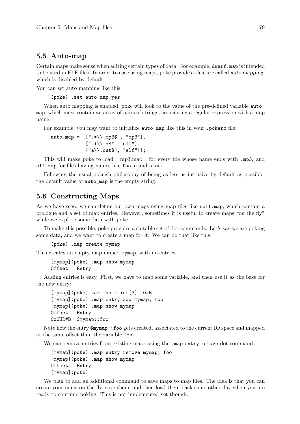### 5.5 Auto-map

Certain maps make sense when editing certain types of data. For example, dwarf.map is intended to be used in ELF files. In order to ease using maps, poke provides a feature called auto mapping, which is disabled by default.

You can set auto mapping like this:

(poke) .set auto-map yes

When auto mapping is enabled, poke will look to the value of the pre-defined variable **auto** map, which must contain an array of pairs of strings, associating a regular expression with a map name.

For example, you may want to initialize auto\_map like this in your .pokerc file:

auto map =  $[[".*\rangle, m$ p3\$", "mp3"], [".\*\\.o\$", "elf"], ["a\\.out\$", "elf"]];

This will make poke to load =mp3.map= for every file whose name ends with .mp3, and elf.map for files having names like foo.o and a.out.

Following the usual pokeish philosophy of being as less as intrusive by default as possible, the default value of auto\_map is the empty string.

### 5.6 Constructing Maps

As we have seen, we can define our own maps using map files like self.map, which contain a prologue and a set of map entries. However, sometimes it is useful to create maps "on the fly" while we explore some data with poke.

To make this possible, poke provides a suitable set of dot-commands. Let's say we are poking some data, and we want to create a map for it. We can do that like this:

(poke) .map create mymap

This creates an empty map named mymap, with no entries:

[mymap](poke) .map show mymap Offset Entry

Adding entries is easy. First, we have to map some variable, and then use it as the base for the new entry:

```
[mymap](poke) var foo = int[3] 0#B
[mymap](poke) .map entry add mymap, foo
[mymap](poke) .map show mymap
Offset Entry
0x0UL#B $mymap::foo
```
Note how the entry \$mymap::foo gets created, associated to the current IO space and mapped at the same offset than the variable foo.

We can remove entries from existing maps using the .map entry remove dot-command:

```
[mymap](poke) .map entry remove mymap, foo
[mymap](poke) .map show mymap
Offset Entry
[mymap](poke)
```
We plan to add an additional command to save maps to map files. The idea is that you can create your maps on the fly, save them, and then load them back some other day when you are ready to continue poking. This is not implemented yet though.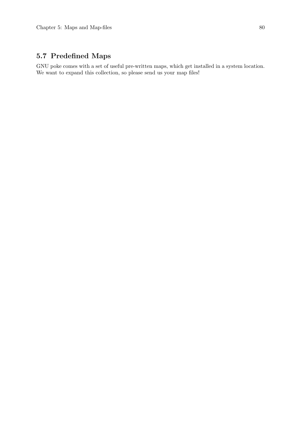# 5.7 Predefined Maps

GNU poke comes with a set of useful pre-written maps, which get installed in a system location. We want to expand this collection, so please send us your map files!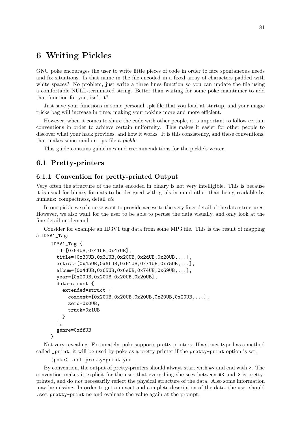# 6 Writing Pickles

GNU poke encourages the user to write little pieces of code in order to face spontaneous needs and fix situations. Is that name in the file encoded in a fixed array of characters padded with white spaces? No problem, just write a three lines function so you can update the file using a comfortable NULL-terminated string. Better than waiting for some poke maintainer to add that function for you, isn't it?

Just save your functions in some personal .pk file that you load at startup, and your magic tricks bag will increase in time, making your poking more and more efficient.

However, when it comes to share the code with other people, it is important to follow certain conventions in order to achieve certain uniformity. This makes it easier for other people to discover what your hack provides, and how it works. It is this consistency, and these conventions, that makes some random .pk file a pickle.

This guide contains guidelines and recommendations for the pickle's writer.

### 6.1 Pretty-printers

### 6.1.1 Convention for pretty-printed Output

Very often the structure of the data encoded in binary is not very intelligible. This is because it is usual for binary formats to be designed with goals in mind other than being readable by humans: compactness, detail etc.

In our pickle we of course want to provide access to the very finer detail of the data structures. However, we also want for the user to be able to peruse the data visually, and only look at the fine detail on demand.

Consider for example an ID3V1 tag data from some MP3 file. This is the result of mapping a ID3V1\_Tag:

```
ID3V1_Tag {
  id=[0x54UB,0x41UB,0x47UB],
  title=[0x30UB,0x31UB,0x20UB,0x2dUB,0x20UB,...],
  artist=[0x4aUB,0x6fUB,0x61UB,0x71UB,0x75UB,...],
  album=[0x4dUB,0x65UB,0x6eUB,0x74UB,0x69UB,...],
  year=[0x20UB,0x20UB,0x20UB,0x20UB],
  data=struct {
    extended=struct {
      comment=[0x20UB,0x20UB,0x20UB,0x20UB,0x20UB,...],
      zero=0x0UB,
      track=0x1UB
    }
  },
  genre=0xffUB
}
```
Not very revealing. Fortunately, poke supports pretty printers. If a struct type has a method called \_print, it will be used by poke as a pretty printer if the pretty-print option is set:

```
(poke) .set pretty-print yes
```
By convention, the output of pretty-printers should always start with #< and end with >. The convention makes it explicit for the user that everything she sees between #< and > is prettyprinted, and do not necessarily reflect the physical structure of the data. Also some information may be missing. In order to get an exact and complete description of the data, the user should .set pretty-print no and evaluate the value again at the prompt.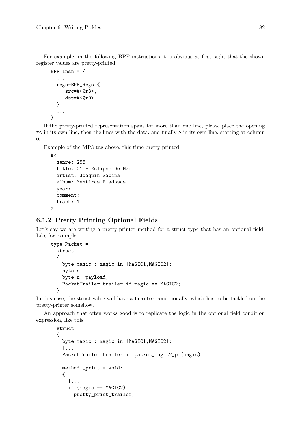For example, in the following BPF instructions it is obvious at first sight that the shown register values are pretty-printed:

```
BPF_{Insn} = {...
  regs=BPF_Regs {
       src=#<math>2r3</math>dst = # < \frac{9}{6}r0}
   ...
}
```
If the pretty-printed representation spans for more than one line, please place the opening #< in its own line, then the lines with the data, and finally > in its own line, starting at column 0.

Example of the MP3 tag above, this time pretty-printed:

```
#<
 genre: 255
 title: 01 - Eclipse De Mar
 artist: Joaquin Sabina
 album: Mentiras Piadosas
 year:
 comment:
 track: 1
```
 $\rightarrow$ 

### 6.1.2 Pretty Printing Optional Fields

Let's say we are writing a pretty-printer method for a struct type that has an optional field. Like for example:

```
type Packet =
  struct
  {
    byte magic : magic in [MAGIC1,MAGIC2];
    byte n;
    byte[n] payload;
    PacketTrailer trailer if magic == MAGIC2;
  }
```
In this case, the struct value will have a trailer conditionally, which has to be tackled on the pretty-printer somehow.

An approach that often works good is to replicate the logic in the optional field condition expression, like this:

```
struct
{
  byte magic : magic in [MAGIC1,MAGIC2];
  [...]
  PacketTrailer trailer if packet_magic2_p (magic);
  method _print = void:
  {
    [...]
    if (magic == MAGIC2)
      pretty_print_trailer;
```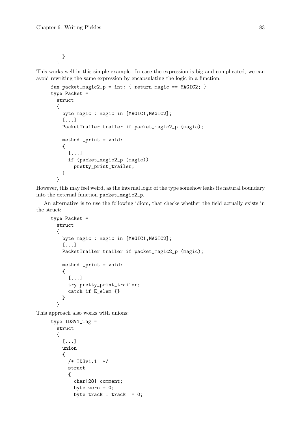} }

This works well in this simple example. In case the expression is big and complicated, we can avoid rewriting the same expression by encapsulating the logic in a function:

```
fun packet_magic2_p = int: { return magic == MAGIC2; }
type Packet =
  struct
  {
   byte magic : magic in [MAGIC1,MAGIC2];
    [.\,.]PacketTrailer trailer if packet_magic2_p (magic);
   method _print = void:
    {
      [...]
      if (packet_magic2_p (magic))
        pretty_print_trailer;
    }
 }
```
However, this may feel weird, as the internal logic of the type somehow leaks its natural boundary into the external function packet\_magic2\_p.

An alternative is to use the following idiom, that checks whether the field actually exists in the struct:

```
type Packet =
 struct
  {
    byte magic : magic in [MAGIC1,MAGIC2];
    [...]
    PacketTrailer trailer if packet_magic2_p (magic);
    method _print = void:
    {
      [...]
      try pretty_print_trailer;
      catch if E_elem {}
    }
  }
```
This approach also works with unions:

```
type ID3V1_Tag =struct
  \mathcal{L}[...]
    union
    {
      /* ID3v1.1 */
      struct
      {
        char[28] comment;
        byte zero = 0;
        byte track : track != 0;
```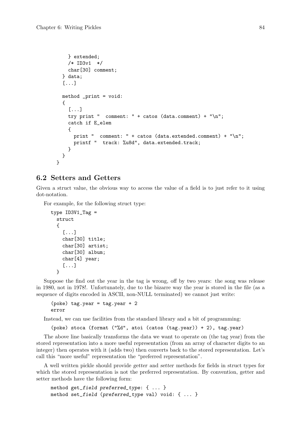```
} extended;
    /* ID3v1 */
    char[30] comment;
  } data;
  [...]
  method _print = void:
  {
    [...]
    try print " comment: " + catos (data.comment) + "\n\cdot";
    catch if E_elem
    {
      print " comment: " + catos (data.extended.comment) + "\n";
      printf " track: %u8d", data.extended.track;
    }
  }
}
```
### 6.2 Setters and Getters

Given a struct value, the obvious way to access the value of a field is to just refer to it using dot-notation.

For example, for the following struct type:

```
type ID3V1_Tag =struct
  {
    [...]
    char[30] title;
    char[30] artist;
    char[30] album;
    char[4] year;
    [...]
 }
```
Suppose the find out the year in the tag is wrong, off by two years: the song was release in 1980, not in 1978!. Unfortunately, due to the bizarre way the year is stored in the file (as a sequence of digits encoded in ASCII, non-NULL terminated) we cannot just write:

```
(poke) tag.year = tag.year + 2error
```
Instead, we can use facilities from the standard library and a bit of programming:

```
(poke) stoca (format ("%d", atoi (catos (tag.year)) + 2), tag.year)
```
The above line basically transforms the data we want to operate on (the tag year) from the stored representation into a more useful representation (from an array of character digits to an integer) then operates with it (adds two) then converts back to the stored representation. Let's call this "more useful" representation the "preferred representation".

A well written pickle should provide getter and setter methods for fields in struct types for which the stored representation is not the preferred representation. By convention, getter and setter methods have the following form:

```
method get_field preferred_type: { ... }
method set_field (preferred_type val) void: { ... }
```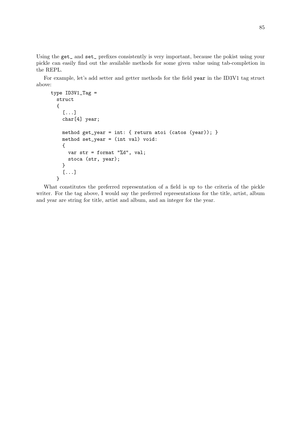Using the get<sub>-</sub> and set<sub>-</sub> prefixes consistently is very important, because the pokist using your pickle can easily find out the available methods for some given value using tab-completion in the REPL.

For example, let's add setter and getter methods for the field year in the ID3V1 tag struct above:

```
type ID3V1_Tag =struct
  {
    [...]
    char[4] year;
   method get_year = int: { return atoi (catos (year)); }
   method set_year = (int val) void:
    {
      var str = format "%d", val;
     stoca (str, year);
    }
    [...]
 }
```
What constitutes the preferred representation of a field is up to the criteria of the pickle writer. For the tag above, I would say the preferred representations for the title, artist, album and year are string for title, artist and album, and an integer for the year.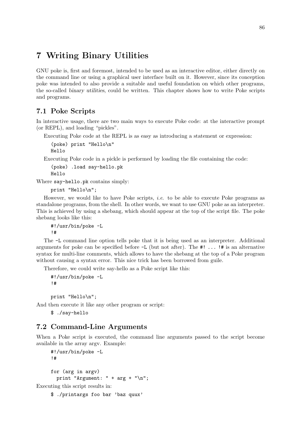# 7 Writing Binary Utilities

GNU poke is, first and foremost, intended to be used as an interactive editor, either directly on the command line or using a graphical user interface built on it. However, since its conception poke was intended to also provide a suitable and useful foundation on which other programs, the so-called binary utilities, could be written. This chapter shows how to write Poke scripts and programs.

# 7.1 Poke Scripts

In interactive usage, there are two main ways to execute Poke code: at the interactive prompt (or REPL), and loading "pickles".

Executing Poke code at the REPL is as easy as introducing a statement or expression:

```
(poke) print "Hello\n"
Hello
```
Executing Poke code in a pickle is performed by loading the file containing the code:

(poke) .load say-hello.pk Hello

Where say-hello.pk contains simply:

```
print "Hello\n";
```
However, we would like to have Poke scripts, *i.e.* to be able to execute Poke programs as standalone programs, from the shell. In other words, we want to use GNU poke as an interpreter. This is achieved by using a shebang, which should appear at the top of the script file. The poke shebang looks like this:

#!/usr/bin/poke -L !#

The -L command line option tells poke that it is being used as an interpreter. Additional arguments for poke can be specified before  $-L$  (but not after). The  $\#!$  ...  $\#$  is an alternative syntax for multi-line comments, which allows to have the shebang at the top of a Poke program without causing a syntax error. This nice trick has been borrowed from guile.

Therefore, we could write say-hello as a Poke script like this:

```
#!/usr/bin/poke -L
!#
```
print "Hello\n";

And then execute it like any other program or script:

\$ ./say-hello

### 7.2 Command-Line Arguments

When a Poke script is executed, the command line arguments passed to the script become available in the array argv. Example:

```
#!/usr/bin/poke -L
!#
for (arg in argv)
 print "Argument: " + \arg + "\ln";
```
Executing this script results in:

\$ ./printargs foo bar 'baz quux'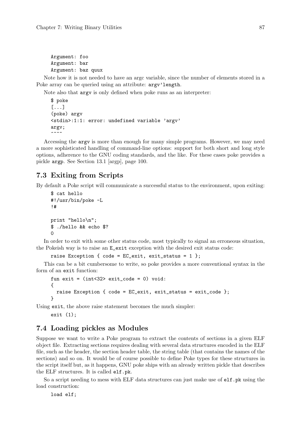Argument: foo Argument: bar Argument: baz quux

Note how it is not needed to have an argc variable, since the number of elements stored in a Poke array can be queried using an attribute: argv'length.

Note also that argv is only defined when poke runs as an interpreter:

```
$ poke
[...]
(poke) argv
<stdin>:1:1: error: undefined variable 'argv'
argv;
\sim \sim \sim
```
Accessing the argv is more than enough for many simple programs. However, we may need a more sophisticated handling of command-line options: support for both short and long style options, adherence to the GNU coding standards, and the like. For these cases poke provides a pickle argp. See [Section 13.1 \[argp\], page 100](#page-115-0).

# 7.3 Exiting from Scripts

By default a Poke script will communicate a successful status to the environment, upon exiting:

```
$ cat hello
#!/usr/bin/poke -L
!#
print "hello\n";
$ ./hello && echo $?
\Omega
```
In order to exit with some other status code, most typically to signal an erroneous situation, the Pokeish way is to raise an E\_exit exception with the desired exit status code:

```
raise Exception { code = EC\_exit, exit\_status = 1 };
```
This can be a bit cumbersome to write, so poke provides a more conventional syntax in the form of an exit function:

```
fun exit = (int<32> exit_code = 0) void:
{
  raise Exception { code = EC_exit, exit_status = exit_code };
}
```
Using exit, the above raise statement becomes the much simpler:

exit (1);

# 7.4 Loading pickles as Modules

Suppose we want to write a Poke program to extract the contents of sections in a given ELF object file. Extracting sections requires dealing with several data structures encoded in the ELF file, such as the header, the section header table, the string table (that contains the names of the sections) and so on. It would be of course possible to define Poke types for these structures in the script itself but, as it happens, GNU poke ships with an already written pickle that describes the ELF structures. It is called elf.pk.

So a script needing to mess with ELF data structures can just make use of elf.pk using the load construction:

load elf;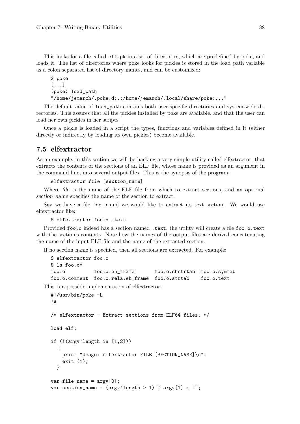This looks for a file called elf.pk in a set of directories, which are predefined by poke, and loads it. The list of directories where poke looks for pickles is stored in the load-path variable as a colon separated list of directory names, and can be customized:

```
$ poke
[...]
(poke) load_path
"/home/jemarch/.poke.d:.:/home/jemarch/.local/share/poke:..."
```
The default value of load\_path contains both user-specific directories and system-wide directories. This assures that all the pickles installed by poke are available, and that the user can load her own pickles in her scripts.

Once a pickle is loaded in a script the types, functions and variables defined in it (either directly or indirectly by loading its own pickles) become available.

## 7.5 elfextractor

As an example, in this section we will be hacking a very simple utility called elfextractor, that extracts the contents of the sections of an ELF file, whose name is provided as an argument in the command line, into several output files. This is the synopsis of the program:

```
elfextractor file [section_name]
```
Where file is the name of the ELF file from which to extract sections, and an optional section name specifies the name of the section to extract.

Say we have a file foo.o and we would like to extract its text section. We would use elfextractor like:

```
$ elfextractor foo.o .text
```
Provided foo.o indeed has a section named .text, the utility will create a file foo.o.text with the section's contents. Note how the names of the output files are derived concatenating the name of the input ELF file and the name of the extracted section.

If no section name is specified, then all sections are extracted. For example:

```
$ elfextractor foo.o
$ 1s foo.o*
foo.o foo.o.eh_frame foo.o.shstrtab foo.o.symtab
foo.o.comment foo.o.rela.eh_frame foo.o.strtab foo.o.text
```
This is a possible implementation of elfextractor:

```
#!/usr/bin/poke -L
!#
/* elfextractor - Extract sections from ELF64 files. */
load elf;
if (!(argv'length in [1,2]))
  {
    print "Usage: elfextractor FILE [SECTION_NAME]\n";
    exit (1);
  }
var file_name = \arg(v[0]);
var section_name = (\text{arg} v' \text{length} > 1) ? \text{arg} v[1] : "";
```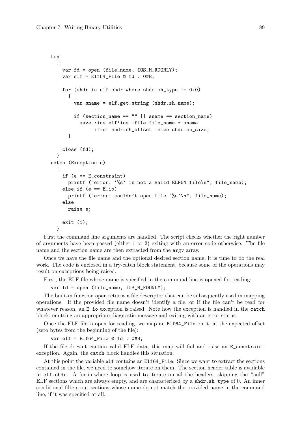```
try
  {
    var fd = open (file_name, IOS_M_RDONLY);
    var elf = Elf64_File @ fd : 0#B;
    for (shdr in elf.shdr where shdr.sh_type != 0x0)
      {
        var sname = elf.get string (shdr.sh_name);
        if (section_name == "" || sname == section_name)
          save :ios elf'ios :file file_name + sname
               :from shdr.sh_offset :size shdr.sh_size;
      }
    close (fd);
  }
catch (Exception e)
  {
    if (e == E_constraint)
      printf ("error: '%s' is not a valid ELF64 file\n", file_name);
    else if (e == E_i)printf ("error: couldn't open file '%s'\n", file_name);
    else
      raise e;
    exit (1);
  }
```
First the command line arguments are handled. The script checks whether the right number of arguments have been passed (either 1 or 2) exiting with an error code otherwise. The file name and the section name are then extracted from the argv array.

Once we have the file name and the optional desired section name, it is time to do the real work. The code is enclosed in a try-catch block statement, because some of the operations may result on exceptions being raised.

First, the ELF file whose name is specified in the command line is opened for reading:

var fd = open (file\_name, IOS\_M\_RDONLY);

The built-in function open returns a file descriptor that can be subsequently used in mapping operations. If the provided file name doesn't identify a file, or if the file can't be read for whatever reason, an  $E_i$  io exception is raised. Note how the exception is handled in the catch block, emitting an appropriate diagnostic message and exiting with an error status.

Once the ELF file is open for reading, we map an Elf64\_File on it, at the expected offset (zero bytes from the beginning of the file):

```
var elf = Elf64_File @ fd : 0#B;
```
If the file doesn't contain valid ELF data, this map will fail and raise an E\_constraint exception. Again, the catch block handles this situation.

At this point the variable elf contains an Elf64\_File. Since we want to extract the sections contained in the file, we need to somehow iterate on them. The section header table is available in elf.shdr. A for-in-where loop is used to iterate on all the headers, skipping the "null" ELF sections which are always empty, and are characterized by a shdr.sh\_type of 0. An inner conditional filters out sections whose name do not match the provided name in the command line, if it was specified at all.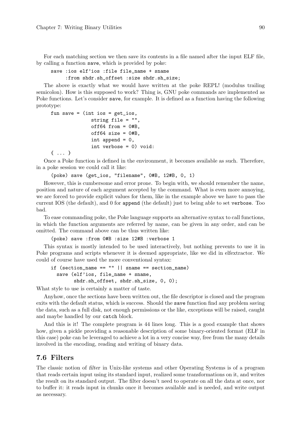For each matching section we then save its contents in a file named after the input ELF file, by calling a function save, which is provided by poke:

```
save :ios elf'ios :file file_name + sname
     :from shdr.sh_offset :size shdr.sh_size;
```
The above is exactly what we would have written at the poke REPL! (modulus trailing semicolon). How is this supposed to work? Thing is, GNU poke commands are implemented as Poke functions. Let's consider save, for example. It is defined as a function having the following prototype:

```
fun save = (int is = get\_ios,string file = "",
              off64 from = 0#B,
              off64 size = 0#B,
              int append = 0,
              int verbose = 0) void:
{ ... }
```
Once a Poke function is defined in the environment, it becomes available as such. Therefore, in a poke session we could call it like:

(poke) save (get\_ios, "filename", 0#B, 12#B, 0, 1)

However, this is cumbersome and error prone. To begin with, we should remember the name, position and nature of each argument accepted by the command. What is even more annoying, we are forced to provide explicit values for them, like in the example above we have to pass the current IOS (the default), and 0 for append (the default) just to being able to set verbose. Too bad.

To ease commanding poke, the Poke language supports an alternative syntax to call functions, in which the function arguments are referred by name, can be given in any order, and can be omitted. The command above can be thus written like:

(poke) save :from 0#B :size 12#B :verbose 1

This syntax is mostly intended to be used interactively, but nothing prevents to use it in Poke programs and scripts whenever it is deemed appropriate, like we did in elfextractor. We could of course have used the more conventional syntax:

```
if (section_name == "" || sname == section_name)
  save (elf'ios, file_name + sname,
        shdr.sh_offset, shdr.sh_size, 0, 0);
```
What style to use is certainly a matter of taste.

Anyhow, once the sections have been written out, the file descriptor is closed and the program exits with the default status, which is success. Should the save function find any problem saving the data, such as a full disk, not enough permissions or the like, exceptions will be raised, caught and maybe handled by our catch block.

And this is it! The complete program is 44 lines long. This is a good example that shows how, given a pickle providing a reasonable description of some binary-oriented format (ELF in this case) poke can be leveraged to achieve a lot in a very concise way, free from the many details involved in the encoding, reading and writing of binary data.

### 7.6 Filters

The classic notion of filter in Unix-like systems and other Operating Systems is of a program that reads certain input using its standard input, realized some transformations on it, and writes the result on its standard output. The filter doesn't need to operate on all the data at once, nor to buffer it: it reads input in chunks once it becomes available and is needed, and write output as necessary.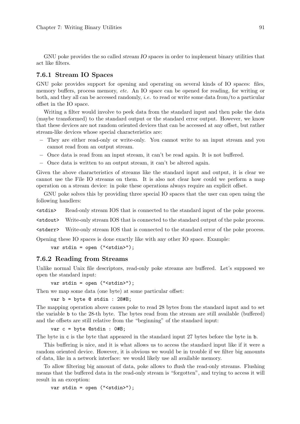GNU poke provides the so called *stream IO spaces* in order to implement binary utilities that act like filters.

### 7.6.1 Stream IO Spaces

GNU poke provides support for opening and operating on several kinds of IO spaces: files, memory buffers, process memory, etc. An IO space can be opened for reading, for writing or both, and they all can be accessed randomly, *i.e.* to read or write some data from/to a particular offset in the IO space.

Writing a filter would involve to peek data from the standard input and then poke the data (maybe transformed) to the standard output or the standard error output. However, we know that these devices are not random oriented devices that can be accessed at any offset, but rather stream-like devices whose special characteristics are:

- − They are either read-only or write-only. You cannot write to an input stream and you cannot read from an output stream.
- − Once data is read from an input stream, it can't be read again. It is not buffered.
- − Once data is written to an output stream, it can't be altered again.

Given the above characteristics of streams like the standard input and output, it is clear we cannot use the File IO streams on them. It is also not clear how could we perform a map operation on a stream device: in poke these operations always require an explicit offset.

GNU poke solves this by providing three special IO spaces that the user can open using the following handlers:

<stdin> Read-only stream IOS that is connected to the standard input of the poke process.

<stdout> Write-only stream IOS that is connected to the standard output of the poke process.

<stderr> Write-only stream IOS that is connected to the standard error of the poke process.

Opening these IO spaces is done exactly like with any other IO space. Example:

var stdin = open ("<stdin>");

### 7.6.2 Reading from Streams

Unlike normal Unix file descriptors, read-only poke streams are buffered. Let's supposed we open the standard input:

var stdin = open ("<stdin>");

Then we map some data (one byte) at some particular offset:

```
var b = byte @ stdin : 28#B;
```
The mapping operation above causes poke to read 28 bytes from the standard input and to set the variable b to the 28-th byte. The bytes read from the stream are still available (buffered) and the offsets are still relative from the "beginning" of the standard input:

var c = byte @stdin : 0#B;

The byte in c is the byte that appeared in the standard input 27 bytes before the byte in b.

This buffering is nice, and it is what allows us to access the standard input like if it were a random oriented device. However, it is obvious we would be in trouble if we filter big amounts of data, like in a network interface: we would likely use all available memory.

To allow filtering big amount of data, poke allows to flush the read-only streams. Flushing means that the buffered data in the read-only stream is "forgotten", and trying to access it will result in an exception:

var stdin = open ("<stdin>");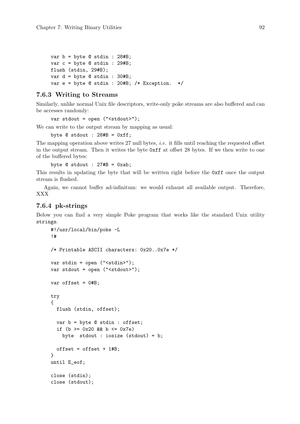```
var b = byte @ stdin : 28#B;
var c = byte @ stdin : 29#B;
flush (stdin, 29#B);
var d = byte @ stdin : 30#B;
var e = byte @ stdin : 20#B; /* Exception. */
```
### 7.6.3 Writing to Streams

Similarly, unlike normal Unix file descriptors, write-only poke streams are also buffered and can be accesses randomly:

var stdout = open ("<stdout>");

We can write to the output stream by mapping as usual:

byte  $@$  stdout : 28#B =  $0xff;$ 

The mapping operation above writes 27 null bytes, i.e. it fills until reaching the requested offset in the output stream. Then it writes the byte 0xff at offset 28 bytes. If we then write to one of the buffered bytes:

byte  $@$  stdout :  $27#B = 0xab;$ 

This results in updating the byte that will be written right before the 0xff once the output stream is flushed.

Again, we cannot buffer ad-infinitum: we would exhaust all available output. Therefore, XXX

### 7.6.4 pk-strings

Below you can find a very simple Poke program that works like the standard Unix utility strings.

```
#!/usr/local/bin/poke -L
!#
/* Printable ASCII characters: 0x20..0x7e */
var stdin = open ("<stdin>");
var stdout = open ("<stdout>");
var offset = 0#B;
try
{
  flush (stdin, offset);
  var b = byte @ stdin : offset;
  if (b >= 0x20 & b <= 0x7e)
    byte stdout : iosize (stdout) = b;
  offset = offset + 1#B;}
until E_eof;
close (stdin);
close (stdout);
```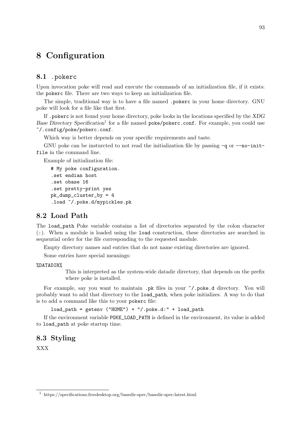# 8 Configuration

# 8.1 .pokerc

Upon invocation poke will read and execute the commands of an initialization file, if it exists: the pokerc file. There are two ways to keep an initialization file.

The simple, traditional way is to have a file named .pokerc in your home directory. GNU poke will look for a file like that first.

If .pokerc is not found your home directory, poke looks in the locations specified by the XDG Base Directory Specification<sup>1</sup> for a file named poke/pokerc.conf. For example, you could use ~/.config/poke/pokerc.conf.

Which way is better depends on your specific requirements and taste.

GNU poke can be insturcted to not read the initialization file by passing  $-q$  or  $---no$ -initfile in the command line.

Example of initialization file:

```
# My poke configuration.
.set endian host
.set obase 16
.set pretty-print yes
pk_dump_cluster_by = 4
.load ~/.poke.d/mypickles.pk
```
# 8.2 Load Path

The load\_path Poke variable contains a list of directories separated by the colon character (:). When a module is loaded using the load construction, these directories are searched in sequential order for the file corresponding to the requested module.

Empty directory names and entries that do not name existing directories are ignored.

Some entries have special meanings:

#### %DATADIR%

This is interpreted as the system-wide datadir directory, that depends on the prefix where poke is installed.

For example, say you want to maintain .pk files in your ~/.poke.d directory. You will probably want to add that directory to the load\_path, when poke initializes. A way to do that is to add a command like this to your pokerc file:

 $load\_path = getenv$  ("HOME") + "/.poke.d:" +  $load\_path$ 

If the environment variable POKE\_LOAD\_PATH is defined in the environment, its value is added to load\_path at poke startup time.

## 8.3 Styling

XXX

 $^{\rm 1}$ https://specifications.freedesktop.org/basedir-spec/basedir-spec-latest.html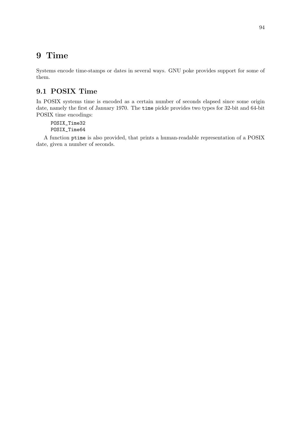# 9 Time

Systems encode time-stamps or dates in several ways. GNU poke provides support for some of them.

# 9.1 POSIX Time

In POSIX systems time is encoded as a certain number of seconds elapsed since some origin date, namely the first of January 1970. The time pickle provides two types for 32-bit and 64-bit POSIX time encodings:

POSIX\_Time32 POSIX\_Time64

A function ptime is also provided, that prints a human-readable representation of a POSIX date, given a number of seconds.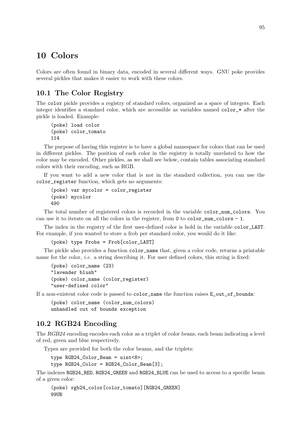# 10 Colors

Colors are often found in binary data, encoded in several different ways. GNU poke provides several pickles that makes it easier to work with these colors.

# <span id="page-110-0"></span>10.1 The Color Registry

The color pickle provides a registry of standard colors, organized as a space of integers. Each integer identifies a standard color, which are accessible as variables named color\_\* after the pickle is loaded. Example:

```
(poke) load color
(poke) color_tomato
114
```
The purpose of having this register is to have a global namespace for colors that can be used in different pickles. The position of each color in the registry is totally unrelated to how the color may be encoded. Other pickles, as we shall see below, contain tables associating standard colors with their encoding, such as RGB.

If you want to add a new color that is not in the standard collection, you can use the color\_register function, which gets no arguments:

```
(poke) var mycolor = color_register
(poke) mycolor
490
```
The total number of registered colors is recorded in the variable color\_num\_colors. You can use it to iterate on all the colors in the register, from 0 to color num colors  $- 1$ .

The index in the registry of the first user-defined color is hold in the variable color\_LAST. For example, if you wanted to store a frob per standard color, you would do it like:

```
(poke) type Frobs = Frob[color_LAST]
```
The pickle also provides a function color\_name that, given a color code, returns a printable name for the color, *i.e.* a string describing it. For user defined colors, this string is fixed:

```
(poke) color_name (23)
"lavender blush"
(poke) color_name (color_register)
"user-defined color"
```
If a non-existent color code is passed to color\_name the function raises E\_out\_of\_bounds:

(poke) color\_name (color\_num\_colors) unhandled out of bounds exception

# 10.2 RGB24 Encoding

The RGB24 encoding encodes each color as a triplet of color beans, each beam indicating a level of red, green and blue respectively.

Types are provided for both the color beams, and the triplets:

```
type RGB24_Color_Beam = uint<8>;
type RGB24_Color = RGB24_Color_Beam[3];
```
The indexes RGB24\_RED, RGB24\_GREEN and RGB24\_BLUE can be used to access to a specific beam of a given color:

```
(poke) rgb24_color[color_tomato][RGB24_GREEN]
99UB
```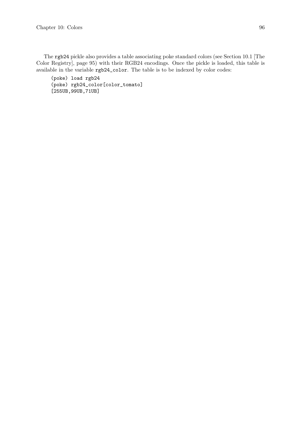The rgb24 pickle also provides a table associating poke standard colors (see [Section 10.1 \[The](#page-110-0) [Color Registry\], page 95](#page-110-0)) with their RGB24 encodings. Once the pickle is loaded, this table is available in the variable rgb24\_color. The table is to be indexed by color codes:

(poke) load rgb24 (poke) rgb24\_color[color\_tomato] [255UB,99UB,71UB]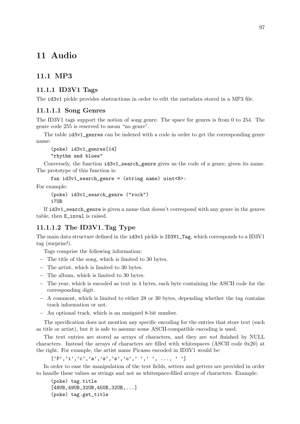# 11 Audio

# 11.1 MP3

# 11.1.1 ID3V1 Tags

The id3v1 pickle provides abstractions in order to edit the metadata stored in a MP3 file.

## 11.1.1.1 Song Genres

The ID3V1 tags support the notion of song genre. The space for genres is from 0 to 254. The genre code 255 is reserved to mean "no genre".

The table id3v1\_genres can be indexed with a code in order to get the corresponding genre name:

(poke) id3v1\_genres[14] "rhythm and blues"

Conversely, the function  $id3v1$  search genre gives us the code of a genre, given its name. The prototype of this function is:

fun id3v1\_search\_genre = (string name) uint<8>:

For example:

(poke) id3v1\_search\_genre ("rock") 17UB

If id3v1\_search\_genre is given a name that doesn't correspond with any genre in the genres table, then E\_inval is raised.

# $11.1.1.2$  The ID3V1 Tag Type

The main data structure defined in the id3v1 pickle is ID3V1\_Tag, which corresponds to a ID3V1 tag (surprise!).

Tags comprise the following information:

- − The title of the song, which is limited to 30 bytes.
- − The artist, which is limited to 30 bytes.
- − The album, which is limited to 30 bytes.
- − The year, which is encoded as text in 4 bytes, each byte containing the ASCII code for the corresponding digit.
- − A comment, which is limited to either 28 or 30 bytes, depending whether the tag contains track information or not.
- − An optional track, which is an unsigned 8-bit number.

The specification does not mention any specific encoding for the entries that store text (such as title or artist), but it is safe to assume some ASCII-compatible encoding is used.

The text entries are stored as arrays of characters, and they are not finished by NULL characters. Instead the arrays of characters are filled with whitespaces (ASCII code 0x20) at the right. For example, the artist name Picasso encoded in ID3V1 would be:

 $[ 'P', 'i', 'c', 'a', 's', 's', 'o', ' ' , ' ' , ... , ' ' ]$ 

In order to ease the manipulation of the text fields, setters and getters are provided in order to handle these values as strings and not as whitespace-filled arrays of characters. Example:

(poke) tag.title [48UB,49UB,32UB,45UB,32UB,...] (poke) tag.get\_title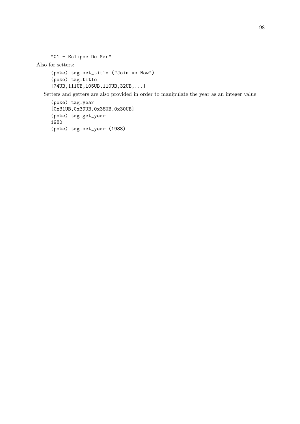```
"01 - Eclipse De Mar"
```
Also for setters:

```
(poke) tag.set_title ("Join us Now")
(poke) tag.title
[74UB,111UB,105UB,110UB,32UB,...]
```
Setters and getters are also provided in order to manipulate the year as an integer value:

```
(poke) tag.year
[0x31UB,0x39UB,0x38UB,0x30UB]
(poke) tag.get_year
1980
(poke) tag.set_year (1988)
```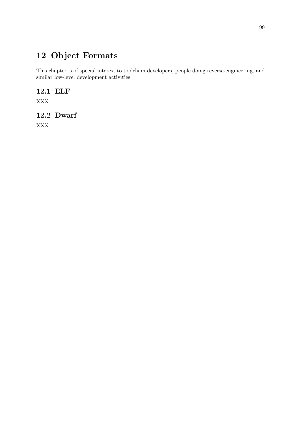# 12 Object Formats

This chapter is of special interest to toolchain developers, people doing reverse-engineering, and similar low-level development activities.

# 12.1 ELF

XXX

# 12.2 Dwarf

XXX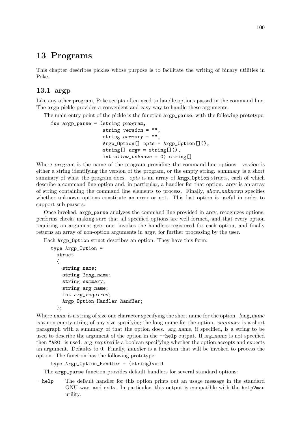# 13 Programs

This chapter describes pickles whose purpose is to facilitate the writing of binary utilities in Poke.

# 13.1 argp

Like any other program, Poke scripts often need to handle options passed in the command line. The argp pickle provides a convenient and easy way to handle these arguments.

The main entry point of the pickle is the function argp\_parse, with the following prototype:

```
fun argp_parse = (string program,
                  string version = "",
                  string summary = "",
                  Argp_Option[] opts = Argp_Option[](),
                  string[] argv = string[](),
                  int allow_unknown = 0) string[]
```
Where program is the name of the program providing the command-line options. version is either a string identifying the version of the program, or the empty string. summary is a short summary of what the program does. opts is an array of **Argp\_Option** structs, each of which describe a command line option and, in particular, a handler for that option. argv is an array of string containing the command line elements to process. Finally, allow unknown specifies whether unknown options constitute an error or not. This last option is useful in order to support sub-parsers.

Once invoked, argp\_parse analyzes the command line provided in argv, recognizes options, performs checks making sure that all specified options are well formed, and that every option requiring an argument gets one, invokes the handlers registered for each option, and finally returns an array of non-option arguments in argv, for further processing by the user.

Each Argp\_Option struct describes an option. They have this form:

```
type Argp_Option =
  struct
  {
    string name;
    string long_name;
    string summary;
    string arg_name;
    int arg_required;
    Argp_Option_Handler handler;
  };
```
Where name is a string of size one character specifying the short name for the option. long-name is a non-empty string of any size specifying the long name for the option. summary is a short paragraph with a summary of that the option does. arg name, if specified, is a string to be used to describe the argument of the option in the  $-\text{help}$  output. If arg name is not specified then "ARG" is used. arg required is a boolean specifying whether the option accepts and expects an argument. Defaults to 0. Finally, handler is a function that will be invoked to process the option. The function has the following prototype:

```
type Argp_Option_Handler = (string)void
```
The argp\_parse function provides default handlers for several standard options:

--help The default handler for this option prints out an usage message in the standard GNU way, and exits. In particular, this output is compatible with the help2man utility.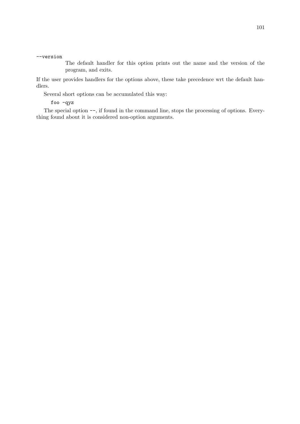#### --version

The default handler for this option prints out the name and the version of the program, and exits.

If the user provides handlers for the options above, these take precedence wrt the default handlers.

Several short options can be accumulated this way:

foo -qyz

The special option  $--$ , if found in the command line, stops the processing of options. Everything found about it is considered non-option arguments.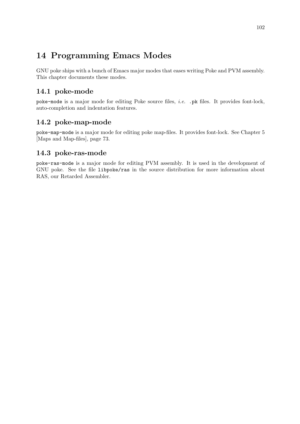# 14 Programming Emacs Modes

GNU poke ships with a bunch of Emacs major modes that eases writing Poke and PVM assembly. This chapter documents these modes.

# 14.1 poke-mode

poke-mode is a major mode for editing Poke source files, i.e. .pk files. It provides font-lock, auto-completion and indentation features.

# 14.2 poke-map-mode

poke-map-mode is a major mode for editing poke map-files. It provides font-lock. See [Chapter 5](#page-88-0) [\[Maps and Map-files\], page 73](#page-88-0).

# 14.3 poke-ras-mode

poke-ras-mode is a major mode for editing PVM assembly. It is used in the development of GNU poke. See the file libpoke/ras in the source distribution for more information about RAS, our Retarded Assembler.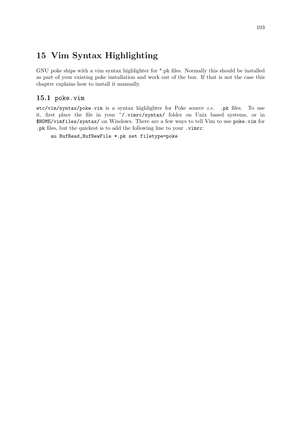# 15 Vim Syntax Highlighting

GNU poke ships with a vim syntax highlighter for \*.pk files. Normally this should be installed as part of your existing poke installation and work out of the box. If that is not the case this chapter explains how to install it manually.

# 15.1 poke.vim

etc/vim/syntax/poke.vim is a syntax highlighter for Poke source *i.e.* .pk files. To use it, first place the file in your ~/.vimrc/syntax/ folder on Unix based systems, or in \$HOME/vimfiles/syntax/ on Windows. There are a few ways to tell Vim to use poke.vim for .pk files, but the quickest is to add the following line to your .vimrc:

```
au BufRead,BufNewFile *.pk set filetype=poke
```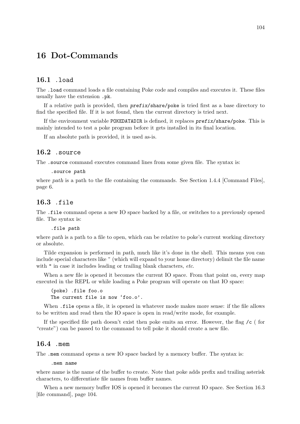# 16 Dot-Commands

#### 16.1 .load

The .load command loads a file containing Poke code and compiles and executes it. These files usually have the extension .pk.

If a relative path is provided, then prefix/share/poke is tried first as a base directory to find the specified file. If it is not found, then the current directory is tried next.

If the environment variable POKEDATADIR is defined, it replaces prefix/share/poke. This is mainly intended to test a poke program before it gets installed in its final location.

If an absolute path is provided, it is used as-is.

# 16.2 .source

The .source command executes command lines from some given file. The syntax is:

.source path

where path is a path to the file containing the commands. See [Section 1.4.4 \[Command Files\],](#page-21-0) [page 6.](#page-21-0)

## <span id="page-119-0"></span>16.3 .file

The .file command opens a new IO space backed by a file, or switches to a previously opened file. The syntax is:

.file path

where path is a path to a file to open, which can be relative to poke's current working directory or absolute.

Tilde expansion is performed in path, much like it's done in the shell. This means you can include special characters like ~ (which will expand to your home directory) delimit the file name with " in case it includes leading or trailing blank characters, etc.

When a new file is opened it becomes the current IO space. From that point on, every map executed in the REPL or while loading a Poke program will operate on that IO space:

(poke) .file foo.o The current file is now 'foo.o'.

When .file opens a file, it is opened in whatever mode makes more sense: if the file allows to be written and read then the IO space is open in read/write mode, for example.

If the specified file path doesn't exist then poke emits an error. However, the flag /c ( for "create") can be passed to the command to tell poke it should create a new file.

# 16.4 .mem

The .mem command opens a new IO space backed by a memory buffer. The syntax is:

.mem name

where name is the name of the buffer to create. Note that poke adds prefix and trailing asterisk characters, to differentiate file names from buffer names.

When a new memory buffer IOS is opened it becomes the current IO space. See [Section 16.3](#page-119-0) [\[file command\], page 104](#page-119-0).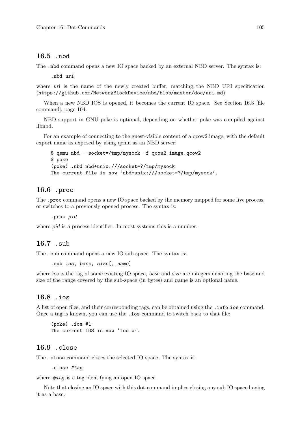#### 16.5 .nbd

The .nbd command opens a new IO space backed by an external NBD server. The syntax is:

.nbd uri

where uri is the name of the newly created buffer, matching the [NBD URI specification](https://github.com/NetworkBlockDevice/nbd/blob/master/doc/uri.md) (<https://github.com/NetworkBlockDevice/nbd/blob/master/doc/uri.md>).

When a new NBD IOS is opened, it becomes the current IO space. See Section 16.3 file [command\], page 104.](#page-119-0)

NBD support in GNU poke is optional, depending on whether poke was compiled against [libnbd](http://libguestfs.org/libnbd.3.html).

For an example of connecting to the guest-visible content of a qcow2 image, with the default export name as exposed by using qemu as an NBD server:

```
$ qemu-nbd --socket=/tmp/mysock -f qcow2 image.qcow2
$ poke
(poke) .nbd nbd+unix:///socket=?/tmp/mysock
The current file is now 'nbd+unix:///socket=?/tmp/mysock'.
```
# 16.6 .proc

The .proc command opens a new IO space backed by the memory mapped for some live process, or switches to a previously opened process. The syntax is:

.proc pid

where *pid* is a process identifier. In most systems this is a number.

#### 16.7 .sub

The .sub command opens a new IO sub-space. The syntax is:

```
.sub ios, base, size[, name]
```
where ios is the tag of some existing IO space, base and size are integers denoting the base and size of the range covered by the sub-space (in bytes) and name is an optional name.

# 16.8 .ios

A list of open files, and their corresponding tags, can be obtained using the .info ios command. Once a tag is known, you can use the .ios command to switch back to that file:

(poke) .ios #1 The current IOS is now 'foo.o'.

# 16.9 .close

The .close command closes the selected IO space. The syntax is:

.close #tag

where  $\#tag$  is a tag identifying an open IO space.

Note that closing an IO space with this dot-command implies closing any sub IO space having it as a base.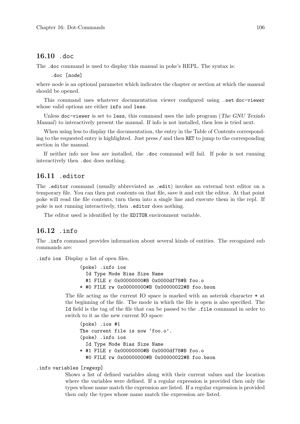#### 16.10 .doc

The .doc command is used to display this manual in poke's REPL. The syntax is:

.doc [node]

where node is an optional parameter which indicates the chapter or section at which the manual should be opened.

This command uses whatever documentation viewer configured using .set doc-viewer whose valid options are either info and less.

Unless doc-viewer is set to less, this command uses the info program (The GNU Texinfo Manual) to interactively present the manual. If info is not installed, then less is tried next.

When using less to display the documentation, the entry in the Table of Contents corresponding to the requested entry is highlighted. Just press / and then RET to jump to the corresponding section in the manual.

If neither info nor less are installed, the .doc command will fail. If poke is not running interactively then .doc does nothing.

# 16.11 .editor

The .editor command (usually abbreviated as .edit) invokes an external text editor on a temporary file. You can then put contents on that file, save it and exit the editor. At that point poke will read the file contents, turn them into a single line and execute them in the repl. If poke is not running interactively, then .editor does nothing.

The editor used is identified by the EDITOR environment variable.

# 16.12 .info

The .info command provides information about several kinds of entities. The recognized sub commands are:

.info ios Display a list of open files.

(poke) .info ios Id Type Mode Bias Size Name #1 FILE r 0x00000000#B 0x0000df78#B foo.o \* #0 FILE rw 0x00000000#B 0x00000022#B foo.bson

The file acting as the current IO space is marked with an asterisk character \* at the beginning of the file. The mode in which the file is open is also specified. The Id field is the tag of the file that can be passed to the .file command in order to switch to it as the new current IO space:

(poke) .ios #1 The current file is now 'foo.o'. (poke) .info ios Id Type Mode Bias Size Name \* #1 FILE r 0x00000000#B 0x0000df78#B foo.o #0 FILE rw 0x00000000#B 0x00000022#B foo.bson

#### .info variables [regexp]

Shows a list of defined variables along with their current values and the location where the variables were defined. If a regular expression is provided then only the types whose name match the expression are listed. If a regular expression is provided then only the types whose name match the expression are listed.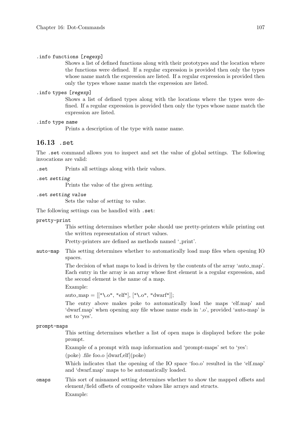#### .info functions [regexp]

Shows a list of defined functions along with their prototypes and the location where the functions were defined. If a regular expression is provided then only the types whose name match the expression are listed. If a regular expression is provided then only the types whose name match the expression are listed.

#### .info types [regexp]

Shows a list of defined types along with the locations where the types were defined. If a regular expression is provided then only the types whose name match the expression are listed.

#### .info type name

Prints a description of the type with name name.

# 16.13 .set

The .set command allows you to inspect and set the value of global settings. The following invocations are valid:

.set Prints all settings along with their values.

```
.set setting
```
Prints the value of the given setting.

.set setting value

Sets the value of setting to value.

The following settings can be handled with .set:

pretty-print

This setting determines whether poke should use pretty-printers while printing out the written representation of struct values.

Pretty-printers are defined as methods named '\_print'.

auto-map This setting determines whether to automatically load map files when opening IO spaces.

> The decision of what maps to load is driven by the contents of the array 'auto map'. Each entry in the array is an array whose first element is a regular expression, and the second element is the name of a map.

Example:

auto\_map =  $[["\,\circ", "elf", [\", \circ", "dwarf"]$ ;

The entry above makes poke to automatically load the maps 'elf.map' and 'dwarf.map' when opening any file whose name ends in '.o', provided 'auto-map' is set to 'yes'.

#### prompt-maps

This setting determines whether a list of open maps is displayed before the poke prompt.

Example of a prompt with map information and 'prompt-maps' set to 'yes':

(poke) .file foo.o [dwarf,elf](poke)

Which indicates that the opening of the IO space 'foo.o' resulted in the 'elf.map' and 'dwarf.map' maps to be automatically loaded.

omaps This sort of misnamed setting determines whether to show the mapped offsets and element/field offsets of composite values like arrays and structs. Example: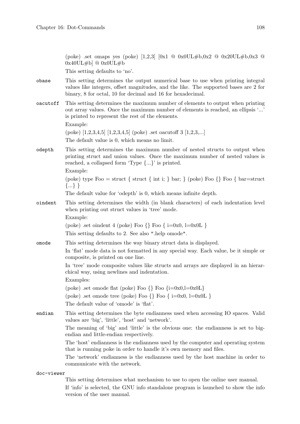(poke) .set omaps yes (poke) [1,2,3] [0x1 @ 0x0UL#b,0x2 @ 0x20UL#b,0x3 @  $0x40UL#b]$  @  $0x0UL#b$ This setting defaults to 'no'. obase This setting determines the output numerical base to use when printing integral values like integers, offset magnitudes, and the like. The supported bases are 2 for binary, 8 for octal, 10 for decimal and 16 for hexadecimal. oacutoff This setting determines the maximum number of elements to output when printing out array values. Once the maximum number of elements is reached, an ellipsis '...' is printed to represent the rest of the elements. Example: (poke) [1,2,3,4,5] [1,2,3,4,5] (poke) .set oacutoff 3 [1,2,3,...] The default value is 0, which means no limit. odepth This setting determines the maximum number of nested structs to output when printing struct and union values. Once the maximum number of nested values is reached, a collapsed form 'Type {...}' is printed. Example: (poke) type Foo = struct { struct { int i; } bar; } (poke) Foo {  $\}$  Foo { bar=struct {...} } The default value for 'odepth' is 0, which means infinite depth. oindent This setting determines the width (in blank characters) of each indentation level when printing out struct values in 'tree' mode. Example: (poke) .set oindent 4 (poke) Foo  $\{ \}$  Foo  $\{ \}$  i=0x0, l=0x0L  $\}$ This setting defaults to 2. See also ".help omode". omode This setting determines the way binary struct data is displayed. In 'flat' mode data is not formatted in any special way. Each value, be it simple or composite, is printed on one line. In 'tree' mode composite values like structs and arrays are displayed in an hierarchical way, using newlines and indentation. Examples: (poke) .set omode flat (poke) Foo  $\{ \}$  Foo  $\{i=0x0,l=0x0L \}$ (poke) .set omode tree (poke) Foo  $\{ \}$  Foo  $\{ \}$  i=0x0, l=0x0L  $\}$ The default value of 'omode' is 'flat'. endian This setting determines the byte endianness used when accessing IO spaces. Valid values are 'big', 'little', 'host' and 'network'. The meaning of 'big' and 'little' is the obvious one: the endianness is set to bigendian and little-endian respectively. The 'host' endianness is the endianness used by the computer and operating system that is running poke in order to handle it's own memory and files. The 'network' endianness is the endianness used by the host machine in order to communicate with the network.

doc-viewer

This setting determines what mechanism to use to open the online user manual.

If 'info' is selected, the GNU info standalone program is launched to show the info version of the user manual.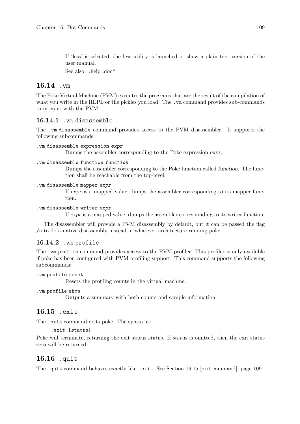If 'less' is selected, the less utility is launched ot show a plain text version of the user manual.

See also ".help .doc".

# 16.14 .vm

The Poke Virtual Machine (PVM) executes the programs that are the result of the compilation of what you write in the REPL or the pickles you load. The .vm command provides sub-commands to interact with the PVM.

## 16.14.1 .vm disassemble

The .vm disassemble command provides access to the PVM disassembler. It supports the following subcommands:

```
.vm disassemble expression expr
```
Dumps the assembler corresponding to the Poke expression expr.

#### .vm disassemble function function

Dumps the assembler corresponding to the Poke function called function. The function shall be reachable from the top-level.

#### .vm disassemble mapper expr

If expr is a mapped value, dumps the assembler corresponding to its mapper function.

#### .vm disassemble writer expr

If expr is a mapped value, dumps the assembler corresponding to its writer function.

The disassembler will provide a PVM disassembly by default, but it can be passed the flag /n to do a native disassembly instead in whatever architecture running poke.

# 16.14.2 .vm profile

The .vm profile command provides access to the PVM profiler. This profiler is only available if poke has been configured with PVM profiling support. This command supports the following subcommands:

```
.vm profile reset
```
Resets the profiling counts in the virtual machine.

```
.vm profile show
```
Outputs a summary with both counts and sample information.

# <span id="page-124-0"></span>16.15 .exit

The .exit command exits poke. The syntax is:

.exit [status]

Poke will terminate, returning the exit status status. If status is omitted, then the exit status zero will be returned.

# 16.16 .quit

The .quit command behaves exactly like .exit. See [Section 16.15 \[exit command\], page 109](#page-124-0).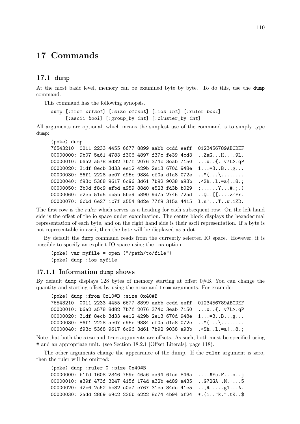# 17 Commands

## 17.1 dump

At the most basic level, memory can be examined byte by byte. To do this, use the dump command.

This command has the following synopsis.

dump [:from offset] [:size offset] [:ios int] [:ruler bool] [:ascii bool] [:group\_by int] [:cluster\_by int]

All arguments are optional, which means the simplest use of the command is to simply type dump:

```
(poke) dump
```

```
76543210 0011 2233 4455 6677 8899 aabb ccdd eeff 0123456789ABCDEF
00000000: 9b07 5a61 4783 f306 4897 f37c fe39 4cd3 ..ZaG...H..|.9L.
00000010: b6a2 a578 8d82 7b7f 2076 374c 3eab 7150 ...x..{. v7L>.qP
00000020: 31df 8ecb 3d33 ee12 429b 2e13 670d 948e 1...=3..B...g...
00000030: 86f1 2228 ae07 d95c 9884 cf0a d1a8 072e .."(...\........
00000040: f93c 5368 9617 6c96 3d61 7b92 9038 a93b .<Sh..l.=a{..8.;
00000050: 3b0d f8c9 efbd a959 88d0 e523 fd3b b029 ;......Y...#.;.)
00000060: e2eb 51d5 cb5b 5ba9 b890 9d7a 2746 72ad ..Q..[[....z'Fr.
00000070: 6cbd 6e27 1c7f a554 8d2e 77f9 315a 4415 l.n'...T..w.1ZD.
```
The first row is the ruler which serves as a heading for each subsequent row. On the left hand side is the offset of the io space under examination. The centre block displays the hexadecimal representation of each byte, and on the right hand side is their ascii representation. If a byte is not representable in ascii, then the byte will be displayed as a dot.

By default the dump command reads from the currently selected IO space. However, it is possible to specify an explicit IO space using the ios option:

(poke) var myfile = open ("/path/to/file") (poke) dump :ios myfile

### 17.1.1 Information dump shows

By default dump displays 128 bytes of memory starting at offset  $0#B$ . You can change the quantity and starting offset by using the size and from arguments. For example:

```
(poke) dump :from 0x10#B :size 0x40#B
76543210 0011 2233 4455 6677 8899 aabb ccdd eeff 0123456789ABCDEF
00000010: b6a2 a578 8d82 7b7f 2076 374c 3eab 7150 ...x..{. v7L>.qP
00000020: 31df 8ecb 3d33 ee12 429b 2e13 670d 948e 1...=3..B...g...
00000030: 86f1 2228 ae07 d95c 9884 cf0a d1a8 072e .."(...\........
00000040: f93c 5368 9617 6c96 3d61 7b92 9038 a93b .<Sh..l.=a{..8.;
```
Note that both the size and from arguments are offsets. As such, both must be specified using # and an appropriate unit. (see [Section 18.2.1 \[Offset Literals\], page 118\)](#page-133-0).

The other arguments change the appearance of the dump. If the ruler argument is zero, then the ruler will be omitted:

(poke) dump :ruler 0 :size 0x40#B 00000000: b1fd 1608 2346 759c 46a6 aa94 6fcd 846a ....#Fu.F...o..j 00000010: e39f 473f 3247 415f 174d a32b ed89 a435 ..G?2GA\_.M.+...5 00000020: d2c6 2c52 bc82 e0a7 e767 31ea 84de 41e5 ..,R.....g1...A. 00000030: 2add 2869 e9c2 226b e222 8c74 4b94 af24 \*.(i.."k.".tK..\$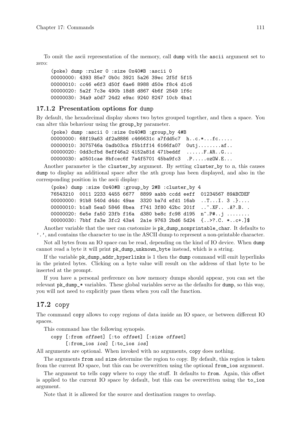To omit the ascii representation of the memory, call dump with the ascii argument set to zero:

(poke) dump :ruler 0 :size 0x40#B :ascii 0 00000000: 4393 85e7 0b0c 3921 5a26 39ec 2f5f 5f15 00000010: cc46 e6f3 d50f 6ae6 8988 d50e f8c4 d1c6 00000020: 5a2f 7c3e 490b 18d8 d867 4b6f 2549 1f6c 00000030: 34a9 a0d7 24d2 e9ac 9240 8247 10cb 4ba1

## 17.1.2 Presentation options for dump

By default, the hexadecimal display shows two bytes grouped together, and then a space. You can alter this behaviour using the group\_by parameter.

(poke) dump :ascii 0 :size 0x40#B :group\_by 4#B 00000000: 68f19a63 df2a8886 c466631c a7fdd5c7 h..c.\*...fc..... 00000010: 3075746a 0adb03ca f5b1ff14 6166fa07 0utj........af.. 00000020: 0dd3cfbd 8eff46a2 4152a81d 471beddf ......F.AR..G... 00000030: a0501cae 8bfcec6f 7a4f5701 45ba9fc3 .P.....ozOW.E...

Another parameter is the cluster\_by argument. By setting cluster\_by to n, this causes dump to display an additional space after the nth group has been displayed, and also in the corresponding position in the ascii display:

```
(poke) dump :size 0x40#B :group_by 2#B :cluster_by 4
76543210 0011 2233 4455 6677 8899 aabb ccdd eeff 01234567 89ABCDEF
00000000: 91b8 540d d4dc 49ae 3320 ba7d efd1 16ab ..T...I. 3 .}....
00000010: b1a8 5ea0 5846 8bea f741 3f80 42bc 201f ....KF...A?.B.
00000020: 6e5e fa50 23fb f16a d380 be8c fc98 d195 n<sup>o</sup>.P#..j ........
00000030: 7bbf fa3e 3fc2 43a4 2a1e 9763 2bd6 5d24 {..>?.C. *..c+.]$
```
Another variable that the user can customize is pk\_dump\_nonprintable\_char. It defaults to '.', and contains the character to use in the ASCII dump to represent a non-printable character.

Not all bytes from an IO space can be read, depending on the kind of IO device. When dump cannot read a byte it will print pk\_dump\_unknown\_byte instead, which is a string.

If the variable  $pk_dump_dadr_hyperlinks$  is 1 then the dump command will emit hyperlinks in the printed bytes. Clicking on a byte value will result on the address of that byte to be inserted at the prompt.

If you have a personal preference on how memory dumps should appear, you can set the relevant pk\_dump\_\* variables. These global variables serve as the defaults for dump, so this way, you will not need to explicitly pass them when you call the function.

# 17.2 copy

The command copy allows to copy regions of data inside an IO space, or between different IO spaces.

This command has the following synopsis.

copy [:from offset] [:to offset] [:size offset] [:from\_ios ios] [:to\_ios ios]

All arguments are optional. When invoked with no arguments, copy does nothing.

The arguments from and size determine the region to copy. By default, this region is taken from the current IO space, but this can be overwritten using the optional from\_ios argument.

The argument to tells copy where to copy the stuff. It defaults to from. Again, this offset is applied to the current IO space by default, but this can be overwritten using the to\_ios argument.

Note that it is allowed for the source and destination ranges to overlap.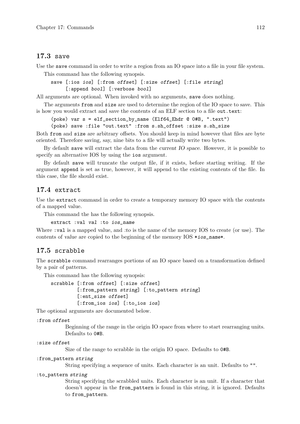# 17.3 save

Use the save command in order to write a region from an IO space into a file in your file system.

This command has the following synopsis.

```
save [:ios ios] [:from offset] [:size offset] [:file string]
     [:append bool] [:verbose bool]
```
All arguments are optional. When invoked with no arguments, save does nothing.

The arguments from and size are used to determine the region of the IO space to save. This is how you would extract and save the contents of an ELF section to a file out.text:

(poke) var s = elf\_section\_by\_name (Elf64\_Ehdr @ 0#B, ".text") (poke) save :file "out.text" :from s.sh\_offset :size s.sh\_size

Both from and size are arbitrary offsets. You should keep in mind however that files are byte oriented. Therefore saving, say, nine bits to a file will actually write two bytes.

By default save will extract the data from the *current IO space*. However, it is possible to specify an alternative IOS by using the ios argument.

By default save will truncate the output file, if it exists, before starting writing. If the argument append is set as true, however, it will append to the existing contents of the file. In this case, the file should exist.

# 17.4 extract

Use the extract command in order to create a temporary memory IO space with the contents of a mapped value.

This command the has the following synopsis.

extract :val val :to ios\_name

Where : val is a mapped value, and : to is the name of the memory IOS to create (or use). The contents of value are copied to the beginning of the memory  $IOS *ios_name*.$ 

# 17.5 scrabble

The scrabble command rearranges portions of an IO space based on a transformation defined by a pair of patterns.

This command has the following synopsis:

```
scrabble [:from offset] [:size offset]
         [:from_pattern string] [:to_pattern string]
         [:ent_size offset]
         [:from_ios ios] [:to_ios ios]
```
The optional arguments are documented below.

```
:from offset
```
Beginning of the range in the origin IO space from where to start rearranging units. Defaults to 0#B.

```
:size offset
```
Size of the range to scrabble in the origin IO space. Defaults to 0#B.

```
:from_pattern string
```
String specifying a sequence of units. Each character is an unit. Defaults to "".

#### :to\_pattern string

String specifying the scrabbled units. Each character is an unit. If a character that doesn't appear in the from\_pattern is found in this string, it is ignored. Defaults to from\_pattern.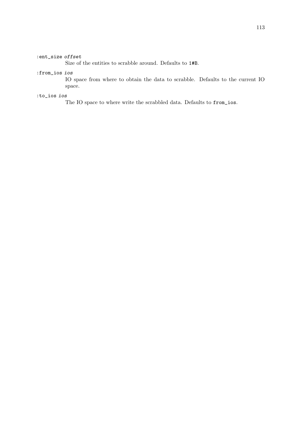#### :ent\_size offset

Size of the entities to scrabble around. Defaults to 1#B.

#### :from\_ios ios

IO space from where to obtain the data to scrabble. Defaults to the current IO space.

#### :to\_ios ios

The IO space to where write the scrabbled data. Defaults to from\_ios.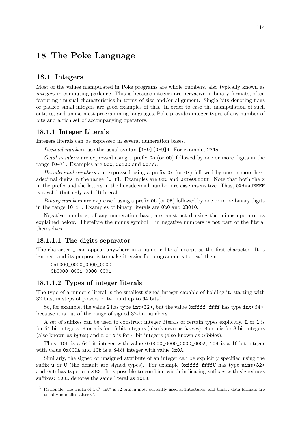# 18 The Poke Language

# 18.1 Integers

Most of the values manipulated in Poke programs are whole numbers, also typically known as integers in computing parlance. This is because integers are pervasive in binary formats, often featuring unusual characteristics in terms of size and/or alignment. Single bits denoting flags or packed small integers are good examples of this. In order to ease the manipulation of such entities, and unlike most programming languages, Poke provides integer types of any number of bits and a rich set of accompanying operators.

## 18.1.1 Integer Literals

Integers literals can be expressed in several numeration bases.

*Decimal numbers* use the usual syntax  $[1-9]$   $[0-9]$ \*. For example, 2345.

Octal numbers are expressed using a prefix 0o (or 0O) followed by one or more digits in the range [0-7]. Examples are 0o0, 0o100 and 0o777.

Hexadecimal numbers are expressed using a prefix  $0x$  (or  $0x$ ) followed by one or more hexadecimal digits in the range  $[0-f]$ . Examples are  $0x0$  and  $0xfe00$  fiff. Note that both the x in the prefix and the letters in the hexadecimal number are case insensitive. Thus, 0XdeadBEEF is a valid (but ugly as hell) literal.

Binary numbers are expressed using a prefix 0b (or 0B) followed by one or more binary digits in the range [0-1]. Examples of binary literals are 0b0 and 0B010.

Negative numbers, of any numeration base, are constructed using the minus operator as explained below. Therefore the minus symbol - in negative numbers is not part of the literal themselves.

## 18.1.1.1 The digits separator \_

The character \_ can appear anywhere in a numeric literal except as the first character. It is ignored, and its purpose is to make it easier for programmers to read them:

0xf000\_0000\_0000\_0000 0b0000\_0001\_0000\_0001

#### 18.1.1.2 Types of integer literals

The type of a numeric literal is the smallest signed integer capable of holding it, starting with 32 bits, in steps of powers of two and up to  $64 \text{ bits.}^1$ 

So, for example, the value 2 has type int<32>, but the value 0xffff\_ffff has type int<64>, because it is out of the range of signed 32-bit numbers.

A set of suffixes can be used to construct integer literals of certain types explicitly. L or l is for 64-bit integers. H or h is for 16-bit integers (also known as halves), B or b is for 8-bit integers (also known as bytes) and n or N is for 4-bit integers (also known as nibbles).

Thus, 10L is a 64-bit integer with value 0x0000\_0000\_0000\_000A, 10H is a 16-bit integer with value 0x000A and 10b is a 8-bit integer with value 0x0A.

Similarly, the signed or unsigned attribute of an integer can be explicitly specified using the suffix u or U (the default are signed types). For example  $\alpha$  and  $\alpha$  and  $\alpha$  type uint <32> and 0ub has type uint<8>. It is possible to combine width-indicating suffixes with signedness suffixes: 10UL denotes the same literal as 10LU.

 $1$  Rationale: the width of a C "int" is 32 bits in most currently used architectures, and binary data formats are usually modelled after C.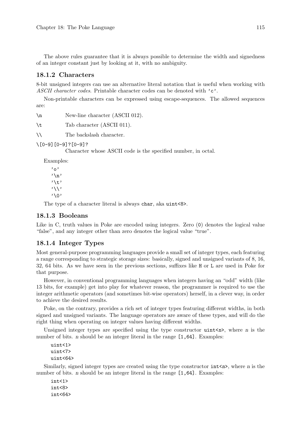The above rules guarantee that it is always possible to determine the width and signedness of an integer constant just by looking at it, with no ambiguity.

## 18.1.2 Characters

8-bit unsigned integers can use an alternative literal notation that is useful when working with ASCII character codes. Printable character codes can be denoted with 'c'.

Non-printable characters can be expressed using escape-sequences. The allowed sequences are:

\n New-line character (ASCII 012).

\t Tab character (ASCII 011).

\\ The backslash character.

\[0-9][0-9]?[0-9]?

Character whose ASCII code is the specified number, in octal.

Examples:

```
'o'
'\n'
'\t'
'\\'
'\0'
```
The type of a character literal is always char, aka uint<8>.

#### 18.1.3 Booleans

Like in C, truth values in Poke are encoded using integers. Zero (0) denotes the logical value "false", and any integer other than zero denotes the logical value "true".

## 18.1.4 Integer Types

Most general-purpose programming languages provide a small set of integer types, each featuring a range corresponding to strategic storage sizes: basically, signed and unsigned variants of 8, 16, 32, 64 bits. As we have seen in the previous sections, suffixes like H or L are used in Poke for that purpose.

However, in conventional programming languages when integers having an "odd" width (like 13 bits, for example) get into play for whatever reason, the programmer is required to use the integer arithmetic operators (and sometimes bit-wise operators) herself, in a clever way, in order to achieve the desired results.

Poke, on the contrary, provides a rich set of integer types featuring different widths, in both signed and unsigned variants. The language operators are aware of these types, and will do the right thing when operating on integer values having different widths.

Unsigned integer types are specified using the type constructor  $\text{uint}\leq n$ , where n is the number of bits. *n* should be an integer literal in the range  $[1,64]$ . Examples:

```
uint<1>
uint<7>
uint<64>
```
Similarly, signed integer types are created using the type constructor  $int **n**$ , where *n* is the number of bits. n should be an integer literal in the range  $[1,64]$ . Examples:

int<1> int<8> int<64>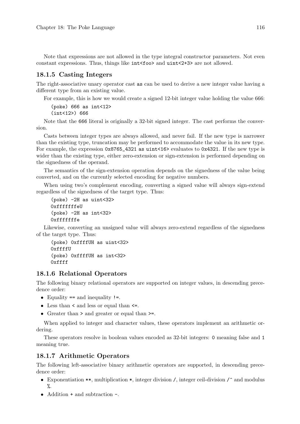Note that expressions are not allowed in the type integral constructor parameters. Not even constant expressions. Thus, things like  $int <$ foo> and uint<2+3> are not allowed.

#### 18.1.5 Casting Integers

The right-associative unary operator cast as can be used to derive a new integer value having a different type from an existing value.

For example, this is how we would create a signed 12-bit integer value holding the value 666:

```
(poke) 666 as int<12>
(int<12>) 666
```
Note that the 666 literal is originally a 32-bit signed integer. The cast performs the conversion.

Casts between integer types are always allowed, and never fail. If the new type is narrower than the existing type, truncation may be performed to accommodate the value in its new type. For example, the expression  $0x8765\_4321$  as uint<16> evaluates to  $0x4321$ . If the new type is wider than the existing type, either zero-extension or sign-extension is performed depending on the signedness of the operand.

The semantics of the sign-extension operation depends on the signedness of the value being converted, and on the currently selected encoding for negative numbers.

When using two's complement encoding, converting a signed value will always sign-extend regardless of the signedness of the target type. Thus:

```
(poke) -2H as uint<32>
0xfffffffeU
(poke) -2H as int<32>
0xfffffffe
```
Likewise, converting an unsigned value will always zero-extend regardless of the signedness of the target type. Thus:

```
(poke) 0xffffUH as uint<32>
0xffffU
(poke) 0xffffUH as int<32>
0xffff
```
#### 18.1.6 Relational Operators

The following binary relational operators are supported on integer values, in descending precedence order:

- Equality == and inequality !=.
- $\bullet$  Less than  $\lt$  and less or equal than  $\lt$ =.
- Greater than > and greater or equal than >=.

When applied to integer and character values, these operators implement an arithmetic ordering.

These operators resolve in boolean values encoded as 32-bit integers: 0 meaning false and 1 meaning true.

## 18.1.7 Arithmetic Operators

The following left-associative binary arithmetic operators are supported, in descending precedence order:

- Exponentiation \*\*, multiplication \*, integer division /, integer ceil-division  $\ell$  and modulus %.
- Addition + and subtraction -.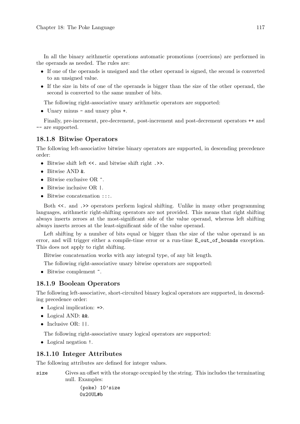In all the binary arithmetic operations automatic promotions (coercions) are performed in the operands as needed. The rules are:

- If one of the operands is unsigned and the other operand is signed, the second is converted to an unsigned value.
- If the size in bits of one of the operands is bigger than the size of the other operand, the second is converted to the same number of bits.

The following right-associative unary arithmetic operators are supported:

• Unary minus - and unary plus +.

Finally, pre-increment, pre-decrement, post-increment and post-decrement operators ++ and -- are supported.

# 18.1.8 Bitwise Operators

The following left-associative bitwise binary operators are supported, in descending precedence order:

- Bitwise shift left <<. and bitwise shift right .>>.
- Bitwise AND &.
- Bitwise exclusive OR  $\hat{\ }$ .
- Bitwise inclusive OR |.
- Bitwise concatenation :::.

Both <<. and .>> operators perform logical shifting. Unlike in many other programming languages, arithmetic right-shifting operators are not provided. This means that right shifting always inserts zeroes at the most-significant side of the value operand, whereas left shifting always inserts zeroes at the least-significant side of the value operand.

Left shifting by a number of bits equal or bigger than the size of the value operand is an error, and will trigger either a compile-time error or a run-time E\_out\_of\_bounds exception. This does not apply to right shifting.

Bitwise concatenation works with any integral type, of any bit length.

The following right-associative unary bitwise operators are supported:

• Bitwise complement  $\tilde{\phantom{a}}$ .

# 18.1.9 Boolean Operators

The following left-associative, short-circuited binary logical operators are supported, in descending precedence order:

- Logical implication:  $\Rightarrow$ .
- Logical AND: &&.
- Inclusive OR:  $||.$

The following right-associative unary logical operators are supported:

• Logical negation !.

#### 18.1.10 Integer Attributes

The following attributes are defined for integer values.

size Gives an offset with the storage occupied by the string. This includes the terminating null. Examples:

> (poke) 10'size 0x20UL#b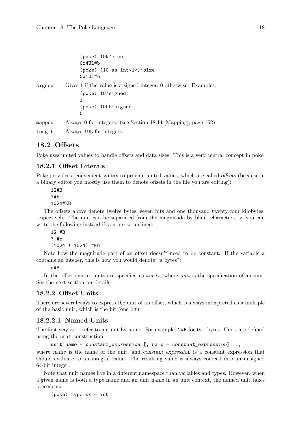```
(poke) 10N'size
                 0x4UL#b
                 (poke) (10 as int < 1)'size
                 0x1UL#b
signed Gives 1 if the value is a signed integer, 0 otherwise. Examples:
                 (poke) 10'signed
                 1
                 (poke) 10UL'signed
                 \Omegamapped Always 0 for integers. (see Section 18.14 [Mapping], page 152).
```
length Always 1UL for integers.

# 18.2 Offsets

Poke uses united values to handle offsets and data sizes. This is a very central concept in poke.

## <span id="page-133-0"></span>18.2.1 Offset Literals

Poke provides a convenient syntax to provide united values, which are called offsets (because in a binary editor you mostly use them to denote offsets in the file you are editing):

12#B 7#b 1024#KB

The offsets above denote twelve bytes, seven bits and one thousand twenty four kilobytes, respectively. The unit can be separated from the magnitude by blank characters, so you can write the following instead if you are so inclined:

```
12 #B
7 #b
(1024 * 1024) #Kb
```
Note how the magnitude part of an offset doesn't need to be constant. If the variable a contains an integer, this is how you would denote "a bytes":

#### a#B

In the offset syntax units are specified as  $\#unit$ , where unit is the specification of an unit. See the next section for details.

#### 18.2.2 Offset Units

There are several ways to express the unit of an offset, which is always interpreted as a multiple of the basic unit, which is the bit (one bit).

# 18.2.2.1 Named Units

The first way is to refer to an unit by name. For example, 2#B for two bytes. Units are defined using the unit construction:

unit name = constant\_expression [, name = constant\_expression]...;

where name is the name of the unit, and constant expression is a constant expression that should evaluate to an integral value. The resulting value is always coerced into an unsigned 64-bit integer.

Note that unit names live in a different namespace than variables and types. However, when a given name is both a type name and an unit name in an unit context, the named unit takes precedence:

(poke) type xx = int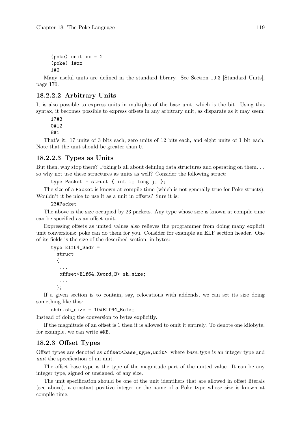```
(poke) unit xx = 2
(poke) 1#xx
1#2
```
Many useful units are defined in the standard library. See [Section 19.3 \[Standard Units\],](#page-185-0) [page 170.](#page-185-0)

# 18.2.2.2 Arbitrary Units

It is also possible to express units in multiples of the base unit, which is the bit. Using this syntax, it becomes possible to express offsets in any arbitrary unit, as disparate as it may seem:

17#3 0#12 8#1

That's it: 17 units of 3 bits each, zero units of 12 bits each, and eight units of 1 bit each. Note that the unit should be greater than 0.

## 18.2.2.3 Types as Units

But then, why stop there? Poking is all about defining data structures and operating on them. . . so why not use these structures as units as well? Consider the following struct:

```
type Packet = struct { int i; long j; };
```
The size of a Packet is known at compile time (which is not generally true for Poke structs). Wouldn't it be nice to use it as a unit in offsets? Sure it is:

23#Packet

The above is the size occupied by 23 packets. Any type whose size is known at compile time can be specified as an offset unit.

Expressing offsets as united values also relieves the programmer from doing many explicit unit conversions: poke can do them for you. Consider for example an ELF section header. One of its fields is the size of the described section, in bytes:

```
type Elf64_Shdr =
  struct
  {
   ...
   offset<Elf64_Xword,B> sh_size;
   ...
 };
```
If a given section is to contain, say, relocations with addends, we can set its size doing something like this:

```
shdr.sh_size = 10#Elf64_Rela;
```
Instead of doing the conversion to bytes explicitly.

If the magnitude of an offset is 1 then it is allowed to omit it entirely. To denote one kilobyte, for example, we can write #KB.

## 18.2.3 Offset Types

Offset types are denoted as  $offset \leq base_type$ , where base type is an integer type and unit the specification of an unit.

The offset base type is the type of the magnitude part of the united value. It can be any integer type, signed or unsigned, of any size.

The unit specification should be one of the unit identifiers that are allowed in offset literals (see above), a constant positive integer or the name of a Poke type whose size is known at compile time.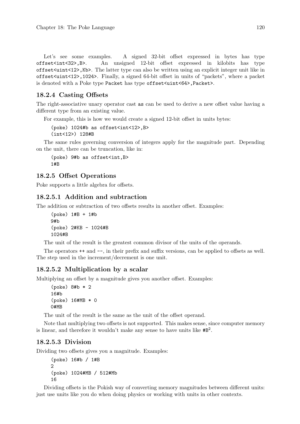Let's see some examples. A signed 32-bit offset expressed in bytes has type offset<int<32>,B>. An unsigned 12-bit offset expressed in kilobits has type offset<uint<12>,Kb>. The latter type can also be written using an explicit integer unit like in offset<uint<12>,1024>. Finally, a signed 64-bit offset in units of "packets", where a packet is denoted with a Poke type Packet has type offset<uint<64>,Packet>.

# 18.2.4 Casting Offsets

The right-associative unary operator cast as can be used to derive a new offset value having a different type from an existing value.

For example, this is how we would create a signed 12-bit offset in units bytes:

```
(poke) 1024#b as offset<int<12>,B>
(int<12>) 128#B
```
The same rules governing conversion of integers apply for the magnitude part. Depending on the unit, there can be truncation, like in:

(poke) 9#b as offset<int,B> 1#B

## 18.2.5 Offset Operations

Poke supports a little algebra for offsets.

# 18.2.5.1 Addition and subtraction

The addition or subtraction of two offsets results in another offset. Examples:

```
(poke) 1#B + 1#b
9#b
(poke) 2#KB - 1024#B
1024#B
```
The unit of the result is the greatest common divisor of the units of the operands.

The operators  $++$  and  $--$ , in their prefix and suffix versions, can be applied to offsets as well. The step used in the increment/decrement is one unit.

# 18.2.5.2 Multiplication by a scalar

Multiplying an offset by a magnitude gives you another offset. Examples:

```
(poke) 8#b * 2
16#b
(poke) 16#MB * 0
0#MB
```
The unit of the result is the same as the unit of the offset operand.

Note that multiplying two offsets is not supported. This makes sense, since computer memory is linear, and therefore it wouldn't make any sense to have units like  $\#B^2$ .

# 18.2.5.3 Division

Dividing two offsets gives you a magnitude. Examples:

(poke) 16#b / 1#B  $\overline{2}$ (poke) 1024#MB / 512#Mb 16

Dividing offsets is the Pokish way of converting memory magnitudes between different units: just use units like you do when doing physics or working with units in other contexts.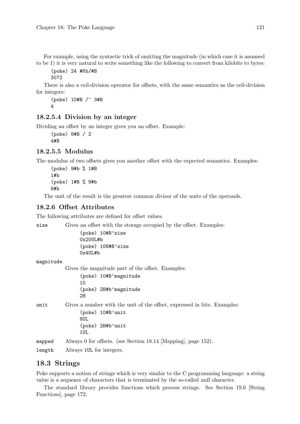For example, using the syntactic trick of omitting the magnitude (in which case it is assumed to be 1) it is very natural to write something like the following to convert from kilobits to bytes:

(poke) 24 #Kb/#B 3072

There is also a ceil-division operator for offsets, with the same semantics as the ceil-division for integers:

(poke) 10#B /^ 3#B 4

#### 18.2.5.4 Division by an integer

Dividing an offset by an integer gives you an offset. Example:

(poke) 8#B / 2 4#B

# 18.2.5.5 Modulus

The modulus of two offsets gives you another offset with the expected semantics. Examples:

(poke) 9#b % 1#B 1#b (poke) 1#B % 9#b 8#b

The unit of the result is the greatest common divisor of the units of the operands.

# 18.2.6 Offset Attributes

The following attributes are defined for offset values.

size Gives an offset with the storage occupied by the offset. Examples:

(poke) 10#B'size 0x20UL#b (poke) 10N#B'size 0x4UL#b

magnitude

Gives the magnitude part of the offset. Examples:

(poke) 10#B'magnitude 10 (poke) 2H#b'magnitude  $2H$ 

unit Gives a number with the unit of the offset, expressed in bits. Examples: (poke) 10#B'unit

> 8UL (poke) 2H#b'unit 1UL

mapped Always 0 for offsets. (see [Section 18.14 \[Mapping\], page 152\)](#page-167-0).

length Always 1UL for integers.

# 18.3 Strings

Poke supports a notion of strings which is very similar to the C programming language: a string value is a sequence of characters that is terminated by the so-called null character.

The standard library provides functions which process strings. See [Section 19.6 \[String](#page-187-0) [Functions\], page 172.](#page-187-0)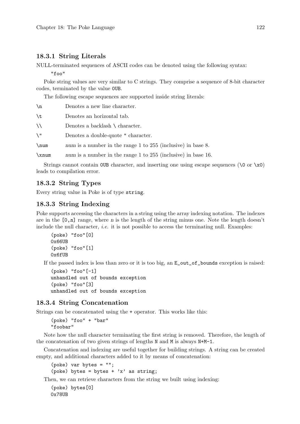#### 18.3.1 String Literals

NULL-terminated sequences of ASCII codes can be denoted using the following syntax:

"foo"

Poke string values are very similar to C strings. They comprise a sequence of 8-bit character codes, terminated by the value 0UB.

The following escape sequences are supported inside string literals:

| $\n\langle n$ | Denotes a new line character.                                 |
|---------------|---------------------------------------------------------------|
| \t            | Denotes an horizontal tab.                                    |
| ∖∖            | Denotes a backlash $\setminus$ character.                     |
| \ "           | Denotes a double-quote " character.                           |
| $\sum$        | num is a number in the range 1 to 255 (inclusive) in base 8.  |
| xnum          | num is a number in the range 1 to 255 (inclusive) in base 16. |

Strings cannot contain OUB character, and inserting one using escape sequences ( $\Diamond$  or  $\Diamond$ x0) leads to compilation error.

#### 18.3.2 String Types

Every string value in Poke is of type string.

# 18.3.3 String Indexing

Poke supports accessing the characters in a string using the array indexing notation. The indexes are in the  $[0,n]$  range, where n is the length of the string minus one. Note the length doesn't include the null character, *i.e.* it is not possible to access the terminating null. Examples:

```
(poke) "foo"[0]
0x66UB
(poke) "foo"[1]
0x6fUB
```
If the passed index is less than zero or it is too big, an E\_out\_of\_bounds exception is raised:

```
(poke) "foo"[-1]
unhandled out of bounds exception
(poke) "foo"[3]
unhandled out of bounds exception
```
#### 18.3.4 String Concatenation

Strings can be concatenated using the + operator. This works like this:

(poke) "foo" + "bar" "foobar"

Note how the null character terminating the first string is removed. Therefore, the length of the concatenation of two given strings of lengths N and M is always N+M-1.

Concatenation and indexing are useful together for building strings. A string can be created empty, and additional characters added to it by means of concatenation:

(poke) var bytes = ""; (poke) bytes = bytes +  $'x'$  as string;

Then, we can retrieve characters from the string we built using indexing:

```
(poke) bytes[0]
0x78UB
```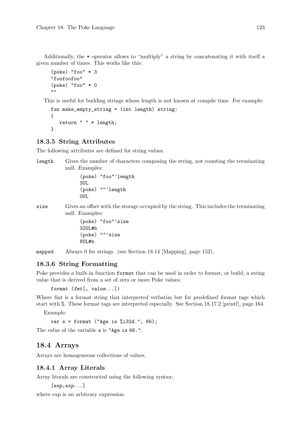Additionally, the \* operator allows to "multiply" a string by concatenating it with itself a given number of times. This works like this:

```
(poke) "foo" * 3
"foofoofoo"
(poke) "foo" * 0
"" ""
```
This is useful for building strings whose length is not known at compile time. For example:

```
fun make_empty_string = (int length) string:
{
   return " " * length;
}
```
## 18.3.5 String Attributes

The following attributes are defined for string values.

length Gives the number of characters composing the string, not counting the terminating null. Examples:

```
(poke) "foo"'length
3UL
(poke) ""'length
0UL
```
size Gives an offset with the storage occupied by the string. This includes the terminating null. Examples:

> (poke) "foo"'size 32UL#b (poke) ""'size 8UL#b

mapped Always 0 for strings. (see [Section 18.14 \[Mapping\], page 152\)](#page-167-0).

# 18.3.6 String Formatting

Poke provides a built-in function format that can be used in order to format, or build, a string value that is derived from a set of zero or more Poke values:

format (fmt[, value...])

Where fmt is a format string that interpreted verbatim but for predefined format tags which start with %. These format tags are interpreted especially. See [Section 18.17.2 \[printf\], page 164.](#page-179-0)

Example:

var s = format ("Age is %i32d.", 66);

The value of the variable s is "Age is 66.".

# 18.4 Arrays

Arrays are homogeneous collections of values.

# 18.4.1 Array Literals

Array literals are constructed using the following syntax:

```
[exp,exp...]
```
where  $\exp$  is an arbitrary expression.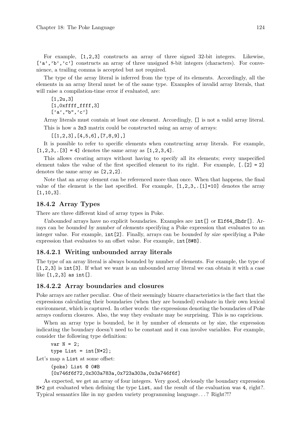For example, [1,2,3] constructs an array of three signed 32-bit integers. Likewise, ['a','b','c'] constructs an array of three unsigned 8-bit integers (characters). For convenience, a trailing comma is accepted but not required.

The type of the array literal is inferred from the type of its elements. Accordingly, all the elements in an array literal must be of the same type. Examples of invalid array literals, that will raise a compilation-time error if evaluated, are:

```
[1,2u,3]
[1,0xffff_fffff,3]['a', "b", 'c']
```
Array literals must contain at least one element. Accordingly, [] is not a valid array literal. This is how a 3x3 matrix could be constructed using an array of arrays:

[[1,2,3],[4,5,6],[7,8,9],]

It is possible to refer to specific elements when constructing array literals. For example,  $[1,2,3,1] = 4$ ] denotes the same array as  $[1,2,3,4]$ .

This allows creating arrays without having to specify all its elements; every unspecified element takes the value of the first specified element to its right. For example,  $[.2] = 2$ ] denotes the same array as [2,2,2].

Note that an array element can be referenced more than once. When that happens, the final value of the element is the last specified. For example,  $[1,2,3,1]$ =10] denotes the array [1,10,3].

#### 18.4.2 Array Types

There are three different kind of array types in Poke.

Unbounded arrays have no explicit boundaries. Examples are  $int[]$  or  $E1f64_Shdr[]$ . Arrays can be bounded by number of elements specifying a Poke expression that evaluates to an integer value. For example, int[2]. Finally, arrays can be bounded by size specifying a Poke expression that evaluates to an offset value. For example,  $int[8#B]$ .

### 18.4.2.1 Writing unbounded array literals

The type of an array literal is always bounded by number of elements. For example, the type of [1,2,3] is int[3]. If what we want is an unbounded array literal we can obtain it with a case like [1,2,3] as int[].

#### 18.4.2.2 Array boundaries and closures

Poke arrays are rather peculiar. One of their seemingly bizarre characteristics is the fact that the expressions calculating their boundaries (when they are bounded) evaluate in their own lexical environment, which is captured. In other words: the expressions denoting the boundaries of Poke arrays conform closures. Also, the way they evaluate may be surprising. This is no capricious.

When an array type is bounded, be it by number of elements or by size, the expression indicating the boundary doesn't need to be constant and it can involve variables. For example, consider the following type definition:

```
var N = 2;
type List = int[N*2];
```
Let's map a List at some offset:

```
(poke) List @ 0#B
[0x746f6f72,0x303a783a,0x723a303a,0x3a746f6f]
```
As expected, we get an array of four integers. Very good, obviously the boundary expression N\*2 got evaluated when defining the type List, and the result of the evaluation was 4, right?. Typical semantics like in my garden variety programming language. . . ? Right?!?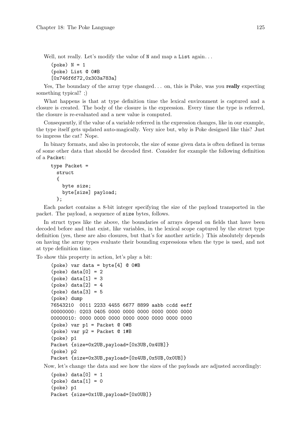Well, not really. Let's modify the value of N and map a List again...

 $(poke)$   $N = 1$ (poke) List @ 0#B [0x746f6f72,0x303a783a]

Yes. The boundary of the array type changed... on, this is Poke, was you really expecting something typical? ;)

What happens is that at type definition time the lexical environment is captured and a closure is created. The body of the closure is the expression. Every time the type is referred, the closure is re-evaluated and a new value is computed.

Consequently, if the value of a variable referred in the expression changes, like in our example, the type itself gets updated auto-magically. Very nice but, why is Poke designed like this? Just to impress the cat? Nope.

In binary formats, and also in protocols, the size of some given data is often defined in terms of some other data that should be decoded first. Consider for example the following definition of a Packet:

```
type Packet =
  struct
  {
    byte size;
    byte[size] payload;
  };
```
Each packet contains a 8-bit integer specifying the size of the payload transported in the packet. The payload, a sequence of size bytes, follows.

In struct types like the above, the boundaries of arrays depend on fields that have been decoded before and that exist, like variables, in the lexical scope captured by the struct type definition (yes, these are also closures, but that's for another article.) This absolutely depends on having the array types evaluate their bounding expressions when the type is used, and not at type definition time.

To show this property in action, let's play a bit:

```
(poke) var data = byte[4] @ 0#B
(poke) data[0] = 2(poke) data[1] = 3(poke) data[2] = 4(poke) data[3] = 5(poke) dump
76543210 0011 2233 4455 6677 8899 aabb ccdd eeff
00000000: 0203 0405 0000 0000 0000 0000 0000 0000
00000010: 0000 0000 0000 0000 0000 0000 0000 0000
(poke) var p1 = Packet @ 0#B
(poke) var p2 = Packet @ 1#B
(poke) p1
Packet {size=0x2UB,payload=[0x3UB,0x4UB]}
(poke) p2
Packet {size=0x3UB,payload=[0x4UB,0x5UB,0x0UB]}
```
Now, let's change the data and see how the sizes of the payloads are adjusted accordingly:

```
(poke) data[0] = 1(poke) data[1] = 0(poke) p1
Packet {size=0x1UB,payload=[0x0UB]}
```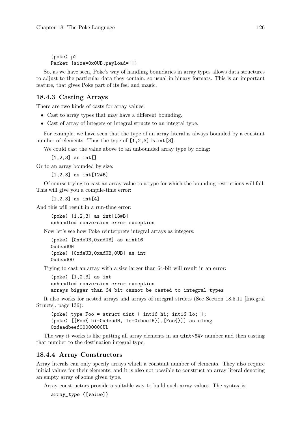(poke) p2 Packet {size=0x0UB,payload=[]}

So, as we have seen, Poke's way of handling boundaries in array types allows data structures to adjust to the particular data they contain, so usual in binary formats. This is an important feature, that gives Poke part of its feel and magic.

# 18.4.3 Casting Arrays

There are two kinds of casts for array values:

- Cast to array types that may have a different bounding.
- Cast of array of integers or integral structs to an integral type.

For example, we have seen that the type of an array literal is always bounded by a constant number of elements. Thus the type of  $[1,2,3]$  is int [3].

We could cast the value above to an unbounded array type by doing:

 $[1,2,3]$  as int  $[$ ]

Or to an array bounded by size:

[1,2,3] as int[12#B]

Of course trying to cast an array value to a type for which the bounding restrictions will fail. This will give you a compile-time error:

 $[1, 2, 3]$  as int  $[4]$ 

And this will result in a run-time error:

(poke) [1,2,3] as int[13#B] unhandled conversion error exception

Now let's see how Poke reinterprets integral arrays as integers:

(poke) [0xdeUB,0xadUB] as uint16 0xdeadUH (poke) [0xdeUB,0xadUB,0UB] as int 0xdead00

Trying to cast an array with a size larger than 64-bit will result in an error:

(poke) [1,2,3] as int unhandled conversion error exception arrays bigger than 64-bit cannot be casted to integral types

It also works for nested arrays and arrays of integral structs (See [Section 18.5.11 \[Integral](#page-151-0) [Structs\], page 136\)](#page-151-0):

(poke) type Foo = struct uint { int16 hi; int16 lo; }; (poke) [[Foo{ hi=0xdeadH, lo=0xbeefH}],[Foo{}]] as ulong 0xdeadbeef000000000UL

The way it works is like putting all array elements in an uint<64> number and then casting that number to the destination integral type.

# 18.4.4 Array Constructors

Array literals can only specify arrays which a constant number of elements. They also require initial values for their elements, and it is also not possible to construct an array literal denoting an empty array of some given type.

Array constructors provide a suitable way to build such array values. The syntax is:

```
array_type ([value])
```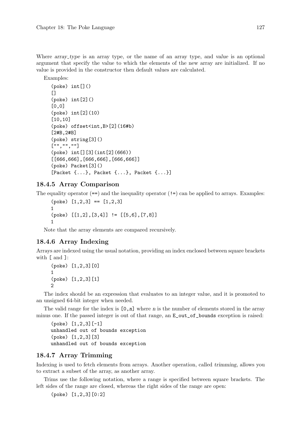Where array type is an array type, or the name of an array type, and value is an optional argument that specify the value to which the elements of the new array are initialized. If no value is provided in the constructor then default values are calculated.

```
Examples:
```

```
(poke) int []()\Box(poke) int[2]()[0,0]
(poke) int[2](10)
[10,10]
(poke) offset<int,B>[2](16#b)
[2#B,2#B]
(poke) string[3]()
["","",""]
(poke) int[][3](int[2](666))
[[666,666],[666,666],[666,666]]
(poke) Packet[3]()
[Packet {...}, Packet {...}, Packet {...}]
```
# 18.4.5 Array Comparison

The equality operator  $(==)$  and the inequality operator  $(!=)$  can be applied to arrays. Examples:

```
(poke) [1,2,3] == [1,2,3]1
(poke) [[1,2],[3,4]] != [[5,6],[7,8]]
1
```
Note that the array elements are compared recursively.

# 18.4.6 Array Indexing

Arrays are indexed using the usual notation, providing an index enclosed between square brackets with [ and ]:

```
(poke) [1,2,3][0]
1
(poke) [1,2,3][1]
2
```
The index should be an expression that evaluates to an integer value, and it is promoted to an unsigned 64-bit integer when needed.

The valid range for the index is  $[0, n]$  where n is the number of elements stored in the array minus one. If the passed integer is out of that range, an  $E_{\text{out-of}}$  bounds exception is raised:

(poke) [1,2,3][-1] unhandled out of bounds exception (poke) [1,2,3][3] unhandled out of bounds exception

# 18.4.7 Array Trimming

Indexing is used to fetch elements from arrays. Another operation, called trimming, allows you to extract a subset of the array, as another array.

Trims use the following notation, where a range is specified between square brackets. The left sides of the range are closed, whereas the right sides of the range are open:

(poke) [1,2,3][0:2]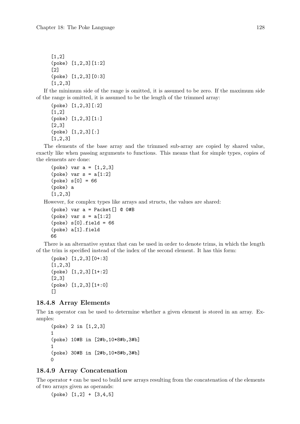[1,2] (poke) [1,2,3][1:2]  $\lceil 2 \rceil$ (poke) [1,2,3][0:3] [1,2,3]

If the minimum side of the range is omitted, it is assumed to be zero. If the maximum side of the range is omitted, it is assumed to be the length of the trimmed array:

```
(poke) [1,2,3][:2]
[1,2]
(poke) [1,2,3][1:]
[2,3]
(poke) [1,2,3][:]
[1,2,3]
```
The elements of the base array and the trimmed sub-array are copied by shared value, exactly like when passing arguments to functions. This means that for simple types, copies of the elements are done:

```
(poke) var a = [1, 2, 3](poke) var s = a[1:2](poke) s[0] = 66(poke) a
[1,2,3]
```
However, for complex types like arrays and structs, the values are shared:

```
(poke) var a = Packet[] @ 0#B
(poke) var s = a[1:2](poke) s[0].field = 66
(poke) a[1].field
66
```
There is an alternative syntax that can be used in order to denote trims, in which the length of the trim is specified instead of the index of the second element. It has this form:

```
(poke) [1,2,3][0+:3]
[1,2,3]
(poke) [1,2,3][1+:2]
[2,3]
(poke) [1,2,3][1+:0]
[]
```
#### 18.4.8 Array Elements

The in operator can be used to determine whether a given element is stored in an array. Examples:

```
(poke) 2 in [1,2,3]
1
(poke) 10#B in [2#b,10*8#b,3#b]
1
(poke) 30#B in [2#b,10*8#b,3#b]
\Omega
```
## 18.4.9 Array Concatenation

The operator + can be used to build new arrays resulting from the concatenation of the elements of two arrays given as operands:

(poke) [1,2] + [3,4,5]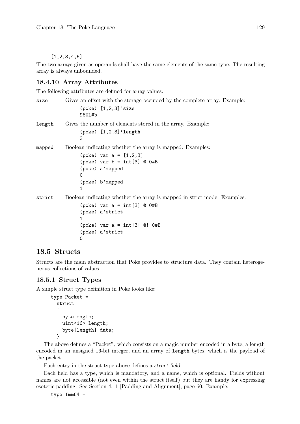### $[1, 2, 3, 4, 5]$

The two arrays given as operands shall have the same elements of the same type. The resulting array is always unbounded.

# 18.4.10 Array Attributes

The following attributes are defined for array values.

```
size Gives an offset with the storage occupied by the complete array. Example:
                (poke) [1,2,3]'size
                96UL#b
length Gives the number of elements stored in the array. Example:
                (poke) [1,2,3]'length
                3
mapped Boolean indicating whether the array is mapped. Examples:
                (poke) var a = [1, 2, 3](poke) var b = int[3] @ 0#B
                (poke) a'mapped
                \Omega(poke) b'mapped
                1
strict Boolean indicating whether the array is mapped in strict mode. Examples:
                (poke) var a = int[3] @ 0#B
                (poke) a'strict
                1
                (poke) var a = int[3] @! 0#B
                (poke) a'strict
                \Omega
```
# 18.5 Structs

Structs are the main abstraction that Poke provides to structure data. They contain heterogeneous collections of values.

## <span id="page-144-0"></span>18.5.1 Struct Types

A simple struct type definition in Poke looks like:

```
type Packet =
 struct
  {
    byte magic;
    uint<16> length;
    byte[length] data;
  }
```
The above defines a "Packet", which consists on a magic number encoded in a byte, a length encoded in an unsigned 16-bit integer, and an array of length bytes, which is the payload of the packet.

Each entry in the struct type above defines a struct field.

Each field has a type, which is mandatory, and a name, which is optional. Fields without names are not accessible (not even within the struct itself) but they are handy for expressing esoteric padding. See [Section 4.11 \[Padding and Alignment\], page 60](#page-75-0). Example:

```
type Imm64 =
```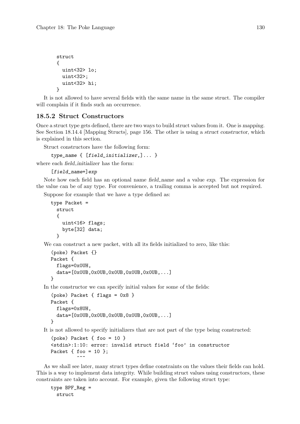```
struct
{
  uint<32> lo;
  uint<32>;
  uint<32> hi;
}
```
It is not allowed to have several fields with the same name in the same struct. The compiler will complain if it finds such an occurrence.

## 18.5.2 Struct Constructors

Once a struct type gets defined, there are two ways to build struct values from it. One is mapping. See [Section 18.14.4 \[Mapping Structs\], page 156.](#page-171-0) The other is using a struct constructor, which is explained in this section.

Struct constructors have the following form:

type\_name { [field\_initializer,]... }

where each field initializer has the form:

```
[field_name=]exp
```
Note how each field has an optional name field name and a value exp. The expression for the value can be of any type. For convenience, a trailing comma is accepted but not required.

Suppose for example that we have a type defined as:

```
type Packet =
 struct
  {
    uint<16> flags;
    byte[32] data;
  }
```
We can construct a new packet, with all its fields initialized to zero, like this:

```
(poke) Packet {}
Packet {
  flags=0x0UH,
  data=[0x0UB,0x0UB,0x0UB,0x0UB,0x0UB,...]
}
```
In the constructor we can specify initial values for some of the fields:

```
(poke) Packet { flags = 0x8 }
Packet {
  flags=0x8UH,
  data=[0x0UB,0x0UB,0x0UB,0x0UB,0x0UB,0x0UB,...]}
```
It is not allowed to specify initializers that are not part of the type being constructed:

```
(poke) Packet { foo = 10 }
<stdin>:1:10: error: invalid struct field 'foo' in constructor
Packet { foo = 10 };
          \tilde{\phantom{a}}
```
As we shall see later, many struct types define constraints on the values their fields can hold. This is a way to implement data integrity. While building struct values using constructors, these constraints are taken into account. For example, given the following struct type:

```
type BPF_Reg =
 struct
```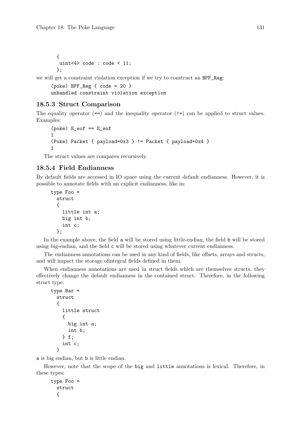```
{
uint<4> code : code < 11;
};
```
we will get a constraint violation exception if we try to construct an BPF\_Reg:

```
(poke) BPF_Reg { code = 20 }
unhandled constraint violation exception
```
### 18.5.3 Struct Comparison

The equality operator  $(==)$  and the inequality operator  $(!=)$  can be applied to struct values. Examples:

```
(poke) E_eof == E_eof
1
(Poke) Packet { payload=0x3 } != Packet { payload=0x4 }
1
```
The struct values are compares recursively.

### <span id="page-146-0"></span>18.5.4 Field Endianness

By default fields are accessed in IO space using the current default endianness. However, it is possible to annotate fields with an explicit endianness, like in:

```
type Foo =
  struct
  {
    little int a;
    big int b;
    int c;
  };
```
In the example above, the field a will be stored using little-endian, the field b will be stored using big-endian, and the field c will be stored using whatever current endianness.

The endianness annotations can be used in any kind of fields, like offsets, arrays and structs, and will impact the storage ofintegral fields defined in them.

When endianness annotations are used in struct fields which are themselves structs, they effectively change the default endianness in the contained struct. Therefore, in the following struct type:

```
type Bar =
  struct
  {
    little struct
    {
      big int a;
      int b;
    } f;
    int c;
  }
```
a is big endian, but b is little endian.

However, note that the scope of the big and little annotations is lexical. Therefore, in these types:

```
type Foo =
 struct
  {
```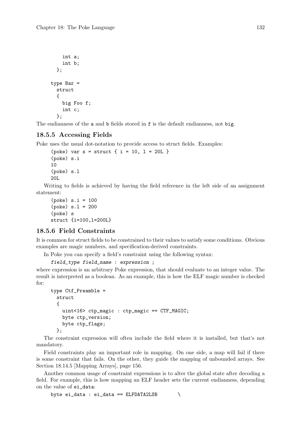```
int a;
    int b;
  };
type Bar =
  struct
  {
    big Foo f;
    int c;
  };
```
The endianness of the a and b fields stored in f is the default endianness, not big.

### 18.5.5 Accessing Fields

Poke uses the usual dot-notation to provide access to struct fields. Examples:

```
(poke) var s = struct { i = 10, l = 20L }
(poke) s.i
10
(poke) s.l
20L
```
Writing to fields is achieved by having the field reference in the left side of an assignment statement:

```
(poke) s.i = 100(poke) s.l = 200(poke) s
struct {i=100,l=200L}
```
## 18.5.6 Field Constraints

It is common for struct fields to be constrained to their values to satisfy some conditions. Obvious examples are magic numbers, and specification-derived constraints.

In Poke you can specify a field's constraint using the following syntax:

```
field_type field_name : expression ;
```
where expression is an arbitrary Poke expression, that should evaluate to an integer value. The result is interpreted as a boolean. As an example, this is how the ELF magic number is checked for:

```
type Ctf_Preamble =
 struct
  {
    uint<16> ctp_magic : ctp_magic == CTF_MAGIC;
    byte ctp_version;
    byte ctp_flags;
  };
```
The constraint expression will often include the field where it is installed, but that's not mandatory.

Field constraints play an important role in mapping. On one side, a map will fail if there is some constraint that fails. On the other, they guide the mapping of unbounded arrays. See [Section 18.14.5 \[Mapping Arrays\], page 156](#page-171-1).

Another common usage of constraint expressions is to alter the global state after decoding a field. For example, this is how mapping an ELF header sets the current endianness, depending on the value of ei\_data:

```
byte ei_data : ei_data == ELFDATA2LSB \
```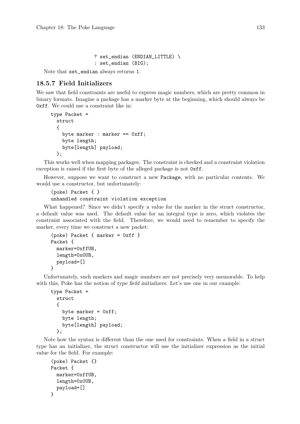? set\_endian (ENDIAN\_LITTLE) \ : set\_endian (BIG);

Note that set\_endian always returns 1.

# 18.5.7 Field Initializers

We saw that field constraints are useful to express magic numbers, which are pretty common in binary formats. Imagine a package has a marker byte at the beginning, which should always be 0xff. We could use a constraint like in:

```
type Packet =
  struct
  \mathcal{L}byte marker : marker == 0xff;
    byte length;
    byte[length] payload;
  };
```
This works well when mapping packages. The constraint is checked and a constraint violation exception is raised if the first byte of the alleged package is not  $0$ xff.

However, suppose we want to construct a new Package, with no particular contents. We would use a constructor, but unfortunately:

```
(poke) Packet { }
unhandled constraint violation exception
```
What happened? Since we didn't specify a value for the marker in the struct constructor, a default value was used. The default value for an integral type is zero, which violates the constraint associated with the field. Therefore, we would need to remember to specify the marker, every time we construct a new packet:

```
(poke) Packet { marker = 0xff }
Packet {
  marker=0xffUB,
  length=0x0UB,
  payload=[]
}
```
Unfortunately, such markers and magic numbers are not precisely very memorable. To help with this, Poke has the notion of type field initializers. Let's use one in our example:

```
type Packet =
 struct
  {
    byte marker = 0xff;
    byte length;
    byte[length] payload;
  };
```
Note how the syntax is different than the one used for constraints. When a field in a struct type has an initializer, the struct constructor will use the initializer expression as the initial value for the field. For example:

```
(poke) Packet {}
Packet {
  marker=0xffUB,
  length=0x0UB,
 payload=[]
}
```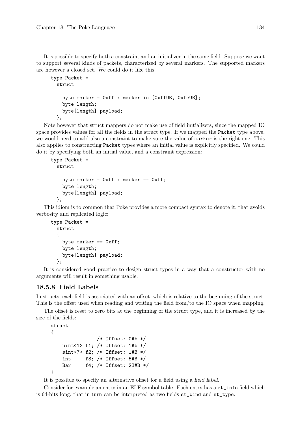It is possible to specify both a constraint and an initializer in the same field. Suppose we want to support several kinds of packets, characterized by several markers. The supported markers are however a closed set. We could do it like this:

```
type Packet =
 struct
  {
    byte marker = 0xff : marker in [0xffUB, 0xfeUB];
    byte length;
    byte[length] payload;
  };
```
Note however that struct mappers do not make use of field initializers, since the mapped IO space provides values for all the fields in the struct type. If we mapped the Packet type above, we would need to add also a constraint to make sure the value of marker is the right one. This also applies to constructing Packet types where an initial value is explicitly specified. We could do it by specifying both an initial value, and a constraint expression:

```
type Packet =
 struct
  {
    byte marker = 0xff : marker == 0xff:
    byte length;
    byte[length] payload;
  \cdot
```
This idiom is to common that Poke provides a more compact syntax to denote it, that avoids verbosity and replicated logic:

```
type Packet =
 struct
  {
    byte marker == 0xff;
    byte length;
    byte[length] payload;
  };
```
It is considered good practice to design struct types in a way that a constructor with no arguments will result in something usable.

# 18.5.8 Field Labels

In structs, each field is associated with an offset, which is relative to the beginning of the struct. This is the offset used when reading and writing the field from/to the IO space when mapping.

The offset is reset to zero bits at the beginning of the struct type, and it is increased by the size of the fields:

```
struct
{
               /* Offset: 0#b */
   uint<1> f1; /* Offset: 1#b */
   sint<7> f2; /* Offset: 1#B */
    int f3; /* Offset: 5#B */
   Bar f4; /* Offset: 23#B */
}
```
It is possible to specify an alternative offset for a field using a field label.

Consider for example an entry in an ELF symbol table. Each entry has a st\_info field which is 64-bits long, that in turn can be interpreted as two fields st\_bind and st\_type.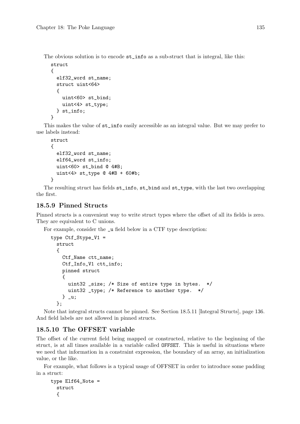The obvious solution is to encode st\_info as a sub-struct that is integral, like this:

```
struct
{
  elf32_word st_name;
  struct uint<64>
  {
    uint<60> st_bind;
    uint<4> st_type;
  } st_info;
}
```
This makes the value of st\_info easily accessible as an integral value. But we may prefer to use labels instead:

```
struct
{
  elf32_word st_name;
  elf64_word st_info;
  uint<60> st_bind @ 4#B;
  uint<4> st_type @ 4#B + 60#b;
}
```
The resulting struct has fields st\_info, st\_bind and st\_type, with the last two overlapping the first.

### 18.5.9 Pinned Structs

Pinned structs is a convenient way to write struct types where the offset of all its fields is zero. They are equivalent to C unions.

For example, consider the \_u field below in a CTF type description:

```
type Ctf_Stype_V1 =
 struct
  {
    Ctf_Name ctt_name;
    Ctf_Info_V1 ctt_info;
    pinned struct
    {
     uint32 _size; /* Size of entire type in bytes. */
      uint32 _type; /* Reference to another type. */
    } _u;
  };
```
Note that integral structs cannot be pinned. See [Section 18.5.11 \[Integral Structs\], page 136.](#page-151-0) And field labels are not allowed in pinned structs.

## 18.5.10 The OFFSET variable

The offset of the current field being mapped or constructed, relative to the beginning of the struct, is at all times available in a variable called OFFSET. This is useful in situations where we need that information in a constraint expression, the boundary of an array, an initialization value, or the like.

For example, what follows is a typical usage of OFFSET in order to introduce some padding in a struct:

```
type Elf64_Note =
 struct
  {
```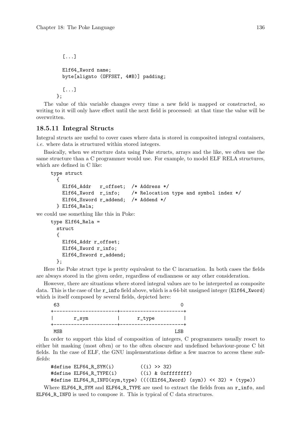```
[...]
  Elf64_Xword name;
  byte[alignto (OFFSET, 4#B)] padding;
  [...]
};
```
The value of this variable changes every time a new field is mapped or constructed, so writing to it will only have effect until the next field is processed: at that time the value will be overwritten.

### <span id="page-151-0"></span>18.5.11 Integral Structs

Integral structs are useful to cover cases where data is stored in composited integral containers, i.e. where data is structured within stored integers.

Basically, when we structure data using Poke structs, arrays and the like, we often use the same structure than a C programmer would use. For example, to model ELF RELA structures, which are defined in C like:

```
type struct
      {
         Elf64_Addr r_offset; /* Address */
         Elf64_Xword r_info; /* Relocation type and symbol index */
         Elf64_Sxword r_addend; /* Addend */
       } Elf64_Rela;
we could use something like this in Poke:
     type Elf64_Rela =
```

```
struct
{
  Elf64_Addr r_offset;
  Elf64_Xword r_info;
  Elf64_Sxword r_addend;
};
```
Here the Poke struct type is pretty equivalent to the C incarnation. In both cases the fields are always stored in the given order, regardless of endianness or any other consideration.

However, there are situations where stored integral values are to be interpreted as composite data. This is the case of the r\_info field above, which is a 64-bit unsigned integer (Elf64\_Xword) which is itself composed by several fields, depicted here:

| 63  |          |        |     |
|-----|----------|--------|-----|
|     | $r$ _sym | r_type |     |
| MSB |          |        | LSB |

In order to support this kind of composition of integers, C programmers usually resort to either bit masking (most often) or to the often obscure and undefined behaviour-prone C bit fields. In the case of ELF, the GNU implementations define a few macros to access these subfields:

```
#define ELF64_R_SYM(i) (1) >> 32)
#define ELF64 R TYPE(i) ((i) & 0xffffffff)
#define ELF64_R_INFO(sym,type) ((((Elf64_Xword) (sym)) << 32) + (type))
```
Where ELF64\_R\_SYM and ELF64\_R\_TYPE are used to extract the fields from an  $r\_info$ , and ELF64\_R\_INFO is used to compose it. This is typical of C data structures.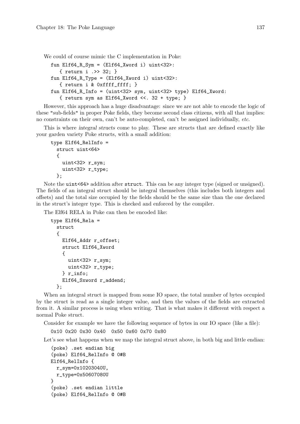We could of course mimic the C implementation in Poke:

```
fun Elf64_R_Sym = (Elf64_Xword i) uint<32>:
   { return i .>> 32; }
fun Elf64_R_Type = (Elf64_Xword i) uint<32>:
   { return i & 0xffff_ffff; }
fun Elf64_R_Info = (uint<32> sym, uint<32> type) Elf64_Xword:
   { return sym as Elf64_Xword <<. 32 + type; }
```
However, this approach has a huge disadvantage: since we are not able to encode the logic of these "sub-fields" in proper Poke fields, they become second class citizens, with all that implies: no constraints on their own, can't be auto-completed, can't be assigned individually, etc.

This is where integral structs come to play. These are structs that are defined exactly like your garden variety Poke structs, with a small addition:

```
type Elf64_RelInfo =
 struct uint<64>
  {
    uint<32> r_sym;
    uint<32> r_type;
  };
```
Note the uint<64> addition after struct. This can be any integer type (signed or unsigned). The fields of an integral struct should be integral themselves (this includes both integers and offsets) and the total size occupied by the fields should be the same size than the one declared in the struct's integer type. This is checked and enforced by the compiler.

The Elf64 RELA in Poke can then be encoded like:

```
type Elf64_Rela =
 struct
  {
    Elf64_Addr r_offset;
    struct Elf64_Xword
    {
      uint<32> r_sym;
      uint<32> r_type;
    } r_info;
    Elf64_Sxword r_addend;
  };
```
When an integral struct is mapped from some IO space, the total number of bytes occupied by the struct is read as a single integer value, and then the values of the fields are extracted from it. A similar process is using when writing. That is what makes it different with respect a normal Poke struct.

Consider for example we have the following sequence of bytes in our IO space (like a file):

```
0x10 0x20 0x30 0x40 0x50 0x60 0x70 0x80
```
Let's see what happens when we map the integral struct above, in both big and little endian:

```
(poke) .set endian big
(poke) Elf64_RelInfo @ 0#B
Elf64_RelInfo {
  r_sym=0x10203040U,
  r_type=0x50607080U
}
(poke) .set endian little
(poke) Elf64_RelInfo @ 0#B
```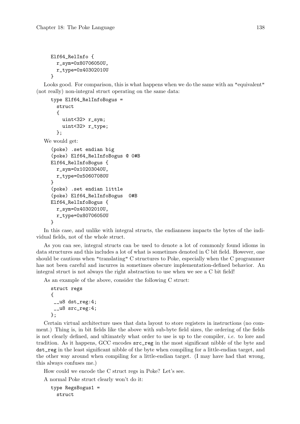```
Elf64_RelInfo {
  r_sym=0x80706050U,
  r_type=0x40302010U
}
```
Looks good. For comparison, this is what happens when we do the same with an "equivalent" (not really) non-integral struct operating on the same data:

```
type Elf64_RelInfoBogus =
    struct
    {
      uint<32> r_sym;
      uint<32> r_type;
    };
We would get:
  (poke) .set endian big
  (poke) Elf64_RelInfoBogus @ 0#B
  Elf64_RelInfoBogus {
    r_sym=0x10203040U,
    r_type=0x50607080U
  }
  (poke) .set endian little
  (poke) Elf64_RelInfoBogus 0#B
  Elf64_RelInfoBogus {
    r_sym=0x40302010U,
    r_type=0x80706050U
  }
```
In this case, and unlike with integral structs, the endianness impacts the bytes of the individual fields, not of the whole struct.

As you can see, integral structs can be used to denote a lot of commonly found idioms in data structures and this includes a lot of what is sometimes denoted in C bit field. However, one should be cautious when "translating" C structures to Poke, especially when the C programmer has not been careful and incurres in sometimes obscure implementation-defined behavior. An integral struct is not always the right abstraction to use when we see a C bit field!

As an example of the above, consider the following C struct:

```
struct regs
{
 _l \leq \frac{1}{8} dst_reg:4;
 __u8 src_reg:4;
};
```
Certain virtual architecture uses that data layout to store registers in instructions (no comment.) Thing is, in bit fields like the above with sub-byte field sizes, the ordering of the fields is not clearly defined, and ultimately what order to use is up to the compiler, i.e. to lore and tradition. As it happens, GCC encodes src\_reg in the most significant nibble of the byte and dst\_reg in the least significant nibble of the byte when compiling for a little-endian target, and the other way around when compiling for a little-endian target. (I may have had that wrong, this always confuses me.)

How could we encode the C struct regs in Poke? Let's see.

A normal Poke struct clearly won't do it:

```
type RegsBogus1 =
 struct
```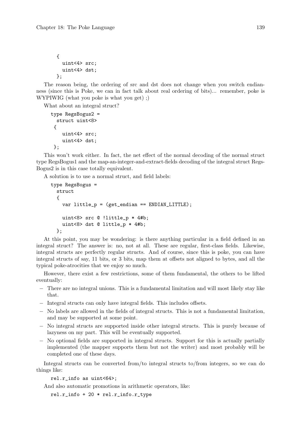```
{
  uint<4> src;
  uint<4> dst;
};
```
The reason being, the ordering of src and dst does not change when you switch endianness (since this is Poke, we can in fact talk about real ordering of bits)... remember, poke is WYPIWIG (what you poke is what you get) ;)

What about an integral struct?

```
type RegsBogus2 =
  struct uint<8>
 {
    uint<4> src;
    uint<4> dst;
\}:
```
This won't work either. In fact, the net effect of the normal decoding of the normal struct type RegsBogus1 and the map-an-integer-and-extract-fields decoding of the integral struct Regs-Bogus2 is in this case totally equivalent.

A solution is to use a normal struct, and field labels:

```
type RegsBogus =
 struct
  {
    var little_p = (get\_endian == ENDIAN_LITILE);uint<8> src @ !little_p * 4#b;
    uint<8> dst @ little_p * 4#b;
 };
```
At this point, you may be wondering: is there anything particular in a field defined in an integral struct? The answer is: no, not at all. These are regular, first-class fields. Likewise, integral structs are perfectly regular structs. And of course, since this is poke, you can have integral structs of say, 11 bits, or 3 bits, map them at offsets not aligned to bytes, and all the typical poke-atrocities that we enjoy so much.

However, there exist a few restrictions, some of them fundamental, the others to be lifted eventually:

- − There are no integral unions. This is a fundamental limitation and will most likely stay like that.
- − Integral structs can only have integral fields. This includes offsets.
- − No labels are allowed in the fields of integral structs. This is not a fundamental limitation, and may be supported at some point.
- − No integral structs are supported inside other integral structs. This is purely because of lazyness on my part. This will be eventually supported.
- − No optional fields are supported in integral structs. Support for this is actually partially implemented (the mapper supports them but not the writer) and most probably will be completed one of these days.

Integral structs can be converted from/to integral structs to/from integers, so we can do things like:

rel.r\_info as uint<64>;

And also automatic promotions in arithmetic operators, like:

 $rel.r\_info + 20 * rel.r\_info.r\_type$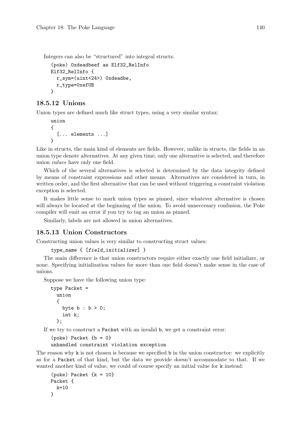Integers can also be "structured" into integral structs:

```
(poke) 0xdeadbeef as Elf32_RelInfo
Elf32_RelInfo {
  r_sym=(uint<24>) 0xdeadbe,
  r_type=0xefUB
}
```
## 18.5.12 Unions

Union types are defined much like struct types, using a very similar syntax:

```
union
{
  [... elements ...]
}
```
Like in structs, the main kind of elements are fields. However, unlike in structs, the fields in an union type denote alternatives. At any given time, only one alternative is selected, and therefore union values have only one field.

Which of the several alternatives is selected is determined by the data integrity defined by means of constraint expressions and other means. Alternatives are considered in turn, in written order, and the first alternative that can be used without triggering a constraint violation exception is selected.

It makes little sense to mark union types as pinned, since whatever alternative is chosen will always be located at the beginning of the union. To avoid unneccesary confusion, the Poke compiler will emit an error if you try to tag an union as pinned.

Similarly, labels are not allowed in union alternatives.

### 18.5.13 Union Constructors

Constructing union values is very similar to constructing struct values:

```
type_name { [field_initializer] }
```
The main difference is that union constructors require either exactly one field initializer, or none. Specifying initialization values for more than one field doesn't make sense in the case of unions.

Suppose we have the following union type:

```
type Packet =
  union
  {
    byte b : b > 0;
    int k;
  };
```
If we try to construct a Packet with an invalid b, we get a constraint error:

```
(poke) Packet {b = 0}
```

```
unhandled constraint violation exception
```
The reason why k is not chosen is because we specified b in the union constructor: we explicitly as for a Packet of that kind, but the data we provide doesn't accommodate to that. If we wanted another kind of value, we could of course specify an initial value for k instead:

```
(poke) Packet \{k = 10\}Packet {
 k=10
}
```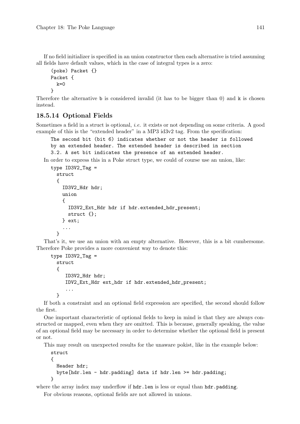If no field initializer is specified in an union constructor then each alternative is tried assuming all fields have default values, which in the case of integral types is a zero:

```
(poke) Packet {}
Packet {
  k=0}
```
Therefore the alternative **b** is considered invalid (it has to be bigger than 0) and **k** is chosen instead.

# 18.5.14 Optional Fields

Sometimes a field in a struct is optional, *i.e.* it exists or not depending on some criteria. A good example of this is the "extended header" in a MP3 id3v2 tag. From the specification:

```
The second bit (bit 6) indicates whether or not the header is followed
by an extended header. The extended header is described in section
3.2. A set bit indicates the presence of an extended header.
```
In order to express this in a Poke struct type, we could of course use an union, like:

```
type ID3V2_Tag =struct
  {
    ID3V2_Hdr hdr;
    union
    {
      ID3V2_Ext_Hdr hdr if hdr.extended_hdr_present;
      struct {};
    } ext;
    ...
  }
```
That's it, we use an union with an empty alternative. However, this is a bit cumbersome. Therefore Poke provides a more convenient way to denote this:

```
type ID3V2_Tag =struct
  {
     ID3V2_Hdr hdr;
     IDV2_Ext_Hdr ext_hdr if hdr.extended_hdr_present;
     ...
  }
```
If both a constraint and an optional field expression are specified, the second should follow the first.

One important characteristic of optional fields to keep in mind is that they are always constructed or mapped, even when they are omitted. This is because, generally speaking, the value of an optional field may be necessary in order to determine whether the optional field is present or not.

This may result on unexpected results for the unaware pokist, like in the example below:

```
struct
{
  Header hdr;
  byte[hdr.len - hdr.padding] data if hdr.len >= hdr.padding;
}
```
where the array index may underflow if  $\text{hdr}$ . Len is less or equal than  $\text{hdr}$ . padding. For obvious reasons, optional fields are not allowed in unions.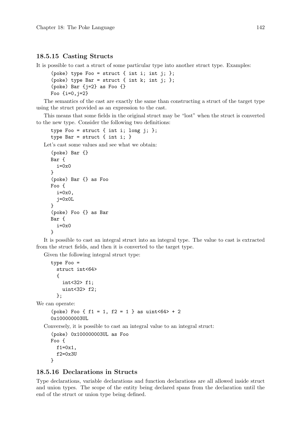# 18.5.15 Casting Structs

It is possible to cast a struct of some particular type into another struct type. Examples:

```
(poke) type Foo = struct { int i; int j; };
(poke) type Bar = struct { int k; int j; };
(poke) Bar {j=2} as Foo {}
Foo \{i=0, j=2\}
```
The semantics of the cast are exactly the same than constructing a struct of the target type using the struct provided as an expression to the cast.

This means that some fields in the original struct may be "lost" when the struct is converted to the new type. Consider the following two definitions:

type Foo = struct { int i; long j; }; type Bar = struct  $\{$  int i:  $\}$ 

Let's cast some values and see what we obtain:

```
(poke) Bar {}
Bar {
  i=0x0}
(poke) Bar {} as Foo
Foo {
  i=0x0,
  j=0x0L
}
(poke) Foo {} as Bar
Bar {
  i=0x0}
```
It is possible to cast an integral struct into an integral type. The value to cast is extracted from the struct fields, and then it is converted to the target type.

Given the following integral struct type:

```
type Foo =
 struct int<64>
  {
    int<32> f1;
    uint<32> f2;
 };
```
We can operate:

```
(poke) Foo { f1 = 1, f2 = 1 } as uint<64> + 2
0x100000003UL
```
Conversely, it is possible to cast an integral value to an integral struct:

```
(poke) 0x100000003UL as Foo
Foo {
  f1=0x1.
  f2=0x3U
}
```
# 18.5.16 Declarations in Structs

Type declarations, variable declarations and function declarations are all allowed inside struct and union types. The scope of the entity being declared spans from the declaration until the end of the struct or union type being defined.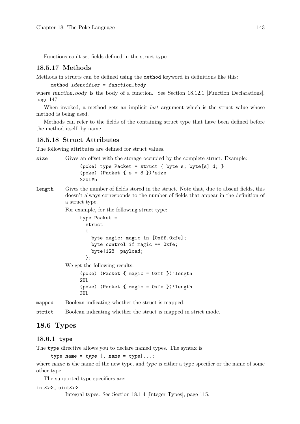Functions can't set fields defined in the struct type.

### 18.5.17 Methods

Methods in structs can be defined using the method keyword in definitions like this:

method identifier = function\_body

where function body is the body of a function. See [Section 18.12.1 \[Function Declarations\],](#page-162-0) [page 147.](#page-162-0)

When invoked, a method gets an implicit *last* argument which is the struct value whose method is being used.

Methods can refer to the fields of the containing struct type that have been defined before the method itself, by name.

#### 18.5.18 Struct Attributes

The following attributes are defined for struct values.

size Gives an offset with the storage occupied by the complete struct. Example:

(poke) type Packet = struct { byte s; byte[s] d; } (poke) (Packet  $\{ s = 3 \}$ )'size 32UL#b

length Gives the number of fields stored in the struct. Note that, due to absent fields, this doesn't always corresponds to the number of fields that appear in the definition of a struct type.

For example, for the following struct type:

```
type Packet =
       struct
       {
         byte magic: magic in [0xff,0xfe];
         byte control if magic == 0xfe;
         byte[128] payload;
       };
We get the following results:
     (poke) (Packet { magic = 0xff })'length
     2UL
     (poke) (Packet { magic = 0xfe })'length
     3UL
```
mapped Boolean indicating whether the struct is mapped.

strict Boolean indicating whether the struct is mapped in strict mode.

### 18.6 Types

#### 18.6.1 type

The type directive allows you to declare named types. The syntax is:

```
type name = type [, name = type] \dots;
```
where name is the name of the new type, and type is either a type specifier or the name of some other type.

The supported type specifiers are:

#### int<n>, uint<n>

Integral types. See [Section 18.1.4 \[Integer Types\], page 115.](#page-130-0)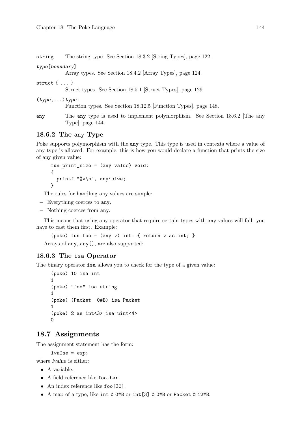string The string type. See [Section 18.3.2 \[String Types\], page 122](#page-137-0).

type[boundary]

Array types. See [Section 18.4.2 \[Array Types\], page 124.](#page-139-0)

struct  $\{ \ldots \}$ 

Struct types. See [Section 18.5.1 \[Struct Types\], page 129.](#page-144-0)

(type,...)type:

Function types. See [Section 18.12.5 \[Function Types\], page 148.](#page-163-0)

any The any type is used to implement polymorphism. See Section 18.6.2 The any [Type\], page 144.](#page-159-0)

## <span id="page-159-0"></span>18.6.2 The any Type

Poke supports polymorphism with the any type. This type is used in contexts where a value of any type is allowed. For example, this is how you would declare a function that prints the size of any given value:

```
fun print_size = (any value) void:
{
  printf "%v\n", any'size;
}
```
The rules for handling any values are simple:

- − Everything coerces to any.
- − Nothing coerces from any.

This means that using any operator that require certain types with any values will fail: you have to cast them first. Example:

(poke) fun foo =  $(\text{any } v)$  int: { return v as int; }

Arrays of any, any[], are also supported:

### 18.6.3 The isa Operator

The binary operator isa allows you to check for the type of a given value:

```
(poke) 10 isa int
1
(poke) "foo" isa string
1
(poke) (Packet 0#B) isa Packet
1
(poke) 2 as int<3> isa uint<4>
\Omega
```
# 18.7 Assignments

The assignment statement has the form:

 $1$ value =  $exp$ ;

where lvalue is either:

- A variable.
- A field reference like foo.bar.
- An index reference like foo<sup>[30]</sup>.
- A map of a type, like int @ 0#B or int[3] @ 0#B or Packet @ 12#B.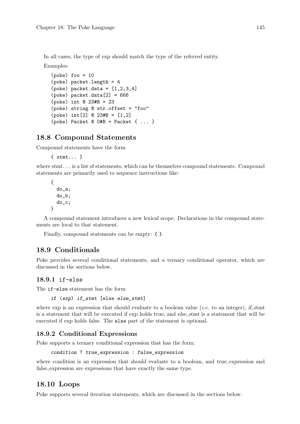In all cases, the type of exp should match the type of the referred entity.

Examples:

```
(poke) foo = 10
(poke) packet.length = 4
(poke) packet.data = [1, 2, 3, 4](poke) packet.data[2] = 666
(poke) int @ 23#B = 23
(poke) string @ str.offset = "foo"
(poke) int[2] @ 23#B = [1,2]
(poke) Packet @ 0#B = Packet { ... }
```
# 18.8 Compound Statements

Compound statements have the form

{ stmt... }

where  $s$ tmt... is a list of statements, which can be themselves compound statements. Compound statements are primarily used to sequence instructions like:

```
{
  do_a;
  do_b;
  do_c;
}
```
A compound statement introduces a new lexical scope. Declarations in the compound statements are local to that statement.

Finally, compound statements can be empty: { }.

# 18.9 Conditionals

Poke provides several conditional statements, and a ternary conditional operator, which are discussed in the sections below.

# 18.9.1 if-else

The if-else statement has the form

if (exp) if\_stmt [else else\_stmt]

where  $\exp$  is an expression that should evaluate to a boolean value (*i.e.* to an integer), if stmt is a statement that will be executed if exp holds true, and else-stmt is a statement that will be executed if exp holds false. The else part of the statement is optional.

## 18.9.2 Conditional Expressions

Poke supports a ternary conditional expression that has the form:

condition ? true\_expression : false\_expression

where condition is an expression that should evaluate to a boolean, and true expression and false expression are expressions that have exactly the same type.

## 18.10 Loops

Poke supports several iteration statements, which are discussed in the sections below.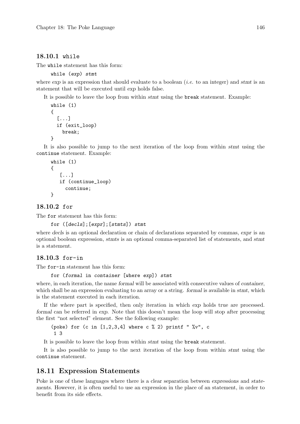### 18.10.1 while

The while statement has this form:

while (exp) stmt

where  $\exp$  is an expression that should evaluate to a boolean (*i.e.* to an integer) and stmt is an statement that will be executed until exp holds false.

It is possible to leave the loop from within stmt using the break statement. Example:

```
while (1)
{
  [...]
  if (exit_loop)
    break;
}
```
It is also possible to jump to the next iteration of the loop from within stmt using the continue statement. Example:

```
while (1)
{
   [...]
   if (continue_loop)
     continue;
}
```
18.10.2 for

The for statement has this form:

for ([decls];[expr];[stmts]) stmt

where decls is an optional declaration or chain of declarations separated by commas, expr is an optional boolean expression, stmts is an optional comma-separated list of statements, and stmt is a statement.

### 18.10.3 for-in

The for-in statement has this form:

#### for (formal in container [where exp]) stmt

where, in each iteration, the name formal will be associated with consecutive values of container, which shall be an expression evaluating to an array or a string. *formal* is available in stmt, which is the statement executed in each iteration.

If the where part is specified, then only iteration in which exp holds true are processed. formal can be referred in exp. Note that this doesn't mean the loop will stop after processing the first "not selected" element. See the following example:

(poke) for (c in  $[1,2,3,4]$  where c % 2) printf " %v", c 1 3

It is possible to leave the loop from within stmt using the break statement.

It is also possible to jump to the next iteration of the loop from within stmt using the continue statement.

# 18.11 Expression Statements

Poke is one of these languages where there is a clear separation between expressions and statements. However, it is often useful to use an expression in the place of an statement, in order to benefit from its side effects.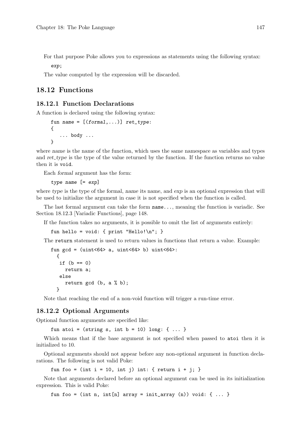For that purpose Poke allows you to expressions as statements using the following syntax: exp;

The value computed by the expression will be discarded.

# 18.12 Functions

## <span id="page-162-0"></span>18.12.1 Function Declarations

A function is declared using the following syntax:

```
fun name = [(formal,...)] ret_type:
{
   ... body ...
}
```
where name is the name of the function, which uses the same namespace as variables and types and ret type is the type of the value returned by the function. If the function returns no value then it is void.

Each formal argument has the form:

type name [= exp]

where type is the type of the formal, name its name, and  $\exp$  is an optional expression that will be used to initialize the argument in case it is not specified when the function is called.

The last formal argument can take the form name..., meaning the function is variadic. See [Section 18.12.3 \[Variadic Functions\], page 148](#page-163-1).

If the function takes no arguments, it is possible to omit the list of arguments entirely:

fun hello = void: {  $print "Hello! \n"$ ; }

The return statement is used to return values in functions that return a value. Example:

```
fun gcd = (uint<64 a, uint<64 b) uint<64 :
  {
   if (b == 0)return a;
  else
    return gcd (b, a % b);
  }
```
Note that reaching the end of a non-void function will trigger a run-time error.

### 18.12.2 Optional Arguments

Optional function arguments are specified like:

fun atoi =  $(\text{string } s, \text{ int } b = 10) \text{ long}: \{ \dots \}$ 

Which means that if the base argument is not specified when passed to atoi then it is initialized to 10.

Optional arguments should not appear before any non-optional argument in function declarations. The following is not valid Poke:

fun foo = (int i = 10, int j) int: { return i + j; }

Note that arguments declared before an optional argument can be used in its initialization expression. This is valid Poke:

fun foo = (int n, int[n] array = init\_array (n)) void: { ... }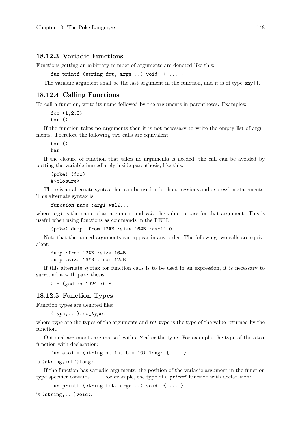#### <span id="page-163-1"></span>18.12.3 Variadic Functions

Functions getting an arbitrary number of arguments are denoted like this:

```
fun printf (string fmt, args...) void: { ... }
```
The variadic argument shall be the last argument in the function, and it is of type  $\text{any}[]$ .

### 18.12.4 Calling Functions

To call a function, write its name followed by the arguments in parentheses. Examples:

foo (1,2,3) bar ()

If the function takes no arguments then it is not necessary to write the empty list of arguments. Therefore the following two calls are equivalent:

bar () bar

If the closure of function that takes no arguments is needed, the call can be avoided by putting the variable immediately inside parenthesis, like this:

(poke) (foo) #<closure>

There is an alternate syntax that can be used in both expressions and expression-statements. This alternate syntax is:

function\_name :arg1 val1...

where *arg1* is the name of an argument and val1 the value to pass for that argument. This is useful when using functions as commands in the REPL:

(poke) dump :from 12#B :size 16#B :ascii 0

Note that the named arguments can appear in any order. The following two calls are equivalent:

dump :from 12#B :size 16#B dump :size 16#B :from 12#B

If this alternate syntax for function calls is to be used in an expression, it is necessary to surround it with parenthesis:

2 + (gcd :a 1024 :b 8)

### <span id="page-163-0"></span>18.12.5 Function Types

Function types are denoted like:

 $(type,...)ret_type$ :

where type are the types of the arguments and  $ret\_type$  is the type of the value returned by the function.

Optional arguments are marked with a ? after the type. For example, the type of the atoi function with declaration:

```
fun atoi = (\text{string } s, \text{ int } b = 10) \text{ long}: \{ ... \}
```
is (string,int?)long:.

If the function has variadic arguments, the position of the variadic argument in the function type specifier contains .... For example, the type of a printf function with declaration:

fun printf (string fmt, args...) void: { ... }

is  $(\text{string}, \ldots)$ void:.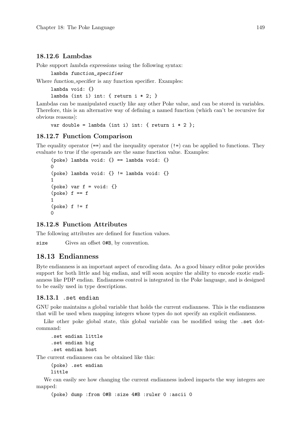### 18.12.6 Lambdas

Poke support lambda expressions using the following syntax:

lambda function\_specifier

Where function specifier is any function specifier. Examples:

lambda void: {} lambda (int i) int: { return  $i * 2;$  }

Lambdas can be manipulated exactly like any other Poke value, and can be stored in variables. Therefore, this is an alternative way of defining a named function (which can't be recursive for obvious reasons):

```
var double = lambda (int i) int: { return i * 2 };
```
### 18.12.7 Function Comparison

The equality operator  $(==)$  and the inequality operator  $(!=)$  can be applied to functions. They evaluate to true if the operands are the same function value. Examples:

```
(poke) lambda void: {} == lambda void: {}
0
(poke) lambda void: {} != lambda void: {}
1
(poke) var f = void: \{\}(poke) f == f1
(poke) f := f\Omega
```
#### 18.12.8 Function Attributes

The following attributes are defined for function values.

size Gives an offset 0#B, by convention.

## 18.13 Endianness

Byte endianness is an important aspect of encoding data. As a good binary editor poke provides support for both little and big endian, and will soon acquire the ability to encode exotic endianness like PDP endian. Endianness control is integrated in the Poke language, and is designed to be easily used in type descriptions.

#### 18.13.1 .set endian

GNU poke maintains a global variable that holds the current endianness. This is the endianness that will be used when mapping integers whose types do not specify an explicit endianness.

Like other poke global state, this global variable can be modified using the set dotcommand:

.set endian little .set endian big .set endian host

The current endianness can be obtained like this:

```
(poke) .set endian
little
```
We can easily see how changing the current endianness indeed impacts the way integers are mapped:

(poke) dump :from 0#B :size 4#B :ruler 0 :ascii 0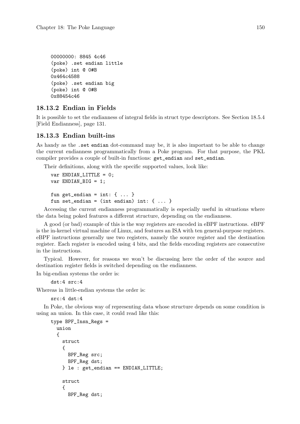```
00000000: 8845 4c46
(poke) .set endian little
(poke) int @ 0#B
0x464c4588
(poke) .set endian big
(poke) int @ 0#B
0x88454c46
```
# 18.13.2 Endian in Fields

It is possible to set the endianness of integral fields in struct type descriptors. See [Section 18.5.4](#page-146-0) [\[Field Endianness\], page 131.](#page-146-0)

# 18.13.3 Endian built-ins

As handy as the .set endian dot-command may be, it is also important to be able to change the current endianness programmatically from a Poke program. For that purpose, the PKL compiler provides a couple of built-in functions: get\_endian and set\_endian.

Their definitions, along with the specific supported values, look like:

```
var ENDIAN LITTLE = 0:
var ENDIAN_BIG = 1;
fun get_endian = int: \{ \ldots \}fun set_endian = (int endian) int: \{ \ldots \}
```
Accessing the current endianness programmatically is especially useful in situations where the data being poked features a different structure, depending on the endianness.

A good (or bad) example of this is the way registers are encoded in eBPF instructions. eBPF is the in-kernel virtual machine of Linux, and features an ISA with ten general-purpose registers. eBPF instructions generally use two registers, namely the source register and the destination register. Each register is encoded using 4 bits, and the fields encoding registers are consecutive in the instructions.

Typical. However, for reasons we won't be discussing here the order of the source and destination register fields is switched depending on the endianness.

In big-endian systems the order is:

dst:4 src:4

Whereas in little-endian systems the order is:

src:4 dst:4

In Poke, the obvious way of representing data whose structure depends on some condition is using an union. In this case, it could read like this:

```
type BPF_Insn_Regs =
  union
  {
    struct
    \sqrt{2}BPF_Reg src;
      BPF Reg dst:
    } le : get_endian == ENDIAN_LITTLE;
    struct
    {
      BPF_Reg dst;
```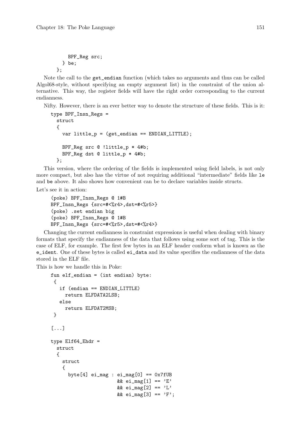```
BPF_Reg src;
  } be;
};
```
Note the call to the get\_endian function (which takes no arguments and thus can be called Algol68-style, without specifying an empty argument list) in the constraint of the union alternative. This way, the register fields will have the right order corresponding to the current endianness.

Nifty. However, there is an ever better way to denote the structure of these fields. This is it:

```
type BPF_Insn_Regs =
 struct
 {
   var little_p = (get_endian == ENDIAN_LITTLE);
   BPF Reg src @ !little p * 4#b;
   BPF_Reg dst @ little_p * 4#b;
 };
```
This version, where the ordering of the fields is implemented using field labels, is not only more compact, but also has the virtue of not requiring additional "intermediate" fields like le and be above. It also shows how convenient can be to declare variables inside structs.

Let's see it in action:

```
(poke) BPF_Insn_Regs @ 1#B
BPF_Insn_Regs {src=#<%r4>,dst=#<%r5>}
(poke) .set endian big
(poke) BPF_Insn_Regs @ 1#B
BPF_Insn_Regs {src=#<%r5>,dst=#<%r4>}
```
Changing the current endianness in constraint expressions is useful when dealing with binary formats that specify the endianness of the data that follows using some sort of tag. This is the case of ELF, for example. The first few bytes in an ELF header conform what is known as the e\_ident. One of these bytes is called ei\_data and its value specifies the endianness of the data stored in the ELF file.

This is how we handle this in Poke:

```
fun elf_endian = (int endian) byte:
 {
   if (endian == ENDIAN_LITTLE)
     return ELFDATA2LSB;
   else
     return ELFDAT2MSB;
}
[...]
type Elf64_Ehdr =
 struct
  {
    struct
    {
      byte[4] ei_{mag} : ei_{mag}[0] == 0x7fUB
                        && ei_mag[1] == 'E'&& ei_mag[2] == 'L'&& ei_mag[3] == 'F';
```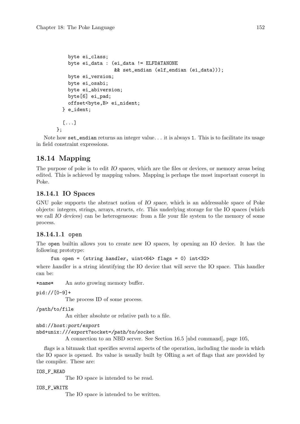```
byte ei_class;
  byte ei_data : (ei_data != ELFDATANONE
                   && set_endian (elf_endian (ei_data)));
  byte ei_version;
  byte ei_osabi;
  byte ei_abiversion;
 byte[6] ei_pad;
  offset<br/>byte.B> ei_nident;
} e_ident;
[...]
```
Note how set\_endian returns an integer value. . . it is always 1. This is to facilitate its usage in field constraint expressions.

# 18.14 Mapping

};

The purpose of poke is to edit IO spaces, which are the files or devices, or memory areas being edited. This is achieved by mapping values. Mapping is perhaps the most important concept in Poke.

# 18.14.1 IO Spaces

GNU poke supports the abstract notion of IO space, which is an addressable space of Poke objects: integers, strings, arrays, structs, etc. This underlying storage for the IO spaces (which we call IO devices) can be heterogeneous: from a file your file system to the memory of some process.

# 18.14.1.1 open

The open builtin allows you to create new IO spaces, by opening an IO device. It has the following prototype:

```
fun open = (string handler, uint<64> flags = 0) int<32>
```
where handler is a string identifying the IO device that will serve the IO space. This handler can be:

\*name\* An auto growing memory buffer.

pid://[0-9]+

The process ID of some process.

/path/to/file

An either absolute or relative path to a file.

nbd://host:port/export

nbd+unix:///export?socket=/path/to/socket

A connection to an NBD server. See [Section 16.5 \[nbd command\], page 105,](#page-120-0)

flags is a bitmask that specifies several aspects of the operation, including the mode in which the IO space is opened. Its value is usually built by ORing a set of flags that are provided by the compiler. These are:

### IOS\_F\_READ

The IO space is intended to be read.

IOS\_F\_WRITE

The IO space is intended to be written.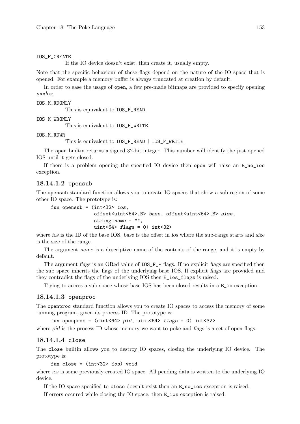#### IOS\_F\_CREATE

If the IO device doesn't exist, then create it, usually empty.

Note that the specific behaviour of these flags depend on the nature of the IO space that is opened. For example a memory buffer is always truncated at creation by default.

In order to ease the usage of open, a few pre-made bitmaps are provided to specify opening modes:

#### IOS\_M\_RDONLY

This is equivalent to IOS\_F\_READ.

IOS\_M\_WRONLY

This is equivalent to IOS F WRITE.

#### IOS\_M\_RDWR

This is equivalent to IOS\_F\_READ | IOS\_F\_WRITE.

The open builtin returns a signed 32-bit integer. This number will identify the just opened IOS until it gets closed.

If there is a problem opening the specified IO device then open will raise an E\_no\_ios exception.

#### 18.14.1.2 opensub

The opensub standard function allows you to create IO spaces that show a sub-region of some other IO space. The prototype is:

```
fun opensub = (int < 32 > i <i>os</i>,
                offset<uint<64>,B> base, offset<uint<64>,B> size,
                string name = "",
                uint<64> flags = 0) int<32>
```
where ios is the ID of the base IOS, base is the offset in ios where the sub-range starts and size is the size of the range.

The argument name is a descriptive name of the contents of the range, and it is empty by default.

The argument flags is an ORed value of  $IOS_F-*$  flags. If no explicit flags are specified then the sub space inherits the flags of the underlying base IOS. If explicit flags are provided and they contradict the flags of the underlying IOS then E\_ios\_flags is raised.

Trying to access a sub space whose base IOS has been closed results in a E\_io exception.

### 18.14.1.3 openproc

The openproc standard function allows you to create IO spaces to access the memory of some running program, given its process ID. The prototype is:

fun openproc = (uint<64> pid, uint<64> flags = 0) int<32>

where pid is the process ID whose memory we want to poke and flags is a set of open flags.

#### 18.14.1.4 close

The close builtin allows you to destroy IO spaces, closing the underlying IO device. The prototype is:

```
fun close = (int<32>ios) void
```
where ios is some previously created IO space. All pending data is written to the underlying IO device.

If the IO space specified to close doesn't exist then an E\_no\_ios exception is raised.

If errors occured while closing the IO space, then E\_ios exception is raised.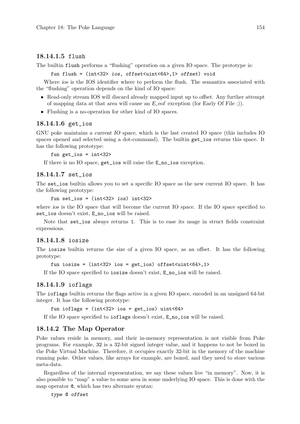## 18.14.1.5 flush

The builtin flush performs a "flushing" operation on a given IO space. The prototype is:

fun flush = (int<32> ios, offset<uint<64>,1> offset) void

Where ios is the IOS identifier where to perform the flush. The semantics associated with the "flushing" operation depends on the kind of IO space:

- Read-only stream IOS will discard already mapped input up to *offset*. Any further attempt of mapping data at that area will cause an  $E$ -eof exception (for Early Of File ;)).
- Flushing is a no-operation for other kind of IO spaces.

### 18.14.1.6 get\_ios

GNU poke maintains a current IO space, which is the last created IO space (this includes IO spaces opened and selected using a dot-command). The builtin get\_ios returns this space. It has the following prototype:

fun get\_ios = int<32>

If there is no IO space, get\_ios will raise the E\_no\_ios exception.

### 18.14.1.7 set\_ios

The set\_ios builtin allows you to set a specific IO space as the new current IO space. It has the following prototype:

```
fun set_ios = (int<32>ios) int<32>
```
where ios is the IO space that will become the current IO space. If the IO space specified to set\_ios doesn't exist, E\_no\_ios will be raised.

Note that set\_ios always returns 1. This is to ease its usage in struct fields constraint expressions.

## 18.14.1.8 iosize

The iosize builtin returns the size of a given IO space, as an offset. It has the following prototype:

```
fun iosize = (int<32> ios = get\_ios) offset\{uint<64>, 1>
```
If the IO space specified to iosize doesn't exist, E\_no\_ios will be raised.

## 18.14.1.9 ioflags

The ioflags builtin returns the flags active in a given IO space, encoded in an unsigned 64-bit integer. It has the following prototype:

fun ioflags =  $(int < 32$  ios =  $get\_ios)$  uint $< 64$  >

If the IO space specified to ioflags doesn't exist, E\_no\_ios will be raised.

## 18.14.2 The Map Operator

Poke values reside in memory, and their in-memory representation is not visible from Poke programs. For example, 32 is a 32-bit signed integer value, and it happens to not be boxed in the Poke Virtual Machine. Therefore, it occupies exactly 32-bit in the memory of the machine running poke. Other values, like arrays for example, are boxed, and they need to store various meta-data.

Regardless of the internal representation, we say these values live "in memory". Now, it is also possible to "map" a value to some area in some underlying IO space. This is done with the map operator @, which has two alternate syntax:

type @ offset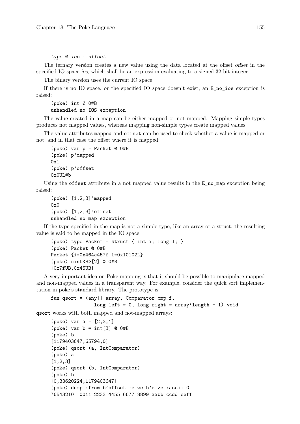#### type @ ios : offset

The ternary version creates a new value using the data located at the offset offset in the specified IO space ios, which shall be an expression evaluating to a signed 32-bit integer.

The binary version uses the current IO space.

If there is no IO space, or the specified IO space doesn't exist, an E\_no\_ios exception is raised:

(poke) int @ 0#B unhandled no IOS exception

The value created in a map can be either mapped or not mapped. Mapping simple types produces not mapped values, whereas mapping non-simple types create mapped values.

The value attributes mapped and offset can be used to check whether a value is mapped or not, and in that case the offset where it is mapped:

```
(poke) var p = Packet @ 0#B
(poke) p'mapped
0x1
(poke) p'offset
0x0UL#b
```
Using the **offset** attribute in a not mapped value results in the  $E_{no\_map}$  exception being raised:

```
(poke) [1,2,3]'mapped
0x0
(poke) [1,2,3]'offset
unhandled no map exception
```
If the type specified in the map is not a simple type, like an array or a struct, the resulting value is said to be mapped in the IO space:

```
(poke) type Packet = struct { int i; long l; }
(poke) Packet @ 0#B
Packet {i=0x464c457f,l=0x10102L}
(poke) uint<8>[2] @ 0#B
[0x7fUB,0x45UB]
```
A very important idea on Poke mapping is that it should be possible to manipulate mapped and non-mapped values in a transparent way. For example, consider the quick sort implementation in poke's standard library. The prototype is:

```
fun qsort = (\text{any}[] \text{array}, \text{Comparator } \text{cmp}_f,long left = 0, long right = array'length - 1) void
```
qsort works with both mapped and not-mapped arrays:

```
(poke) var a = [2,3,1]
(poke) var b = int[3] @ 0#B
(poke) b
[1179403647,65794,0]
(poke) qsort (a, IntComparator)
(poke) a
[1,2,3]
(poke) qsort (b, IntComparator)
(poke) b
[0,33620224,1179403647]
(poke) dump :from b'offset :size b'size :ascii 0
76543210 0011 2233 4455 6677 8899 aabb ccdd eeff
```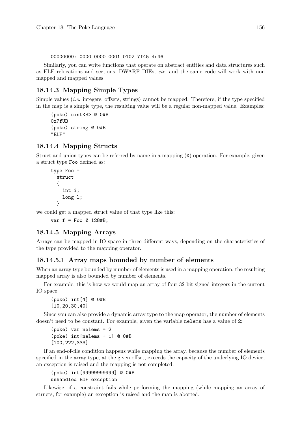00000000: 0000 0000 0001 0102 7f45 4c46

Similarly, you can write functions that operate on abstract entities and data structures such as ELF relocations and sections, DWARF DIEs, etc, and the same code will work with non mapped and mapped values.

# 18.14.3 Mapping Simple Types

Simple values *(i.e.* integers, offsets, strings) cannot be mapped. Therefore, if the type specified in the map is a simple type, the resulting value will be a regular non-mapped value. Examples:

(poke) uint<8> @ 0#B 0x7fUB (poke) string @ 0#B "ELF"

## <span id="page-171-0"></span>18.14.4 Mapping Structs

Struct and union types can be referred by name in a mapping (@) operation. For example, given a struct type Foo defined as:

```
type Foo =
  struct
  {
    int i;
    long l;
  }
```
we could get a mapped struct value of that type like this:

var  $f = F$ oo @ 128#B:

## <span id="page-171-1"></span>18.14.5 Mapping Arrays

Arrays can be mapped in IO space in three different ways, depending on the characteristics of the type provided to the mapping operator.

### 18.14.5.1 Array maps bounded by number of elements

When an array type bounded by number of elements is used in a mapping operation, the resulting mapped array is also bounded by number of elements.

For example, this is how we would map an array of four 32-bit signed integers in the current IO space:

(poke) int[4] @ 0#B [10,20,30,40]

Since you can also provide a dynamic array type to the map operator, the number of elements doesn't need to be constant. For example, given the variable nelems has a value of 2:

```
(poke) var nelems = 2
(poke) int[nelems + 1] @ 0#B
[100,222,333]
```
If an end-of-file condition happens while mapping the array, because the number of elements specified in the array type, at the given offset, exceeds the capacity of the underlying IO device, an exception is raised and the mapping is not completed:

(poke) int[99999999999] @ 0#B unhandled EOF exception

Likewise, if a constraint fails while performing the mapping (while mapping an array of structs, for example) an exception is raised and the map is aborted.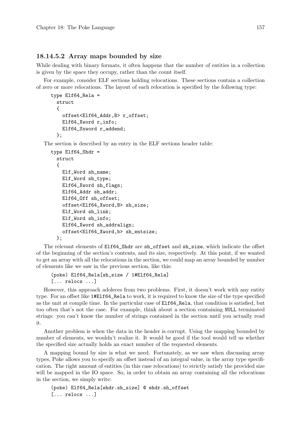### 18.14.5.2 Array maps bounded by size

While dealing with binary formats, it often happens that the number of entities in a collection is given by the space they occupy, rather than the count itself.

For example, consider ELF sections holding relocations. These sections contain a collection of zero or more relocations. The layout of each relocation is specified by the following type:

```
type Elf64_Rela =
 struct
  {
    offset<Elf64_Addr,B> r_offset;
    Elf64_Xword r_info;
    Elf64_Sxword r_addend;
  };
```
The section is described by an entry in the ELF sections header table:

```
type E1f64 Shdr =
 struct
 {
   Elf_Word sh_name;
   Elf_Word sh_type;
   Elf64_Xword sh_flags;
   Elf64_Addr sh_addr;
   Elf64_Off sh_offset;
   offset<Elf64_Xword,B> sh_size;
   Elf_Word sh_link;
   Elf_Word sh_info;
   Elf64_Xword sh_addralign;
    offset<Elf64_Xword,b> sh_entsize;
 };
```
The relevant elements of Elf64\_Shdr are sh\_offset and sh\_size, which indicate the offset of the beginning of the section's contents, and its size, respectively. At this point, if we wanted to get an array with all the relocations in the section, we could map an array bounded by number of elements like we saw in the previous section, like this:

```
(poke) Elf64_Rela[sh_size / 1#Elf64_Rela]
[... relocs ...]
```
However, this approach adoleces from two problems. First, it doesn't work with any entity type. For an offset like 1#Elf64\_Rela to work, it is required to know the size of the type specified as the unit at compile time. In the particular case of Elf64\_Rela, that condition is satisfied, but too often that's not the case. For example, think about a section containing NULL terminated strings: you can't know the number of strings contained in the section until you actually read it.

Another problem is when the data in the header is corrupt. Using the mapping bounded by number of elements, we wouldn't realize it. It would be good if the tool would tell us whether the specified size actually holds an exact number of the requested elements.

A mapping bound by size is what we need. Fortunately, as we saw when discussing array types, Poke allows you to specify an offset instead of an integral value, in the array type specification. The right amount of entities (in this case relocations) to strictly satisfy the provided size will be mapped in the IO space. So, in order to obtain an array containing all the relocations in the section, we simply write:

```
(poke) Elf64_Rela[ehdr.sh_size] @ ehdr.sh_offset
[... relocs ...]
```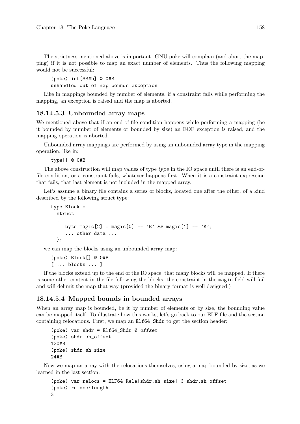The strictness mentioned above is important. GNU poke will complain (and abort the mapping) if it is not possible to map an exact number of elements. Thus the following mapping would not be successful:

(poke) int[33#b] @ 0#B unhandled out of map bounds exception

Like in mappings bounded by number of elements, if a constraint fails while performing the mapping, an exception is raised and the map is aborted.

### 18.14.5.3 Unbounded array maps

We mentioned above that if an end-of-file condition happens while performing a mapping (be it bounded by number of elements or bounded by size) an EOF exception is raised, and the mapping operation is aborted.

Unbounded array mappings are performed by using an unbounded array type in the mapping operation, like in:

type[] @ 0#B

The above construction will map values of type type in the IO space until there is an end-offile condition, or a constraint fails, whatever happens first. When it is a constraint expression that fails, that last element is not included in the mapped array.

Let's assume a binary file contains a series of blocks, located one after the other, of a kind described by the following struct type:

```
type Block =
  struct
  {
     byte magic[2] : magic[0] == 'B' && magic[1] == 'K';
     ... other data ...
  };
```
we can map the blocks using an unbounded array map:

(poke) Block[] @ 0#B [ ... blocks ... ]

If the blocks extend up to the end of the IO space, that many blocks will be mapped. If there is some other content in the file following the blocks, the constraint in the magic field will fail and will delimit the map that way (provided the binary format is well designed.)

### 18.14.5.4 Mapped bounds in bounded arrays

When an array map is bounded, be it by number of elements or by size, the bounding value can be mapped itself. To illustrate how this works, let's go back to our ELF file and the section containing relocations. First, we map an Elf64\_Shdr to get the section header:

```
(poke) var shdr = Elf64_Shdr @ offset
(poke) shdr.sh_offset
120#B
(poke) shdr.sh_size
24#B
```
Now we map an array with the relocations themselves, using a map bounded by size, as we learned in the last section:

```
(poke) var relocs = ELF64_Rela[shdr.sh_size] @ shdr.sh_offset
(poke) relocs'length
3
```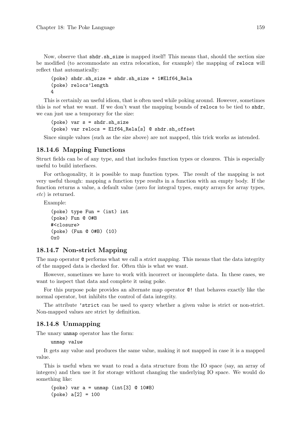Now, observe that shdr.sh\_size is mapped itself! This means that, should the section size be modified (to accommodate an extra relocation, for example) the mapping of relocs will reflect that automatically:

```
(poke) shdr.sh_size = shdr.sh_size + 1#Elf64_Rela
(poke) relocs'length
4
```
This is certainly an useful idiom, that is often used while poking around. However, sometimes this is not what we want. If we don't want the mapping bounds of relocs to be tied to shdr, we can just use a temporary for the size:

```
(poke) var s = shdr.sh_size
(poke) var relocs = Elf64_Rela[s] @ shdr.sh_offset
```
Since simple values (such as the size above) are not mapped, this trick works as intended.

### 18.14.6 Mapping Functions

Struct fields can be of any type, and that includes function types or closures. This is especially useful to build interfaces.

For orthogonality, it is possible to map function types. The result of the mapping is not very useful though: mapping a function type results in a function with an empty body. If the function returns a value, a default value (zero for integral types, empty arrays for array types, etc) is returned.

Example:

```
(poke) type Fun = (int) int
(poke) Fun @ 0#B
#<closure>
(poke) (Fun @ 0#B) (10)
0x0
```
### 18.14.7 Non-strict Mapping

The map operator @ performs what we call a strict mapping. This means that the data integrity of the mapped data is checked for. Often this is what we want.

However, sometimes we have to work with incorrect or incomplete data. In these cases, we want to inspect that data and complete it using poke.

For this purpose poke provides an alternate map operator @! that behaves exactly like the normal operator, but inhibits the control of data integrity.

The attribute 'strict can be used to query whether a given value is strict or non-strict. Non-mapped values are strict by definition.

### 18.14.8 Unmapping

The unary unmap operator has the form:

unmap value

It gets any value and produces the same value, making it not mapped in case it is a mapped value.

This is useful when we want to read a data structure from the IO space (say, an array of integers) and then use it for storage without changing the underlying IO space. We would do something like:

```
(poke) var a = unmap (int[3] @ 10#B)
(poke) a[2] = 100
```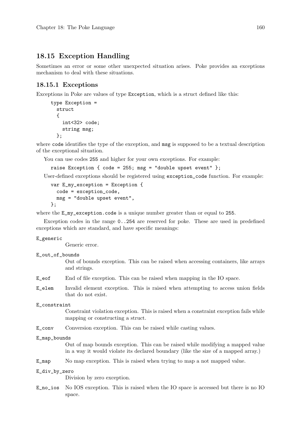# 18.15 Exception Handling

Sometimes an error or some other unexpected situation arises. Poke provides an exceptions mechanism to deal with these situations.

### 18.15.1 Exceptions

Exceptions in Poke are values of type Exception, which is a struct defined like this:

```
type Exception =
 struct
  {
    int<32> code;
    string msg;
 };
```
where code identifies the type of the exception, and msg is supposed to be a textual description of the exceptional situation.

You can use codes 255 and higher for your own exceptions. For example:

```
raise Exception { code = 255; msg = "double upset event" };
```
User-defined exceptions should be registered using exception\_code function. For example:

```
var E_my_exception = Exception {
  code = exception_code,
  msg = "double upset event",
};
```
where the  $E_m y$ -exception.code is a unique number greater than or equal to 255.

Exception codes in the range 0..254 are reserved for poke. These are used in predefined exceptions which are standard, and have specific meanings:

#### E\_generic

Generic error.

E\_out\_of\_bounds

Out of bounds exception. This can be raised when accessing containers, like arrays and strings.

- E\_eof End of file exception. This can be raised when mapping in the IO space.
- E\_elem Invalid element exception. This is raised when attempting to access union fields that do not exist.

#### E\_constraint

Constraint violation exception. This is raised when a constraint exception fails while mapping or constructing a struct.

E\_conv Conversion exception. This can be raised while casting values.

#### E\_map\_bounds

Out of map bounds exception. This can be raised while modifying a mapped value in a way it would violate its declared boundary (like the size of a mapped array.)

E\_map No map exception. This is raised when trying to map a not mapped value.

#### E\_div\_by\_zero

Division by zero exception.

E\_no\_ios No IOS exception. This is raised when the IO space is accessed but there is no IO space.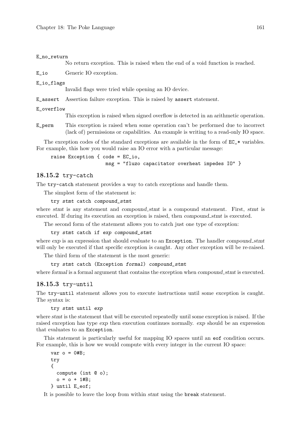#### E\_no\_return

No return exception. This is raised when the end of a void function is reached.

E\_io Generic IO exception.

#### E\_io\_flags

Invalid flags were tried while opening an IO device.

E\_assert Assertion failure exception. This is raised by assert statement.

#### E\_overflow

This exception is raised when signed overflow is detected in an arithmetic operation.

E\_perm This exception is raised when some operation can't be performed due to incorrect (lack of) permissions or capabilities. An example is writing to a read-only IO space.

The exception codes of the standard exceptions are available in the form of  $EC_*$  variables. For example, this how you would raise an IO error with a particular message:

```
raise Exception { code = EC_io,
                   msg = "fluzo capacitator overheat impedes IO" }
```
### 18.15.2 try-catch

The try-catch statement provides a way to catch exceptions and handle them.

The simplest form of the statement is:

try stmt catch compound\_stmt

where stmt is any statement and compound stmt is a compound statement. First, stmt is executed. If during its execution an exception is raised, then compound stmt is executed.

The second form of the statement allows you to catch just one type of exception:

#### try stmt catch if exp compound\_stmt

where  $\exp$  is an expression that should evaluate to an Exception. The handler compound stmt will only be executed if that specific exception is caught. Any other exception will be re-raised.

The third form of the statement is the most generic:

```
try stmt catch (Exception formal) compound_stmt
```
where formal is a formal argument that contains the exception when compound stmt is executed.

### 18.15.3 try-until

The try-until statement allows you to execute instructions until some exception is caught. The syntax is:

try stmt until exp

where stmt is the statement that will be executed repeatedly until some exception is raised. If the raised exception has type exp then execution continues normally. exp should be an expression that evaluates to an Exception.

This statement is particularly useful for mapping IO spaces until an eof condition occurs. For example, this is how we would compute with every integer in the current IO space:

```
var o = 0#B;
try
{
  compute (int @ o);
  o = o + 1#B;
} until E_eof;
```
It is possible to leave the loop from within stmt using the break statement.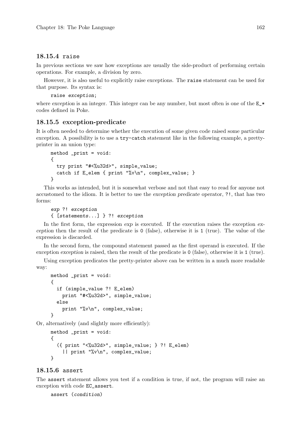#### 18.15.4 raise

In previous sections we saw how exceptions are usually the side-product of performing certain operations. For example, a division by zero.

However, it is also useful to explicitly raise exceptions. The raise statement can be used for that purpose. Its syntax is:

raise exception;

where exception is an integer. This integer can be any number, but most often is one of the  $E_{\star}$ codes defined in Poke.

### 18.15.5 exception-predicate

It is often needed to determine whether the execution of some given code raised some particular exception. A possibility is to use a try-catch statement like in the following example, a prettyprinter in an union type:

```
method _print = void:
{
  try print "#<%u32d>", simple_value;
  catch if E_elem { print "%v\n", complex_value; }
}
```
This works as intended, but it is somewhat verbose and not that easy to read for anyone not accustomed to the idiom. It is better to use the exception predicate operator, ?!, that has two forms:

```
exp ?! exception
{ [statements...] } ?! exception
```
In the first form, the expression exp is executed. If the execution raises the exception exception then the result of the predicate is 0 (false), otherwise it is 1 (true). The value of the expression is discarded.

In the second form, the compound statement passed as the first operand is executed. If the exception exception is raised, then the result of the predicate is 0 (false), otherwise it is 1 (true).

Using exception predicates the pretty-printer above can be written in a much more readable way:

```
method _print = void:
{
  if (simple_value ?! E_elem)
    print "#<%u32d>", simple_value;
  else
    print "%v\n", complex_value;
}
```
Or, alternatively (and slightly more efficiently):

```
method _print = void:
{
  ({ print "<%u32d>", simple_value; } ?! E_elem)
    || print "%v\n", complex_value;
}
```
#### 18.15.6 assert

The assert statement allows you test if a condition is true, if not, the program will raise an exception with code EC\_assert.

```
assert (condition)
```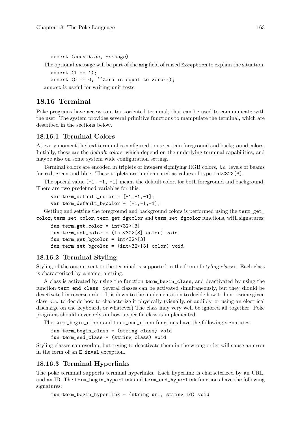```
assert (condition, message)
```
The optional message will be part of the msg field of raised Exception to explain the situation.

```
assert (1 == 1);
```

```
assert (0 == 0, ' 'Zero is equal to zero'');
```
assert is useful for writing unit tests.

# 18.16 Terminal

Poke programs have access to a text-oriented terminal, that can be used to communicate with the user. The system provides several primitive functions to manipulate the terminal, which are described in the sections below.

# 18.16.1 Terminal Colors

At every moment the text terminal is configured to use certain foreground and background colors. Initially, these are the default colors, which depend on the underlying terminal capabilities, and maybe also on some system wide configuration setting.

Terminal colors are encoded in triplets of integers signifying RGB colors, i.e. levels of beams for red, green and blue. These triplets are implemented as values of type  $int < 32$  [3].

The special value  $[-1, -1, -1]$  means the default color, for both foreground and background. There are two predefined variables for this:

```
var term_default_color = [-1,-1,-1];
var term_default_bgcolor = [-1,-1,-1];
```
Getting and setting the foreground and background colors is performed using the term\_get\_ color, term\_set\_color, term\_get\_fgcolor and term\_set\_fgcolor functions, with signatures:

```
fun term_get_color = int<32>[3]
fun term_set_color = (int<32>[3] color) void
fun term_get_bgcolor = int<32>[3]
fun term_set_bgcolor = (int<32>[3] color) void
```
# 18.16.2 Terminal Styling

Styling of the output sent to the terminal is supported in the form of styling classes. Each class is characterized by a name, a string.

A class is activated by using the function term\_begin\_class, and deactivated by using the function term\_end\_class. Several classes can be activated simultaneously, but they should be deactivated in reverse order. It is down to the implementation to decide how to honor some given class, i.e. to decide how to characterize it physically (visually, or audibly, or using an electrical discharge on the keyboard, or whatever) The class may very well be ignored all together. Poke programs should never rely on how a specific class is implemented.

The term\_begin\_class and term\_end\_class functions have the following signatures:

fun term\_begin\_class = (string class) void fun term\_end\_class = (string class) void

Styling classes can overlap, but trying to deactivate them in the wrong order will cause an error in the form of an E\_inval exception.

# 18.16.3 Terminal Hyperlinks

The poke terminal supports terminal hyperlinks. Each hyperlink is characterized by an URL, and an ID. The term\_begin\_hyperlink and term\_end\_hyperlink functions have the following signatures:

fun term\_begin\_hyperlink = (string url, string id) void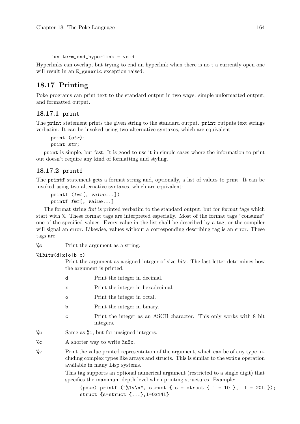#### fun term\_end\_hyperlink = void

Hyperlinks can overlap, but trying to end an hyperlink when there is no t a currently open one will result in an E\_generic exception raised.

# 18.17 Printing

Poke programs can print text to the standard output in two ways: simple unformatted output, and formatted output.

## 18.17.1 print

The print statement prints the given string to the standard output. print outputs text strings verbatim. It can be invoked using two alternative syntaxes, which are equivalent:

```
print (str);
```
print str;

print is simple, but fast. It is good to use it in simple cases where the information to print out doesn't require any kind of formatting and styling.

# 18.17.2 printf

The printf statement gets a format string and, optionally, a list of values to print. It can be invoked using two alternative syntaxes, which are equivalent:

```
printf (fmt[, value...])
printf fmt[, value...]
```
The format string fmt is printed verbatim to the standard output, but for format tags which start with %. These format tags are interpreted especially. Most of the format tags "consume" one of the specified values. Every value in the list shall be described by a tag, or the compiler will signal an error. Likewise, values without a corresponding describing tag is an error. These tags are:

%s Print the argument as a string.

 $%$ ibits $(d|x|o|b|c)$ 

Print the argument as a signed integer of size bits. The last letter determines how the argument is printed.

- d Print the integer in decimal.
- x Print the integer in hexadecimal.
- o Print the integer in octal.
- b Print the integer in binary.
- c Print the integer as an ASCII character. This only works with 8 bit integers.
- %u Same as %i, but for unsigned integers.
- %c A shorter way to write %u8c.
- %v Print the value printed representation of the argument, which can be of any type including complex types like arrays and structs. This is similar to the write operation available in many Lisp systems.

This tag supports an optional numerical argument (restricted to a single digit) that specifies the maximum depth level when printing structures. Example:

(poke) printf ("%1v\n", struct { s = struct { i = 10 }, 1 = 20L }); struct {s=struct {...},l=0x14L}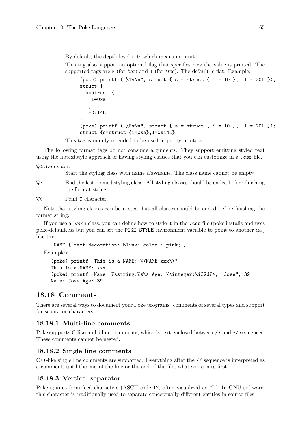By default, the depth level is 0, which means no limit.

This tag also support an optional flag that specifies how the value is printed. The supported tags are  $F$  (for flat) and  $T$  (for tree). The default is flat. Example:

```
(poke) printf ("%Tv\n", struct { s = struct { i = 10 }, 1 = 20L });
struct {
  s=struct {
    i=0xa
  },
  l=0x14L
}
(poke) printf ("%Fv\n", struct { s = struct { i = 10 }, 1 = 20L });
struct {s=struct {i=0xa},l=0x14L}
```
This tag is mainly intended to be used in pretty-printers.

The following format tags do not consume arguments. They support emitting styled text using the libtextstyle approach of having styling classes that you can customize in a .css file.

#### %<classname:

Start the styling class with name classname. The class name cannot be empty.

%> End the last opened styling class. All styling classes should be ended before finishing the format string.

%% Print % character.

Note that styling classes can be nested, but all classes should be ended before finishing the format string.

If you use a name class, you can define how to style it in the .css file (poke installs and uses poke-default.css but you can set the POKE\_STYLE environment variable to point to another css) like this:

```
.NAME { text-decoration: blink; color : pink; }
```
Examples:

```
(poke) printf "This is a NAME: %<NAME:xxx%>"
This is a NAME: xxx
(poke) printf "Name: %<string:%s%> Age: %<integer:%i32d%>, "Jose", 39
Name: Jose Age: 39
```
## 18.18 Comments

There are several ways to document your Poke programs: comments of several types and support for separator characters.

#### 18.18.1 Multi-line comments

Poke supports C-like multi-line, comments, which is text enclosed between  $/*$  and  $*/$  sequences. These comments cannot be nested.

#### 18.18.2 Single line comments

C++-like single line comments are supported. Everything after the // sequence is interpreted as a comment, until the end of the line or the end of the file, whatever comes first.

#### 18.18.3 Vertical separator

Poke ignores form feed characters (ASCII code 12, often visualized as  $\hat{L}$ ). In GNU software, this character is traditionally used to separate conceptually different entities in source files.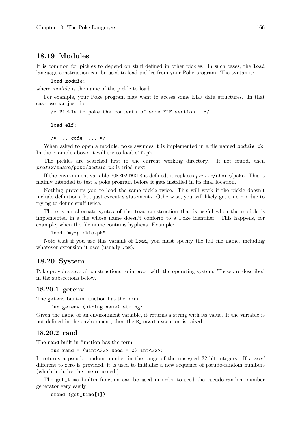## 18.19 Modules

It is common for pickles to depend on stuff defined in other pickles. In such cases, the load language construction can be used to load pickles from your Poke program. The syntax is:

load module;

where module is the name of the pickle to load.

For example, your Poke program may want to access some ELF data structures. In that case, we can just do:

/\* Pickle to poke the contents of some ELF section. \*/

load elf;

/\* ... code ... \*/

When asked to open a module, poke assumes it is implemented in a file named module.pk. In the example above, it will try to load elf.pk.

The pickles are searched first in the current working directory. If not found, then prefix/share/poke/module.pk is tried next.

If the environment variable POKEDATADIR is defined, it replaces prefix/share/poke. This is mainly intended to test a poke program before it gets installed in its final location.

Nothing prevents you to load the same pickle twice. This will work if the pickle doesn't include definitions, but just executes statements. Otherwise, you will likely get an error due to trying to define stuff twice.

There is an alternate syntax of the load construction that is useful when the module is implemented in a file whose name doesn't conform to a Poke identifier. This happens, for example, when the file name contains hyphens. Example:

load "my-pickle.pk";

Note that if you use this variant of load, you must specify the full file name, including whatever extension it uses (usually  $.$  pk).

## 18.20 System

Poke provides several constructions to interact with the operating system. These are described in the subsections below.

#### 18.20.1 getenv

The getenv built-in function has the form:

fun getenv (string name) string:

Given the name of an environment variable, it returns a string with its value. If the variable is not defined in the environment, then the E\_inval exception is raised.

#### 18.20.2 rand

The rand built-in function has the form:

fun rand =  $(uint<32$ > seed = 0)  $int<32$ >:

It returns a pseudo-random number in the range of the unsigned 32-bit integers. If a seed different to zero is provided, it is used to initialize a new sequence of pseudo-random numbers (which includes the one returned.)

The get\_time builtin function can be used in order to seed the pseudo-random number generator very easily:

srand (get\_time[1])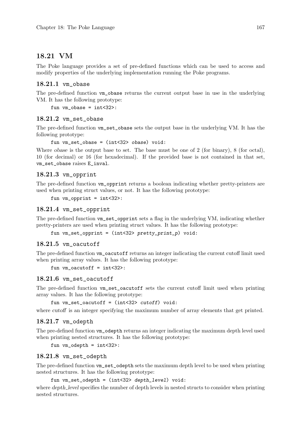## 18.21 VM

The Poke language provides a set of pre-defined functions which can be used to access and modify properties of the underlying implementation running the Poke programs.

## 18.21.1 vm\_obase

The pre-defined function vm obase returns the current output base in use in the underlying VM. It has the following prototype:

fun  $vm\_obase = int < 32$ :

## 18.21.2 vm set obase

The pre-defined function vm\_set\_obase sets the output base in the underlying VM. It has the following prototype:

fun  $vm\_set\_obase = (int < 32$   $obase)$   $void:$ 

Where obase is the output base to set. The base must be one of 2 (for binary), 8 (for octal), 10 (for decimal) or 16 (for hexadecimal). If the provided base is not contained in that set, vm\_set\_obase raises E\_inval.

## 18.21.3 vm\_opprint

The pre-defined function vm\_opprint returns a boolean indicating whether pretty-printers are used when printing struct values, or not. It has the following prototype:

fun vm\_opprint = int<32>:

#### 18.21.4 vm\_set\_opprint

The pre-defined function vm set opprint sets a flag in the underlying VM, indicating whether pretty-printers are used when printing struct values. It has the following prototype:

fun vm\_set\_opprint = (int<32> pretty\_print\_p) void:

#### 18.21.5 vm oacutoff

The pre-defined function vm\_oacutoff returns an integer indicating the current cutoff limit used when printing array values. It has the following prototype:

fun  $vm\ć$ oacutoff = int<32>:

#### 18.21.6 vm set oacutoff

The pre-defined function vm\_set\_oacutoff sets the current cutoff limit used when printing array values. It has the following prototype:

fun  $vm\_set\_oacutoff = (int < 32$  cutoff) void:

where cutoff is an integer specifying the maximum number of array elements that get printed.

#### 18.21.7 vm\_odepth

The pre-defined function vm\_odepth returns an integer indicating the maximum depth level used when printing nested structures. It has the following prototype:

fun vm\_odepth = int<32>:

#### 18.21.8 vm\_set\_odepth

The pre-defined function vm\_set\_odepth sets the maximum depth level to be used when printing nested structures. It has the following prototype:

fun vm\_set\_odepth = (int<32> depth\_level) void:

where depth level specifies the number of depth levels in nested structs to consider when printing nested structures.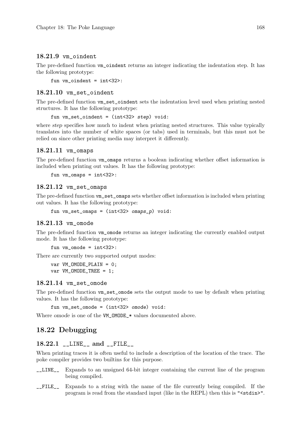## 18.21.9 vm\_oindent

The pre-defined function  $v_m$  oindent returns an integer indicating the indentation step. It has the following prototype:

fun vm\_oindent = int<32>:

## 18.21.10 vm\_set\_oindent

The pre-defined function vm\_set\_oindent sets the indentation level used when printing nested structures. It has the following prototype:

fun vm\_set\_oindent = (int<32> step) void:

where *step* specifies how much to indent when printing nested structures. This value typically translates into the number of white spaces (or tabs) used in terminals, but this must not be relied on since other printing media may interpret it differently.

#### 18.21.11 vm\_omaps

The pre-defined function vm\_omaps returns a boolean indicating whether offset information is included when printing out values. It has the following prototype:

```
fun vm\_omaps = int < 32:
```
#### 18.21.12 vm\_set\_omaps

The pre-defined function vm\_set\_omaps sets whether offset information is included when printing out values. It has the following prototype:

```
fun vm_set_omaps = (int<32> omaps_p) void:
```
#### 18.21.13 vm\_omode

The pre-defined function vm\_omode returns an integer indicating the currently enabled output mode. It has the following prototype:

```
fun vm\_{omode} = int < 32:
```
There are currently two supported output modes:

```
var VM_OMODE_PLAIN = 0;
var VM_OMODE_TREE = 1;
```
#### 18.21.14 vm\_set\_omode

The pre-defined function vm\_set\_omode sets the output mode to use by default when printing values. It has the following prototype:

fun vm set omode =  $(int<32>$  omode) void:

Where *omode* is one of the VM\_0MODE\_\* values documented above.

## 18.22 Debugging

## 18.22.1 \_\_LINE\_\_ and \_\_FILE\_\_

When printing traces it is often useful to include a description of the location of the trace. The poke compiler provides two builtins for this purpose.

- \_\_LINE\_\_ Expands to an unsigned 64-bit integer containing the current line of the program being compiled.
- \_\_FILE\_\_ Expands to a string with the name of the file currently being compiled. If the program is read from the standard input (like in the REPL) then this is "<stdin>".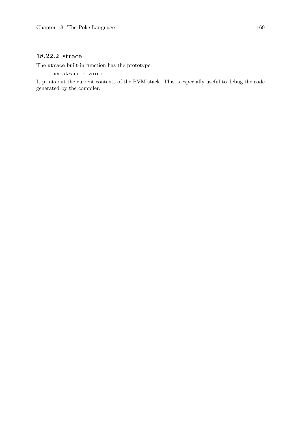## 18.22.2 strace

The strace built-in function has the prototype:

fun strace = void:

It prints out the current contents of the PVM stack. This is especially useful to debug the code generated by the compiler.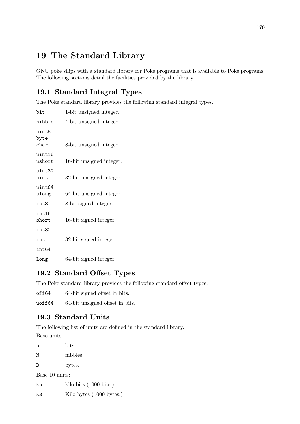# 19 The Standard Library

GNU poke ships with a standard library for Poke programs that is available to Poke programs. The following sections detail the facilities provided by the library.

# 19.1 Standard Integral Types

The Poke standard library provides the following standard integral types.

| bit                     | 1-bit unsigned integer.  |
|-------------------------|--------------------------|
| nibble                  | 4-bit unsigned integer.  |
| uint8<br>byte<br>char   | 8-bit unsigned integer.  |
| uint16<br>ushort        | 16-bit unsigned integer. |
| uint32<br>uint          | 32-bit unsigned integer. |
| uint64<br>ulong         | 64-bit unsigned integer. |
| int8                    | 8-bit signed integer.    |
| int16<br>$_{\rm short}$ | 16-bit signed integer.   |
| int32                   |                          |
| int                     | 32-bit signed integer.   |
| int64                   |                          |
| long                    | 64-bit signed integer.   |

## 19.2 Standard Offset Types

The Poke standard library provides the following standard offset types.

off64 64-bit signed offset in bits.

uoff64 64-bit unsigned offset in bits.

# 19.3 Standard Units

The following list of units are defined in the standard library. Base units:

b bits. N nibbles. B bytes. Base 10 units: Kb kilo bits (1000 bits.)

KB Kilo bytes (1000 bytes.)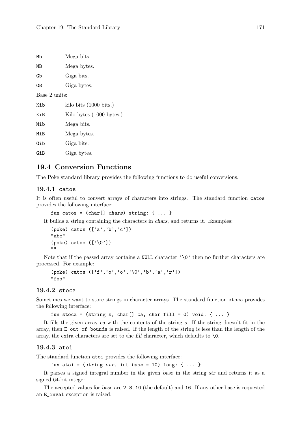| Мb            | Mega bits.                       |  |  |  |
|---------------|----------------------------------|--|--|--|
| МB            | Mega bytes.                      |  |  |  |
| Gb            | Giga bits.                       |  |  |  |
| GВ            | Giga bytes.                      |  |  |  |
| Base 2 units: |                                  |  |  |  |
| Kib           | kilo bits $(1000 \text{ bits.})$ |  |  |  |
| KiB           | Kilo bytes (1000 bytes.)         |  |  |  |
| Mib           | Mega bits.                       |  |  |  |
| MiB           | Mega bytes.                      |  |  |  |
| Gib           | Giga bits.                       |  |  |  |
| GiB           | Giga bytes.                      |  |  |  |
|               |                                  |  |  |  |

## 19.4 Conversion Functions

The Poke standard library provides the following functions to do useful conversions.

#### 19.4.1 catos

It is often useful to convert arrays of characters into strings. The standard function catos provides the following interface:

```
fun catos = (char[] chars) string: { ... }
```
It builds a string containing the characters in chars, and returns it. Examples:

```
(poke) catos ([a', 'b', 'c'])"abc"
(poke) catos (['\0'])
""
```
Note that if the passed array contains a NULL character  $'\$ \0' then no further characters are processed. For example:

```
(poke) catos ([ 'f', 'o', 'o', ' \lozenge', 'b', 'a', 'r'] )"foo"
```
#### 19.4.2 stoca

Sometimes we want to store strings in character arrays. The standard function stoca provides the following interface:

fun stoca = (string s, char[] ca, char fill = 0) void: { ... }

It fills the given array ca with the contents of the string s. If the string doesn't fit in the array, then E\_out\_of\_bounds is raised. If the length of the string is less than the length of the array, the extra characters are set to the fill character, which defaults to  $\setminus 0$ .

#### 19.4.3 atoi

The standard function atoi provides the following interface:

fun atoi = (string str, int base = 10) long: { ... }

It parses a signed integral number in the given base in the string str and returns it as a signed 64-bit integer.

The accepted values for base are 2, 8, 10 (the default) and 16. If any other base is requested an E\_inval exception is raised.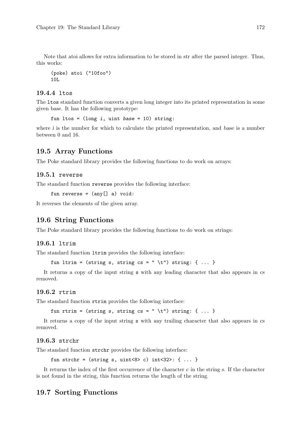Note that atoi allows for extra information to be stored in str after the parsed integer. Thus, this works:

```
(poke) atoi ("10foo")
10L
```
#### 19.4.4 ltos

The ltos standard function converts a given long integer into its printed representation in some given base. It has the following prototype:

fun ltos =  $(\text{long } i, \text{uint } base = 10)$  string:

where  $i$  is the number for which to calculate the printed representation, and base is a number between 0 and 16.

## 19.5 Array Functions

The Poke standard library provides the following functions to do work on arrays:

#### 19.5.1 reverse

The standard function reverse provides the following interface:

fun reverse =  $(\text{any}[] a)$  void:

It reverses the elements of the given array.

## 19.6 String Functions

The Poke standard library provides the following functions to do work on strings:

#### 19.6.1 ltrim

The standard function ltrim provides the following interface:

```
fun ltrim = (string s, string cs = " \t") string: { ... }
```
It returns a copy of the input string s with any leading character that also appears in cs removed.

#### 19.6.2 rtrim

The standard function rtrim provides the following interface:

```
fun rtrim = (string s, string cs = " \t") string: { ... }
```
It returns a copy of the input string s with any trailing character that also appears in cs removed.

#### 19.6.3 strchr

The standard function strchr provides the following interface:

fun strchr =  $(\text{string } s, \text{uint} < 8)$  c)  $\text{int} < 32$ :  $\{ \ldots \}$ 

It returns the index of the first occurrence of the character  $c$  in the string s. If the character is not found in the string, this function returns the length of the string.

#### 19.7 Sorting Functions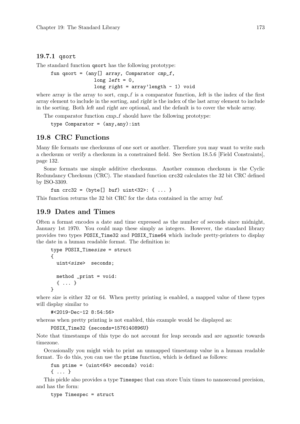#### 19.7.1 qsort

The standard function qsort has the following prototype:

```
fun qsort = (\text{any}[] \text{ array}, \text{ Comparison of } \text{cm} - \text{cm} - \text{cm} - \text{cm} - \text{cm} - \text{cm} - \text{cm} - \text{cm} - \text{cm} - \text{cm} - \text{cm} - \text{cm} - \text{cm} - \text{cm} - \text{cm} - \text{cm} - \text{cm} - \text{cm} - \text{cm} - \text{cm} - \text{cm} - \text{cm} - \text{cm} - \text{cm} - \text{cm} - \text{cm} - \text{cm} - \text{cm} - \text{cm} - \text{cm} - \text{cm} - \text{cm}long left = 0,
                                                                               long right = array' length - 1) void
```
where array is the array to sort,  $cmp_f$  is a comparator function, left is the index of the first array element to include in the sorting, and right is the index of the last array element to include in the sorting. Both left and right are optional, and the default is to cover the whole array.

The comparator function cmp\_f should have the following prototype:

```
type Comparator = (\text{any}, \text{any}): int
```
## 19.8 CRC Functions

Many file formats use checksums of one sort or another. Therefore you may want to write such a checksum or verify a checksum in a constrained field. See [Section 18.5.6 \[Field Constraints\],](#page-147-0) [page 132.](#page-147-0)

Some formats use simple additive checksums. Another common checksum is the Cyclic Redundancy Checksum (CRC). The standard function crc32 calculates the 32 bit CRC defined by ISO-3309.

```
fun crc32 = (byte[] but) unit<32: { ... }
```
This function returns the 32 bit CRC for the data contained in the array buf.

## 19.9 Dates and Times

Often a format encodes a date and time expressed as the number of seconds since midnight, January 1st 1970. You could map these simply as integers. However, the standard library provides two types POSIX\_Time32 and POSIX\_Time64 which include pretty-printers to display the date in a human readable format. The definition is:

```
type POSIX_Timesize = struct
{
  uint<size> seconds;
 method _print = void:
  { ... }
}
```
where size is either 32 or 64. When pretty printing is enabled, a mapped value of these types will display similar to

```
#<2019-Dec-12 8:54:56>
```
whereas when pretty printing is not enabled, this example would be displayed as:

```
POSIX_Time32 {seconds=1576140896U}
```
Note that timestamps of this type do not account for leap seconds and are agnostic towards timezone.

Occasionally you might wish to print an unmapped timestamp value in a human readable format. To do this, you can use the ptime function, which is defined as follows:

fun ptime = (uint<64> seconds) void:

{ ... }

This pickle also provides a type Timespec that can store Unix times to nanosecond precision, and has the form:

type Timespec = struct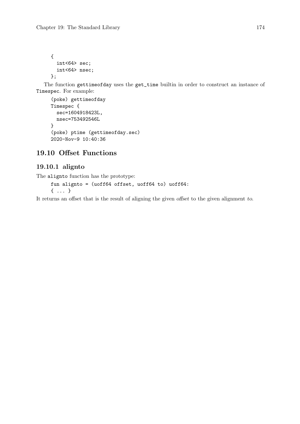{ int<64> sec; int<64> nsec; };

The function gettimeofday uses the get\_time builtin in order to construct an instance of Timespec. For example:

```
(poke) gettimeofday
Timespec {
  sec=1604918423L,
  nsec=753492546L
}
(poke) ptime (gettimeofday.sec)
2020-Nov-9 10:40:36
```
## 19.10 Offset Functions

## 19.10.1 alignto

The alignto function has the prototype:

```
fun alignto = (uoff64 offset, uoff64 to) uoff64:
{ ... }
```
It returns an offset that is the result of aligning the given offset to the given alignment to.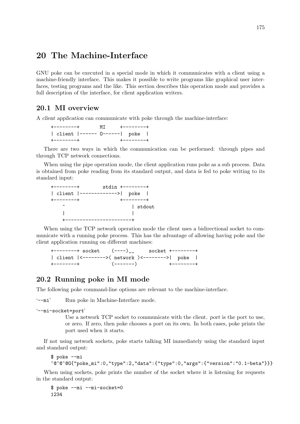# 20 The Machine-Interface

GNU poke can be executed in a special mode in which it communicates with a client using a machine-friendly interface. This makes it possible to write programs like graphical user interfaces, testing programs and the like. This section describes this operation mode and provides a full description of the interface, for client application writers.

## 20.1 MI overview

A client application can communicate with poke through the machine-interface:

| $+ - - - - - - - +$          | MT +--------+ |                     |  |
|------------------------------|---------------|---------------------|--|
| client  ------ 0------  poke |               |                     |  |
| $+ - - - - - - - +$          |               | $+ - - - - - - - +$ |  |

There are two ways in which the communication can be performed: through pipes and through TCP network connections.

When using the pipe operation mode, the client application runs poke as a sub process. Data is obtained from poke reading from its standard output, and data is fed to poke writing to its standard input:

| ---------+                   | $stdim +-----++$ |           |  |
|------------------------------|------------------|-----------|--|
| client  ------------->  poke |                  |           |  |
| --------+                    |                  | +-------- |  |
|                              |                  | stdout    |  |
|                              |                  |           |  |
|                              |                  |           |  |

When using the TCP network operation mode the client uses a bidirectional socket to communicate with a running poke process. This has the advantage of allowing having poke and the client application running on different machines:

+--------+ socket (----)\_\_ socket +--------+ | client |<-------->( network )<-------->| poke | +--------+ (-------) +--------+

## 20.2 Running poke in MI mode

The following poke command-line options are relevant to the machine-interface.

'--mi' Run poke in Machine-Interface mode.

```
'--mi-socket=port'
```
Use a network TCP socket to communicate with the client. port is the port to use, or zero. If zero, then poke chooses a port on its own. In both cases, poke prints the port used when it starts.

If not using network sockets, poke starts talking MI immediately using the standard input and standard output:

```
$ poke --mi
^@^@^@G{"poke_mi":0,"type":2,"data":{"type":0,"args":{"version":"0.1-beta"}}}
```
When using sockets, poke prints the number of the socket where it is listening for requests in the standard output:

\$ poke --mi --mi-socket=0 1234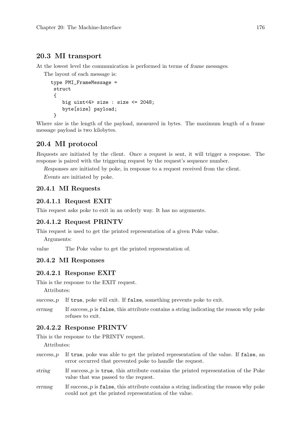## 20.3 MI transport

At the lowest level the communication is performed in terms of frame messages.

The layout of each message is:

```
type PMI_FrameMessage =
struct
 {
    big uint<4> size : size <= 2048;
    byte[size] payload;
 }
```
Where size is the length of the payload, measured in bytes. The maximum length of a frame message payload is two kilobytes.

## 20.4 MI protocol

Requests are initiated by the client. Once a request is sent, it will trigger a response. The response is paired with the triggering request by the request's sequence number.

Responses are initiated by poke, in response to a request received from the client.

Events are initiated by poke.

## 20.4.1 MI Requests

## 20.4.1.1 Request EXIT

This request asks poke to exit in an orderly way. It has no arguments.

## 20.4.1.2 Request PRINTV

This request is used to get the printed representation of a given Poke value.

Arguments:

value The Poke value to get the printed representation of.

## 20.4.2 MI Responses

#### 20.4.2.1 Response EXIT

This is the response to the EXIT request.

Attributes:

```
success p If true, poke will exit. If false, something prevents poke to exit.
```
errmsg If success p is false, this attribute contains a string indicating the reason why poke refuses to exit.

## 20.4.2.2 Response PRINTV

This is the response to the PRINTV request.

Attributes:

- success  $p$  If true, poke was able to get the printed representation of the value. If false, an error occurred that prevented poke to handle the request.
- string If success p is true, this attribute contains the printed representation of the Poke value that was passed to the request.
- errmsg If success p is false, this attribute contains a string indicating the reason why poke could not get the printed representation of the value.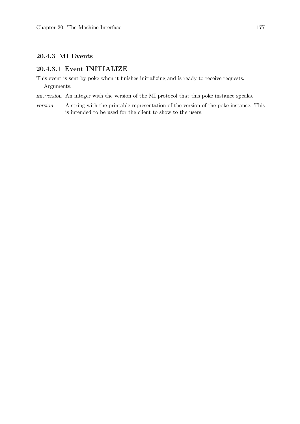## 20.4.3 MI Events

## 20.4.3.1 Event INITIALIZE

This event is sent by poke when it finishes initializing and is ready to receive requests. Arguments:

mi version An integer with the version of the MI protocol that this poke instance speaks.

version A string with the printable representation of the version of the poke instance. This is intended to be used for the client to show to the users.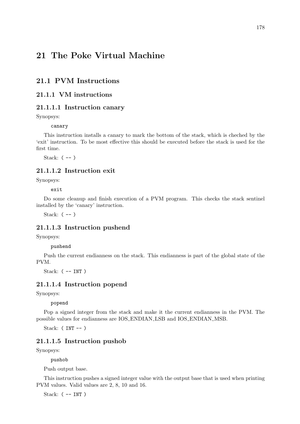# 21 The Poke Virtual Machine

## 21.1 PVM Instructions

## 21.1.1 VM instructions

## 21.1.1.1 Instruction canary

Synopsys:

canary

This instruction installs a canary to mark the bottom of the stack, which is cheched by the 'exit' instruction. To be most effective this should be executed before the stack is used for the first time.

Stack:  $(--)$ 

## 21.1.1.2 Instruction exit

Synopsys:

exit

Do some cleanup and finish execution of a PVM program. This checks the stack sentinel installed by the 'canary' instruction.

Stack: ( -- )

## 21.1.1.3 Instruction pushend

Synopsys:

pushend

Push the current endianness on the stack. This endianness is part of the global state of the PVM.

Stack: ( -- INT )

#### 21.1.1.4 Instruction popend

Synopsys:

popend

Pop a signed integer from the stack and make it the current endianness in the PVM. The possible values for endianness are IOS ENDIAN LSB and IOS ENDIAN MSB.

Stack:  $(INT --)$ 

#### 21.1.1.5 Instruction pushob

Synopsys:

pushob

Push output base.

This instruction pushes a signed integer value with the output base that is used when printing PVM values. Valid values are 2, 8, 10 and 16.

Stack:  $($  -- INT  $)$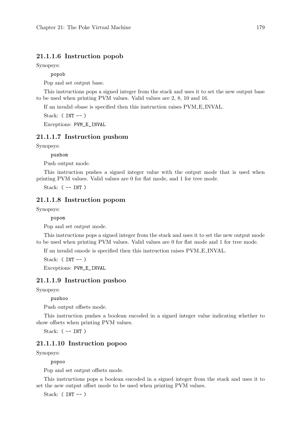## 21.1.1.6 Instruction popob

Synopsys:

popob

Pop and set output base.

This instructions pops a signed integer from the stack and uses it to set the new output base to be used when printing PVM values. Valid values are 2, 8, 10 and 16.

If an invalid obase is specified then this instruction raises PVM E INVAL.

Stack:  $(INT --)$ 

Exceptions: PVM\_E\_INVAL

#### 21.1.1.7 Instruction pushom

Synopsys:

pushom

Push output mode.

This instruction pushes a signed integer value with the output mode that is used when printing PVM values. Valid values are 0 for flat mode, and 1 for tree mode.

Stack:  $(-INT)$ 

## 21.1.1.8 Instruction popom

Synopsys:

popom

Pop and set output mode.

This instructions pops a signed integer from the stack and uses it to set the new output mode to be used when printing PVM values. Valid values are 0 for flat mode and 1 for tree mode.

If an invalid omode is specified then this instruction raises PVM E INVAL.

Stack:  $(INT --)$ 

Exceptions: PVM\_E\_INVAL

#### 21.1.1.9 Instruction pushoo

Synopsys:

pushoo

Push output offsets mode.

This instruction pushes a boolean encoded in a signed integer value indicating whether to show offsets when printing PVM values.

Stack: ( -- INT )

## 21.1.1.10 Instruction popoo

Synopsys:

popoo

Pop and set output offsets mode.

This instructions pops a boolean encoded in a signed integer from the stack and uses it to set the new output offset mode to be used when printing PVM values.

Stack:  $(INT --)$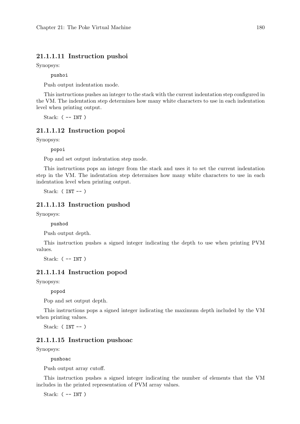#### 21.1.1.11 Instruction pushoi

Synopsys:

pushoi

Push output indentation mode.

This instructions pushes an integer to the stack with the current indentation step configured in the VM. The indentation step determines how many white characters to use in each indentation level when printing output.

Stack:  $($  -- INT  $)$ 

## 21.1.1.12 Instruction popoi

Synopsys:

popoi

Pop and set output indentation step mode.

This instructions pops an integer from the stack and uses it to set the current indentation step in the VM. The indentation step determines how many white characters to use in each indentation level when printing output.

Stack:  $(INT --)$ 

## 21.1.1.13 Instruction pushod

Synopsys:

pushod

Push output depth.

This instruction pushes a signed integer indicating the depth to use when printing PVM values.

Stack:  $($  -- INT  $)$ 

#### 21.1.1.14 Instruction popod

Synopsys:

popod

Pop and set output depth.

This instructions pops a signed integer indicating the maximum depth included by the VM when printing values.

Stack:  $(INT --)$ 

#### 21.1.1.15 Instruction pushoac

Synopsys:

pushoac

Push output array cutoff.

This instruction pushes a signed integer indicating the number of elements that the VM includes in the printed representation of PVM array values.

Stack:  $($  -- INT  $)$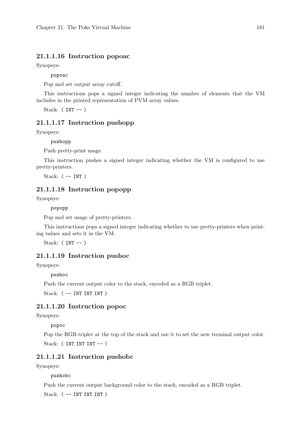#### 21.1.1.16 Instruction popoac

Synopsys:

popoac

Pop and set output array cutoff.

This instructions pops a signed integer indicating the number of elements that the VM includes in the printed representation of PVM array values.

Stack:  $(INT --)$ 

#### 21.1.1.17 Instruction pushopp

Synopsys:

pushopp

Push pretty-print usage.

This instruction pushes a signed integer indicating whether the VM is configured to use pretty-printers.

Stack: ( -- INT )

## 21.1.1.18 Instruction popopp

Synopsys:

popopp

Pop and set usage of pretty-printers.

This instructions pops a signed integer indicating whether to use pretty-printers when printing values and sets it in the VM.

Stack:  $(INT --)$ 

## 21.1.1.19 Instruction pushoc

Synopsys:

pushoc

Push the current output color to the stack, encoded as a RGB triplet.

Stack: ( -- INT INT INT )

#### 21.1.1.20 Instruction popoc

Synopsys:

popoc

Pop the RGB triplet at the top of the stack and use it to set the new terminal output color. Stack: (INT INT INT -- )

## 21.1.1.21 Instruction pushobc

Synopsys:

pushobc

Push the current output background color to the stack, encoded as a RGB triplet.

Stack: ( -- INT INT INT )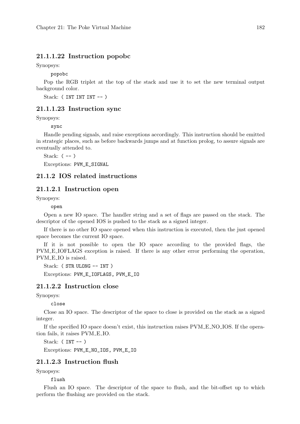#### 21.1.1.22 Instruction popobc

Synopsys:

popobc

Pop the RGB triplet at the top of the stack and use it to set the new terminal output background color.

Stack: (INT INT INT -- )

#### 21.1.1.23 Instruction sync

Synopsys:

sync

Handle pending signals, and raise exceptions accordingly. This instruction should be emitted in strategic places, such as before backwards jumps and at function prolog, to assure signals are eventually attended to.

Stack: ( -- )

Exceptions: PVM\_E\_SIGNAL

#### 21.1.2 IOS related instructions

#### 21.1.2.1 Instruction open

Synopsys:

open

Open a new IO space. The handler string and a set of flags are passed on the stack. The descriptor of the opened IOS is pushed to the stack as a signed integer.

If there is no other IO space opened when this instruction is executed, then the just opened space becomes the current IO space.

If it is not possible to open the IO space according to the provided flags, the PVM E IOFLAGS exception is raised. If there is any other error performing the operation, PVM\_E\_IO is raised.

Stack: ( STR ULONG -- INT )

Exceptions: PVM\_E\_IOFLAGS, PVM\_E\_IO

## 21.1.2.2 Instruction close

Synopsys:

close

Close an IO space. The descriptor of the space to close is provided on the stack as a signed integer.

If the specified IO space doesn't exist, this instruction raises PVM E NO IOS. If the operation fails, it raises PVM E IO.

Stack:  $(INT --)$ 

Exceptions: PVM\_E\_NO\_IOS, PVM\_E\_IO

## 21.1.2.3 Instruction flush

Synopsys:

flush

Flush an IO space. The descriptor of the space to flush, and the bit-offset up to which perform the flushing are provided on the stack.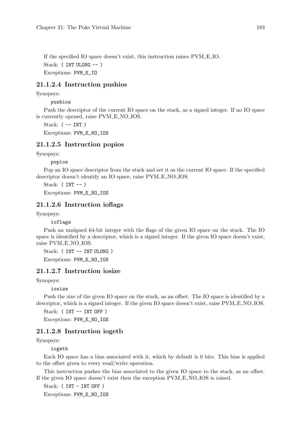If the specified IO space doesn't exist, this instruction raises PVM E IO. Stack: ( INT ULONG -- ) Exceptions: PVM\_E\_IO

#### 21.1.2.4 Instruction pushios

Synopsys:

pushios

Push the descriptor of the current IO space on the stack, as a signed integer. If no IO space is currently opened, raise PVM E NO IOS.

Stack: ( -- INT )

Exceptions: PVM\_E\_NO\_IOS

#### 21.1.2.5 Instruction popios

Synopsys:

popios

Pop an IO space descriptor from the stack and set it as the current IO space. If the specified descriptor doesn't identify an IO space, raise PVM E NO IOS.

Stack:  $(INT --)$ 

Exceptions: PVM\_E\_NO\_IOS

#### 21.1.2.6 Instruction ioflags

Synopsys:

ioflags

Push an unsigned 64-bit integer with the flags of the given IO space on the stack. The IO space is identified by a descriptor, which is a signed integer. If the given IO space doesn't exist, raise PVM E NO IOS.

Stack: ( INT -- INT ULONG ) Exceptions: PVM\_E\_NO\_IOS

#### 21.1.2.7 Instruction iosize

Synopsys:

iosize

Push the size of the given IO space on the stack, as an offset. The IO space is identified by a descriptor, which is a signed integer. If the given IO space doesn't exist, raise PVM\_E\_NO\_IOS.

Stack: (INT -- INT OFF)

Exceptions: PVM\_E\_NO\_IOS

#### 21.1.2.8 Instruction iogetb

Synopsys:

iogetb

Each IO space has a bias associated with it, which by default is 0 bits. This bias is applied to the offset given to every read/write operation.

This instruction pushes the bias associated to the given IO space to the stack, as an offset. If the given IO space doesn't exist then the exception PVM E NO IOS is raised.

Stack: (INT - INT OFF)

Exceptions: PVM\_E\_NO\_IOS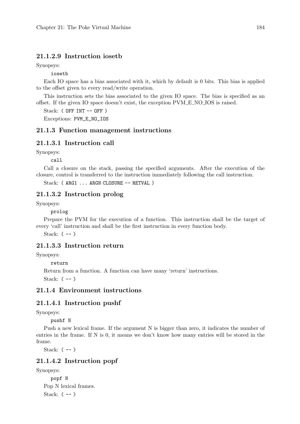### 21.1.2.9 Instruction iosetb

Synopsys:

iosetb

Each IO space has a bias associated with it, which by default is 0 bits. This bias is applied to the offset given to every read/write operation.

This instruction sets the bias associated to the given IO space. The bias is specified as an offset. If the given IO space doesn't exist, the exception PVM E NO IOS is raised.

Stack: ( OFF INT -- OFF )

Exceptions: PVM\_E\_NO\_IOS

#### 21.1.3 Function management instructions

#### 21.1.3.1 Instruction call

Synopsys:

call

Call a closure on the stack, passing the specified arguments. After the execution of the closure, control is transferred to the instruction immediately following the call instruction.

Stack: (ARG1 ... ARGN CLOSURE -- RETVAL)

#### 21.1.3.2 Instruction prolog

Synopsys:

prolog

Prepare the PVM for the execution of a function. This instruction shall be the target of every 'call' instruction and shall be the first instruction in every function body.

Stack:  $(--)$ 

## 21.1.3.3 Instruction return

Synopsys:

return

Return from a function. A function can have many 'return' instructions.

Stack:  $(--)$ 

## 21.1.4 Environment instructions

## 21.1.4.1 Instruction pushf

Synopsys:

pushf N

Push a new lexical frame. If the argument N is bigger than zero, it indicates the number of entries in the frame. If N is 0, it means we don't know how many entries will be stored in the frame.

Stack: ( -- )

## 21.1.4.2 Instruction popf

Synopsys:

popf N Pop N lexical frames. Stack:  $(--)$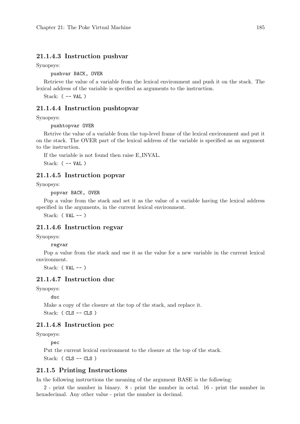#### 21.1.4.3 Instruction pushvar

Synopsys:

pushvar BACK, OVER

Retrieve the value of a variable from the lexical environment and push it on the stack. The lexical address of the variable is specified as arguments to the instruction.

Stack: ( -- VAL )

#### 21.1.4.4 Instruction pushtopvar

Synopsys:

pushtopvar OVER

Retrive the value of a variable from the top-level frame of the lexical environment and put it on the stack. The OVER part of the lexical address of the variable is specified as an argument to the instruction.

If the variable is not found then raise E INVAL.

Stack: ( -- VAL )

#### 21.1.4.5 Instruction popvar

Synopsys:

popvar BACK, OVER

Pop a value from the stack and set it as the value of a variable having the lexical address specified in the arguments, in the current lexical environment.

Stack:  $(VAL --)$ 

## 21.1.4.6 Instruction regvar

Synopsys:

regvar

Pop a value from the stack and use it as the value for a new variable in the current lexical environment.

Stack:  $(VAL -- )$ 

## 21.1.4.7 Instruction duc

Synopsys:

duc

Make a copy of the closure at the top of the stack, and replace it.

Stack: ( CLS -- CLS )

#### 21.1.4.8 Instruction pec

Synopsys:

pec

Put the current lexical environment to the closure at the top of the stack. Stack: ( CLS -- CLS )

#### 21.1.5 Printing Instructions

In the following instructions the meaning of the argument BASE is the following:

2 - print the number in binary. 8 - print the number in octal. 16 - print the number in hexadecimal. Any other value - print the number in decimal.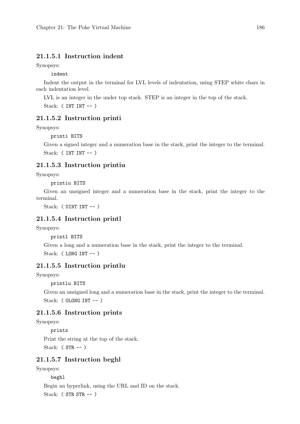## 21.1.5.1 Instruction indent

Synopsys:

indent

Indent the output in the terminal for LVL levels of indentation, using STEP white chars in each indentation level.

LVL is an integer in the under top stack. STEP is an integer in the top of the stack. Stack: (INT INT -- )

#### 21.1.5.2 Instruction printi

Synopsys:

printi BITS

Given a signed integer and a numeration base in the stack, print the integer to the terminal. Stack: ( INT INT -- )

## 21.1.5.3 Instruction printiu

Synopsys:

printiu BITS

Given an unsigned integer and a numeration base in the stack, print the integer to the terminal.

Stack: ( UINT INT -- )

#### 21.1.5.4 Instruction printl

Synopsys:

printl BITS

Given a long and a numeration base in the stack, print the integer to the terminal. Stack: ( LONG INT -- )

### 21.1.5.5 Instruction printlu

Synopsys:

printlu BITS

Given an unsigned long and a numeration base in the stack, print the integer to the terminal. Stack: ( ULONG INT -- )

#### 21.1.5.6 Instruction prints

Synopsys:

prints Print the string at the top of the stack. Stack: ( STR -- )

#### 21.1.5.7 Instruction beghl

Synopsys:

beghl

Begin an hyperlink, using the URL and ID on the stack. Stack: ( STR STR -- )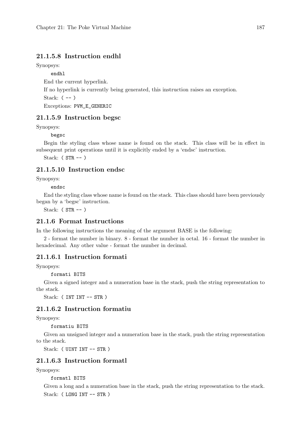## 21.1.5.8 Instruction endhl

Synopsys:

endhl

End the current hyperlink.

If no hyperlink is currently being generated, this instruction raises an exception.

Stack:  $(--)$ 

Exceptions: PVM\_E\_GENERIC

## 21.1.5.9 Instruction begsc

Synopsys:

begsc

Begin the styling class whose name is found on the stack. This class will be in effect in subsequent print operations until it is explicitly ended by a 'endsc' instruction.

Stack:  $(STR -- )$ 

## 21.1.5.10 Instruction endsc

Synopsys:

endsc

End the styling class whose name is found on the stack. This class should have been previously began by a 'begsc' instruction.

Stack:  $(STR -- )$ 

## 21.1.6 Format Instructions

In the following instructions the meaning of the argument BASE is the following:

2 - format the number in binary. 8 - format the number in octal. 16 - format the number in hexadecimal. Any other value - format the number in decimal.

#### 21.1.6.1 Instruction formati

Synopsys:

formati BITS

Given a signed integer and a numeration base in the stack, push the string representation to the stack.

Stack: ( INT INT -- STR )

### 21.1.6.2 Instruction formatiu

Synopsys:

formatiu BITS

Given an unsigned integer and a numeration base in the stack, push the string representation to the stack.

Stack: ( UINT INT -- STR )

## 21.1.6.3 Instruction formatl

Synopsys:

formatl BITS

Given a long and a numeration base in the stack, push the string representation to the stack. Stack: ( LONG INT -- STR )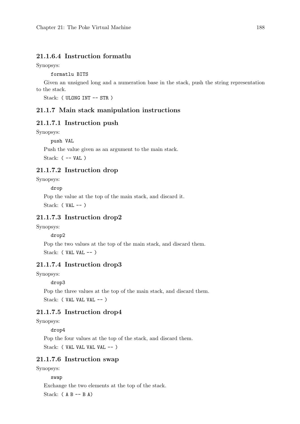## 21.1.6.4 Instruction formatlu

Synopsys:

formatlu BITS

Given an unsigned long and a numeration base in the stack, push the string representation to the stack.

Stack: ( ULONG INT -- STR )

#### 21.1.7 Main stack manipulation instructions

#### 21.1.7.1 Instruction push

Synopsys:

push VAL

Push the value given as an argument to the main stack. Stack:  $($  -- VAL)

## 21.1.7.2 Instruction drop

Synopsys:

drop

Pop the value at the top of the main stack, and discard it. Stack: (  $VAL$  -- )

## 21.1.7.3 Instruction drop2

Synopsys:

drop2

Pop the two values at the top of the main stack, and discard them. Stack: ( VAL VAL -- )

## 21.1.7.4 Instruction drop3

Synopsys:

drop3

Pop the three values at the top of the main stack, and discard them. Stack: ( VAL VAL VAL -- )

## 21.1.7.5 Instruction drop4

Synopsys:

drop4

Pop the four values at the top of the stack, and discard them.

Stack: ( VAL VAL VAL VAL -- )

## 21.1.7.6 Instruction swap

Synopsys:

### swap

Exchange the two elements at the top of the stack.

Stack:  $(A B -- B A)$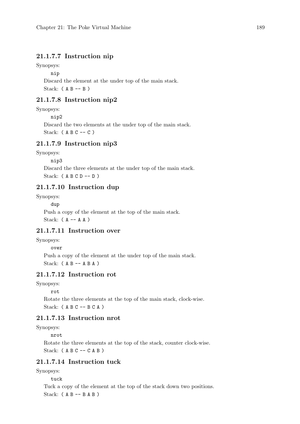## 21.1.7.7 Instruction nip

Synopsys:

nip

Discard the element at the under top of the main stack. Stack:  $(A B -- B)$ 

## 21.1.7.8 Instruction nip2

Synopsys:

nip2

Discard the two elements at the under top of the main stack. Stack: ( A B C -- C )

#### 21.1.7.9 Instruction nip3

Synopsys:

nip3

Discard the three elements at the under top of the main stack. Stack:  $(A \ B \ C \ D -- D)$ 

## 21.1.7.10 Instruction dup

Synopsys:

dup

Push a copy of the element at the top of the main stack. Stack:  $(A - - A A)$ 

## 21.1.7.11 Instruction over

Synopsys:

#### over

Push a copy of the element at the under top of the main stack. Stack:  $(A B -- A B A)$ 

## 21.1.7.12 Instruction rot

Synopsys:

rot

Rotate the three elements at the top of the main stack, clock-wise. Stack:  $(A \ B \ C - B \ C \ A)$ 

## 21.1.7.13 Instruction nrot

Synopsys:

nrot

Rotate the three elements at the top of the stack, counter clock-wise. Stack: ( A B C -- C A B )

## 21.1.7.14 Instruction tuck

Synopsys:

tuck

Tuck a copy of the element at the top of the stack down two positions. Stack:  $(A B -- B A B)$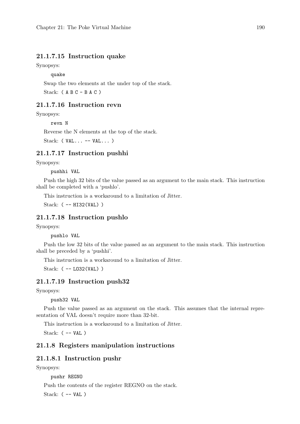#### 21.1.7.15 Instruction quake

Synopsys:

quake

Swap the two elements at the under top of the stack.

Stack:  $(A \ B \ C - B \ A \ C)$ 

## 21.1.7.16 Instruction revn

Synopsys:

revn N

Reverse the N elements at the top of the stack.

Stack: ( VAL... -- VAL... )

### 21.1.7.17 Instruction pushhi

Synopsys:

pushhi VAL

Push the high 32 bits of the value passed as an argument to the main stack. This instruction shall be completed with a 'pushlo'.

This instruction is a workaround to a limitation of Jitter.

Stack: ( -- HI32(VAL) )

#### 21.1.7.18 Instruction pushlo

Synopsys:

pushlo VAL

Push the low 32 bits of the value passed as an argument to the main stack. This instruction shall be preceded by a 'pushhi'.

This instruction is a workaround to a limitation of Jitter.

Stack: ( -- L032(VAL) )

#### 21.1.7.19 Instruction push32

Synopsys:

push32 VAL

Push the value passed as an argument on the stack. This assumes that the internal representation of VAL doesn't require more than 32-bit.

This instruction is a workaround to a limitation of Jitter.

Stack: ( -- VAL )

## 21.1.8 Registers manipulation instructions

#### 21.1.8.1 Instruction pushr

Synopsys:

pushr REGNO

Push the contents of the register REGNO on the stack.

Stack:  $($  -- VAL)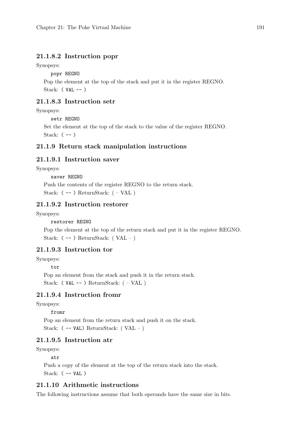## 21.1.8.2 Instruction popr

Synopsys:

popr REGNO

Pop the element at the top of the stack and put it in the register REGNO. Stack:  $(VAL -- )$ 

## 21.1.8.3 Instruction setr

Synopsys:

setr REGNO

Set the element at the top of the stack to the value of the register REGNO. Stack:  $(--)$ 

## 21.1.9 Return stack manipulation instructions

## 21.1.9.1 Instruction saver

Synopsys:

saver REGNO Push the contents of the register REGNO to the return stack. Stack:  $(--)$  ReturnStack:  $(-VAL)$ 

## 21.1.9.2 Instruction restorer

Synopsys:

restorer REGNO

Pop the element at the top of the return stack and put it in the register REGNO. Stack:  $(--)$  ReturnStack:  $( VAL - )$ 

#### 21.1.9.3 Instruction tor

Synopsys:

tor

Pop an element from the stack and push it in the return stack. Stack: ( $VAL$  -- ) ReturnStack:  $(-VAL)$ 

## 21.1.9.4 Instruction fromr

Synopsys:

#### fromr

Pop an element from the return stack and push it on the stack. Stack:  $(-$  -- VAL) ReturnStack:  $( VAL - )$ 

## 21.1.9.5 Instruction atr

Synopsys:

atr

Push a copy of the element at the top of the return stack into the stack. Stack: ( -- VAL )

## 21.1.10 Arithmetic instructions

The following instructions assume that both operands have the same size in bits.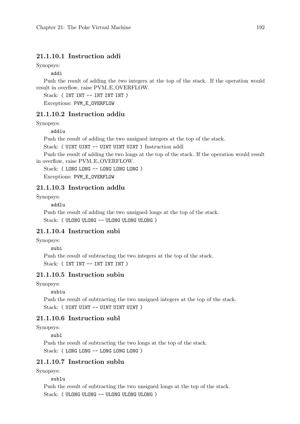## 21.1.10.1 Instruction addi

Synopsys:

addi

Push the result of adding the two integers at the top of the stack. If the operation would result in overflow, raise PVM\_E\_OVERFLOW.

Stack: (INT INT -- INT INT INT)

Exceptions: PVM\_E\_OVERFLOW

## 21.1.10.2 Instruction addiu

Synopsys:

addiu

Push the result of adding the two unsigned integers at the top of the stack.

Stack: ( UINT UINT -- UINT UINT UINT ) Instruction addl

Push the result of adding the two longs at the top of the stack. If the operation would result in overflow, raise PVM\_E\_OVERFLOW.

Stack: ( LONG LONG -- LONG LONG LONG )

Exceptions: PVM\_E\_OVERFLOW

#### 21.1.10.3 Instruction addlu

Synopsys:

addlu

Push the result of adding the two unsigned longs at the top of the stack. Stack: ( ULONG ULONG -- ULONG ULONG ULONG )

## 21.1.10.4 Instruction subi

Synopsys:

subi

Push the result of subtracting the two integers at the top of the stack. Stack: (INT INT -- INT INT INT)

## 21.1.10.5 Instruction subiu

Synopsys:

subiu

Push the result of subtracting the two unsigned integers at the top of the stack. Stack: ( UINT UINT -- UINT UINT UINT )

## 21.1.10.6 Instruction subl

Synopsys:

subl

Push the result of subtracting the two longs at the top of the stack. Stack: ( LONG LONG -- LONG LONG LONG )

## 21.1.10.7 Instruction sublu

Synopsys:

sublu

Push the result of subtracting the two unsigned longs at the top of the stack. Stack: ( ULONG ULONG -- ULONG ULONG ULONG )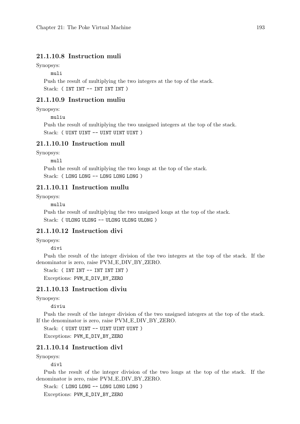## 21.1.10.8 Instruction muli

Synopsys:

muli

Push the result of multiplying the two integers at the top of the stack. Stack: (INT INT -- INT INT INT)

## 21.1.10.9 Instruction muliu

Synopsys:

muliu

Push the result of multiplying the two unsigned integers at the top of the stack. Stack: ( UINT UINT -- UINT UINT UINT )

## 21.1.10.10 Instruction mull

Synopsys:

mull

Push the result of multiplying the two longs at the top of the stack. Stack: ( LONG LONG -- LONG LONG LONG )

## 21.1.10.11 Instruction mullu

Synopsys:

mullu

Push the result of multiplying the two unsigned longs at the top of the stack. Stack: ( ULONG ULONG -- ULONG ULONG ULONG )

## 21.1.10.12 Instruction divi

Synopsys:

divi

Push the result of the integer division of the two integers at the top of the stack. If the denominator is zero, raise PVM\_E\_DIV\_BY\_ZERO.

Stack: ( INT INT -- INT INT INT )

Exceptions: PVM\_E\_DIV\_BY\_ZERO

## 21.1.10.13 Instruction diviu

Synopsys:

diviu

Push the result of the integer division of the two unsigned integers at the top of the stack. If the denominator is zero, raise PVM\_E\_DIV\_BY\_ZERO.

Stack: ( UINT UINT -- UINT UINT UINT ) Exceptions: PVM\_E\_DIV\_BY\_ZERO

## 21.1.10.14 Instruction divl

Synopsys:

divl

Push the result of the integer division of the two longs at the top of the stack. If the denominator is zero, raise PVM\_E\_DIV\_BY\_ZERO.

Stack: ( LONG LONG -- LONG LONG LONG )

Exceptions: PVM\_E\_DIV\_BY\_ZERO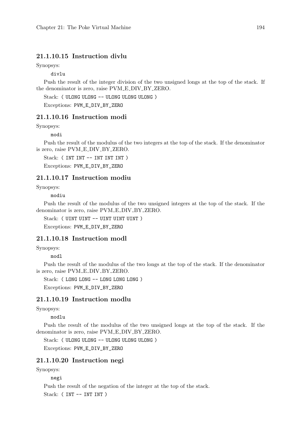## 21.1.10.15 Instruction divlu

Synopsys:

divlu

Push the result of the integer division of the two unsigned longs at the top of the stack. If the denominator is zero, raise PVM\_E\_DIV\_BY\_ZERO.

Stack: ( ULONG ULONG -- ULONG ULONG ULONG )

Exceptions: PVM\_E\_DIV\_BY\_ZERO

#### 21.1.10.16 Instruction modi

Synopsys:

modi

Push the result of the modulus of the two integers at the top of the stack. If the denominator is zero, raise PVM\_E\_DIV\_BY\_ZERO.

Stack: (INT INT -- INT INT INT)

Exceptions: PVM\_E\_DIV\_BY\_ZERO

#### 21.1.10.17 Instruction modiu

Synopsys:

modiu

Push the result of the modulus of the two unsigned integers at the top of the stack. If the denominator is zero, raise PVM E DIV BY ZERO.

Stack: ( UINT UINT -- UINT UINT UINT)

Exceptions: PVM\_E\_DIV\_BY\_ZERO

## 21.1.10.18 Instruction modl

Synopsys:

modl

Push the result of the modulus of the two longs at the top of the stack. If the denominator is zero, raise PVM\_E\_DIV\_BY\_ZERO.

Stack: ( LONG LONG -- LONG LONG LONG )

Exceptions: PVM\_E\_DIV\_BY\_ZERO

#### 21.1.10.19 Instruction modlu

Synopsys:

modlu

Push the result of the modulus of the two unsigned longs at the top of the stack. If the denominator is zero, raise PVM\_E\_DIV\_BY\_ZERO.

Stack: ( ULONG ULONG -- ULONG ULONG ULONG )

Exceptions: PVM\_E\_DIV\_BY\_ZERO

### 21.1.10.20 Instruction negi

Synopsys:

negi

Push the result of the negation of the integer at the top of the stack. Stack: (INT -- INT INT)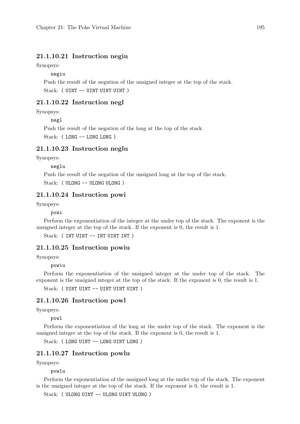## 21.1.10.21 Instruction negiu

Synopsys:

negiu

Push the result of the negation of the unsigned integer at the top of the stack. Stack: ( UINT -- UINT UINT UINT )

#### 21.1.10.22 Instruction negl

Synopsys:

negl

Push the result of the negation of the long at the top of the stack.

Stack: ( LONG -- LONG LONG )

#### 21.1.10.23 Instruction neglu

Synopsys:

neglu

Push the result of the negation of the unsigned long at the top of the stack. Stack: ( ULONG -- ULONG ULONG )

### 21.1.10.24 Instruction powi

Synopsys:

powi

Perform the exponentiation of the integer at the under top of the stack. The exponent is the unsigned integer at the top of the stack. If the exponent is 0, the result is 1.

Stack: (INT UINT -- INT UINT INT)

#### 21.1.10.25 Instruction powiu

Synopsys:

powiu

Perform the exponentiation of the unsigned integer at the under top of the stack. The exponent is the unsigned integer at the top of the stack. If the exponent is 0, the result is 1.

Stack: ( UINT UINT -- UINT UINT UINT )

#### 21.1.10.26 Instruction powl

Synopsys:

powl

Perform the exponentiation of the long at the under top of the stack. The exponent is the unsigned integer at the top of the stack. If the exponent is 0, the result is 1.

Stack: (LONG UINT -- LONG UINT LONG)

#### 21.1.10.27 Instruction powlu

Synopsys:

powlu

Perform the exponentiation of the unsigned long at the under top of the stack. The exponent is the unsigned integer at the top of the stack. If the exponent is 0, the result is 1.

Stack: ( ULONG UINT -- ULONG UINT ULONG )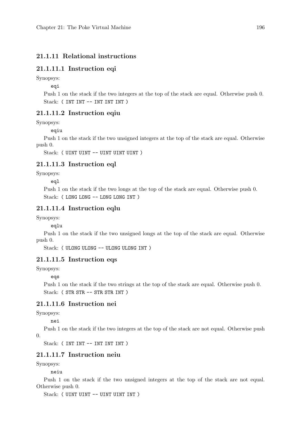## 21.1.11 Relational instructions

## 21.1.11.1 Instruction eqi

Synopsys:

eqi

Push 1 on the stack if the two integers at the top of the stack are equal. Otherwise push 0. Stack: (INT INT -- INT INT INT)

## 21.1.11.2 Instruction eqiu

Synopsys:

eqiu

Push 1 on the stack if the two unsigned integers at the top of the stack are equal. Otherwise push 0.

Stack: ( UINT UINT -- UINT UINT UINT )

## 21.1.11.3 Instruction eql

Synopsys:

eql

Push 1 on the stack if the two longs at the top of the stack are equal. Otherwise push 0. Stack: ( LONG LONG -- LONG LONG INT )

#### 21.1.11.4 Instruction eqlu

Synopsys:

eqlu

Push 1 on the stack if the two unsigned longs at the top of the stack are equal. Otherwise push 0.

Stack: ( ULONG ULONG -- ULONG ULONG INT )

## 21.1.11.5 Instruction eqs

Synopsys:

eqs

Push 1 on the stack if the two strings at the top of the stack are equal. Otherwise push 0. Stack: ( STR STR -- STR STR INT )

#### 21.1.11.6 Instruction nei

Synopsys:

nei

Push 1 on the stack if the two integers at the top of the stack are not equal. Otherwise push  $\Omega$ 

```
Stack: (INT INT -- INT INT INT)
```
## 21.1.11.7 Instruction neiu

Synopsys:

neiu

Push 1 on the stack if the two unsigned integers at the top of the stack are not equal. Otherwise push 0.

Stack: ( UINT UINT -- UINT UINT INT )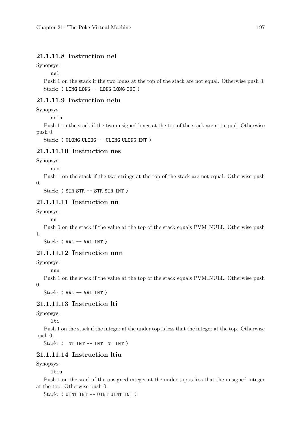## 21.1.11.8 Instruction nel

Synopsys:

nel

Push 1 on the stack if the two longs at the top of the stack are not equal. Otherwise push 0. Stack: (LONG LONG -- LONG LONG INT)

## 21.1.11.9 Instruction nelu

Synopsys:

nelu

Push 1 on the stack if the two unsigned longs at the top of the stack are not equal. Otherwise push 0.

Stack: ( ULONG ULONG -- ULONG ULONG INT )

## 21.1.11.10 Instruction nes

Synopsys:

nes

Push 1 on the stack if the two strings at the top of the stack are not equal. Otherwise push 0.

Stack: (STR STR -- STR STR INT)

## 21.1.11.11 Instruction nn

Synopsys:

nn

Push 0 on the stack if the value at the top of the stack equals PVM\_NULL. Otherwise push 1.

Stack: ( VAL -- VAL INT )

## 21.1.11.12 Instruction nnn

Synopsys:

nnn

Push 1 on the stack if the value at the top of the stack equals PVM\_NULL. Otherwise push 0.

Stack: ( VAL -- VAL INT )

## 21.1.11.13 Instruction lti

Synopsys:

lti

Push 1 on the stack if the integer at the under top is less that the integer at the top. Otherwise push 0.

Stack: (INT INT -- INT INT INT)

## 21.1.11.14 Instruction ltiu

Synopsys:

ltiu

Push 1 on the stack if the unsigned integer at the under top is less that the unsigned integer at the top. Otherwise push 0.

Stack: ( UINT INT -- UINT UINT INT )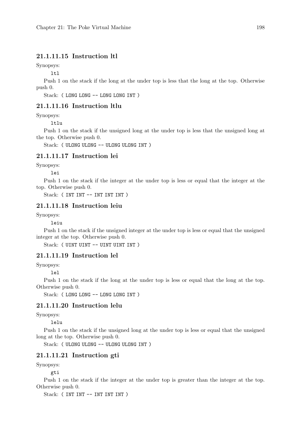## 21.1.11.15 Instruction ltl

Synopsys:

ltl

Push 1 on the stack if the long at the under top is less that the long at the top. Otherwise push 0.

Stack: ( LONG LONG -- LONG LONG INT )

#### 21.1.11.16 Instruction ltlu

Synopsys:

ltlu

Push 1 on the stack if the unsigned long at the under top is less that the unsigned long at the top. Otherwise push 0.

Stack: ( ULONG ULONG -- ULONG ULONG INT )

#### 21.1.11.17 Instruction lei

Synopsys:

lei

Push 1 on the stack if the integer at the under top is less or equal that the integer at the top. Otherwise push 0.

Stack: ( INT INT -- INT INT INT )

## 21.1.11.18 Instruction leiu

Synopsys:

leiu

Push 1 on the stack if the unsigned integer at the under top is less or equal that the unsigned integer at the top. Otherwise push 0.

Stack: ( UINT UINT -- UINT UINT INT )

## 21.1.11.19 Instruction lel

Synopsys:

lel

Push 1 on the stack if the long at the under top is less or equal that the long at the top. Otherwise push 0.

Stack: ( LONG LONG -- LONG LONG INT )

## 21.1.11.20 Instruction lelu

Synopsys:

lelu

Push 1 on the stack if the unsigned long at the under top is less or equal that the unsigned long at the top. Otherwise push 0.

Stack: ( ULONG ULONG -- ULONG ULONG INT )

### 21.1.11.21 Instruction gti

Synopsys:

gti

Push 1 on the stack if the integer at the under top is greater than the integer at the top. Otherwise push 0.

Stack: (INT INT -- INT INT INT)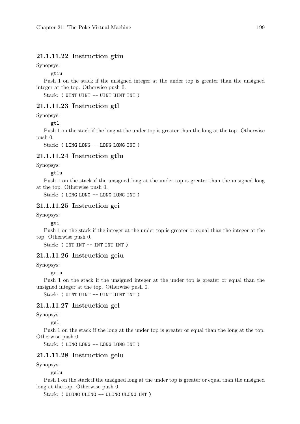## 21.1.11.22 Instruction gtiu

Synopsys:

gtiu

Push 1 on the stack if the unsigned integer at the under top is greater than the unsigned integer at the top. Otherwise push 0.

Stack: ( UINT UINT -- UINT UINT INT )

## 21.1.11.23 Instruction gtl

Synopsys:

gtl

Push 1 on the stack if the long at the under top is greater than the long at the top. Otherwise push 0.

Stack: ( LONG LONG -- LONG LONG INT )

## 21.1.11.24 Instruction gtlu

Synopsys:

gtlu

Push 1 on the stack if the unsigned long at the under top is greater than the unsigned long at the top. Otherwise push 0.

Stack: ( LONG LONG -- LONG LONG INT )

## 21.1.11.25 Instruction gei

Synopsys:

gei

Push 1 on the stack if the integer at the under top is greater or equal than the integer at the top. Otherwise push 0.

Stack: (INT INT -- INT INT INT)

## 21.1.11.26 Instruction geiu

Synopsys:

geiu

Push 1 on the stack if the unsigned integer at the under top is greater or equal than the unsigned integer at the top. Otherwise push 0.

Stack: ( UINT UINT -- UINT UINT INT )

#### 21.1.11.27 Instruction gel

Synopsys:

gel

Push 1 on the stack if the long at the under top is greater or equal than the long at the top. Otherwise push 0.

Stack: (LONG LONG -- LONG LONG INT)

### 21.1.11.28 Instruction gelu

Synopsys:

gelu

Push 1 on the stack if the unsigned long at the under top is greater or equal than the unsigned long at the top. Otherwise push 0.

Stack: ( ULONG ULONG -- ULONG ULONG INT )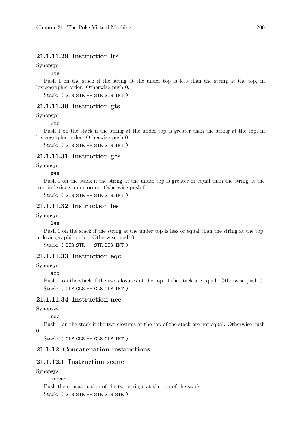## 21.1.11.29 Instruction lts

Synopsys:

lts

Push 1 on the stack if the string at the under top is less than the string at the top, in lexicographic order. Otherwise push 0.

Stack: ( STR STR -- STR STR INT )

## 21.1.11.30 Instruction gts

Synopsys:

gts

Push 1 on the stack if the string at the under top is greater than the string at the top, in lexicographic order. Otherwise push 0.

Stack: ( STR STR -- STR STR INT )

#### 21.1.11.31 Instruction ges

Synopsys:

ges

Push 1 on the stack if the string at the under top is greater or equal than the string at the top, in lexicographic order. Otherwise push 0.

Stack: ( STR STR -- STR STR INT )

## 21.1.11.32 Instruction les

Synopsys:

les

Push 1 on the stack if the string at the under top is less or equal than the string at the top, in lexicographic order. Otherwise push 0.

Stack: ( STR STR -- STR STR INT )

## 21.1.11.33 Instruction eqc

Synopsys:

eqc

Push 1 on the stack if the two closures at the top of the stack are equal. Otherwise push 0. Stack: ( CLS CLS -- CLS CLS INT )

## 21.1.11.34 Instruction nec

Synopsys:

nec

Push 1 on the stack if the two closures at the top of the stack are not equal. Otherwise push 0.

Stack: ( CLS CLS -- CLS CLS INT )

## 21.1.12 Concatenation instructions

## 21.1.12.1 Instruction sconc

Synopsys:

sconc

Push the concatenation of the two strings at the top of the stack. Stack: ( STR STR -- STR STR STR )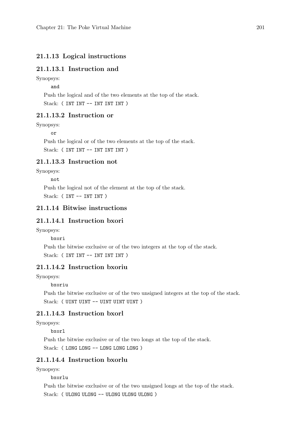#### 21.1.13 Logical instructions

### 21.1.13.1 Instruction and

#### Synopsys:

and

Push the logical and of the two elements at the top of the stack. Stack: (INT INT -- INT INT INT)

### 21.1.13.2 Instruction or

Synopsys:

or

Push the logical or of the two elements at the top of the stack. Stack: (INT INT -- INT INT INT)

### 21.1.13.3 Instruction not

Synopsys:

#### not

Push the logical not of the element at the top of the stack. Stack: ( INT -- INT INT )

### 21.1.14 Bitwise instructions

### 21.1.14.1 Instruction bxori

Synopsys:

bxori

Push the bitwise exclusive or of the two integers at the top of the stack. Stack: (INT INT -- INT INT INT)

### 21.1.14.2 Instruction bxoriu

Synopsys:

bxoriu

Push the bitwise exclusive or of the two unsigned integers at the top of the stack. Stack: ( UINT UINT -- UINT UINT UINT )

### 21.1.14.3 Instruction bxorl

Synopsys:

bxorl

Push the bitwise exclusive or of the two longs at the top of the stack. Stack: ( LONG LONG -- LONG LONG LONG )

### 21.1.14.4 Instruction bxorlu

Synopsys:

bxorlu

Push the bitwise exclusive or of the two unsigned longs at the top of the stack. Stack: ( ULONG ULONG -- ULONG ULONG ULONG )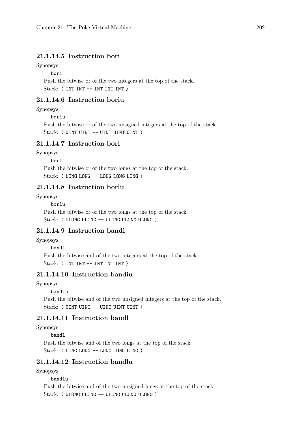### 21.1.14.5 Instruction bori

Synopsys:

bori

Push the bitwise or of the two integers at the top of the stack. Stack: (INT INT -- INT INT INT)

### 21.1.14.6 Instruction boriu

Synopsys:

boriu

Push the bitwise or of the two unsigned integers at the top of the stack. Stack: ( UINT UINT -- UINT UINT UINT )

### 21.1.14.7 Instruction borl

Synopsys:

borl

Push the bitwise or of the two longs at the top of the stack. Stack: ( LONG LONG -- LONG LONG LONG )

### 21.1.14.8 Instruction borlu

Synopsys:

borlu

Push the bitwise or of the two longs at the top of the stack. Stack: ( ULONG ULONG -- ULONG ULONG ULONG )

### 21.1.14.9 Instruction bandi

Synopsys:

#### bandi

Push the bitwise and of the two integers at the top of the stack. Stack: (INT INT -- INT INT INT)

### 21.1.14.10 Instruction bandiu

Synopsys:

bandiu

Push the bitwise and of the two unsigned integers at the top of the stack. Stack: ( UINT UINT -- UINT UINT UINT )

### 21.1.14.11 Instruction bandl

Synopsys:

bandl

Push the bitwise and of the two longs at the top of the stack. Stack: ( LONG LONG -- LONG LONG LONG )

### 21.1.14.12 Instruction bandlu

Synopsys:

bandlu

Push the bitwise and of the two unsigned longs at the top of the stack. Stack: ( ULONG ULONG -- ULONG ULONG ULONG )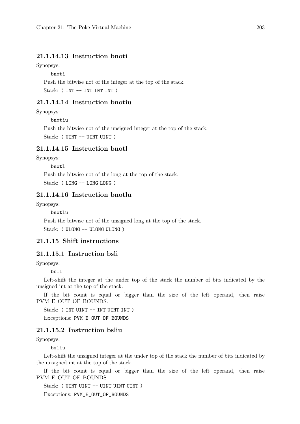### 21.1.14.13 Instruction bnoti

Synopsys:

bnoti

Push the bitwise not of the integer at the top of the stack.

Stack: (INT -- INT INT INT)

### 21.1.14.14 Instruction bnotiu

Synopsys:

bnotiu

Push the bitwise not of the unsigned integer at the top of the stack. Stack: ( UINT -- UINT UINT )

### 21.1.14.15 Instruction bnotl

Synopsys:

bnotl

Push the bitwise not of the long at the top of the stack. Stack: (LONG -- LONG LONG)

### 21.1.14.16 Instruction bnotlu

Synopsys:

bnotlu

Push the bitwise not of the unsigned long at the top of the stack. Stack: ( ULONG -- ULONG ULONG )

### 21.1.15 Shift instructions

### 21.1.15.1 Instruction bsli

Synopsys:

#### bsli

Left-shift the integer at the under top of the stack the number of bits indicated by the unsigned int at the top of the stack.

If the bit count is equal or bigger than the size of the left operand, then raise PVM E OUT OF BOUNDS.

Stack: (INT UINT -- INT UINT INT)

Exceptions: PVM E OUT OF BOUNDS

### 21.1.15.2 Instruction bsliu

Synopsys:

bsliu

Left-shift the unsigned integer at the under top of the stack the number of bits indicated by the unsigned int at the top of the stack.

If the bit count is equal or bigger than the size of the left operand, then raise PVM\_E\_OUT\_OF\_BOUNDS.

Stack: ( UINT UINT -- UINT UINT UINT )

Exceptions: PVM\_E\_OUT\_OF\_BOUNDS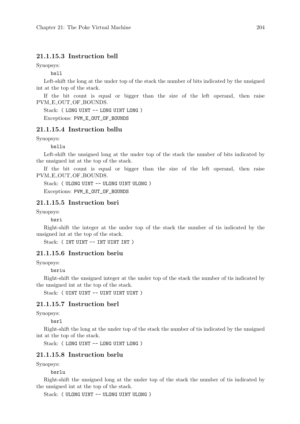### 21.1.15.3 Instruction bsll

Synopsys:

bsll

Left-shift the long at the under top of the stack the number of bits indicated by the unsigned int at the top of the stack.

If the bit count is equal or bigger than the size of the left operand, then raise PVM\_E\_OUT\_OF\_BOUNDS.

Stack: ( LONG UINT -- LONG UINT LONG )

Exceptions: PVM\_E\_OUT\_OF\_BOUNDS

### 21.1.15.4 Instruction bsllu

Synopsys:

bsllu

Left-shift the unsigned long at the under top of the stack the number of bits indicated by the unsigned int at the top of the stack.

If the bit count is equal or bigger than the size of the left operand, then raise PVM\_E\_OUT\_OF\_BOUNDS.

Stack: ( ULONG UINT -- ULONG UINT ULONG ) Exceptions: PVM\_E\_OUT\_OF\_BOUNDS

### 21.1.15.5 Instruction bsri

Synopsys:

bsri

Right-shift the integer at the under top of the stack the number of tis indicated by the unsigned int at the top of the stack.

Stack: (INT UINT -- INT UINT INT)

### 21.1.15.6 Instruction bsriu

Synopsys:

#### bsriu

Right-shift the unsigned integer at the under top of the stack the number of tis indicated by the unsigned int at the top of the stack.

Stack: ( UINT UINT -- UINT UINT UINT )

### 21.1.15.7 Instruction bsrl

Synopsys:

bsrl

Right-shift the long at the under top of the stack the number of tis indicated by the unsigned int at the top of the stack.

Stack: (LONG UINT -- LONG UINT LONG)

### 21.1.15.8 Instruction bsrlu

Synopsys:

bsrlu

Right-shift the unsigned long at the under top of the stack the number of tis indicated by the unsigned int at the top of the stack.

Stack: ( ULONG UINT -- ULONG UINT ULONG )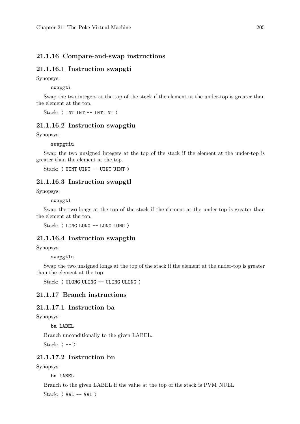### 21.1.16 Compare-and-swap instructions

### 21.1.16.1 Instruction swapgti

Synopsys:

swapgti

Swap the two integers at the top of the stack if the element at the under-top is greater than the element at the top.

Stack: (INT INT -- INT INT)

#### 21.1.16.2 Instruction swapgtiu

Synopsys:

#### swapgtiu

Swap the two unsigned integers at the top of the stack if the element at the under-top is greater than the element at the top.

Stack: ( UINT UINT -- UINT UINT )

#### 21.1.16.3 Instruction swapgtl

Synopsys:

#### swapgtl

Swap the two longs at the top of the stack if the element at the under-top is greater than the element at the top.

Stack: ( LONG LONG -- LONG LONG )

#### 21.1.16.4 Instruction swapgtlu

Synopsys:

swapgtlu

Swap the two unsigned longs at the top of the stack if the element at the under-top is greater than the element at the top.

Stack: ( ULONG ULONG -- ULONG ULONG )

### 21.1.17 Branch instructions

### 21.1.17.1 Instruction ba

Synopsys:

ba LABEL

Branch unconditionally to the given LABEL.

Stack:  $(--)$ 

### 21.1.17.2 Instruction bn

Synopsys:

bn LABEL

Branch to the given LABEL if the value at the top of the stack is PVM NULL.

Stack: (  $VAL$  --  $VAL$  )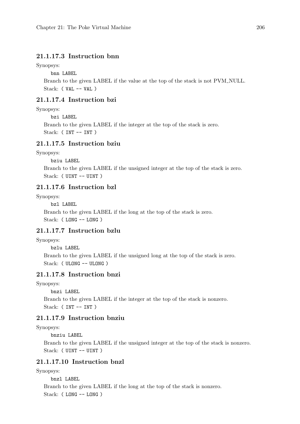### 21.1.17.3 Instruction bnn

Synopsys:

bnn LABEL

Branch to the given LABEL if the value at the top of the stack is not PVM NULL. Stack: ( VAL -- VAL )

### 21.1.17.4 Instruction bzi

Synopsys:

bzi LABEL

Branch to the given LABEL if the integer at the top of the stack is zero. Stack: ( INT -- INT )

### 21.1.17.5 Instruction bziu

Synopsys:

bziu LABEL

Branch to the given LABEL if the unsigned integer at the top of the stack is zero. Stack: ( UINT -- UINT )

### 21.1.17.6 Instruction bzl

Synopsys:

bzl LABEL

Branch to the given LABEL if the long at the top of the stack is zero. Stack: ( LONG -- LONG )

### 21.1.17.7 Instruction bzlu

Synopsys:

bzlu LABEL

Branch to the given LABEL if the unsigned long at the top of the stack is zero. Stack: ( ULONG -- ULONG )

### 21.1.17.8 Instruction bnzi

Synopsys:

bnzi LABEL

Branch to the given LABEL if the integer at the top of the stack is nonzero. Stack: ( INT -- INT )

### 21.1.17.9 Instruction bnziu

#### Synopsys:

bnziu LABEL

Branch to the given LABEL if the unsigned integer at the top of the stack is nonzero. Stack: ( UINT -- UINT )

### 21.1.17.10 Instruction bnzl

Synopsys:

bnzl LABEL Branch to the given LABEL if the long at the top of the stack is nonzero. Stack: ( LONG -- LONG )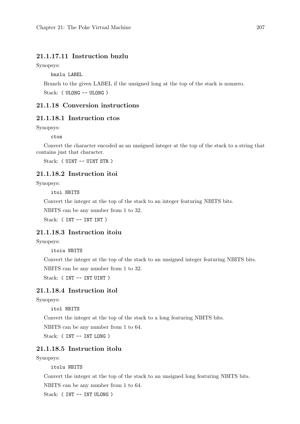### 21.1.17.11 Instruction bnzlu

Synopsys:

bnzlu LABEL

Branch to the given LABEL if the unsigned long at the top of the stack is nonzero. Stack: ( ULONG -- ULONG )

### 21.1.18 Conversion instructions

### 21.1.18.1 Instruction ctos

Synopsys:

ctos

Convert the character encoded as an unsigned integer at the top of the stack to a string that contains just that character.

Stack: ( UINT -- UINT STR )

### 21.1.18.2 Instruction itoi

Synopsys:

itoi NBITS

Convert the integer at the top of the stack to an integer featuring NBITS bits.

NBITS can be any number from 1 to 32.

Stack: (INT -- INT INT)

### 21.1.18.3 Instruction itoiu

Synopsys:

itoiu NBITS

Convert the integer at the top of the stack to an unsigned integer featuring NBITS bits. NBITS can be any number from 1 to 32.

Stack: (INT -- INT UINT)

### 21.1.18.4 Instruction itol

Synopsys:

itol NBITS

Convert the integer at the top of the stack to a long featuring NBITS bits.

NBITS can be any number from 1 to 64.

Stack: ( INT -- INT LONG )

### 21.1.18.5 Instruction itolu

Synopsys:

itolu NBITS

Convert the integer at the top of the stack to an unsigned long featuring NBITS bits.

NBITS can be any number from 1 to 64.

Stack: ( INT -- INT ULONG )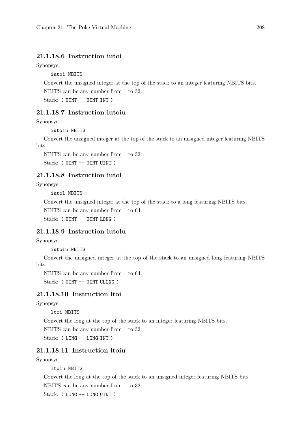### 21.1.18.6 Instruction iutoi

Synopsys:

iutoi NBITS

Convert the unsigned integer at the top of the stack to an integer featuring NBITS bits.

NBITS can be any number from 1 to 32.

Stack: ( UINT -- UINT INT )

### 21.1.18.7 Instruction iutoiu

Synopsys:

iutoiu NBITS

Convert the unsigned integer at the top of the stack to an unsigned integer featuring NBITS bits.

NBITS can be any number from 1 to 32.

Stack: ( UINT -- UINT UINT )

### 21.1.18.8 Instruction iutol

Synopsys:

iutol NBITS

Convert the unsigned integer at the top of the stack to a long featuring NBITS bits.

NBITS can be any number from 1 to 64.

Stack: ( UINT -- UINT LONG )

### 21.1.18.9 Instruction iutolu

Synopsys:

iutolu NBITS

Convert the unsigned integer at the top of the stack to an unsigned long featuring NBITS bits.

NBITS can be any number from 1 to 64.

Stack: ( UINT -- UINT ULONG )

### 21.1.18.10 Instruction ltoi

Synopsys:

ltoi NBITS

Convert the long at the top of the stack to an integer featuring NBITS bits.

NBITS can be any number from 1 to 32.

Stack: ( LONG -- LONG INT )

### 21.1.18.11 Instruction ltoiu

Synopsys:

ltoiu NBITS

Convert the long at the top of the stack to an unsigned integer featuring NBITS bits.

NBITS can be any number from 1 to 32.

Stack: ( LONG -- LONG UINT )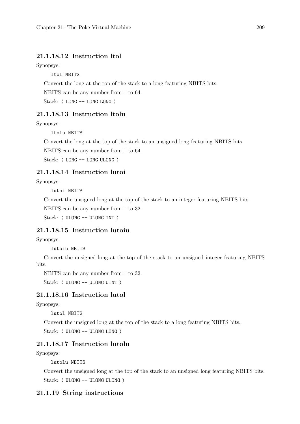### 21.1.18.12 Instruction ltol

Synopsys:

ltol NBITS

Convert the long at the top of the stack to a long featuring NBITS bits.

NBITS can be any number from 1 to 64.

Stack: ( LONG -- LONG LONG )

### 21.1.18.13 Instruction ltolu

Synopsys:

ltolu NBITS

Convert the long at the top of the stack to an unsigned long featuring NBITS bits.

NBITS can be any number from 1 to 64.

Stack: ( LONG -- LONG ULONG )

### 21.1.18.14 Instruction lutoi

Synopsys:

lutoi NBITS

Convert the unsigned long at the top of the stack to an integer featuring NBITS bits.

NBITS can be any number from 1 to 32.

Stack: ( ULONG -- ULONG INT )

### 21.1.18.15 Instruction lutoiu

Synopsys:

lutoiu NBITS

Convert the unsigned long at the top of the stack to an unsigned integer featuring NBITS bits.

NBITS can be any number from 1 to 32.

Stack: ( ULONG -- ULONG UINT )

### 21.1.18.16 Instruction lutol

Synopsys:

lutol NBITS

Convert the unsigned long at the top of the stack to a long featuring NBITS bits. Stack: ( ULONG -- ULONG LONG )

#### 21.1.18.17 Instruction lutolu

Synopsys:

### lutolu NBITS

Convert the unsigned long at the top of the stack to an unsigned long featuring NBITS bits. Stack: ( ULONG -- ULONG ULONG )

#### 21.1.19 String instructions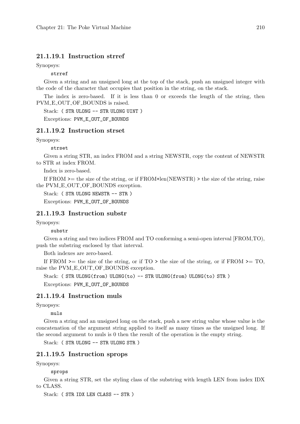### 21.1.19.1 Instruction strref

Synopsys:

strref

Given a string and an unsigned long at the top of the stack, push an unsigned integer with the code of the character that occupies that position in the string, on the stack.

The index is zero-based. If it is less than 0 or exceeds the length of the string, then PVM E OUT OF BOUNDS is raised.

Stack: ( STR ULONG -- STR ULONG UINT )

Exceptions: PVM\_E\_OUT\_OF\_BOUNDS

### 21.1.19.2 Instruction strset

Synopsys:

strset

Given a string STR, an index FROM and a string NEWSTR, copy the content of NEWSTR to STR at index FROM.

Index is zero-based.

If FROM >= the size of the string, or if FROM+len(NEWSTR) > the size of the string, raise the PVM\_E\_OUT\_OF\_BOUNDS exception.

Stack: ( STR ULONG NEWSTR -- STR )

Exceptions: PVM\_E\_OUT\_OF\_BOUNDS

### 21.1.19.3 Instruction substr

Synopsys:

#### substr

Given a string and two indices FROM and TO conforming a semi-open interval [FROM,TO), push the substring enclosed by that interval.

Both indexes are zero-based.

If FROM  $\ge$  the size of the string, or if TO  $>$  the size of the string, or if FROM  $\ge$  TO, raise the PVM\_E\_OUT\_OF\_BOUNDS exception.

Stack: ( STR ULONG(from) ULONG(to) -- STR ULONG(from) ULONG(to) STR)

Exceptions: PVM\_E\_OUT\_OF\_BOUNDS

### 21.1.19.4 Instruction muls

Synopsys:

muls

Given a string and an unsigned long on the stack, push a new string value whose value is the concatenation of the argument string applied to itself as many times as the unsigned long. If the second argument to muls is 0 then the result of the operation is the empty string.

Stack: ( STR ULONG -- STR ULONG STR )

#### 21.1.19.5 Instruction sprops

Synopsys:

sprops

Given a string STR, set the styling class of the substring with length LEN from index IDX to CLASS.

Stack: ( STR IDX LEN CLASS -- STR )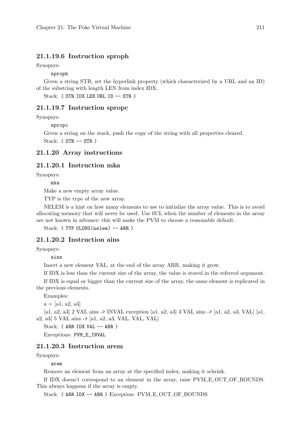### 21.1.19.6 Instruction sproph

Synopsys:

sproph

Given a string STR, set the hyperlink property (which characterized by a URL and an ID) of the substring with length LEN from index IDX.

Stack: ( STR IDX LEN URL ID -- STR )

#### 21.1.19.7 Instruction spropc

Synopsys:

spropc

Given a string on the stack, push the copy of the string with all properties cleared.

Stack: ( STR -- STR )

#### 21.1.20 Array instructions

#### 21.1.20.1 Instruction mka

Synopsys:

mka

Make a new empty array value.

TYP is the type of the new array.

NELEM is a hint on how many elements to use to initialize the array value. This is to avoid allocating memory that will never be used. Use 0UL when the number of elements in the array are not known in advance; this will make the PVM to choose a reasonable default.

Stack: (TYP ULONG(nelem) -- ARR)

### 21.1.20.2 Instruction ains

Synopsys:

ains

Insert a new element VAL, at the end of the array ARR, making it grow.

If IDX is less than the current size of the array, the value is stored in the referred argument.

If IDX is equal or bigger than the current size of the array, the same element is replicated in the previous elements.

Examples:

 $a = [a1, a2, a3]$ 

[a1, a2, a3] 2 VAL ains -> INVAL exception [a1, a2, a3] 3 VAL ains -> [a1, a2, a3, VAL] [a1, a2, a3] 5 VAL ains -> [a1, a2, a3, VAL, VAL, VAL]

Stack: (ARR IDX VAL -- ARR )

Exceptions: PVM\_E\_INVAL

#### 21.1.20.3 Instruction arem

Synopsys:

arem

Remove an element from an array at the specified index, making it schrink.

If IDX doesn't correspond to an element in the array, raise PVM\_E\_OUT\_OF\_BOUNDS. This always happens if the array is empty.

Stack: (ARR IDX -- ARR ) Exception: PVM\_E\_OUT\_OF\_BOUNDS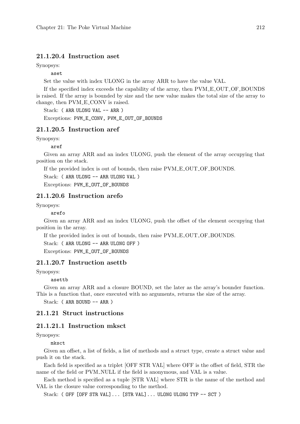### 21.1.20.4 Instruction aset

Synopsys:

aset

Set the value with index ULONG in the array ARR to have the value VAL.

If the specified index exceeds the capability of the array, then PVM E OUT OF BOUNDS is raised. If the array is bounded by size and the new value makes the total size of the array to change, then  $PVM$ <sub>-E</sub>-CONV is raised.

Stack: ( ARR ULONG VAL -- ARR )

Exceptions: PVM\_E\_CONV, PVM\_E\_OUT\_OF\_BOUNDS

### 21.1.20.5 Instruction aref

Synopsys:

aref

Given an array ARR and an index ULONG, push the element of the array occupying that position on the stack.

If the provided index is out of bounds, then raise PVM E OUT OF BOUNDS.

Stack: ( ARR ULONG -- ARR ULONG VAL )

Exceptions: PVM\_E\_OUT\_OF\_BOUNDS

### 21.1.20.6 Instruction arefo

Synopsys:

#### arefo

Given an array ARR and an index ULONG, push the offset of the element occupying that position in the array.

If the provided index is out of bounds, then raise  $PVM\_E_OUT\_OF_BOUNDS$ .

Stack: ( ARR ULONG -- ARR ULONG OFF )

Exceptions: PVM\_E\_OUT\_OF\_BOUNDS

### 21.1.20.7 Instruction asettb

Synopsys:

asettb

Given an array ARR and a closure BOUND, set the later as the array's bounder function. This is a function that, once executed with no arguments, returns the size of the array.

Stack: ( ARR BOUND -- ARR )

#### 21.1.21 Struct instructions

#### 21.1.21.1 Instruction mksct

Synopsys:

mksct

Given an offset, a list of fields, a list of methods and a struct type, create a struct value and push it on the stack.

Each field is specified as a triplet [OFF STR VAL] where OFF is the offset of field, STR the name of the field or PVM\_NULL if the field is anonymous, and VAL is a value.

Each method is specified as a tuple [STR VAL] where STR is the name of the method and VAL is the closure value corresponding to the method.

Stack: (OFF [OFF STR VAL]... [STR VAL]... ULONG ULONG TYP  $-$  SCT)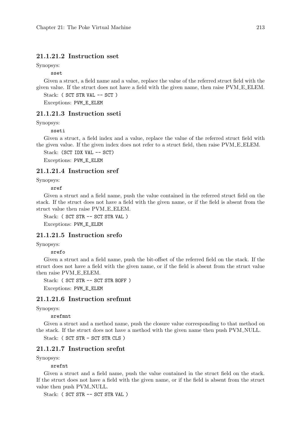### 21.1.21.2 Instruction sset

Synopsys:

sset

Given a struct, a field name and a value, replace the value of the referred struct field with the given value. If the struct does not have a field with the given name, then raise PVM E ELEM.

Stack: (SCT STR VAL -- SCT ) Exceptions: PVM\_E\_ELEM

#### 21.1.21.3 Instruction sseti

Synopsys:

sseti

Given a struct, a field index and a value, replace the value of the referred struct field with the given value. If the given index does not refer to a struct field, then raise PVM E ELEM.

Stack: (SCT IDX VAL -- SCT)

Exceptions: PVM\_E\_ELEM

#### 21.1.21.4 Instruction sref

Synopsys:

sref

Given a struct and a field name, push the value contained in the referred struct field on the stack. If the struct does not have a field with the given name, or if the field is absent from the struct value then raise PVM E ELEM.

Stack: ( SCT STR -- SCT STR VAL )

Exceptions: PVM\_E\_ELEM

### 21.1.21.5 Instruction srefo

Synopsys:

srefo

Given a struct and a field name, push the bit-offset of the referred field on the stack. If the struct does not have a field with the given name, or if the field is absent from the struct value then raise PVM E ELEM.

Stack: ( SCT STR -- SCT STR BOFF ) Exceptions: PVM\_E\_ELEM

### 21.1.21.6 Instruction srefmnt

Synopsys:

srefmnt

Given a struct and a method name, push the closure value corresponding to that method on the stack. If the struct does not have a method with the given name then push PVM NULL.

Stack: ( SCT STR - SCT STR CLS )

#### 21.1.21.7 Instruction srefnt

Synopsys:

srefnt

Given a struct and a field name, push the value contained in the struct field on the stack. If the struct does not have a field with the given name, or if the field is absent from the struct value then push PVM\_NULL.

Stack: ( SCT STR -- SCT STR VAL )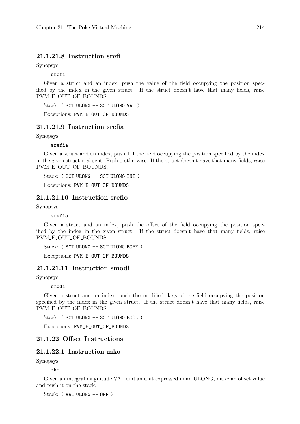### 21.1.21.8 Instruction srefi

Synopsys:

srefi

Given a struct and an index, push the value of the field occupying the position specified by the index in the given struct. If the struct doesn't have that many fields, raise PVM\_E\_OUT\_OF\_BOUNDS.

Stack: ( SCT ULONG -- SCT ULONG VAL )

Exceptions: PVM\_E\_OUT\_OF\_BOUNDS

### 21.1.21.9 Instruction srefia

Synopsys:

srefia

Given a struct and an index, push 1 if the field occupying the position specified by the index in the given struct is absent. Push 0 otherwise. If the struct doesn't have that many fields, raise PVM\_E\_OUT\_OF\_BOUNDS.

Stack: ( SCT ULONG -- SCT ULONG INT )

Exceptions: PVM\_E\_OUT\_OF\_BOUNDS

### 21.1.21.10 Instruction srefio

Synopsys:

srefio

Given a struct and an index, push the offset of the field occupying the position specified by the index in the given struct. If the struct doesn't have that many fields, raise PVM E OUT OF BOUNDS.

Stack: ( SCT ULONG -- SCT ULONG BOFF )

Exceptions: PVM\_E\_OUT\_OF\_BOUNDS

### 21.1.21.11 Instruction smodi

Synopsys:

smodi

Given a struct and an index, push the modified flags of the field occupying the position specified by the index in the given struct. If the struct doesn't have that many fields, raise PVM\_E\_OUT\_OF\_BOUNDS.

Stack: ( SCT ULONG -- SCT ULONG BOOL )

Exceptions: PVM\_E\_OUT\_OF\_BOUNDS

### 21.1.22 Offset Instructions

### 21.1.22.1 Instruction mko

Synopsys:

mko

Given an integral magnitude VAL and an unit expressed in an ULONG, make an offset value and push it on the stack.

Stack: ( VAL ULONG -- OFF )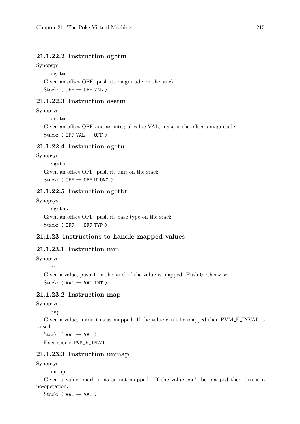### 21.1.22.2 Instruction ogetm

Synopsys:

#### ogetm

Given an offset OFF, push its magnitude on the stack. Stack: (OFF -- OFF VAL)

### 21.1.22.3 Instruction osetm

### Synopsys:

#### osetm

Given an offset OFF and an integral value VAL, make it the offset's magnitude. Stack: ( OFF VAL -- OFF )

### 21.1.22.4 Instruction ogetu

Synopsys:

ogetu

Given an offset OFF, push its unit on the stack. Stack: (OFF -- OFF ULONG)

#### 21.1.22.5 Instruction ogetbt

Synopsys:

ogetbt Given an offset OFF, push its base type on the stack. Stack: ( OFF -- OFF TYP )

### 21.1.23 Instructions to handle mapped values

### 21.1.23.1 Instruction mm

Synopsys:

mm

Given a value, push 1 on the stack if the value is mapped. Push 0 otherwise. Stack: ( VAL -- VAL INT )

### 21.1.23.2 Instruction map

Synopsys:

map

Given a value, mark it as as mapped. If the value can't be mapped then PVM E INVAL is raised.

Stack: ( VAL -- VAL ) Exceptions: PVM\_E\_INVAL

21.1.23.3 Instruction unmap

Synopsys:

unmap

Given a value, mark it as as not mapped. If the value can't be mapped then this is a no-operation.

Stack: ( VAL -- VAL )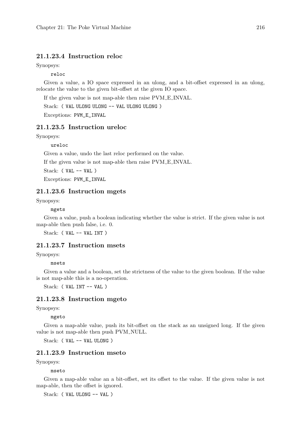### 21.1.23.4 Instruction reloc

Synopsys:

reloc

Given a value, a IO space expressed in an ulong, and a bit-offset expressed in an ulong, relocate the value to the given bit-offset at the given IO space.

If the given value is not map-able then raise PVM E INVAL.

Stack: ( VAL ULONG ULONG -- VAL ULONG ULONG )

Exceptions: PVM\_E\_INVAL

### 21.1.23.5 Instruction ureloc

Synopsys:

ureloc

Given a value, undo the last reloc performed on the value.

If the given value is not map-able then raise PVM E INVAL.

Stack: (  $VAL$  --  $VAL$  )

Exceptions: PVM\_E\_INVAL

### 21.1.23.6 Instruction mgets

Synopsys:

mgets

Given a value, push a boolean indicating whether the value is strict. If the given value is not map-able then push false, i.e. 0.

Stack: ( VAL -- VAL INT )

### 21.1.23.7 Instruction msets

Synopsys:

msets

Given a value and a boolean, set the strictness of the value to the given boolean. If the value is not map-able this is a no-operation.

Stack: ( VAL INT -- VAL )

### 21.1.23.8 Instruction mgeto

Synopsys:

mgeto

Given a map-able value, push its bit-offset on the stack as an unsigned long. If the given value is not map-able then push PVM NULL.

Stack: ( VAL -- VAL ULONG )

### 21.1.23.9 Instruction mseto

Synopsys:

mseto

Given a map-able value an a bit-offset, set its offset to the value. If the given value is not map-able, then the offset is ignored.

Stack: ( VAL ULONG -- VAL )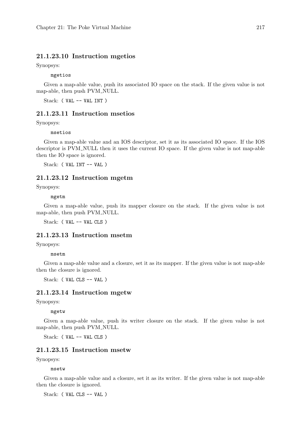### 21.1.23.10 Instruction mgetios

Synopsys:

mgetios

Given a map-able value, push its associated IO space on the stack. If the given value is not map-able, then push PVM\_NULL.

Stack: ( VAL -- VAL INT )

### 21.1.23.11 Instruction msetios

Synopsys:

msetios

Given a map-able value and an IOS descriptor, set it as its associated IO space. If the IOS descriptor is PVM NULL then it uses the current IO space. If the given value is not map-able then the IO space is ignored.

Stack: ( VAL INT -- VAL )

#### 21.1.23.12 Instruction mgetm

Synopsys:

mgetm

Given a map-able value, push its mapper closure on the stack. If the given value is not map-able, then push PVM\_NULL.

Stack: ( VAL -- VAL CLS )

### 21.1.23.13 Instruction msetm

Synopsys:

msetm

Given a map-able value and a closure, set it as its mapper. If the given value is not map-able then the closure is ignored.

Stack: ( VAL CLS -- VAL )

#### 21.1.23.14 Instruction mgetw

Synopsys:

#### mgetw

Given a map-able value, push its writer closure on the stack. If the given value is not map-able, then push PVM\_NULL.

Stack: ( VAL -- VAL CLS )

#### 21.1.23.15 Instruction msetw

Synopsys:

msetw

Given a map-able value and a closure, set it as its writer. If the given value is not map-able then the closure is ignored.

Stack: ( VAL CLS -- VAL )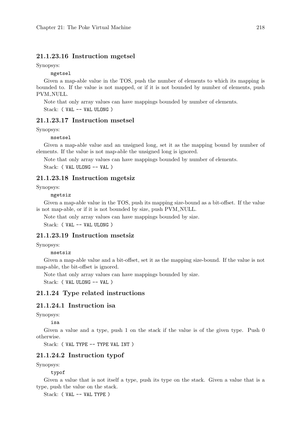### 21.1.23.16 Instruction mgetsel

Synopsys:

mgetsel

Given a map-able value in the TOS, push the number of elements to which its mapping is bounded to. If the value is not mapped, or if it is not bounded by number of elements, push PVM\_NULL.

Note that only array values can have mappings bounded by number of elements.

Stack: ( VAL -- VAL ULONG )

#### 21.1.23.17 Instruction msetsel

Synopsys:

msetsel

Given a map-able value and an unsigned long, set it as the mapping bound by number of elements. If the value is not map-able the unsigned long is ignored.

Note that only array values can have mappings bounded by number of elements.

Stack: ( VAL ULONG -- VAL )

#### 21.1.23.18 Instruction mgetsiz

Synopsys:

mgetsiz

Given a map-able value in the TOS, push its mapping size-bound as a bit-offset. If the value is not map-able, or if it is not bounded by size, push PVM NULL.

Note that only array values can have mappings bounded by size.

Stack: ( VAL -- VAL ULONG )

### 21.1.23.19 Instruction msetsiz

Synopsys:

msetsiz

Given a map-able value and a bit-offset, set it as the mapping size-bound. If the value is not map-able, the bit-offset is ignored.

Note that only array values can have mappings bounded by size.

Stack: ( VAL ULONG -- VAL )

#### 21.1.24 Type related instructions

### 21.1.24.1 Instruction isa

Synopsys:

isa

Given a value and a type, push 1 on the stack if the value is of the given type. Push 0 otherwise.

Stack: ( VAL TYPE -- TYPE VAL INT )

### 21.1.24.2 Instruction typof

Synopsys:

typof

Given a value that is not itself a type, push its type on the stack. Given a value that is a type, push the value on the stack.

Stack: ( VAL -- VAL TYPE )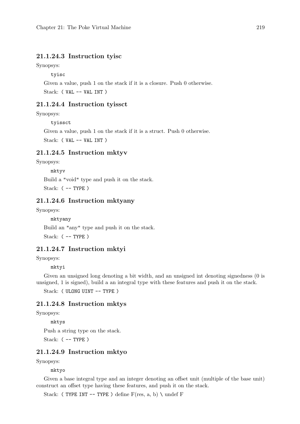### 21.1.24.3 Instruction tyisc

Synopsys:

tyisc

Given a value, push 1 on the stack if it is a closure. Push 0 otherwise. Stack: ( VAL -- VAL INT )

#### 21.1.24.4 Instruction tyissct

Synopsys:

tyissct

Given a value, push 1 on the stack if it is a struct. Push 0 otherwise. Stack: ( VAL -- VAL INT )

### 21.1.24.5 Instruction mktyv

Synopsys:

mktyv

Build a "void" type and push it on the stack.

Stack: ( -- TYPE )

### 21.1.24.6 Instruction mktyany

Synopsys:

mktyany

Build an "any" type and push it on the stack.

Stack:  $(-$  -- TYPE)

### 21.1.24.7 Instruction mktyi

Synopsys:

mktyi

Given an unsigned long denoting a bit width, and an unsigned int denoting signedness (0 is unsigned, 1 is signed), build a an integral type with these features and push it on the stack.

Stack: ( ULONG UINT -- TYPE )

#### 21.1.24.8 Instruction mktys

Synopsys:

mktys

Push a string type on the stack.

Stack: ( -- TYPE )

### 21.1.24.9 Instruction mktyo

Synopsys:

mktyo

Given a base integral type and an integer denoting an offset unit (multiple of the base unit) construct an offset type having these features, and push it on the stack.

Stack: (TYPE INT -- TYPE) define  $F(res, a, b) \setminus \text{undefined} F$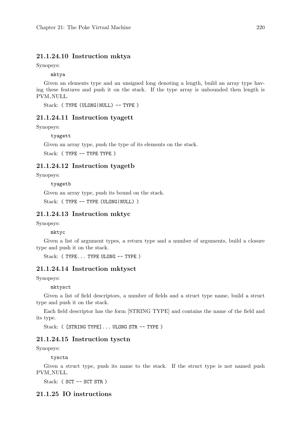### 21.1.24.10 Instruction mktya

Synopsys:

mktya

Given an elements type and an unsigned long denoting a length, build an array type having these features and push it on the stack. If the type array is unbounded then length is PVM\_NULL.

Stack: (TYPE (ULONG|NULL) -- TYPE)

#### 21.1.24.11 Instruction tyagett

Synopsys:

tyagett

Given an array type, push the type of its elements on the stack.

Stack: (TYPE -- TYPE TYPE)

### 21.1.24.12 Instruction tyagetb

Synopsys:

tyagetb

Given an array type, push its bound on the stack.

Stack: (TYPE -- TYPE (ULONG | NULL))

#### 21.1.24.13 Instruction mktyc

Synopsys:

mktyc

Given a list of argument types, a return type and a number of arguments, build a closure type and push it on the stack.

Stack: (TYPE... TYPE ULONG -- TYPE)

### 21.1.24.14 Instruction mktysct

Synopsys:

mktysct

Given a list of field descriptors, a number of fields and a struct type name, build a struct type and push it on the stack.

Each field descriptor has the form [STRING TYPE] and contains the name of the field and its type.

Stack: ([STRING TYPE]... ULONG STR -- TYPE)

#### 21.1.24.15 Instruction tysctn

Synopsys:

tysctn

Given a struct type, push its name to the stack. If the struct type is not named push PVM\_NULL.

Stack: ( SCT -- SCT STR )

### 21.1.25 IO instructions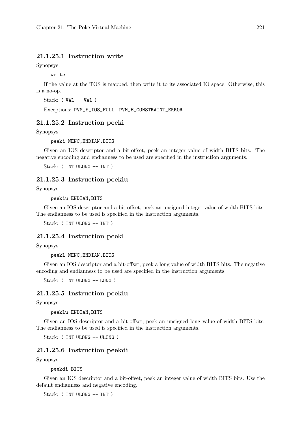### 21.1.25.1 Instruction write

Synopsys:

write

If the value at the TOS is mapped, then write it to its associated IO space. Otherwise, this is a no-op.

Stack: ( VAL -- VAL )

Exceptions: PVM\_E\_IOS\_FULL, PVM\_E\_CONSTRAINT\_ERROR

#### 21.1.25.2 Instruction peeki

Synopsys:

peeki NENC,ENDIAN,BITS

Given an IOS descriptor and a bit-offset, peek an integer value of width BITS bits. The negative encoding and endianness to be used are specified in the instruction arguments.

Stack: ( INT ULONG -- INT )

#### 21.1.25.3 Instruction peekiu

Synopsys:

peekiu ENDIAN,BITS

Given an IOS descriptor and a bit-offset, peek an unsigned integer value of width BITS bits. The endianness to be used is specified in the instruction arguments.

Stack: ( INT ULONG -- INT )

#### 21.1.25.4 Instruction peekl

Synopsys:

peekl NENC,ENDIAN,BITS

Given an IOS descriptor and a bit-offset, peek a long value of width BITS bits. The negative encoding and endianness to be used are specified in the instruction arguments.

Stack: ( INT ULONG -- LONG )

#### 21.1.25.5 Instruction peeklu

Synopsys:

peeklu ENDIAN,BITS

Given an IOS descriptor and a bit-offset, peek an unsigned long value of width BITS bits. The endianness to be used is specified in the instruction arguments.

Stack: ( INT ULONG -- ULONG )

#### 21.1.25.6 Instruction peekdi

Synopsys:

peekdi BITS

Given an IOS descriptor and a bit-offset, peek an integer value of width BITS bits. Use the default endianness and negative encoding.

Stack: ( INT ULONG -- INT )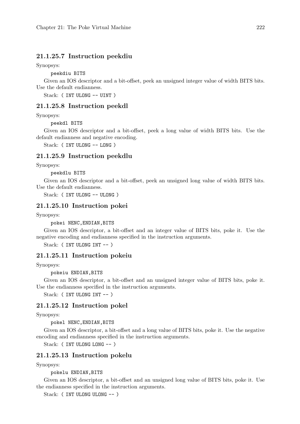### 21.1.25.7 Instruction peekdiu

Synopsys:

peekdiu BITS

Given an IOS descriptor and a bit-offset, peek an unsigned integer value of width BITS bits. Use the default endianness.

Stack: ( INT ULONG -- UINT )

#### 21.1.25.8 Instruction peekdl

Synopsys:

peekdl BITS

Given an IOS descriptor and a bit-offset, peek a long value of width BITS bits. Use the default endianness and negative encoding.

Stack: ( INT ULONG -- LONG )

#### 21.1.25.9 Instruction peekdlu

Synopsys:

peekdlu BITS

Given an IOS descriptor and a bit-offset, peek an unsigned long value of width BITS bits. Use the default endianness.

Stack: ( INT ULONG -- ULONG )

### 21.1.25.10 Instruction pokei

Synopsys:

pokei NENC,ENDIAN,BITS

Given an IOS descriptor, a bit-offset and an integer value of BITS bits, poke it. Use the negative encoding and endianness specified in the instruction arguments.

Stack: (INT ULONG INT -- )

#### 21.1.25.11 Instruction pokeiu

Synopsys:

pokeiu ENDIAN,BITS

Given an IOS descriptor, a bit-offset and an unsigned integer value of BITS bits, poke it. Use the endianness specified in the instruction arguments.

Stack: (INT ULONG INT -- )

#### 21.1.25.12 Instruction pokel

Synopsys:

pokel NENC,ENDIAN,BITS

Given an IOS descriptor, a bit-offset and a long value of BITS bits, poke it. Use the negative encoding and endianness specified in the instruction arguments.

Stack: ( INT ULONG LONG -- )

#### 21.1.25.13 Instruction pokelu

Synopsys:

pokelu ENDIAN,BITS

Given an IOS descriptor, a bit-offset and an unsigned long value of BITS bits, poke it. Use the endianness specified in the instruction arguments.

Stack: (INT ULONG ULONG -- )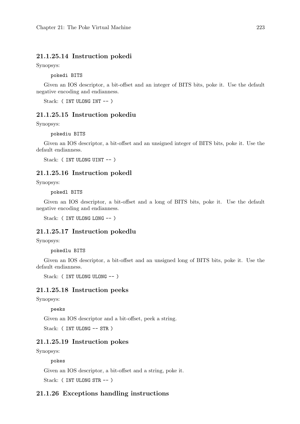### 21.1.25.14 Instruction pokedi

Synopsys:

pokedi BITS

Given an IOS descriptor, a bit-offset and an integer of BITS bits, poke it. Use the default negative encoding and endianness.

Stack: ( INT ULONG INT -- )

#### 21.1.25.15 Instruction pokediu

Synopsys:

pokediu BITS

Given an IOS descriptor, a bit-offset and an unsigned integer of BITS bits, poke it. Use the default endianness.

Stack: ( INT ULONG UINT -- )

#### 21.1.25.16 Instruction pokedl

Synopsys:

pokedl BITS

Given an IOS descriptor, a bit-offset and a long of BITS bits, poke it. Use the default negative encoding and endianness.

Stack: ( INT ULONG LONG -- )

### 21.1.25.17 Instruction pokedlu

Synopsys:

pokedlu BITS

Given an IOS descriptor, a bit-offset and an unsigned long of BITS bits, poke it. Use the default endianness.

Stack: (INT ULONG ULONG -- )

#### 21.1.25.18 Instruction peeks

Synopsys:

peeks

Given an IOS descriptor and a bit-offset, peek a string.

Stack: ( INT ULONG -- STR )

#### 21.1.25.19 Instruction pokes

Synopsys:

pokes

Given an IOS descriptor, a bit-offset and a string, poke it.

Stack: ( INT ULONG STR -- )

### 21.1.26 Exceptions handling instructions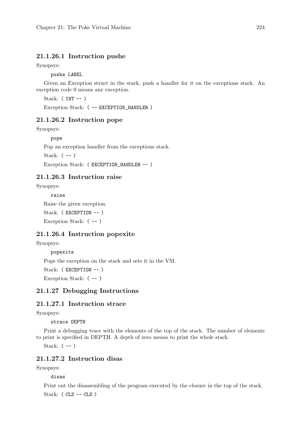### 21.1.26.1 Instruction pushe

Synopsys:

pushe LABEL

Given an Exception struct in the stack, push a handler for it on the exceptions stack. An exception code 0 means any exception.

Stack:  $(INT --)$ Exception Stack: ( -- EXCEPTION\_HANDLER )

#### 21.1.26.2 Instruction pope

Synopsys:

pope

Pop an exception handler from the exceptions stack.

Stack:  $(--)$ 

Exception Stack: ( EXCEPTION\_HANDLER -- )

#### 21.1.26.3 Instruction raise

Synopsys:

raise

Raise the given exception.

Stack: ( EXCEPTION -- )

Exception Stack: ( -- )

### 21.1.26.4 Instruction popexite

Synopsys:

popexite

Pops the exception on the stack and sets it in the VM.

Stack: ( EXCEPTION -- )

Exception Stack:  $(--)$ 

### 21.1.27 Debugging Instructions

#### 21.1.27.1 Instruction strace

Synopsys:

strace DEPTH

Print a debugging trace with the elements of the top of the stack. The number of elements to print is specified in DEPTH. A depth of zero means to print the whole stack.

Stack:  $(--)$ 

### 21.1.27.2 Instruction disas

Synopsys:

disas

Print out the disassembling of the program executed by the closure in the top of the stack. Stack: ( CLS -- CLS )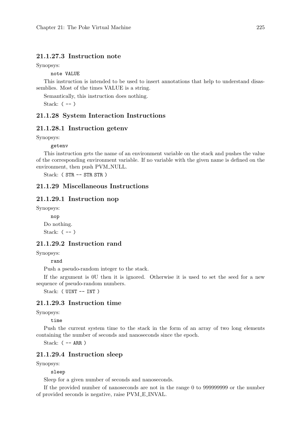#### 21.1.27.3 Instruction note

Synopsys:

note VALUE

This instruction is intended to be used to insert annotations that help to understand disassemblies. Most of the times VALUE is a string.

Semantically, this instruction does nothing.

Stack:  $(--)$ 

#### 21.1.28 System Interaction Instructions

#### 21.1.28.1 Instruction getenv

Synopsys:

getenv

This instruction gets the name of an environment variable on the stack and pushes the value of the corresponding environment variable. If no variable with the given name is defined on the environment, then push PVM\_NULL.

Stack: ( STR -- STR STR )

### 21.1.29 Miscellaneous Instructions

#### 21.1.29.1 Instruction nop

Synopsys:

nop Do nothing. Stack:  $(--)$ 

### 21.1.29.2 Instruction rand

Synopsys:

rand

Push a pseudo-random integer to the stack.

If the argument is 0U then it is ignored. Otherwise it is used to set the seed for a new sequence of pseudo-random numbers.

Stack: ( UINT -- INT )

### 21.1.29.3 Instruction time

Synopsys:

time

Push the current system time to the stack in the form of an array of two long elements containing the number of seconds and nanoseconds since the epoch.

Stack: ( -- ARR )

#### 21.1.29.4 Instruction sleep

Synopsys:

sleep

Sleep for a given number of seconds and nanoseconds.

If the provided number of nanoseconds are not in the range 0 to 999999999 or the number of provided seconds is negative, raise PVM E INVAL.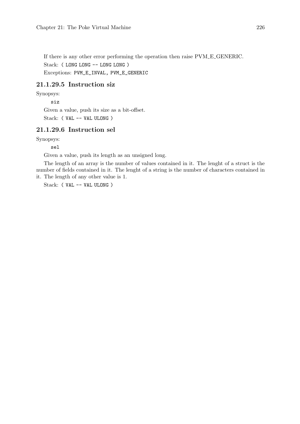If there is any other error performing the operation then raise PVM E GENERIC. Stack: ( LONG LONG -- LONG LONG ) Exceptions: PVM\_E\_INVAL, PVM\_E\_GENERIC

### 21.1.29.5 Instruction siz

Synopsys:

siz

Given a value, push its size as a bit-offset. Stack: ( VAL -- VAL ULONG )

### 21.1.29.6 Instruction sel

Synopsys:

sel

Given a value, push its length as an unsigned long.

The length of an array is the number of values contained in it. The lenght of a struct is the number of fields contained in it. The lenght of a string is the number of characters contained in it. The length of any other value is 1.

Stack: ( VAL -- VAL ULONG )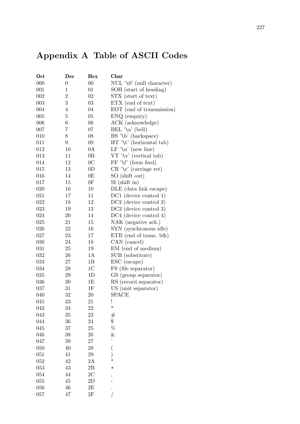# Appendix A Table of ASCII Codes

| Oct | Dec              | Hex            | <b>Char</b>                   |
|-----|------------------|----------------|-------------------------------|
| 000 | $\boldsymbol{0}$ | $00\,$         | NUL '\0' (null character)     |
| 001 | $\mathbf{1}$     | 01             | SOH (start of heading)        |
| 002 | $\overline{2}$   | 02             | STX (start of text)           |
| 003 | 3                | $03\,$         | ETX (end of text)             |
| 004 | $\overline{4}$   | 04             | EOT (end of transmission)     |
| 005 | $\overline{5}$   | $05\,$         | ENQ (enquiry)                 |
| 006 | $\boldsymbol{6}$ | 06             | ACK (acknowledge)             |
| 007 | 7                | 07             | $BEL \lambda^{\alpha}$ (bell) |
| 010 | 8                | 08             | $BS' \b)'$ (backspace)        |
| 011 | 9                | 09             |                               |
| 012 | 10               | 0A             | LF $\ln$ (new line)           |
| 013 | 11               | 0B             | $VT' \vee '$ (vertical tab)   |
| 014 | 12               | 0 <sub>C</sub> | $FF' \Yf'$ (form feed)        |
| 015 | 13               | 0 <sub>D</sub> | $CR \wedge r'$ (carriage ret) |
| 016 | 14               | 0E             | SO (shift out)                |
| 017 | 15               | 0F             | $SI$ (shift in)               |
| 020 | 16               | 10             | DLE (data link escape)        |
| 021 | 17               | 11             | DC1 (device control 1)        |
| 022 | 18               | 12             | $DC2$ (device control 2)      |
| 023 | 19               | 13             | DC3 (device control 3)        |
| 024 | 20               | 14             | DC4 (device control 4)        |
| 025 | 21               | 15             | NAK (negative ack.)           |
| 026 | 22               | 16             | SYN (synchronous idle)        |
| 027 | 23               | 17             | ETB (end of trans. blk)       |
| 030 | 24               | 18             | CAN (cancel)                  |
| 031 | 25               | 19             | EM (end of medium)            |
| 032 | 26               | 1A             | SUB (substitute)              |
| 033 | 27               | 1B             | ESC (escape)                  |
| 034 | 28               | 1 <sup>C</sup> | FS (file separator)           |
| 035 | 29               | 1D             | GS (group separator)          |
| 036 | 30               | 1E             | RS (record separator)         |
| 037 | 31               | $1\mathrm{F}$  | US (unit separator)           |
| 040 | 32               | $20\,$         | <b>SPACE</b>                  |
| 041 | 33               | 21             | ï                             |
| 042 | 34               | 22             | Ħ                             |
| 043 | 35               | 23             | $^{\#}$                       |
| 044 | 36               | 24             | \$                            |
| 045 | 37               | 25             | $\%$                          |
| 046 | 38               | 26             | &                             |
| 047 | 39               | 27             | ,                             |
| 050 | 40               | 28             | (                             |
| 051 | 41               | 29             | )                             |
| 052 | 42               | 2A             | $\ast$                        |
| 053 | 43               | 2B             | $\ddot{}$                     |
| 054 | 44               | $2\mathrm{C}$  |                               |
| 055 | 45               | 2D             | ,                             |
| 056 | 46               | 2E             |                               |
| 057 | 47               | $2\mathrm{F}$  |                               |
|     |                  |                |                               |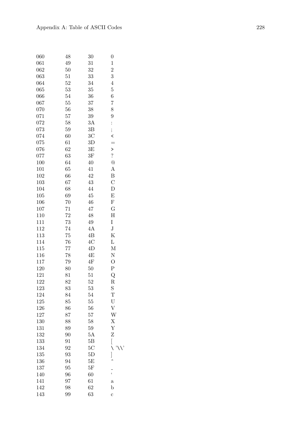| 060 | 48 | 30             | $\boldsymbol{0}$          |
|-----|----|----------------|---------------------------|
| 061 | 49 | 31             | $\mathbf{1}$              |
| 062 | 50 | 32             | $\overline{2}$            |
| 063 | 51 | 33             | 3                         |
| 064 | 52 | 34             | $\overline{4}$            |
| 065 | 53 | 35             | $\overline{5}$            |
| 066 | 54 | 36             | 6                         |
| 067 | 55 | 37             | 7                         |
| 070 | 56 | 38             | 8                         |
| 071 | 57 | 39             | 9                         |
| 072 | 58 | 3A             | $\vdots$                  |
| 073 | 59 | 3B             | ;                         |
| 074 | 60 | 3 <sup>C</sup> | $\overline{\phantom{a}}$  |
| 075 | 61 | 3D             | $=$                       |
| 076 | 62 | 3E             | >                         |
| 077 | 63 | 3F             | $\overline{\mathcal{E}}$  |
| 100 | 64 | 40             | @                         |
| 101 | 65 | 41             | A                         |
| 102 | 66 | 42             | B                         |
| 103 | 67 | 43             | $\overline{C}$            |
| 104 | 68 | 44             | D                         |
| 105 | 69 | 45             | E                         |
| 106 | 70 | 46             | ${\bf F}$                 |
| 107 | 71 | 47             | G                         |
| 110 | 72 | 48             | H                         |
| 111 | 73 | 49             | I                         |
| 112 | 74 | 4A             | $_{\rm J}$                |
| 113 | 75 | 4B             | Κ                         |
| 114 | 76 | 4C             | L                         |
| 115 | 77 | 4D             | M                         |
| 116 | 78 | 4E             | N                         |
| 117 | 79 | 4F             | $\overline{O}$            |
| 120 | 80 | 50             | Ρ                         |
| 121 | 81 | 51             | Q                         |
| 122 | 82 | 52             | R                         |
| 123 | 83 | 53             | S                         |
| 124 | 84 | 54             | T                         |
| 125 | 85 | 55             | $\mathbf U$               |
| 126 | 86 | 56             | $\boldsymbol{\mathrm{V}}$ |
| 127 | 87 | 57             | W                         |
| 130 | 88 | 58             | X                         |
| 131 | 89 | 59             | Y                         |
| 132 | 90 | 5A             | Z                         |
| 133 | 91 | 5B             | [                         |
| 134 | 92 | 5C             | ∖                         |
| 135 | 93 | 5D             | ]                         |
| 136 | 94 | 5E             |                           |
| 137 | 95 | 5F             |                           |
| 140 | 96 | 60             | $\frac{1}{\epsilon}$      |
| 141 | 97 | 61             | $\mathbf a$               |
| 142 | 98 | 62             | b                         |
| 143 | 99 | 63             | $\mathbf c$               |
|     |    |                |                           |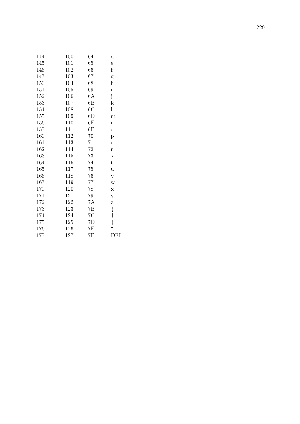| 144 | 100 | 64             | $\rm d$        |
|-----|-----|----------------|----------------|
| 145 | 101 | 65             | $\mathbf{e}$   |
| 146 | 102 | 66             | $\rm f$        |
| 147 | 103 | 67             | g              |
| 150 | 104 | 68             | $\bold{h}$     |
| 151 | 105 | 69             | $\mathbf{i}$   |
| 152 | 106 | 6A             | $\mathbf{j}$   |
| 153 | 107 | 6B             | $\mathbf k$    |
| 154 | 108 | 6 <sup>C</sup> | l              |
| 155 | 109 | 6D             | $\mathbf{m}$   |
| 156 | 110 | 6E             | $\mathbf n$    |
| 157 | 111 | $6\mathrm{F}$  | $\mathbf{O}$   |
| 160 | 112 | 70             | p              |
| 161 | 113 | 71             | $\overline{q}$ |
| 162 | 114 | 72             | r              |
| 163 | 115 | 73             | S              |
| 164 | 116 | 74             | t              |
| 165 | 117 | 75             | $\mathbf u$    |
| 166 | 118 | 76             | $\mathbf{V}$   |
| 167 | 119 | 77             | W              |
| 170 | 120 | 78             | X              |
| 171 | 121 | 79             | y              |
| 172 | 122 | 7Α             | Z              |
| 173 | 123 | 7B             |                |
| 174 | 124 | 7C             | {<br>          |
| 175 | 125 | 7D             | }<br>~         |
| 176 | 126 | 7Ε             |                |
| 177 | 127 | 7F             | DEL            |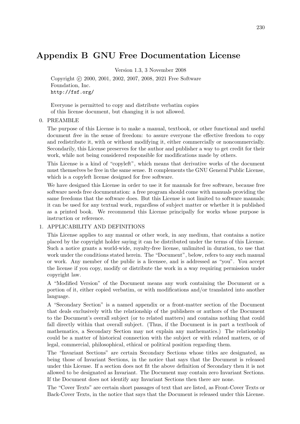## Appendix B GNU Free Documentation License

Version 1.3, 3 November 2008

Copyright © 2000, 2001, 2002, 2007, 2008, 2021 Free Software Foundation, Inc. <http://fsf.org/>

Everyone is permitted to copy and distribute verbatim copies of this license document, but changing it is not allowed.

#### 0. PREAMBLE

The purpose of this License is to make a manual, textbook, or other functional and useful document free in the sense of freedom: to assure everyone the effective freedom to copy and redistribute it, with or without modifying it, either commercially or noncommercially. Secondarily, this License preserves for the author and publisher a way to get credit for their work, while not being considered responsible for modifications made by others.

This License is a kind of "copyleft", which means that derivative works of the document must themselves be free in the same sense. It complements the GNU General Public License, which is a copyleft license designed for free software.

We have designed this License in order to use it for manuals for free software, because free software needs free documentation: a free program should come with manuals providing the same freedoms that the software does. But this License is not limited to software manuals; it can be used for any textual work, regardless of subject matter or whether it is published as a printed book. We recommend this License principally for works whose purpose is instruction or reference.

#### 1. APPLICABILITY AND DEFINITIONS

This License applies to any manual or other work, in any medium, that contains a notice placed by the copyright holder saying it can be distributed under the terms of this License. Such a notice grants a world-wide, royalty-free license, unlimited in duration, to use that work under the conditions stated herein. The "Document", below, refers to any such manual or work. Any member of the public is a licensee, and is addressed as "you". You accept the license if you copy, modify or distribute the work in a way requiring permission under copyright law.

A "Modified Version" of the Document means any work containing the Document or a portion of it, either copied verbatim, or with modifications and/or translated into another language.

A "Secondary Section" is a named appendix or a front-matter section of the Document that deals exclusively with the relationship of the publishers or authors of the Document to the Document's overall subject (or to related matters) and contains nothing that could fall directly within that overall subject. (Thus, if the Document is in part a textbook of mathematics, a Secondary Section may not explain any mathematics.) The relationship could be a matter of historical connection with the subject or with related matters, or of legal, commercial, philosophical, ethical or political position regarding them.

The "Invariant Sections" are certain Secondary Sections whose titles are designated, as being those of Invariant Sections, in the notice that says that the Document is released under this License. If a section does not fit the above definition of Secondary then it is not allowed to be designated as Invariant. The Document may contain zero Invariant Sections. If the Document does not identify any Invariant Sections then there are none.

The "Cover Texts" are certain short passages of text that are listed, as Front-Cover Texts or Back-Cover Texts, in the notice that says that the Document is released under this License.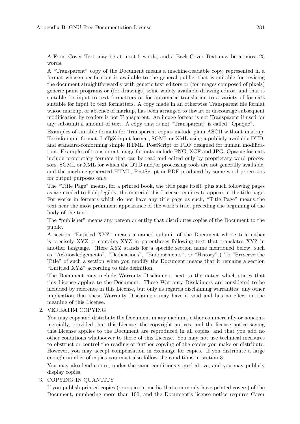A Front-Cover Text may be at most 5 words, and a Back-Cover Text may be at most 25 words.

A "Transparent" copy of the Document means a machine-readable copy, represented in a format whose specification is available to the general public, that is suitable for revising the document straightforwardly with generic text editors or (for images composed of pixels) generic paint programs or (for drawings) some widely available drawing editor, and that is suitable for input to text formatters or for automatic translation to a variety of formats suitable for input to text formatters. A copy made in an otherwise Transparent file format whose markup, or absence of markup, has been arranged to thwart or discourage subsequent modification by readers is not Transparent. An image format is not Transparent if used for any substantial amount of text. A copy that is not "Transparent" is called "Opaque".

Examples of suitable formats for Transparent copies include plain ASCII without markup, Texinfo input format, LaTEX input format, SGML or XML using a publicly available DTD, and standard-conforming simple HTML, PostScript or PDF designed for human modification. Examples of transparent image formats include PNG, XCF and JPG. Opaque formats include proprietary formats that can be read and edited only by proprietary word processors, SGML or XML for which the DTD and/or processing tools are not generally available, and the machine-generated HTML, PostScript or PDF produced by some word processors for output purposes only.

The "Title Page" means, for a printed book, the title page itself, plus such following pages as are needed to hold, legibly, the material this License requires to appear in the title page. For works in formats which do not have any title page as such, "Title Page" means the text near the most prominent appearance of the work's title, preceding the beginning of the body of the text.

The "publisher" means any person or entity that distributes copies of the Document to the public.

A section "Entitled XYZ" means a named subunit of the Document whose title either is precisely XYZ or contains XYZ in parentheses following text that translates XYZ in another language. (Here XYZ stands for a specific section name mentioned below, such as "Acknowledgements", "Dedications", "Endorsements", or "History".) To "Preserve the Title" of such a section when you modify the Document means that it remains a section "Entitled XYZ" according to this definition.

The Document may include Warranty Disclaimers next to the notice which states that this License applies to the Document. These Warranty Disclaimers are considered to be included by reference in this License, but only as regards disclaiming warranties: any other implication that these Warranty Disclaimers may have is void and has no effect on the meaning of this License.

#### 2. VERBATIM COPYING

You may copy and distribute the Document in any medium, either commercially or noncommercially, provided that this License, the copyright notices, and the license notice saying this License applies to the Document are reproduced in all copies, and that you add no other conditions whatsoever to those of this License. You may not use technical measures to obstruct or control the reading or further copying of the copies you make or distribute. However, you may accept compensation in exchange for copies. If you distribute a large enough number of copies you must also follow the conditions in section 3.

You may also lend copies, under the same conditions stated above, and you may publicly display copies.

#### 3. COPYING IN QUANTITY

If you publish printed copies (or copies in media that commonly have printed covers) of the Document, numbering more than 100, and the Document's license notice requires Cover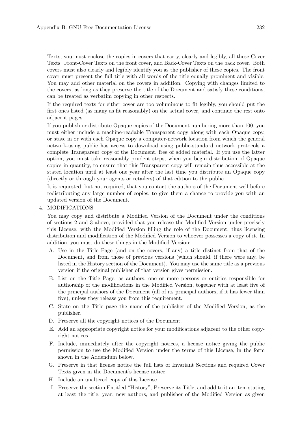Texts, you must enclose the copies in covers that carry, clearly and legibly, all these Cover Texts: Front-Cover Texts on the front cover, and Back-Cover Texts on the back cover. Both covers must also clearly and legibly identify you as the publisher of these copies. The front cover must present the full title with all words of the title equally prominent and visible. You may add other material on the covers in addition. Copying with changes limited to the covers, as long as they preserve the title of the Document and satisfy these conditions, can be treated as verbatim copying in other respects.

If the required texts for either cover are too voluminous to fit legibly, you should put the first ones listed (as many as fit reasonably) on the actual cover, and continue the rest onto adjacent pages.

If you publish or distribute Opaque copies of the Document numbering more than 100, you must either include a machine-readable Transparent copy along with each Opaque copy, or state in or with each Opaque copy a computer-network location from which the general network-using public has access to download using public-standard network protocols a complete Transparent copy of the Document, free of added material. If you use the latter option, you must take reasonably prudent steps, when you begin distribution of Opaque copies in quantity, to ensure that this Transparent copy will remain thus accessible at the stated location until at least one year after the last time you distribute an Opaque copy (directly or through your agents or retailers) of that edition to the public.

It is requested, but not required, that you contact the authors of the Document well before redistributing any large number of copies, to give them a chance to provide you with an updated version of the Document.

#### 4. MODIFICATIONS

You may copy and distribute a Modified Version of the Document under the conditions of sections 2 and 3 above, provided that you release the Modified Version under precisely this License, with the Modified Version filling the role of the Document, thus licensing distribution and modification of the Modified Version to whoever possesses a copy of it. In addition, you must do these things in the Modified Version:

- A. Use in the Title Page (and on the covers, if any) a title distinct from that of the Document, and from those of previous versions (which should, if there were any, be listed in the History section of the Document). You may use the same title as a previous version if the original publisher of that version gives permission.
- B. List on the Title Page, as authors, one or more persons or entities responsible for authorship of the modifications in the Modified Version, together with at least five of the principal authors of the Document (all of its principal authors, if it has fewer than five), unless they release you from this requirement.
- C. State on the Title page the name of the publisher of the Modified Version, as the publisher.
- D. Preserve all the copyright notices of the Document.
- E. Add an appropriate copyright notice for your modifications adjacent to the other copyright notices.
- F. Include, immediately after the copyright notices, a license notice giving the public permission to use the Modified Version under the terms of this License, in the form shown in the Addendum below.
- G. Preserve in that license notice the full lists of Invariant Sections and required Cover Texts given in the Document's license notice.
- H. Include an unaltered copy of this License.
- I. Preserve the section Entitled "History", Preserve its Title, and add to it an item stating at least the title, year, new authors, and publisher of the Modified Version as given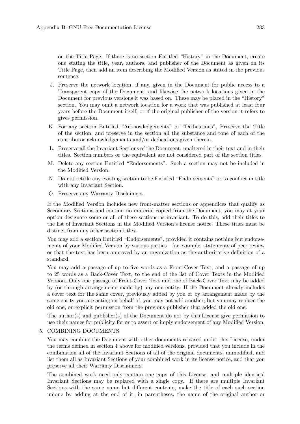on the Title Page. If there is no section Entitled "History" in the Document, create one stating the title, year, authors, and publisher of the Document as given on its Title Page, then add an item describing the Modified Version as stated in the previous sentence.

- J. Preserve the network location, if any, given in the Document for public access to a Transparent copy of the Document, and likewise the network locations given in the Document for previous versions it was based on. These may be placed in the "History" section. You may omit a network location for a work that was published at least four years before the Document itself, or if the original publisher of the version it refers to gives permission.
- K. For any section Entitled "Acknowledgements" or "Dedications", Preserve the Title of the section, and preserve in the section all the substance and tone of each of the contributor acknowledgements and/or dedications given therein.
- L. Preserve all the Invariant Sections of the Document, unaltered in their text and in their titles. Section numbers or the equivalent are not considered part of the section titles.
- M. Delete any section Entitled "Endorsements". Such a section may not be included in the Modified Version.
- N. Do not retitle any existing section to be Entitled "Endorsements" or to conflict in title with any Invariant Section.
- O. Preserve any Warranty Disclaimers.

If the Modified Version includes new front-matter sections or appendices that qualify as Secondary Sections and contain no material copied from the Document, you may at your option designate some or all of these sections as invariant. To do this, add their titles to the list of Invariant Sections in the Modified Version's license notice. These titles must be distinct from any other section titles.

You may add a section Entitled "Endorsements", provided it contains nothing but endorsements of your Modified Version by various parties—for example, statements of peer review or that the text has been approved by an organization as the authoritative definition of a standard.

You may add a passage of up to five words as a Front-Cover Text, and a passage of up to 25 words as a Back-Cover Text, to the end of the list of Cover Texts in the Modified Version. Only one passage of Front-Cover Text and one of Back-Cover Text may be added by (or through arrangements made by) any one entity. If the Document already includes a cover text for the same cover, previously added by you or by arrangement made by the same entity you are acting on behalf of, you may not add another; but you may replace the old one, on explicit permission from the previous publisher that added the old one.

The author(s) and publisher(s) of the Document do not by this License give permission to use their names for publicity for or to assert or imply endorsement of any Modified Version.

#### 5. COMBINING DOCUMENTS

You may combine the Document with other documents released under this License, under the terms defined in section 4 above for modified versions, provided that you include in the combination all of the Invariant Sections of all of the original documents, unmodified, and list them all as Invariant Sections of your combined work in its license notice, and that you preserve all their Warranty Disclaimers.

The combined work need only contain one copy of this License, and multiple identical Invariant Sections may be replaced with a single copy. If there are multiple Invariant Sections with the same name but different contents, make the title of each such section unique by adding at the end of it, in parentheses, the name of the original author or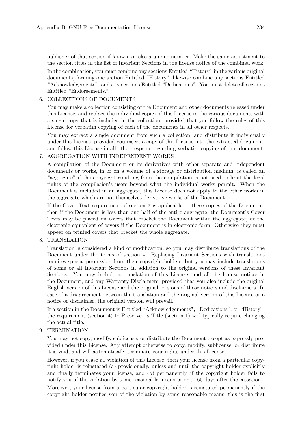publisher of that section if known, or else a unique number. Make the same adjustment to the section titles in the list of Invariant Sections in the license notice of the combined work. In the combination, you must combine any sections Entitled "History" in the various original documents, forming one section Entitled "History"; likewise combine any sections Entitled "Acknowledgements", and any sections Entitled "Dedications". You must delete all sections Entitled "Endorsements."

#### 6. COLLECTIONS OF DOCUMENTS

You may make a collection consisting of the Document and other documents released under this License, and replace the individual copies of this License in the various documents with a single copy that is included in the collection, provided that you follow the rules of this License for verbatim copying of each of the documents in all other respects.

You may extract a single document from such a collection, and distribute it individually under this License, provided you insert a copy of this License into the extracted document, and follow this License in all other respects regarding verbatim copying of that document.

#### 7. AGGREGATION WITH INDEPENDENT WORKS

A compilation of the Document or its derivatives with other separate and independent documents or works, in or on a volume of a storage or distribution medium, is called an "aggregate" if the copyright resulting from the compilation is not used to limit the legal rights of the compilation's users beyond what the individual works permit. When the Document is included in an aggregate, this License does not apply to the other works in the aggregate which are not themselves derivative works of the Document.

If the Cover Text requirement of section 3 is applicable to these copies of the Document, then if the Document is less than one half of the entire aggregate, the Document's Cover Texts may be placed on covers that bracket the Document within the aggregate, or the electronic equivalent of covers if the Document is in electronic form. Otherwise they must appear on printed covers that bracket the whole aggregate.

#### 8. TRANSLATION

Translation is considered a kind of modification, so you may distribute translations of the Document under the terms of section 4. Replacing Invariant Sections with translations requires special permission from their copyright holders, but you may include translations of some or all Invariant Sections in addition to the original versions of these Invariant Sections. You may include a translation of this License, and all the license notices in the Document, and any Warranty Disclaimers, provided that you also include the original English version of this License and the original versions of those notices and disclaimers. In case of a disagreement between the translation and the original version of this License or a notice or disclaimer, the original version will prevail.

If a section in the Document is Entitled "Acknowledgements", "Dedications", or "History", the requirement (section 4) to Preserve its Title (section 1) will typically require changing the actual title.

#### 9. TERMINATION

You may not copy, modify, sublicense, or distribute the Document except as expressly provided under this License. Any attempt otherwise to copy, modify, sublicense, or distribute it is void, and will automatically terminate your rights under this License.

However, if you cease all violation of this License, then your license from a particular copyright holder is reinstated (a) provisionally, unless and until the copyright holder explicitly and finally terminates your license, and (b) permanently, if the copyright holder fails to notify you of the violation by some reasonable means prior to 60 days after the cessation.

Moreover, your license from a particular copyright holder is reinstated permanently if the copyright holder notifies you of the violation by some reasonable means, this is the first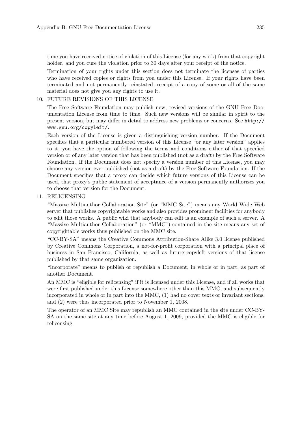time you have received notice of violation of this License (for any work) from that copyright holder, and you cure the violation prior to 30 days after your receipt of the notice.

Termination of your rights under this section does not terminate the licenses of parties who have received copies or rights from you under this License. If your rights have been terminated and not permanently reinstated, receipt of a copy of some or all of the same material does not give you any rights to use it.

#### 10. FUTURE REVISIONS OF THIS LICENSE

The Free Software Foundation may publish new, revised versions of the GNU Free Documentation License from time to time. Such new versions will be similar in spirit to the present version, but may differ in detail to address new problems or concerns. See [http://](http://www.gnu.org/copyleft/) [www.gnu.org/copyleft/](http://www.gnu.org/copyleft/).

Each version of the License is given a distinguishing version number. If the Document specifies that a particular numbered version of this License "or any later version" applies to it, you have the option of following the terms and conditions either of that specified version or of any later version that has been published (not as a draft) by the Free Software Foundation. If the Document does not specify a version number of this License, you may choose any version ever published (not as a draft) by the Free Software Foundation. If the Document specifies that a proxy can decide which future versions of this License can be used, that proxy's public statement of acceptance of a version permanently authorizes you to choose that version for the Document.

#### 11. RELICENSING

"Massive Multiauthor Collaboration Site" (or "MMC Site") means any World Wide Web server that publishes copyrightable works and also provides prominent facilities for anybody to edit those works. A public wiki that anybody can edit is an example of such a server. A "Massive Multiauthor Collaboration" (or "MMC") contained in the site means any set of copyrightable works thus published on the MMC site.

"CC-BY-SA" means the Creative Commons Attribution-Share Alike 3.0 license published by Creative Commons Corporation, a not-for-profit corporation with a principal place of business in San Francisco, California, as well as future copyleft versions of that license published by that same organization.

"Incorporate" means to publish or republish a Document, in whole or in part, as part of another Document.

An MMC is "eligible for relicensing" if it is licensed under this License, and if all works that were first published under this License somewhere other than this MMC, and subsequently incorporated in whole or in part into the MMC, (1) had no cover texts or invariant sections, and (2) were thus incorporated prior to November 1, 2008.

The operator of an MMC Site may republish an MMC contained in the site under CC-BY-SA on the same site at any time before August 1, 2009, provided the MMC is eligible for relicensing.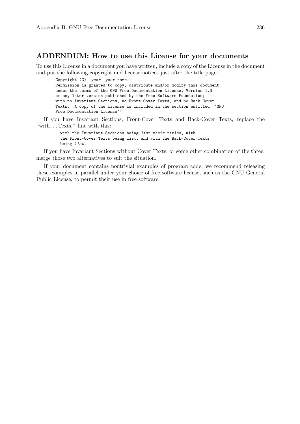### ADDENDUM: How to use this License for your documents

To use this License in a document you have written, include a copy of the License in the document and put the following copyright and license notices just after the title page:

Copyright (C) year your name. Permission is granted to copy, distribute and/or modify this document under the terms of the GNU Free Documentation License, Version 1.3 or any later version published by the Free Software Foundation; with no Invariant Sections, no Front-Cover Texts, and no Back-Cover Texts. A copy of the license is included in the section entitled ''GNU Free Documentation License''.

If you have Invariant Sections, Front-Cover Texts and Back-Cover Texts, replace the "with. . . Texts." line with this:

> with the Invariant Sections being list their titles, with the Front-Cover Texts being list, and with the Back-Cover Texts being list.

If you have Invariant Sections without Cover Texts, or some other combination of the three, merge those two alternatives to suit the situation.

If your document contains nontrivial examples of program code, we recommend releasing these examples in parallel under your choice of free software license, such as the GNU General Public License, to permit their use in free software.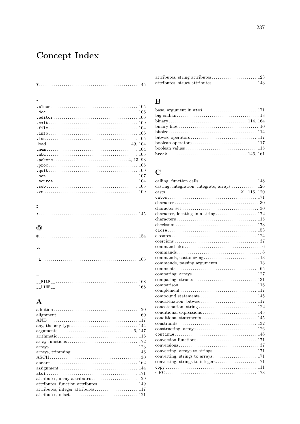# Concept Index

|                                                             | 105 |
|-------------------------------------------------------------|-----|
| doc                                                         | 106 |
|                                                             | 106 |
| $. exit                 $                                   | 109 |
|                                                             | 104 |
|                                                             | 106 |
|                                                             | 105 |
| $10^{2}$ . $10^{2}$                                         | 104 |
|                                                             | 104 |
|                                                             | 105 |
|                                                             |     |
|                                                             | 105 |
|                                                             | 109 |
|                                                             | 107 |
| $. source \dots  \dots  \dots  \dots  \dots  \dots  \dots $ | 104 |
|                                                             | 105 |
|                                                             | 109 |
|                                                             |     |
|                                                             |     |
|                                                             |     |
|                                                             |     |
|                                                             |     |
|                                                             |     |
| $\omega$                                                    |     |
|                                                             |     |
|                                                             |     |
|                                                             |     |
|                                                             |     |
|                                                             |     |
| ≏L                                                          | 165 |
|                                                             |     |

## $\mathbf{A}$

| $arithmetic \ldots \ldots \ldots \ldots \ldots \ldots \ldots \ldots \ldots \ldots \ldots \ldots \ldots 116$ |
|-------------------------------------------------------------------------------------------------------------|
|                                                                                                             |
|                                                                                                             |
|                                                                                                             |
|                                                                                                             |
|                                                                                                             |
| $assignment \ldots \ldots \ldots \ldots \ldots \ldots \ldots \ldots \ldots \ldots \ldots \ldots 144$        |
|                                                                                                             |
| attributes, array attributes $\dots\dots\dots\dots\dots\dots\dots$ 129                                      |
| attributes, function attributes<br>149                                                                      |
|                                                                                                             |
|                                                                                                             |

#### $\, {\bf B}$

| base, argument in $\text{atoi} \dots \dots \dots \dots \dots \dots \dots \dots \dots \dots 171$ |  |
|-------------------------------------------------------------------------------------------------|--|
|                                                                                                 |  |
| $\frac{114}{164}$                                                                               |  |
|                                                                                                 |  |
|                                                                                                 |  |
|                                                                                                 |  |
|                                                                                                 |  |
|                                                                                                 |  |
| $break \dots \dots \dots \dots \dots \dots \dots \dots \dots \dots \dots \dots \ 146, \ 161$    |  |
|                                                                                                 |  |

## $\overline{C}$

| $comparison \ldots \ldots \ldots \ldots \ldots \ldots \ldots \ldots \ldots \ldots \ldots \ldots 116$ |
|------------------------------------------------------------------------------------------------------|
|                                                                                                      |
|                                                                                                      |
|                                                                                                      |
|                                                                                                      |
|                                                                                                      |
|                                                                                                      |
|                                                                                                      |
|                                                                                                      |
|                                                                                                      |
|                                                                                                      |
|                                                                                                      |
|                                                                                                      |
|                                                                                                      |
|                                                                                                      |
|                                                                                                      |
|                                                                                                      |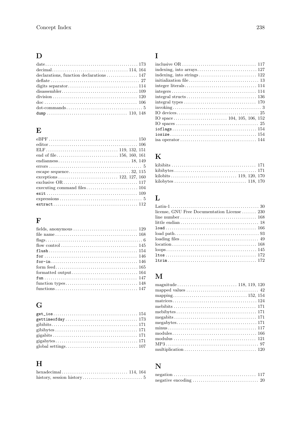## $\mathbf{D}%$

| $\frac{1}{20}$                                                                                |  |
|-----------------------------------------------------------------------------------------------|--|
| $\rm{doc}\dots\dots\dots\dots\dots\dots\dots\dots\dots\dots\dots\dots\dots\dots 106$          |  |
| $dot-commands \ldots \ldots \ldots \ldots \ldots \ldots \ldots \ldots \ldots \ldots \ldots 5$ |  |
|                                                                                               |  |

### $\bf{E}$

| $expressions \ldots \ldots \ldots \ldots \ldots \ldots \ldots \ldots \ldots \ldots \ldots 5$ |  |
|----------------------------------------------------------------------------------------------|--|
|                                                                                              |  |

## $\mathbf{F}$

## $\overline{G}$

| $get\_ios \ldots \ldots \ldots \ldots \ldots \ldots \ldots \ldots \ldots \ldots \ldots \ldots \ldots 154$ |  |
|-----------------------------------------------------------------------------------------------------------|--|
|                                                                                                           |  |
|                                                                                                           |  |
|                                                                                                           |  |
|                                                                                                           |  |
|                                                                                                           |  |
|                                                                                                           |  |

## $\overline{\mathbf{H}}$

| $hexadecimal \ldots \ldots \ldots \ldots \ldots \ldots \ldots \ldots \ldots 114, 164$ |  |
|---------------------------------------------------------------------------------------|--|
|                                                                                       |  |

## $\mathbf I$

### $\overline{\mathbf{K}}$

## $\mathbf{L}%$

| license, GNU Free Documentation License  230 |
|----------------------------------------------|
|                                              |
|                                              |
|                                              |
|                                              |
|                                              |
|                                              |
|                                              |
|                                              |
|                                              |

## $\mathbf{M}$

## $\overline{\mathbf{N}}$